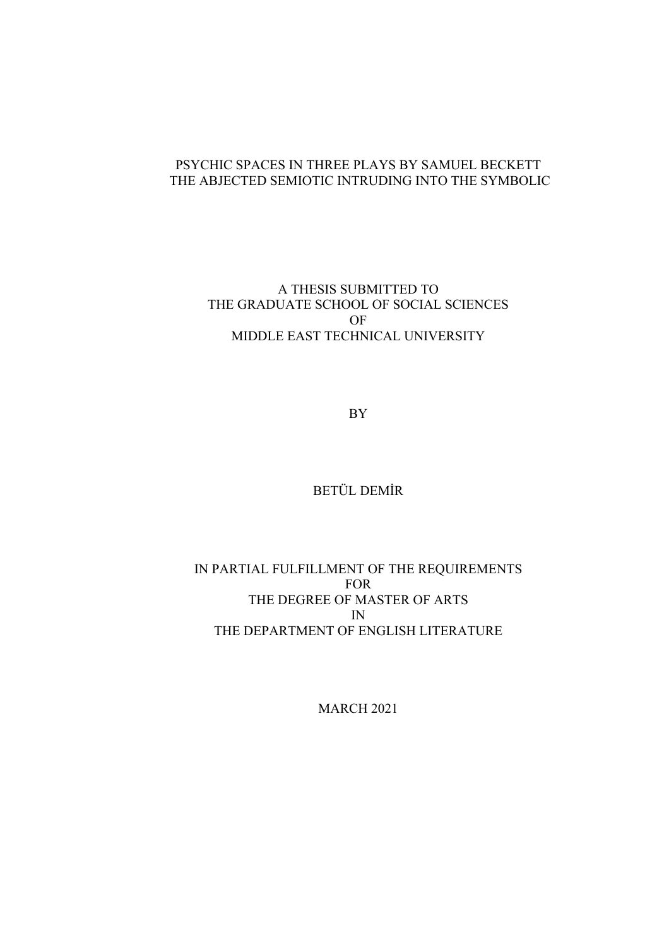# PSYCHIC SPACES IN THREE PLAYS BY SAMUEL BECKETT THE ABJECTED SEMIOTIC INTRUDING INTO THE SYMBOLIC

A THESIS SUBMITTED TO THE GRADUATE SCHOOL OF SOCIAL SCIENCES OF MIDDLE EAST TECHNICAL UNIVERSITY

BY

BETÜL DEMİR

IN PARTIAL FULFILLMENT OF THE REQUIREMENTS FOR THE DEGREE OF MASTER OF ARTS IN THE DEPARTMENT OF ENGLISH LITERATURE

MARCH 2021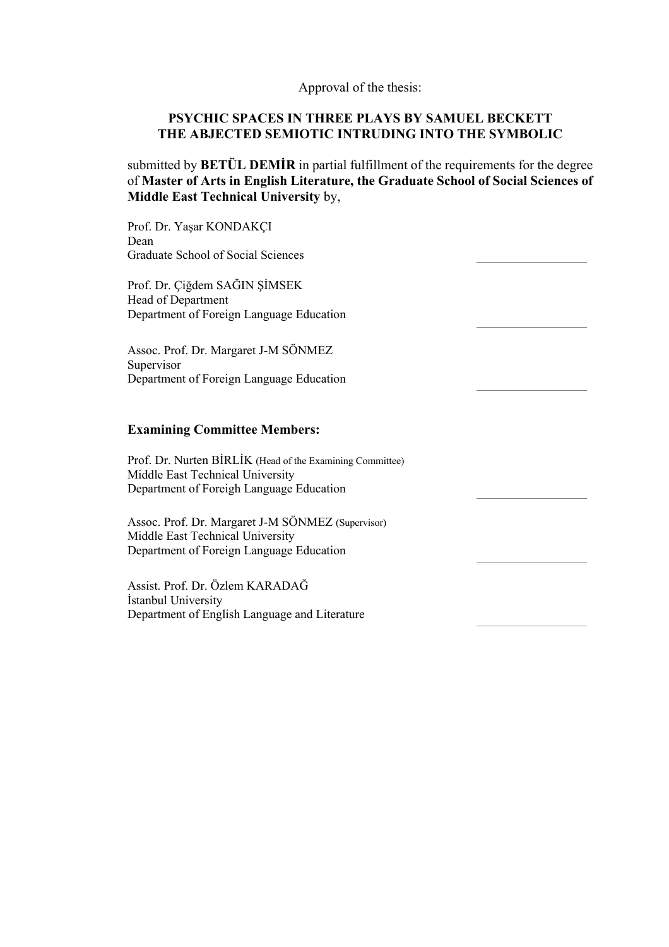Approval of the thesis:

## **PSYCHIC SPACES IN THREE PLAYS BY SAMUEL BECKETT THE ABJECTED SEMIOTIC INTRUDING INTO THE SYMBOLIC**

submitted by **BETÜL DEMİR** in partial fulfillment of the requirements for the degree of **Master of Arts in English Literature, the Graduate School of Social Sciences of Middle East Technical University** by,

Prof. Dr. Yaşar KONDAKÇI Dean Graduate School of Social Sciences Prof. Dr. Çiğdem SAĞIN ŞİMSEK Head of Department Department of Foreign Language Education Assoc. Prof. Dr. Margaret J-M SÖNMEZ Supervisor Department of Foreign Language Education **Examining Committee Members:** Prof. Dr. Nurten BİRLİK (Head of the Examining Committee) Middle East Technical University Department of Foreigh Language Education Assoc. Prof. Dr. Margaret J-M SÖNMEZ (Supervisor) Middle East Technical University Department of Foreign Language Education Assist. Prof. Dr. Özlem KARADAĞ İstanbul University Department of English Language and Literature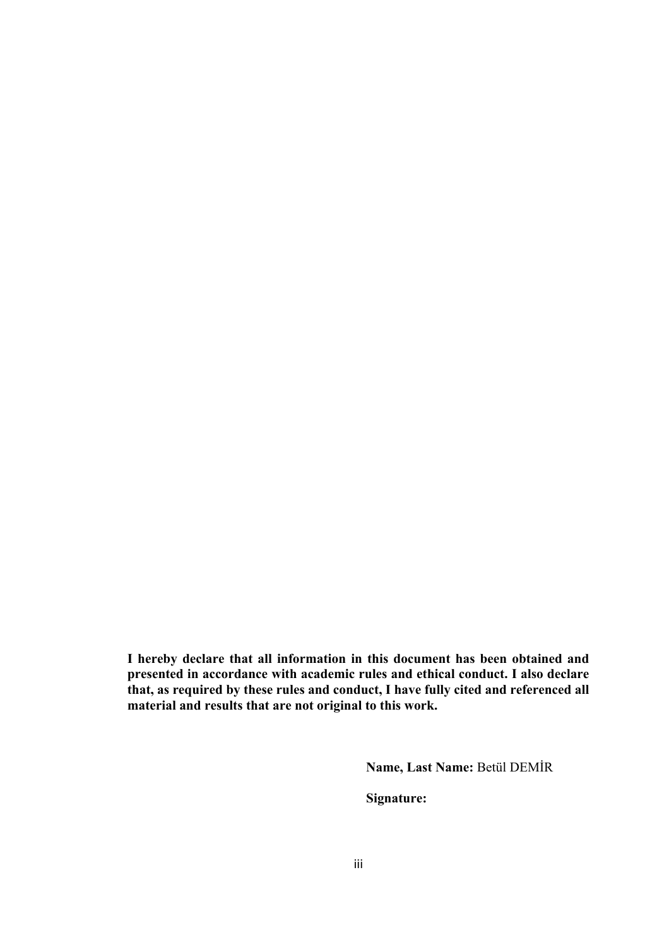**I hereby declare that all information in this document has been obtained and presented in accordance with academic rules and ethical conduct. I also declare that, as required by these rules and conduct, I have fully cited and referenced all material and results that are not original to this work.**

**Name, Last Name:** Betül DEMİR

**Signature:**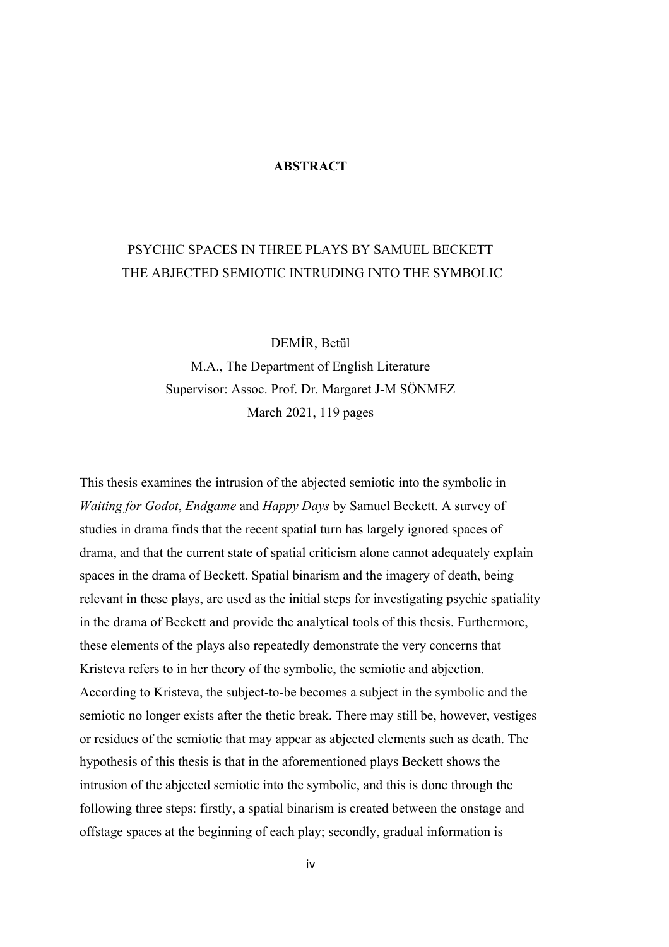### **ABSTRACT**

# PSYCHIC SPACES IN THREE PLAYS BY SAMUEL BECKETT THE ABJECTED SEMIOTIC INTRUDING INTO THE SYMBOLIC

DEMİR, Betül

M.A., The Department of English Literature Supervisor: Assoc. Prof. Dr. Margaret J-M SÖNMEZ March 2021, 119 pages

This thesis examines the intrusion of the abjected semiotic into the symbolic in *Waiting for Godot*, *Endgame* and *Happy Days* by Samuel Beckett. A survey of studies in drama finds that the recent spatial turn has largely ignored spaces of drama, and that the current state of spatial criticism alone cannot adequately explain spaces in the drama of Beckett. Spatial binarism and the imagery of death, being relevant in these plays, are used as the initial steps for investigating psychic spatiality in the drama of Beckett and provide the analytical tools of this thesis. Furthermore, these elements of the plays also repeatedly demonstrate the very concerns that Kristeva refers to in her theory of the symbolic, the semiotic and abjection. According to Kristeva, the subject-to-be becomes a subject in the symbolic and the semiotic no longer exists after the thetic break. There may still be, however, vestiges or residues of the semiotic that may appear as abjected elements such as death. The hypothesis of this thesis is that in the aforementioned plays Beckett shows the intrusion of the abjected semiotic into the symbolic, and this is done through the following three steps: firstly, a spatial binarism is created between the onstage and offstage spaces at the beginning of each play; secondly, gradual information is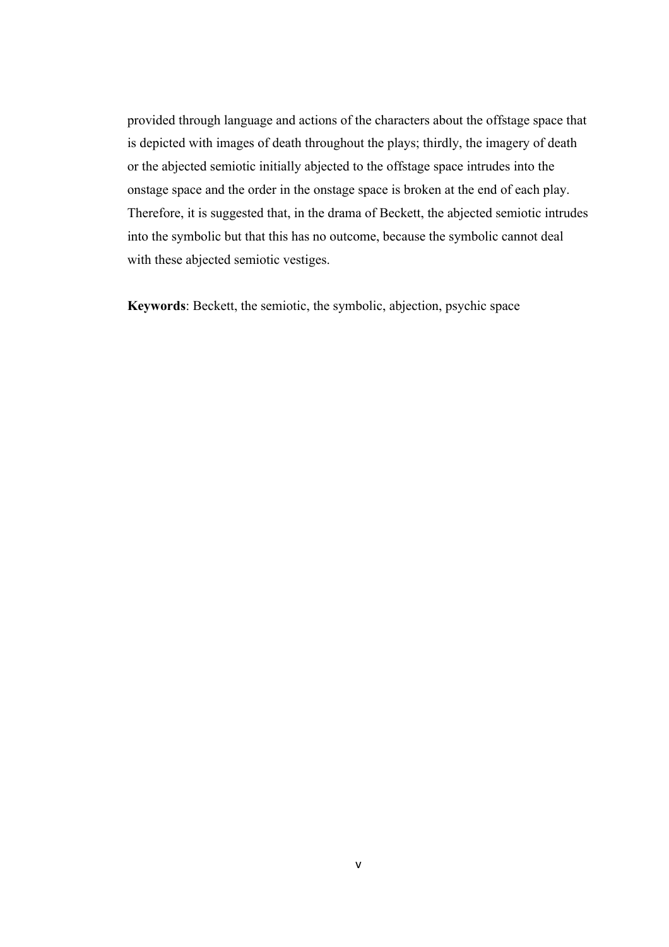provided through language and actions of the characters about the offstage space that is depicted with images of death throughout the plays; thirdly, the imagery of death or the abjected semiotic initially abjected to the offstage space intrudes into the onstage space and the order in the onstage space is broken at the end of each play. Therefore, it is suggested that, in the drama of Beckett, the abjected semiotic intrudes into the symbolic but that this has no outcome, because the symbolic cannot deal with these abjected semiotic vestiges.

**Keywords**: Beckett, the semiotic, the symbolic, abjection, psychic space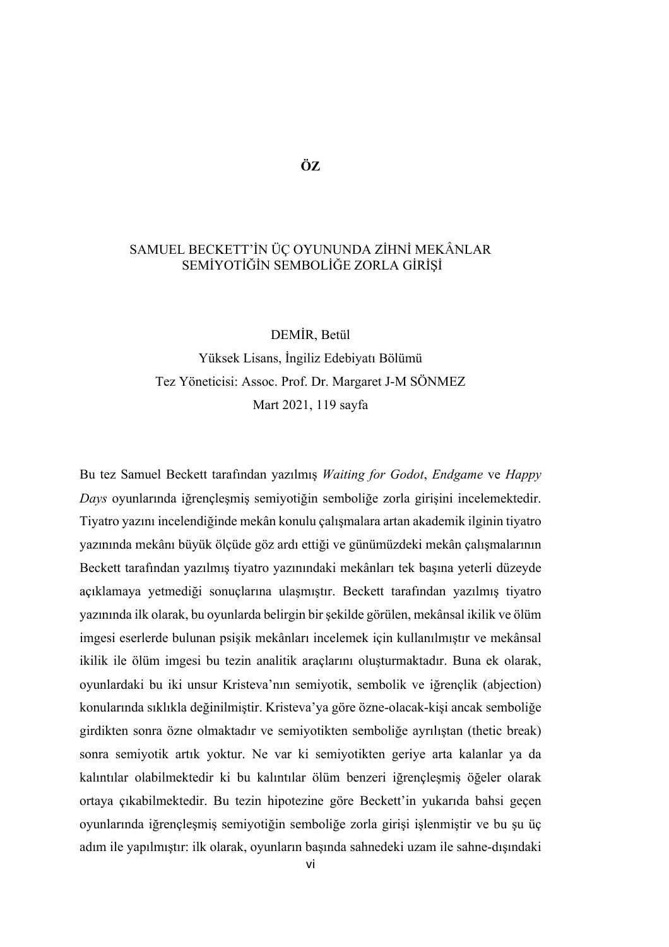# SAMUEL BECKETT'İN ÜÇ OYUNUNDA ZİHNİ MEKÂNLAR SEMİYOTİĞİN SEMBOLİĞE ZORLA GİRİŞİ

DEMİR, Betül Yüksek Lisans, İngiliz Edebiyatı Bölümü Tez Yöneticisi: Assoc. Prof. Dr. Margaret J-M SÖNMEZ Mart 2021, 119 sayfa

Bu tez Samuel Beckett tarafından yazılmış *Waiting for Godot*, *Endgame* ve *Happy Days* oyunlarında iğrençleşmiş semiyotiğin semboliğe zorla girişini incelemektedir. Tiyatro yazını incelendiğinde mekân konulu çalışmalara artan akademik ilginin tiyatro yazınında mekânı büyük ölçüde göz ardı ettiği ve günümüzdeki mekân çalışmalarının Beckett tarafından yazılmış tiyatro yazınındaki mekânları tek başına yeterli düzeyde açıklamaya yetmediği sonuçlarına ulaşmıştır. Beckett tarafından yazılmış tiyatro yazınında ilk olarak, bu oyunlarda belirgin bir şekilde görülen, mekânsal ikilik ve ölüm imgesi eserlerde bulunan psişik mekânları incelemek için kullanılmıştır ve mekânsal ikilik ile ölüm imgesi bu tezin analitik araçlarını oluşturmaktadır. Buna ek olarak, oyunlardaki bu iki unsur Kristeva'nın semiyotik, sembolik ve iğrençlik (abjection) konularında sıklıkla değinilmiştir. Kristeva'ya göre özne-olacak-kişi ancak semboliğe girdikten sonra özne olmaktadır ve semiyotikten semboliğe ayrılıştan (thetic break) sonra semiyotik artık yoktur. Ne var ki semiyotikten geriye arta kalanlar ya da kalıntılar olabilmektedir ki bu kalıntılar ölüm benzeri iğrençleşmiş öğeler olarak ortaya çıkabilmektedir. Bu tezin hipotezine göre Beckett'in yukarıda bahsi geçen oyunlarında iğrençleşmiş semiyotiğin semboliğe zorla girişi işlenmiştir ve bu şu üç adım ile yapılmıştır: ilk olarak, oyunların başında sahnedeki uzam ile sahne-dışındaki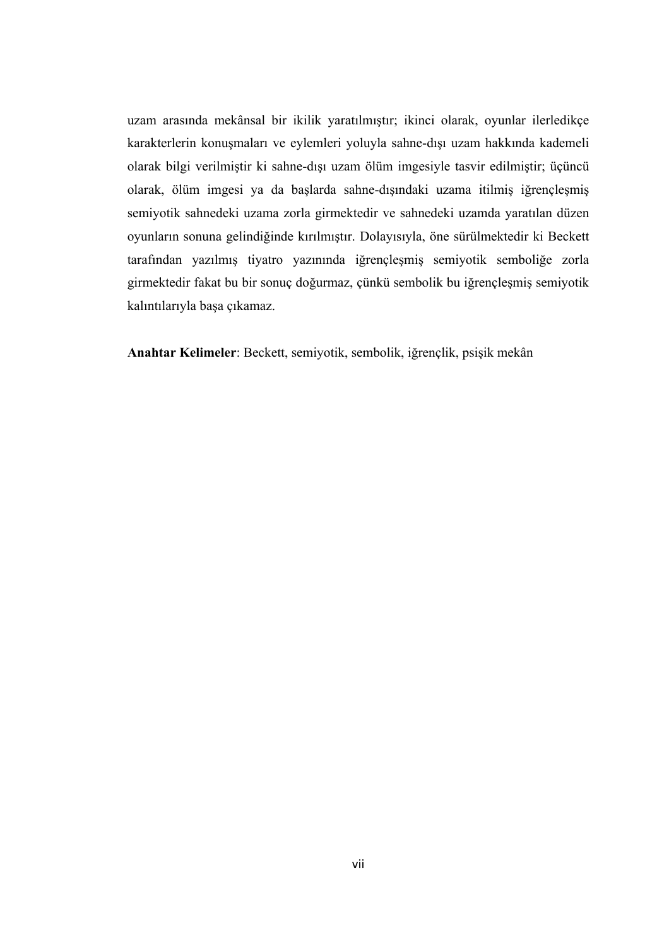uzam arasında mekânsal bir ikilik yaratılmıştır; ikinci olarak, oyunlar ilerledikçe karakterlerin konuşmaları ve eylemleri yoluyla sahne-dışı uzam hakkında kademeli olarak bilgi verilmiştir ki sahne-dışı uzam ölüm imgesiyle tasvir edilmiştir; üçüncü olarak, ölüm imgesi ya da başlarda sahne-dışındaki uzama itilmiş iğrençleşmiş semiyotik sahnedeki uzama zorla girmektedir ve sahnedeki uzamda yaratılan düzen oyunların sonuna gelindiğinde kırılmıştır. Dolayısıyla, öne sürülmektedir ki Beckett tarafından yazılmış tiyatro yazınında iğrençleşmiş semiyotik semboliğe zorla girmektedir fakat bu bir sonuç doğurmaz, çünkü sembolik bu iğrençleşmiş semiyotik kalıntılarıyla başa çıkamaz.

**Anahtar Kelimeler**: Beckett, semiyotik, sembolik, iğrençlik, psişik mekân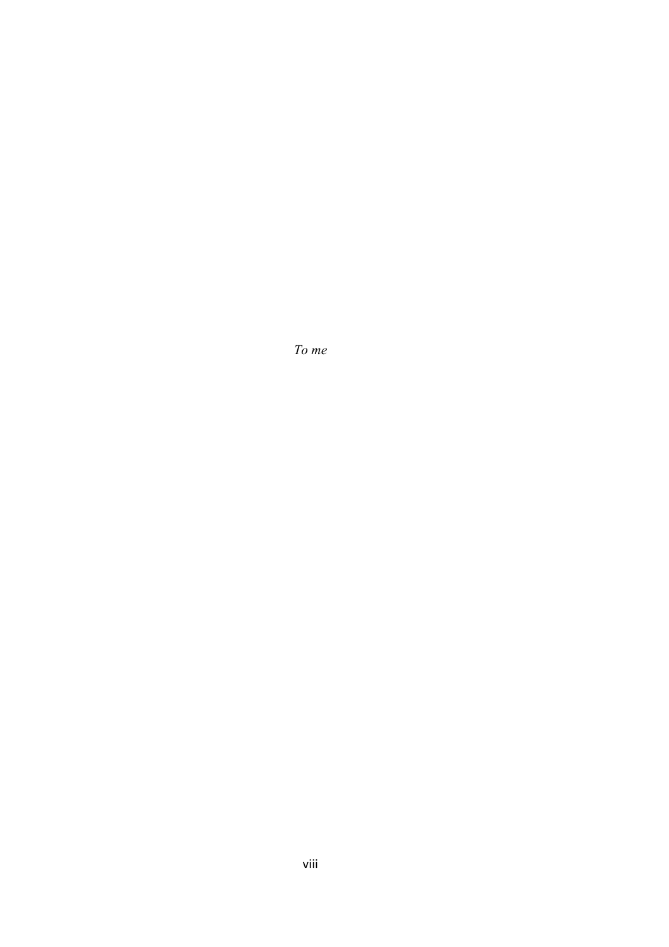*To me*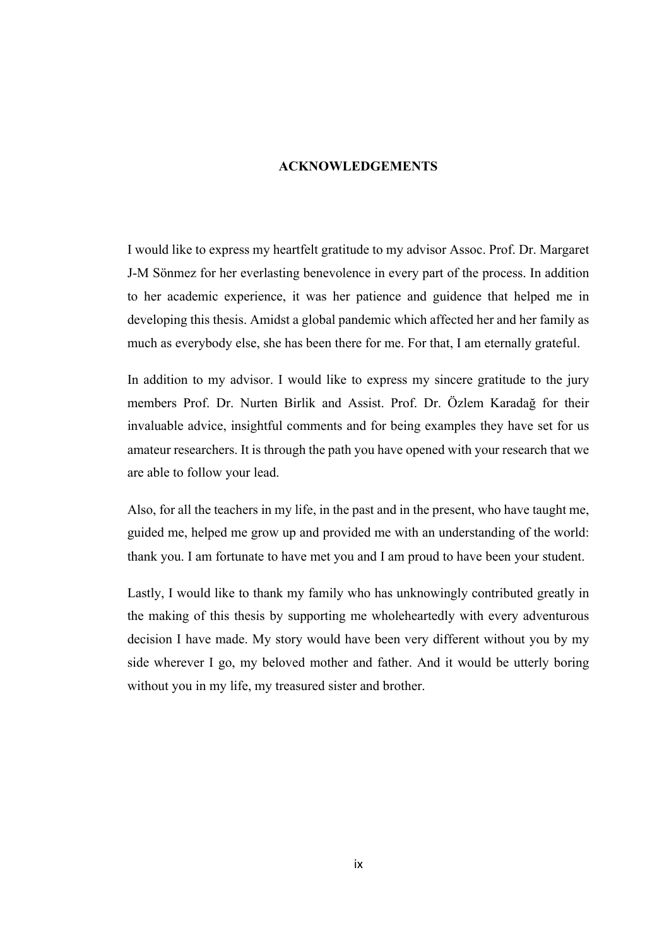### **ACKNOWLEDGEMENTS**

I would like to express my heartfelt gratitude to my advisor Assoc. Prof. Dr. Margaret J-M Sönmez for her everlasting benevolence in every part of the process. In addition to her academic experience, it was her patience and guidence that helped me in developing this thesis. Amidst a global pandemic which affected her and her family as much as everybody else, she has been there for me. For that, I am eternally grateful.

In addition to my advisor. I would like to express my sincere gratitude to the jury members Prof. Dr. Nurten Birlik and Assist. Prof. Dr. Özlem Karadağ for their invaluable advice, insightful comments and for being examples they have set for us amateur researchers. It is through the path you have opened with your research that we are able to follow your lead.

Also, for all the teachers in my life, in the past and in the present, who have taught me, guided me, helped me grow up and provided me with an understanding of the world: thank you. I am fortunate to have met you and I am proud to have been your student.

Lastly, I would like to thank my family who has unknowingly contributed greatly in the making of this thesis by supporting me wholeheartedly with every adventurous decision I have made. My story would have been very different without you by my side wherever I go, my beloved mother and father. And it would be utterly boring without you in my life, my treasured sister and brother.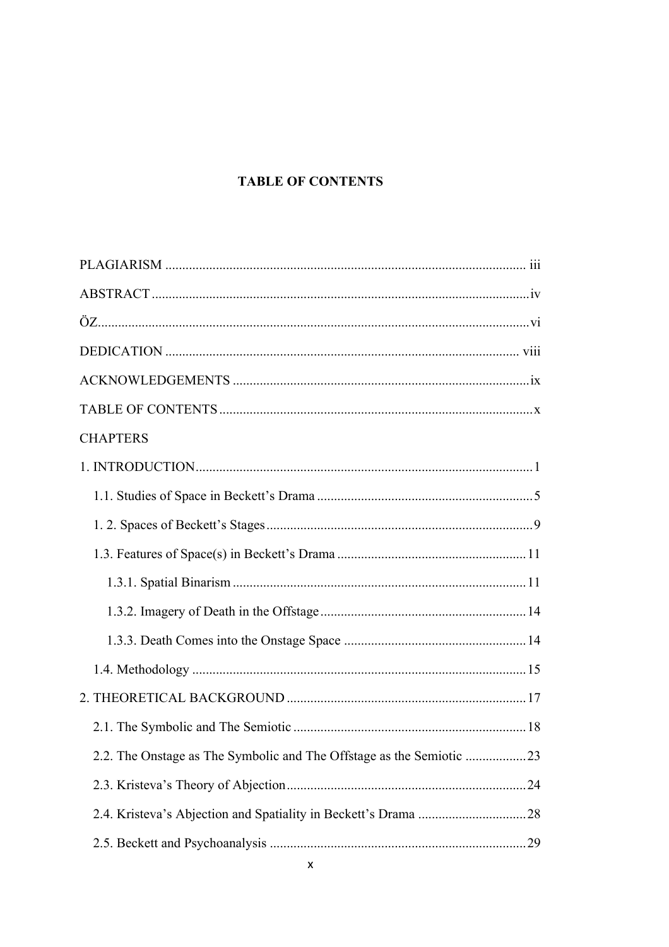# **TABLE OF CONTENTS**

| <b>CHAPTERS</b>                                                      |
|----------------------------------------------------------------------|
|                                                                      |
|                                                                      |
|                                                                      |
|                                                                      |
|                                                                      |
|                                                                      |
|                                                                      |
|                                                                      |
|                                                                      |
|                                                                      |
| 2.2. The Onstage as The Symbolic and The Offstage as the Semiotic 23 |
|                                                                      |
|                                                                      |
|                                                                      |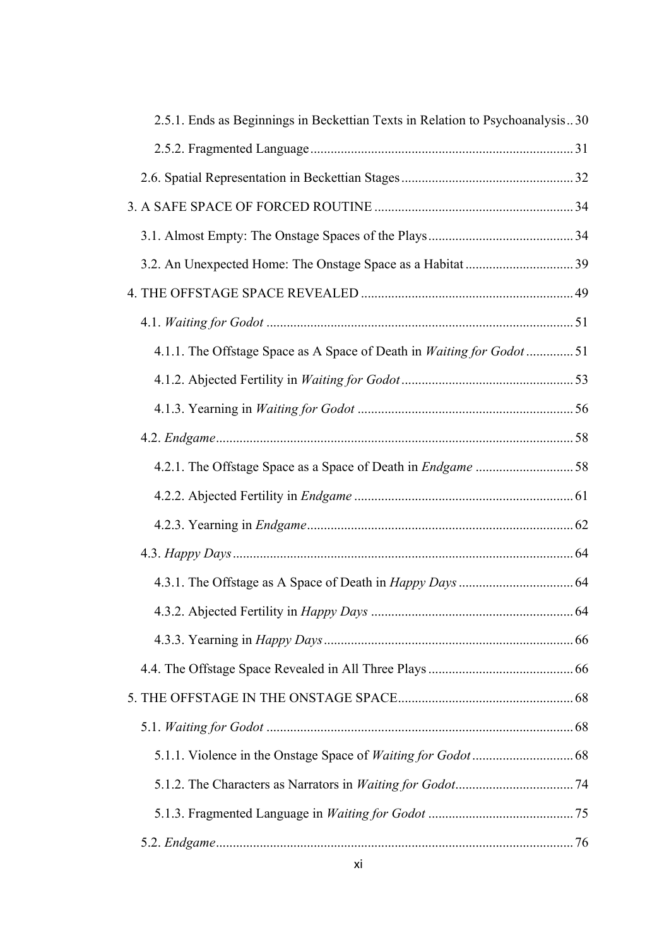| 2.5.1. Ends as Beginnings in Beckettian Texts in Relation to Psychoanalysis30 |
|-------------------------------------------------------------------------------|
|                                                                               |
|                                                                               |
|                                                                               |
|                                                                               |
|                                                                               |
|                                                                               |
|                                                                               |
| 4.1.1. The Offstage Space as A Space of Death in Waiting for Godot  51        |
|                                                                               |
|                                                                               |
|                                                                               |
|                                                                               |
|                                                                               |
|                                                                               |
|                                                                               |
|                                                                               |
|                                                                               |
|                                                                               |
|                                                                               |
|                                                                               |
|                                                                               |
|                                                                               |
|                                                                               |
|                                                                               |
|                                                                               |
|                                                                               |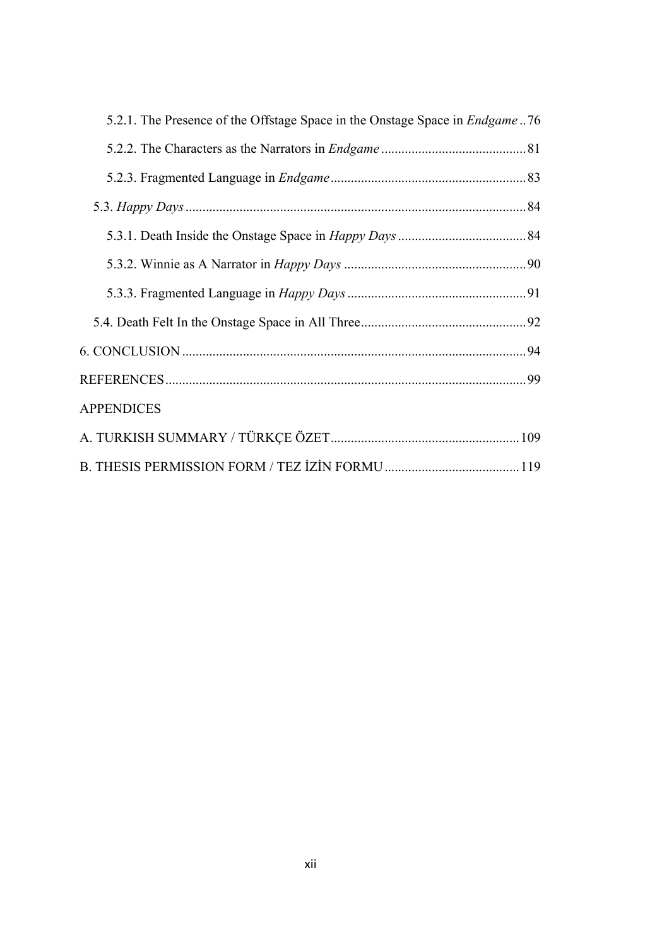| 5.2.1. The Presence of the Offstage Space in the Onstage Space in <i>Endgame</i> 76 |
|-------------------------------------------------------------------------------------|
|                                                                                     |
|                                                                                     |
|                                                                                     |
|                                                                                     |
|                                                                                     |
|                                                                                     |
|                                                                                     |
|                                                                                     |
|                                                                                     |
| <b>APPENDICES</b>                                                                   |
|                                                                                     |
|                                                                                     |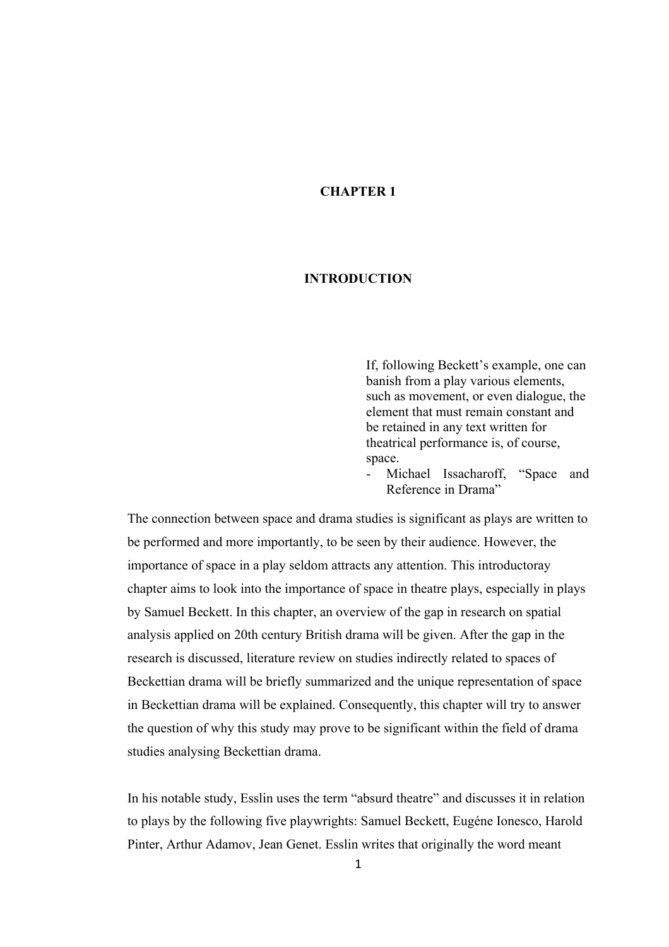# **CHAPTER 1**

### **INTRODUCTION**

If, following Beckett's example, one can banish from a play various elements, such as movement, or even dialogue, the element that must remain constant and be retained in any text written for theatrical performance is, of course, space.

Michael Issacharoff, "Space and Reference in Drama"

The connection between space and drama studies is significant as plays are written to be performed and more importantly, to be seen by their audience. However, the importance of space in a play seldom attracts any attention. This introductoray chapter aims to look into the importance of space in theatre plays, especially in plays by Samuel Beckett. In this chapter, an overview of the gap in research on spatial analysis applied on 20th century British drama will be given. After the gap in the research is discussed, literature review on studies indirectly related to spaces of Beckettian drama will be briefly summarized and the unique representation of space in Beckettian drama will be explained. Consequently, this chapter will try to answer the question of why this study may prove to be significant within the field of drama studies analysing Beckettian drama.

In his notable study, Esslin uses the term "absurd theatre" and discusses it in relation to plays by the following five playwrights: Samuel Beckett, Eugéne Ionesco, Harold Pinter, Arthur Adamov, Jean Genet. Esslin writes that originally the word meant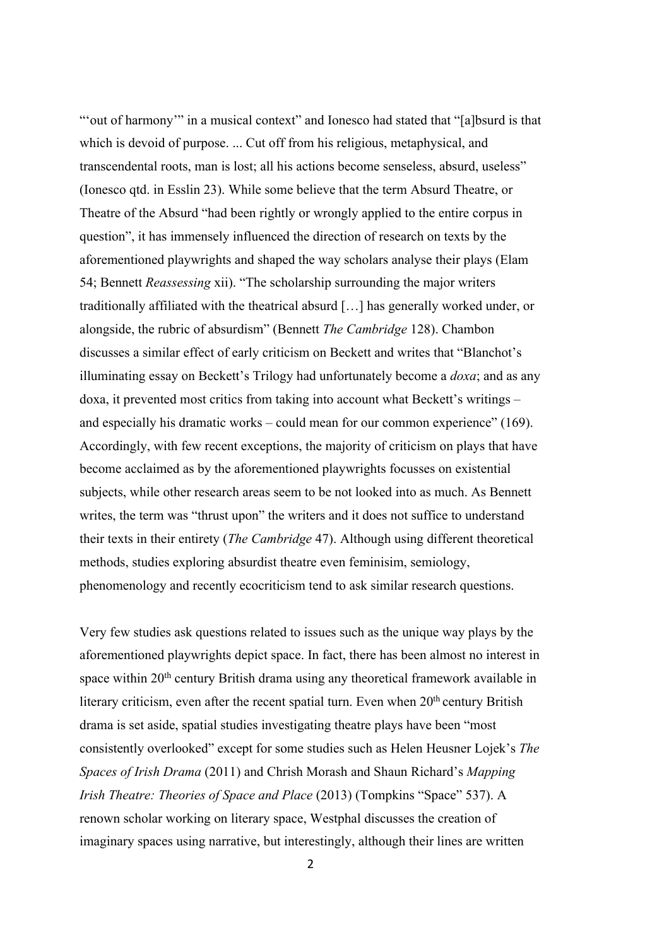"'out of harmony'" in a musical context" and Ionesco had stated that "[a]bsurd is that which is devoid of purpose. ... Cut off from his religious, metaphysical, and transcendental roots, man is lost; all his actions become senseless, absurd, useless" (Ionesco qtd. in Esslin 23). While some believe that the term Absurd Theatre, or Theatre of the Absurd "had been rightly or wrongly applied to the entire corpus in question", it has immensely influenced the direction of research on texts by the aforementioned playwrights and shaped the way scholars analyse their plays (Elam 54; Bennett *Reassessing* xii). "The scholarship surrounding the major writers traditionally affiliated with the theatrical absurd […] has generally worked under, or alongside, the rubric of absurdism" (Bennett *The Cambridge* 128). Chambon discusses a similar effect of early criticism on Beckett and writes that "Blanchot's illuminating essay on Beckett's Trilogy had unfortunately become a *doxa*; and as any doxa, it prevented most critics from taking into account what Beckett's writings – and especially his dramatic works – could mean for our common experience" (169). Accordingly, with few recent exceptions, the majority of criticism on plays that have become acclaimed as by the aforementioned playwrights focusses on existential subjects, while other research areas seem to be not looked into as much. As Bennett writes, the term was "thrust upon" the writers and it does not suffice to understand their texts in their entirety (*The Cambridge* 47). Although using different theoretical methods, studies exploring absurdist theatre even feminisim, semiology, phenomenology and recently ecocriticism tend to ask similar research questions.

Very few studies ask questions related to issues such as the unique way plays by the aforementioned playwrights depict space. In fact, there has been almost no interest in space within 20<sup>th</sup> century British drama using any theoretical framework available in literary criticism, even after the recent spatial turn. Even when  $20<sup>th</sup>$  century British drama is set aside, spatial studies investigating theatre plays have been "most consistently overlooked" except for some studies such as Helen Heusner Lojek's *The Spaces of Irish Drama* (2011) and Chrish Morash and Shaun Richard's *Mapping Irish Theatre: Theories of Space and Place* (2013) (Tompkins "Space" 537). A renown scholar working on literary space, Westphal discusses the creation of imaginary spaces using narrative, but interestingly, although their lines are written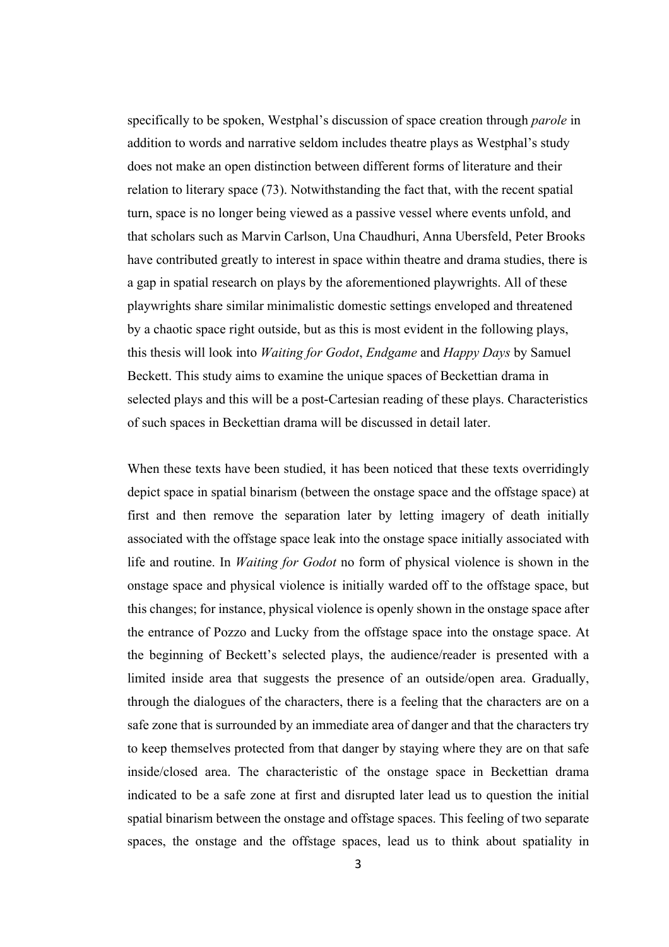specifically to be spoken, Westphal's discussion of space creation through *parole* in addition to words and narrative seldom includes theatre plays as Westphal's study does not make an open distinction between different forms of literature and their relation to literary space (73). Notwithstanding the fact that, with the recent spatial turn, space is no longer being viewed as a passive vessel where events unfold, and that scholars such as Marvin Carlson, Una Chaudhuri, Anna Ubersfeld, Peter Brooks have contributed greatly to interest in space within theatre and drama studies, there is a gap in spatial research on plays by the aforementioned playwrights. All of these playwrights share similar minimalistic domestic settings enveloped and threatened by a chaotic space right outside, but as this is most evident in the following plays, this thesis will look into *Waiting for Godot*, *Endgame* and *Happy Days* by Samuel Beckett. This study aims to examine the unique spaces of Beckettian drama in selected plays and this will be a post-Cartesian reading of these plays. Characteristics of such spaces in Beckettian drama will be discussed in detail later.

When these texts have been studied, it has been noticed that these texts overridingly depict space in spatial binarism (between the onstage space and the offstage space) at first and then remove the separation later by letting imagery of death initially associated with the offstage space leak into the onstage space initially associated with life and routine. In *Waiting for Godot* no form of physical violence is shown in the onstage space and physical violence is initially warded off to the offstage space, but this changes; for instance, physical violence is openly shown in the onstage space after the entrance of Pozzo and Lucky from the offstage space into the onstage space. At the beginning of Beckett's selected plays, the audience/reader is presented with a limited inside area that suggests the presence of an outside/open area. Gradually, through the dialogues of the characters, there is a feeling that the characters are on a safe zone that is surrounded by an immediate area of danger and that the characters try to keep themselves protected from that danger by staying where they are on that safe inside/closed area. The characteristic of the onstage space in Beckettian drama indicated to be a safe zone at first and disrupted later lead us to question the initial spatial binarism between the onstage and offstage spaces. This feeling of two separate spaces, the onstage and the offstage spaces, lead us to think about spatiality in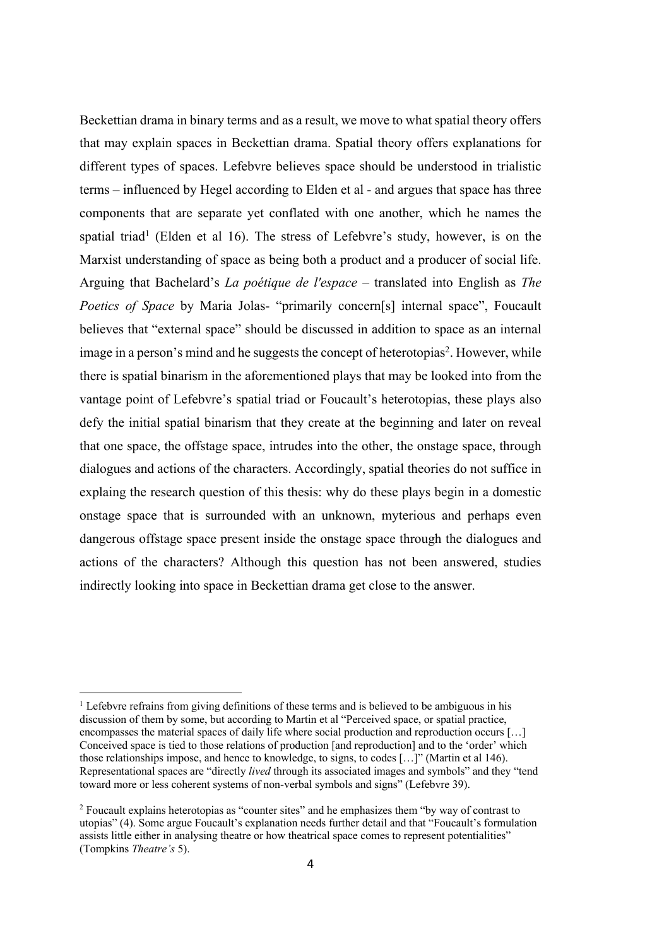Beckettian drama in binary terms and as a result, we move to what spatial theory offers that may explain spaces in Beckettian drama. Spatial theory offers explanations for different types of spaces. Lefebvre believes space should be understood in trialistic terms – influenced by Hegel according to Elden et al - and argues that space has three components that are separate yet conflated with one another, which he names the spatial triad<sup>1</sup> (Elden et al 16). The stress of Lefebvre's study, however, is on the Marxist understanding of space as being both a product and a producer of social life. Arguing that Bachelard's *La poétique de l'espace* – translated into English as *The Poetics of Space* by Maria Jolas- "primarily concern[s] internal space", Foucault believes that "external space" should be discussed in addition to space as an internal image in a person's mind and he suggests the concept of heterotopias<sup>2</sup>. However, while there is spatial binarism in the aforementioned plays that may be looked into from the vantage point of Lefebvre's spatial triad or Foucault's heterotopias, these plays also defy the initial spatial binarism that they create at the beginning and later on reveal that one space, the offstage space, intrudes into the other, the onstage space, through dialogues and actions of the characters. Accordingly, spatial theories do not suffice in explaing the research question of this thesis: why do these plays begin in a domestic onstage space that is surrounded with an unknown, myterious and perhaps even dangerous offstage space present inside the onstage space through the dialogues and actions of the characters? Although this question has not been answered, studies indirectly looking into space in Beckettian drama get close to the answer.

<sup>&</sup>lt;sup>1</sup> Lefebvre refrains from giving definitions of these terms and is believed to be ambiguous in his discussion of them by some, but according to Martin et al "Perceived space, or spatial practice, encompasses the material spaces of daily life where social production and reproduction occurs […] Conceived space is tied to those relations of production [and reproduction] and to the 'order' which those relationships impose, and hence to knowledge, to signs, to codes […]" (Martin et al 146). Representational spaces are "directly *lived* through its associated images and symbols" and they "tend toward more or less coherent systems of non-verbal symbols and signs" (Lefebvre 39).

<sup>&</sup>lt;sup>2</sup> Foucault explains heterotopias as "counter sites" and he emphasizes them "by way of contrast to utopias" (4). Some argue Foucault's explanation needs further detail and that "Foucault's formulation assists little either in analysing theatre or how theatrical space comes to represent potentialities" (Tompkins *Theatre's* 5).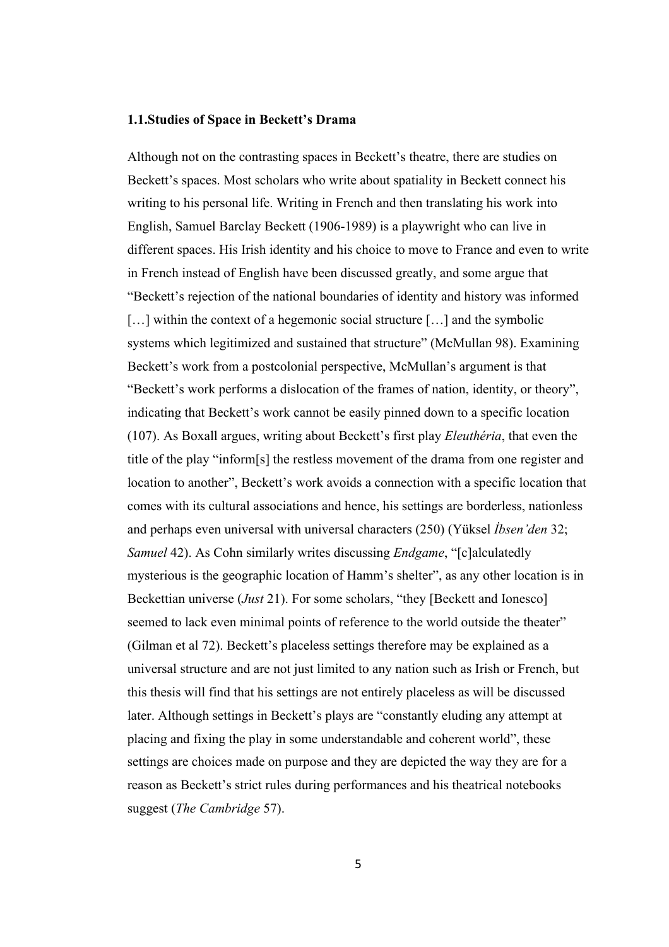#### **1.1.Studies of Space in Beckett's Drama**

Although not on the contrasting spaces in Beckett's theatre, there are studies on Beckett's spaces. Most scholars who write about spatiality in Beckett connect his writing to his personal life. Writing in French and then translating his work into English, Samuel Barclay Beckett (1906-1989) is a playwright who can live in different spaces. His Irish identity and his choice to move to France and even to write in French instead of English have been discussed greatly, and some argue that "Beckett's rejection of the national boundaries of identity and history was informed [...] within the context of a hegemonic social structure [...] and the symbolic systems which legitimized and sustained that structure" (McMullan 98). Examining Beckett's work from a postcolonial perspective, McMullan's argument is that "Beckett's work performs a dislocation of the frames of nation, identity, or theory", indicating that Beckett's work cannot be easily pinned down to a specific location (107). As Boxall argues, writing about Beckett's first play *Eleuthéria*, that even the title of the play "inform[s] the restless movement of the drama from one register and location to another", Beckett's work avoids a connection with a specific location that comes with its cultural associations and hence, his settings are borderless, nationless and perhaps even universal with universal characters (250) (Yüksel *İbsen'den* 32; *Samuel* 42). As Cohn similarly writes discussing *Endgame*, "[c]alculatedly mysterious is the geographic location of Hamm's shelter", as any other location is in Beckettian universe (*Just* 21). For some scholars, "they [Beckett and Ionesco] seemed to lack even minimal points of reference to the world outside the theater" (Gilman et al 72). Beckett's placeless settings therefore may be explained as a universal structure and are not just limited to any nation such as Irish or French, but this thesis will find that his settings are not entirely placeless as will be discussed later. Although settings in Beckett's plays are "constantly eluding any attempt at placing and fixing the play in some understandable and coherent world", these settings are choices made on purpose and they are depicted the way they are for a reason as Beckett's strict rules during performances and his theatrical notebooks suggest (*The Cambridge* 57).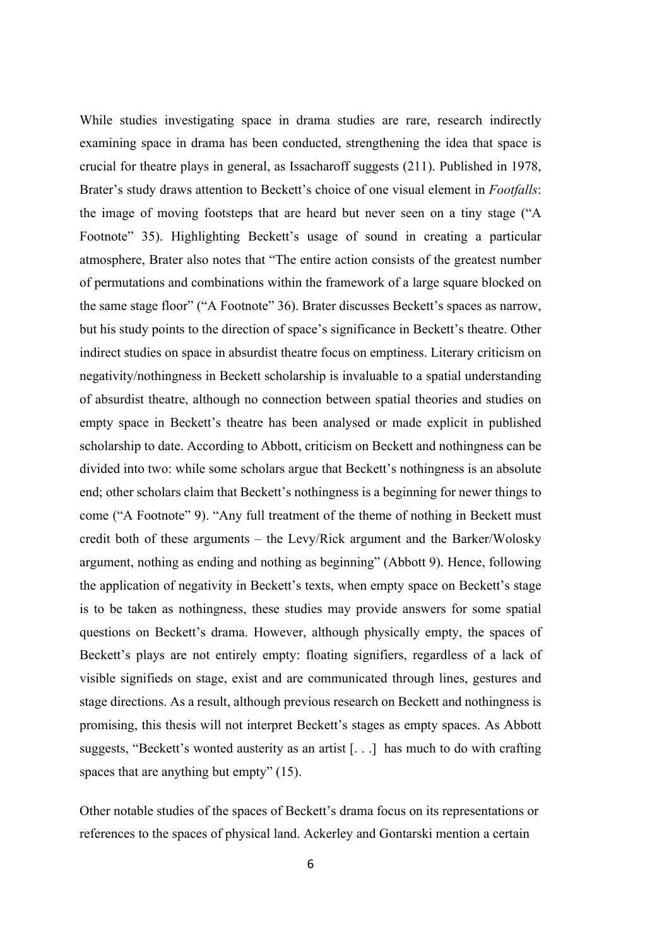While studies investigating space in drama studies are rare, research indirectly examining space in drama has been conducted, strengthening the idea that space is crucial for theatre plays in general, as Issacharoff suggests (211). Published in 1978, Brater's study draws attention to Beckett's choice of one visual element in *Footfalls*: the image of moving footsteps that are heard but never seen on a tiny stage ("A Footnote" 35). Highlighting Beckett's usage of sound in creating a particular atmosphere, Brater also notes that "The entire action consists of the greatest number of permutations and combinations within the framework of a large square blocked on the same stage floor" ("A Footnote" 36). Brater discusses Beckett's spaces as narrow, but his study points to the direction of space's significance in Beckett's theatre. Other indirect studies on space in absurdist theatre focus on emptiness. Literary criticism on negativity/nothingness in Beckett scholarship is invaluable to a spatial understanding of absurdist theatre, although no connection between spatial theories and studies on empty space in Beckett's theatre has been analysed or made explicit in published scholarship to date. According to Abbott, criticism on Beckett and nothingness can be divided into two: while some scholars argue that Beckett's nothingness is an absolute end; other scholars claim that Beckett's nothingness is a beginning for newer things to come ("A Footnote" 9). "Any full treatment of the theme of nothing in Beckett must credit both of these arguments – the Levy/Rick argument and the Barker/Wolosky argument, nothing as ending and nothing as beginning" (Abbott 9). Hence, following the application of negativity in Beckett's texts, when empty space on Beckett's stage is to be taken as nothingness, these studies may provide answers for some spatial questions on Beckett's drama. However, although physically empty, the spaces of Beckett's plays are not entirely empty: floating signifiers, regardless of a lack of visible signifieds on stage, exist and are communicated through lines, gestures and stage directions. As a result, although previous research on Beckett and nothingness is promising, this thesis will not interpret Beckett's stages as empty spaces. As Abbott suggests, "Beckett's wonted austerity as an artist [. . .] has much to do with crafting spaces that are anything but empty" (15).

Other notable studies of the spaces of Beckett's drama focus on its representations or references to the spaces of physical land. Ackerley and Gontarski mention a certain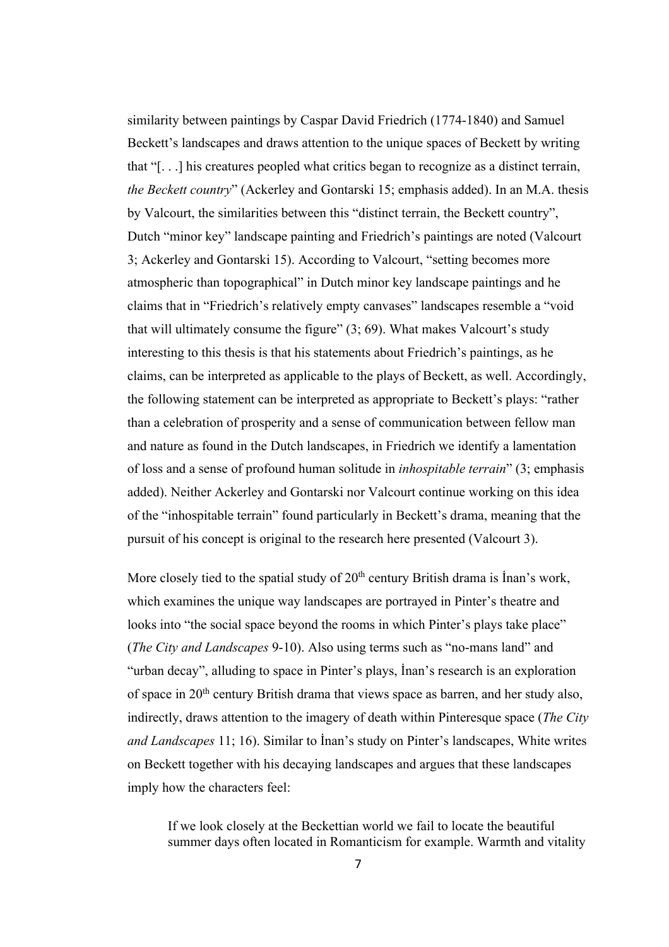similarity between paintings by Caspar David Friedrich (1774-1840) and Samuel Beckett's landscapes and draws attention to the unique spaces of Beckett by writing that "[. . .] his creatures peopled what critics began to recognize as a distinct terrain, *the Beckett country*" (Ackerley and Gontarski 15; emphasis added). In an M.A. thesis by Valcourt, the similarities between this "distinct terrain, the Beckett country", Dutch "minor key" landscape painting and Friedrich's paintings are noted (Valcourt 3; Ackerley and Gontarski 15). According to Valcourt, "setting becomes more atmospheric than topographical" in Dutch minor key landscape paintings and he claims that in "Friedrich's relatively empty canvases" landscapes resemble a "void that will ultimately consume the figure"  $(3, 69)$ . What makes Valcourt's study interesting to this thesis is that his statements about Friedrich's paintings, as he claims, can be interpreted as applicable to the plays of Beckett, as well. Accordingly, the following statement can be interpreted as appropriate to Beckett's plays: "rather than a celebration of prosperity and a sense of communication between fellow man and nature as found in the Dutch landscapes, in Friedrich we identify a lamentation of loss and a sense of profound human solitude in *inhospitable terrain*" (3; emphasis added). Neither Ackerley and Gontarski nor Valcourt continue working on this idea of the "inhospitable terrain" found particularly in Beckett's drama, meaning that the pursuit of his concept is original to the research here presented (Valcourt 3).

More closely tied to the spatial study of  $20<sup>th</sup>$  century British drama is Inan's work, which examines the unique way landscapes are portrayed in Pinter's theatre and looks into "the social space beyond the rooms in which Pinter's plays take place" (*The City and Landscapes* 9-10). Also using terms such as "no-mans land" and "urban decay", alluding to space in Pinter's plays, İnan's research is an exploration of space in 20th century British drama that views space as barren, and her study also, indirectly, draws attention to the imagery of death within Pinteresque space (*The City and Landscapes* 11; 16). Similar to İnan's study on Pinter's landscapes, White writes on Beckett together with his decaying landscapes and argues that these landscapes imply how the characters feel:

If we look closely at the Beckettian world we fail to locate the beautiful summer days often located in Romanticism for example. Warmth and vitality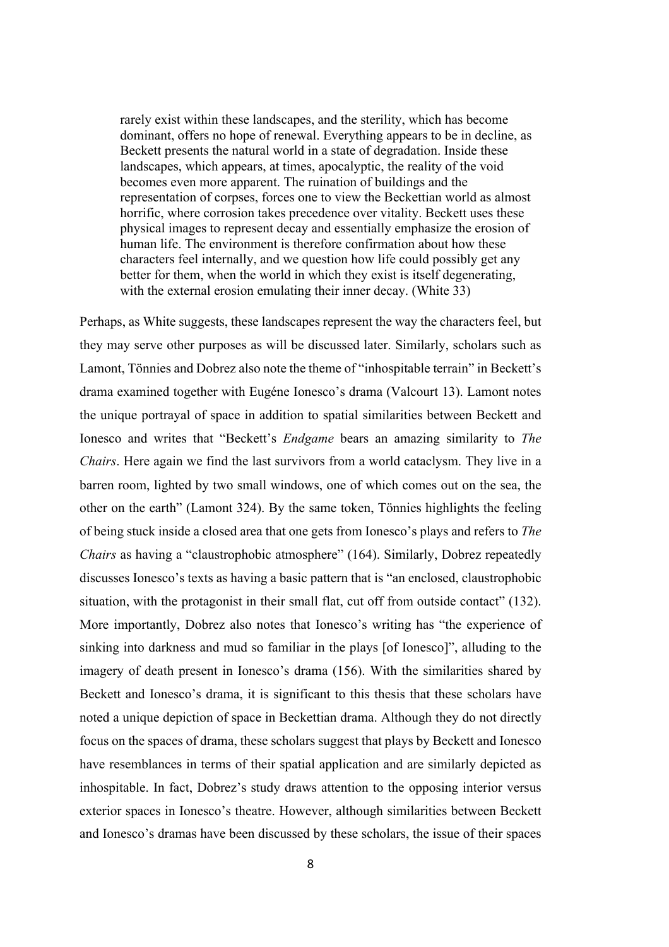rarely exist within these landscapes, and the sterility, which has become dominant, offers no hope of renewal. Everything appears to be in decline, as Beckett presents the natural world in a state of degradation. Inside these landscapes, which appears, at times, apocalyptic, the reality of the void becomes even more apparent. The ruination of buildings and the representation of corpses, forces one to view the Beckettian world as almost horrific, where corrosion takes precedence over vitality. Beckett uses these physical images to represent decay and essentially emphasize the erosion of human life. The environment is therefore confirmation about how these characters feel internally, and we question how life could possibly get any better for them, when the world in which they exist is itself degenerating, with the external erosion emulating their inner decay. (White 33)

Perhaps, as White suggests, these landscapes represent the way the characters feel, but they may serve other purposes as will be discussed later. Similarly, scholars such as Lamont, Tönnies and Dobrez also note the theme of "inhospitable terrain" in Beckett's drama examined together with Eugéne Ionesco's drama (Valcourt 13). Lamont notes the unique portrayal of space in addition to spatial similarities between Beckett and Ionesco and writes that "Beckett's *Endgame* bears an amazing similarity to *The Chairs*. Here again we find the last survivors from a world cataclysm. They live in a barren room, lighted by two small windows, one of which comes out on the sea, the other on the earth" (Lamont 324). By the same token, Tönnies highlights the feeling of being stuck inside a closed area that one gets from Ionesco's plays and refers to *The Chairs* as having a "claustrophobic atmosphere" (164). Similarly, Dobrez repeatedly discusses Ionesco's texts as having a basic pattern that is "an enclosed, claustrophobic situation, with the protagonist in their small flat, cut off from outside contact" (132). More importantly, Dobrez also notes that Ionesco's writing has "the experience of sinking into darkness and mud so familiar in the plays [of Ionesco]", alluding to the imagery of death present in Ionesco's drama (156). With the similarities shared by Beckett and Ionesco's drama, it is significant to this thesis that these scholars have noted a unique depiction of space in Beckettian drama. Although they do not directly focus on the spaces of drama, these scholars suggest that plays by Beckett and Ionesco have resemblances in terms of their spatial application and are similarly depicted as inhospitable. In fact, Dobrez's study draws attention to the opposing interior versus exterior spaces in Ionesco's theatre. However, although similarities between Beckett and Ionesco's dramas have been discussed by these scholars, the issue of their spaces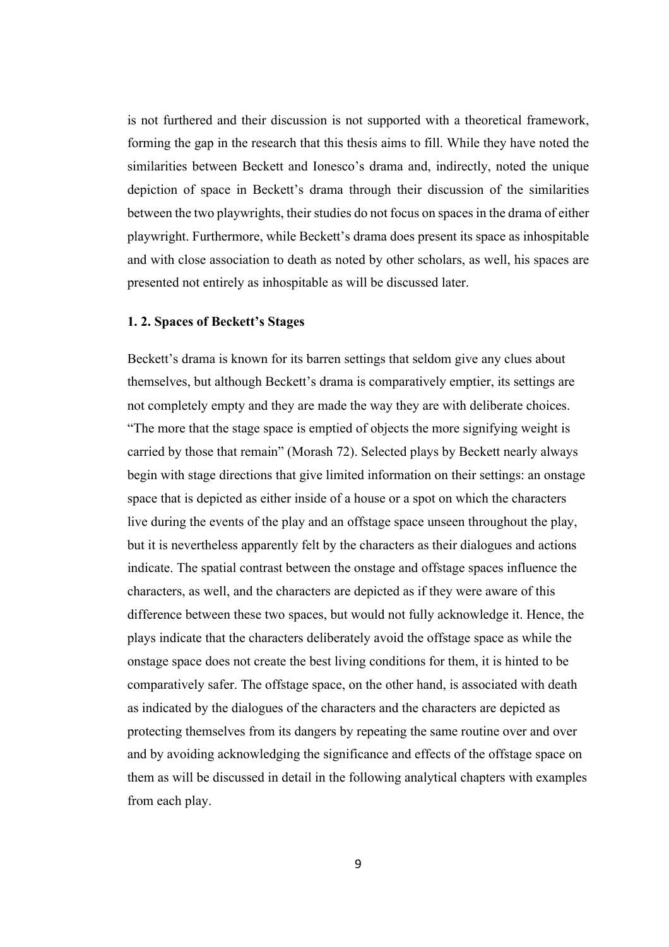is not furthered and their discussion is not supported with a theoretical framework, forming the gap in the research that this thesis aims to fill. While they have noted the similarities between Beckett and Ionesco's drama and, indirectly, noted the unique depiction of space in Beckett's drama through their discussion of the similarities between the two playwrights, their studies do not focus on spaces in the drama of either playwright. Furthermore, while Beckett's drama does present its space as inhospitable and with close association to death as noted by other scholars, as well, his spaces are presented not entirely as inhospitable as will be discussed later.

#### **1. 2. Spaces of Beckett's Stages**

Beckett's drama is known for its barren settings that seldom give any clues about themselves, but although Beckett's drama is comparatively emptier, its settings are not completely empty and they are made the way they are with deliberate choices. "The more that the stage space is emptied of objects the more signifying weight is carried by those that remain" (Morash 72). Selected plays by Beckett nearly always begin with stage directions that give limited information on their settings: an onstage space that is depicted as either inside of a house or a spot on which the characters live during the events of the play and an offstage space unseen throughout the play, but it is nevertheless apparently felt by the characters as their dialogues and actions indicate. The spatial contrast between the onstage and offstage spaces influence the characters, as well, and the characters are depicted as if they were aware of this difference between these two spaces, but would not fully acknowledge it. Hence, the plays indicate that the characters deliberately avoid the offstage space as while the onstage space does not create the best living conditions for them, it is hinted to be comparatively safer. The offstage space, on the other hand, is associated with death as indicated by the dialogues of the characters and the characters are depicted as protecting themselves from its dangers by repeating the same routine over and over and by avoiding acknowledging the significance and effects of the offstage space on them as will be discussed in detail in the following analytical chapters with examples from each play.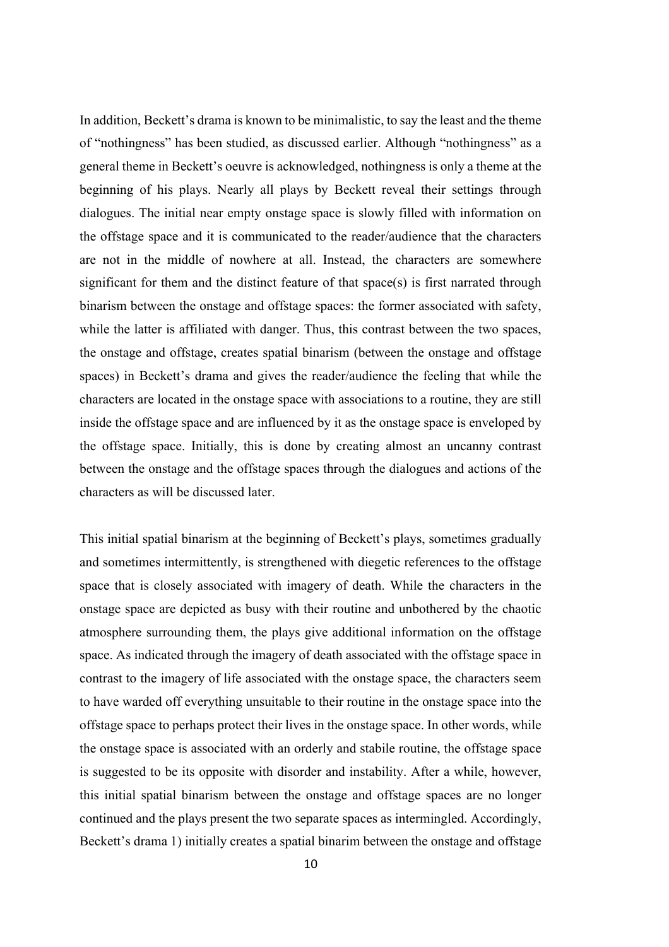In addition, Beckett's drama is known to be minimalistic, to say the least and the theme of "nothingness" has been studied, as discussed earlier. Although "nothingness" as a general theme in Beckett's oeuvre is acknowledged, nothingness is only a theme at the beginning of his plays. Nearly all plays by Beckett reveal their settings through dialogues. The initial near empty onstage space is slowly filled with information on the offstage space and it is communicated to the reader/audience that the characters are not in the middle of nowhere at all. Instead, the characters are somewhere significant for them and the distinct feature of that space(s) is first narrated through binarism between the onstage and offstage spaces: the former associated with safety, while the latter is affiliated with danger. Thus, this contrast between the two spaces, the onstage and offstage, creates spatial binarism (between the onstage and offstage spaces) in Beckett's drama and gives the reader/audience the feeling that while the characters are located in the onstage space with associations to a routine, they are still inside the offstage space and are influenced by it as the onstage space is enveloped by the offstage space. Initially, this is done by creating almost an uncanny contrast between the onstage and the offstage spaces through the dialogues and actions of the characters as will be discussed later.

This initial spatial binarism at the beginning of Beckett's plays, sometimes gradually and sometimes intermittently, is strengthened with diegetic references to the offstage space that is closely associated with imagery of death. While the characters in the onstage space are depicted as busy with their routine and unbothered by the chaotic atmosphere surrounding them, the plays give additional information on the offstage space. As indicated through the imagery of death associated with the offstage space in contrast to the imagery of life associated with the onstage space, the characters seem to have warded off everything unsuitable to their routine in the onstage space into the offstage space to perhaps protect their lives in the onstage space. In other words, while the onstage space is associated with an orderly and stabile routine, the offstage space is suggested to be its opposite with disorder and instability. After a while, however, this initial spatial binarism between the onstage and offstage spaces are no longer continued and the plays present the two separate spaces as intermingled. Accordingly, Beckett's drama 1) initially creates a spatial binarim between the onstage and offstage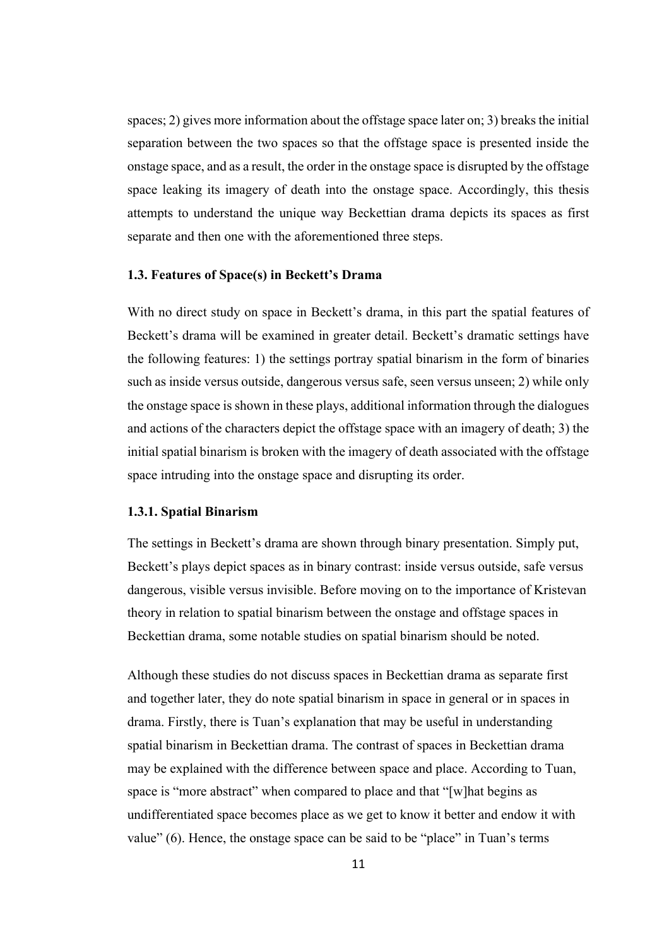spaces; 2) gives more information about the offstage space later on; 3) breaks the initial separation between the two spaces so that the offstage space is presented inside the onstage space, and as a result, the order in the onstage space is disrupted by the offstage space leaking its imagery of death into the onstage space. Accordingly, this thesis attempts to understand the unique way Beckettian drama depicts its spaces as first separate and then one with the aforementioned three steps.

#### **1.3. Features of Space(s) in Beckett's Drama**

With no direct study on space in Beckett's drama, in this part the spatial features of Beckett's drama will be examined in greater detail. Beckett's dramatic settings have the following features: 1) the settings portray spatial binarism in the form of binaries such as inside versus outside, dangerous versus safe, seen versus unseen; 2) while only the onstage space is shown in these plays, additional information through the dialogues and actions of the characters depict the offstage space with an imagery of death; 3) the initial spatial binarism is broken with the imagery of death associated with the offstage space intruding into the onstage space and disrupting its order.

#### **1.3.1. Spatial Binarism**

The settings in Beckett's drama are shown through binary presentation. Simply put, Beckett's plays depict spaces as in binary contrast: inside versus outside, safe versus dangerous, visible versus invisible. Before moving on to the importance of Kristevan theory in relation to spatial binarism between the onstage and offstage spaces in Beckettian drama, some notable studies on spatial binarism should be noted.

Although these studies do not discuss spaces in Beckettian drama as separate first and together later, they do note spatial binarism in space in general or in spaces in drama. Firstly, there is Tuan's explanation that may be useful in understanding spatial binarism in Beckettian drama. The contrast of spaces in Beckettian drama may be explained with the difference between space and place. According to Tuan, space is "more abstract" when compared to place and that "[w]hat begins as undifferentiated space becomes place as we get to know it better and endow it with value" (6). Hence, the onstage space can be said to be "place" in Tuan's terms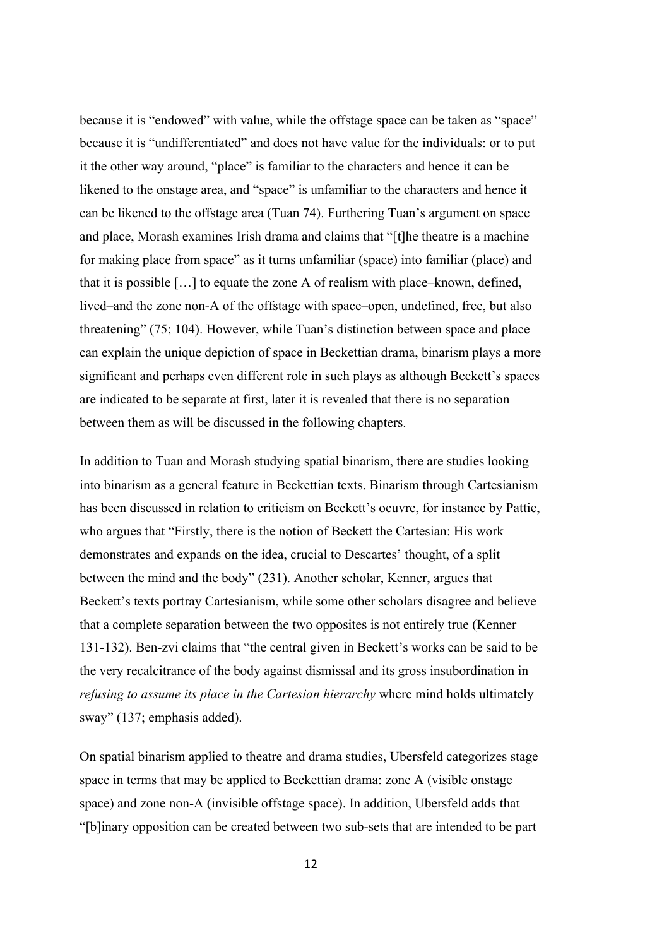because it is "endowed" with value, while the offstage space can be taken as "space" because it is "undifferentiated" and does not have value for the individuals: or to put it the other way around, "place" is familiar to the characters and hence it can be likened to the onstage area, and "space" is unfamiliar to the characters and hence it can be likened to the offstage area (Tuan 74). Furthering Tuan's argument on space and place, Morash examines Irish drama and claims that "[t]he theatre is a machine for making place from space" as it turns unfamiliar (space) into familiar (place) and that it is possible […] to equate the zone A of realism with place–known, defined, lived–and the zone non-A of the offstage with space–open, undefined, free, but also threatening" (75; 104). However, while Tuan's distinction between space and place can explain the unique depiction of space in Beckettian drama, binarism plays a more significant and perhaps even different role in such plays as although Beckett's spaces are indicated to be separate at first, later it is revealed that there is no separation between them as will be discussed in the following chapters.

In addition to Tuan and Morash studying spatial binarism, there are studies looking into binarism as a general feature in Beckettian texts. Binarism through Cartesianism has been discussed in relation to criticism on Beckett's oeuvre, for instance by Pattie, who argues that "Firstly, there is the notion of Beckett the Cartesian: His work demonstrates and expands on the idea, crucial to Descartes' thought, of a split between the mind and the body" (231). Another scholar, Kenner, argues that Beckett's texts portray Cartesianism, while some other scholars disagree and believe that a complete separation between the two opposites is not entirely true (Kenner 131-132). Ben-zvi claims that "the central given in Beckett's works can be said to be the very recalcitrance of the body against dismissal and its gross insubordination in *refusing to assume its place in the Cartesian hierarchy* where mind holds ultimately sway" (137; emphasis added).

On spatial binarism applied to theatre and drama studies, Ubersfeld categorizes stage space in terms that may be applied to Beckettian drama: zone A (visible onstage space) and zone non-A (invisible offstage space). In addition, Ubersfeld adds that "[b]inary opposition can be created between two sub-sets that are intended to be part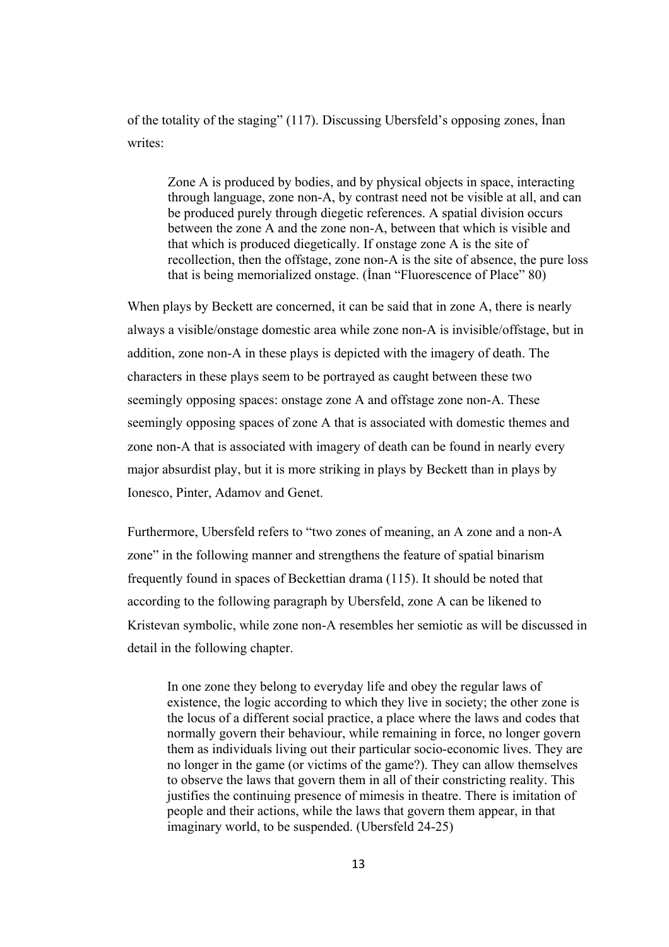of the totality of the staging" (117). Discussing Ubersfeld's opposing zones, İnan writes:

Zone A is produced by bodies, and by physical objects in space, interacting through language, zone non-A, by contrast need not be visible at all, and can be produced purely through diegetic references. A spatial division occurs between the zone A and the zone non-A, between that which is visible and that which is produced diegetically. If onstage zone A is the site of recollection, then the offstage, zone non-A is the site of absence, the pure loss that is being memorialized onstage. (İnan "Fluorescence of Place" 80)

When plays by Beckett are concerned, it can be said that in zone A, there is nearly always a visible/onstage domestic area while zone non-A is invisible/offstage, but in addition, zone non-A in these plays is depicted with the imagery of death. The characters in these plays seem to be portrayed as caught between these two seemingly opposing spaces: onstage zone A and offstage zone non-A. These seemingly opposing spaces of zone A that is associated with domestic themes and zone non-A that is associated with imagery of death can be found in nearly every major absurdist play, but it is more striking in plays by Beckett than in plays by Ionesco, Pinter, Adamov and Genet.

Furthermore, Ubersfeld refers to "two zones of meaning, an A zone and a non-A zone" in the following manner and strengthens the feature of spatial binarism frequently found in spaces of Beckettian drama (115). It should be noted that according to the following paragraph by Ubersfeld, zone A can be likened to Kristevan symbolic, while zone non-A resembles her semiotic as will be discussed in detail in the following chapter.

In one zone they belong to everyday life and obey the regular laws of existence, the logic according to which they live in society; the other zone is the locus of a different social practice, a place where the laws and codes that normally govern their behaviour, while remaining in force, no longer govern them as individuals living out their particular socio-economic lives. They are no longer in the game (or victims of the game?). They can allow themselves to observe the laws that govern them in all of their constricting reality. This justifies the continuing presence of mimesis in theatre. There is imitation of people and their actions, while the laws that govern them appear, in that imaginary world, to be suspended. (Ubersfeld 24-25)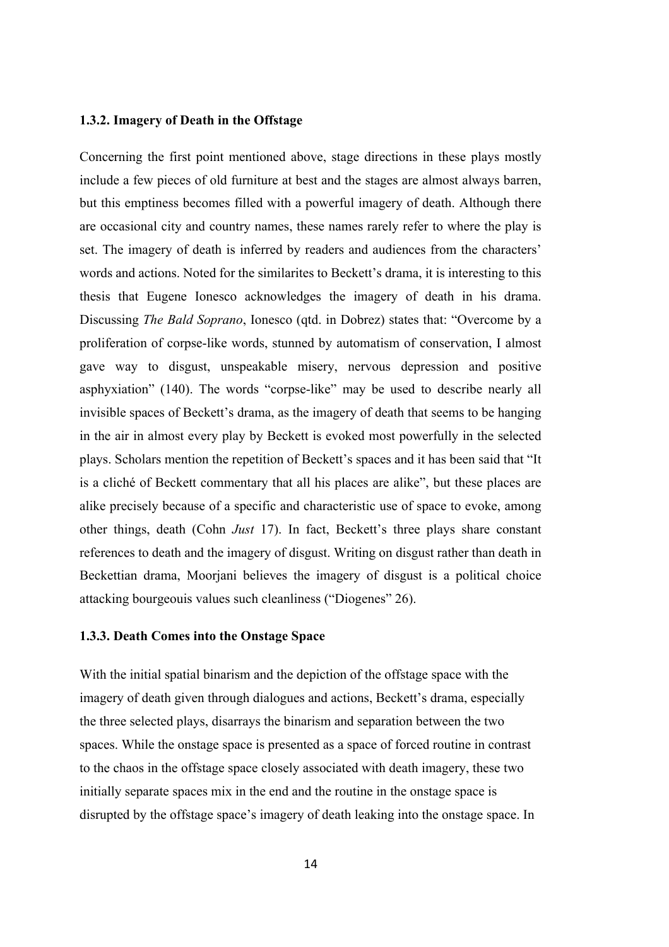#### **1.3.2. Imagery of Death in the Offstage**

Concerning the first point mentioned above, stage directions in these plays mostly include a few pieces of old furniture at best and the stages are almost always barren, but this emptiness becomes filled with a powerful imagery of death. Although there are occasional city and country names, these names rarely refer to where the play is set. The imagery of death is inferred by readers and audiences from the characters' words and actions. Noted for the similarites to Beckett's drama, it is interesting to this thesis that Eugene Ionesco acknowledges the imagery of death in his drama. Discussing *The Bald Soprano*, Ionesco (qtd. in Dobrez) states that: "Overcome by a proliferation of corpse-like words, stunned by automatism of conservation, I almost gave way to disgust, unspeakable misery, nervous depression and positive asphyxiation" (140). The words "corpse-like" may be used to describe nearly all invisible spaces of Beckett's drama, as the imagery of death that seems to be hanging in the air in almost every play by Beckett is evoked most powerfully in the selected plays. Scholars mention the repetition of Beckett's spaces and it has been said that "It is a cliché of Beckett commentary that all his places are alike", but these places are alike precisely because of a specific and characteristic use of space to evoke, among other things, death (Cohn *Just* 17). In fact, Beckett's three plays share constant references to death and the imagery of disgust. Writing on disgust rather than death in Beckettian drama, Moorjani believes the imagery of disgust is a political choice attacking bourgeouis values such cleanliness ("Diogenes" 26).

#### **1.3.3. Death Comes into the Onstage Space**

With the initial spatial binarism and the depiction of the offstage space with the imagery of death given through dialogues and actions, Beckett's drama, especially the three selected plays, disarrays the binarism and separation between the two spaces. While the onstage space is presented as a space of forced routine in contrast to the chaos in the offstage space closely associated with death imagery, these two initially separate spaces mix in the end and the routine in the onstage space is disrupted by the offstage space's imagery of death leaking into the onstage space. In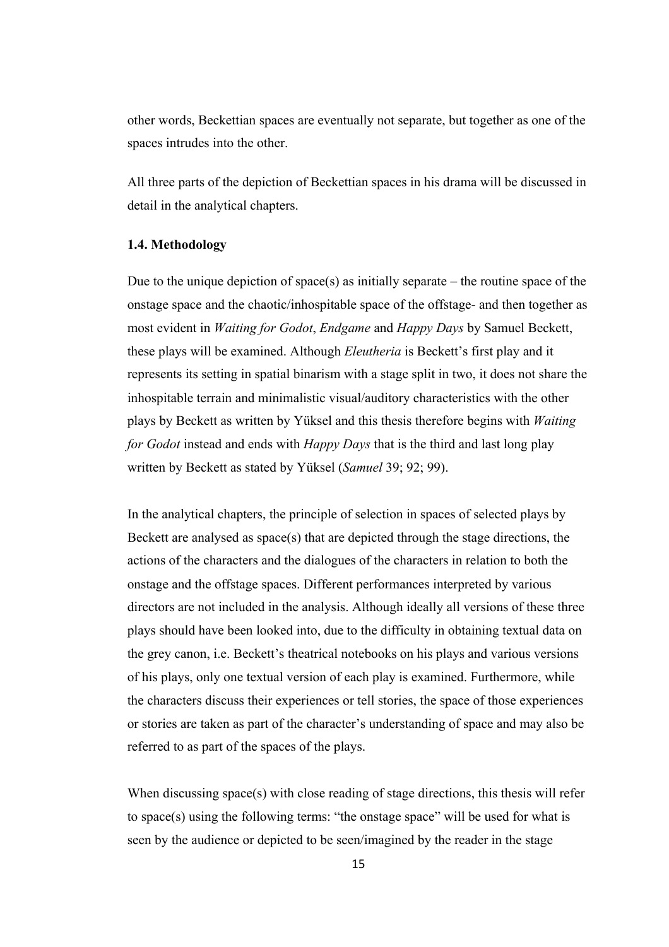other words, Beckettian spaces are eventually not separate, but together as one of the spaces intrudes into the other.

All three parts of the depiction of Beckettian spaces in his drama will be discussed in detail in the analytical chapters.

### **1.4. Methodology**

Due to the unique depiction of space(s) as initially separate – the routine space of the onstage space and the chaotic/inhospitable space of the offstage- and then together as most evident in *Waiting for Godot*, *Endgame* and *Happy Days* by Samuel Beckett, these plays will be examined. Although *Eleutheria* is Beckett's first play and it represents its setting in spatial binarism with a stage split in two, it does not share the inhospitable terrain and minimalistic visual/auditory characteristics with the other plays by Beckett as written by Yüksel and this thesis therefore begins with *Waiting for Godot* instead and ends with *Happy Days* that is the third and last long play written by Beckett as stated by Yüksel (*Samuel* 39; 92; 99).

In the analytical chapters, the principle of selection in spaces of selected plays by Beckett are analysed as space(s) that are depicted through the stage directions, the actions of the characters and the dialogues of the characters in relation to both the onstage and the offstage spaces. Different performances interpreted by various directors are not included in the analysis. Although ideally all versions of these three plays should have been looked into, due to the difficulty in obtaining textual data on the grey canon, i.e. Beckett's theatrical notebooks on his plays and various versions of his plays, only one textual version of each play is examined. Furthermore, while the characters discuss their experiences or tell stories, the space of those experiences or stories are taken as part of the character's understanding of space and may also be referred to as part of the spaces of the plays.

When discussing space(s) with close reading of stage directions, this thesis will refer to space(s) using the following terms: "the onstage space" will be used for what is seen by the audience or depicted to be seen/imagined by the reader in the stage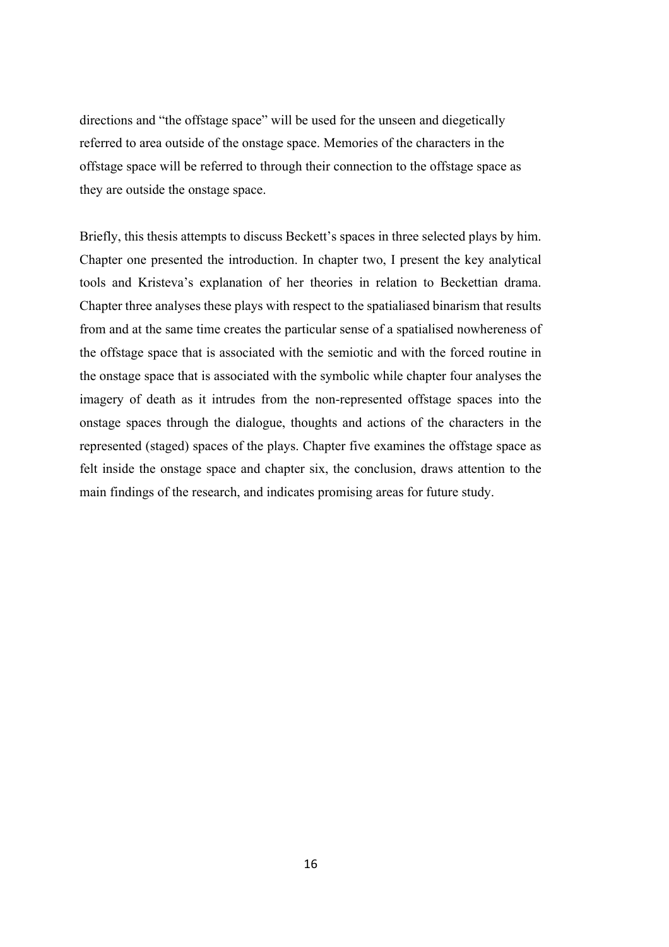directions and "the offstage space" will be used for the unseen and diegetically referred to area outside of the onstage space. Memories of the characters in the offstage space will be referred to through their connection to the offstage space as they are outside the onstage space.

Briefly, this thesis attempts to discuss Beckett's spaces in three selected plays by him. Chapter one presented the introduction. In chapter two, I present the key analytical tools and Kristeva's explanation of her theories in relation to Beckettian drama. Chapter three analyses these plays with respect to the spatialiased binarism that results from and at the same time creates the particular sense of a spatialised nowhereness of the offstage space that is associated with the semiotic and with the forced routine in the onstage space that is associated with the symbolic while chapter four analyses the imagery of death as it intrudes from the non-represented offstage spaces into the onstage spaces through the dialogue, thoughts and actions of the characters in the represented (staged) spaces of the plays. Chapter five examines the offstage space as felt inside the onstage space and chapter six, the conclusion, draws attention to the main findings of the research, and indicates promising areas for future study.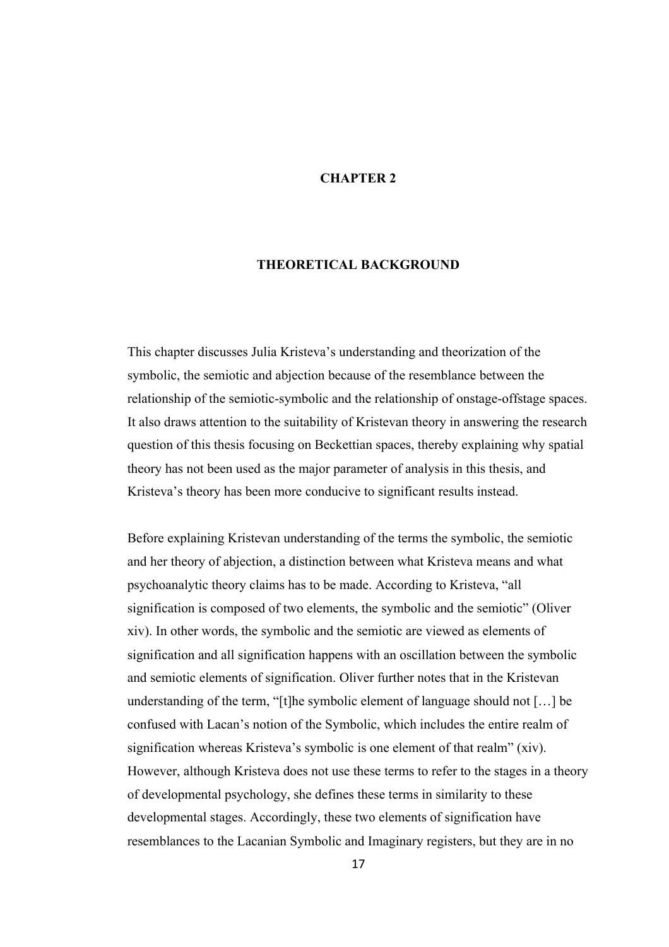### **CHAPTER 2**

### **THEORETICAL BACKGROUND**

This chapter discusses Julia Kristeva's understanding and theorization of the symbolic, the semiotic and abjection because of the resemblance between the relationship of the semiotic-symbolic and the relationship of onstage-offstage spaces. It also draws attention to the suitability of Kristevan theory in answering the research question of this thesis focusing on Beckettian spaces, thereby explaining why spatial theory has not been used as the major parameter of analysis in this thesis, and Kristeva's theory has been more conducive to significant results instead.

Before explaining Kristevan understanding of the terms the symbolic, the semiotic and her theory of abjection, a distinction between what Kristeva means and what psychoanalytic theory claims has to be made. According to Kristeva, "all signification is composed of two elements, the symbolic and the semiotic" (Oliver xiv). In other words, the symbolic and the semiotic are viewed as elements of signification and all signification happens with an oscillation between the symbolic and semiotic elements of signification. Oliver further notes that in the Kristevan understanding of the term, "[t]he symbolic element of language should not […] be confused with Lacan's notion of the Symbolic, which includes the entire realm of signification whereas Kristeva's symbolic is one element of that realm" (xiv). However, although Kristeva does not use these terms to refer to the stages in a theory of developmental psychology, she defines these terms in similarity to these developmental stages. Accordingly, these two elements of signification have resemblances to the Lacanian Symbolic and Imaginary registers, but they are in no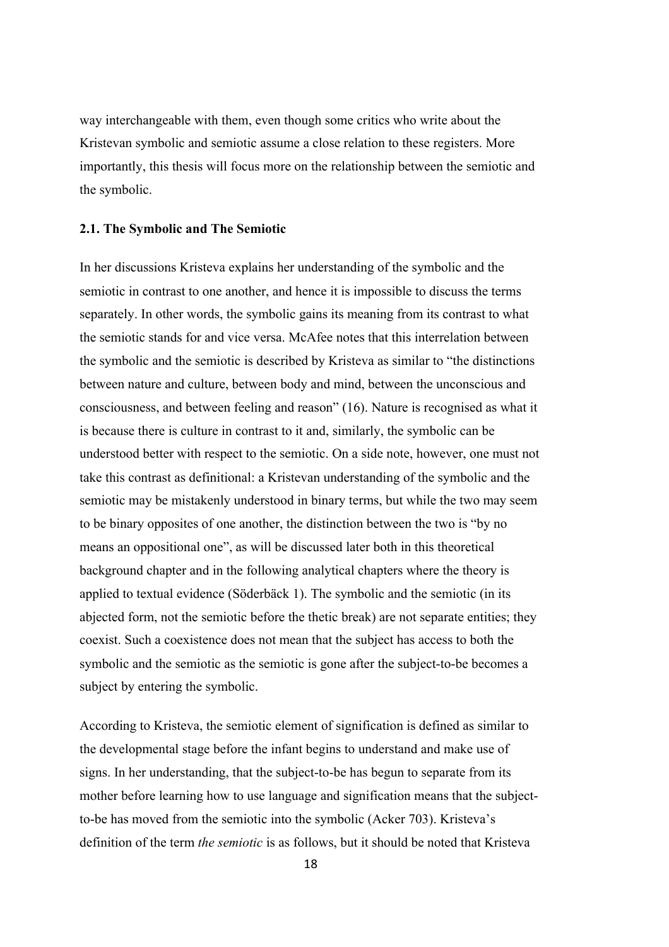way interchangeable with them, even though some critics who write about the Kristevan symbolic and semiotic assume a close relation to these registers. More importantly, this thesis will focus more on the relationship between the semiotic and the symbolic.

#### **2.1. The Symbolic and The Semiotic**

In her discussions Kristeva explains her understanding of the symbolic and the semiotic in contrast to one another, and hence it is impossible to discuss the terms separately. In other words, the symbolic gains its meaning from its contrast to what the semiotic stands for and vice versa. McAfee notes that this interrelation between the symbolic and the semiotic is described by Kristeva as similar to "the distinctions between nature and culture, between body and mind, between the unconscious and consciousness, and between feeling and reason" (16). Nature is recognised as what it is because there is culture in contrast to it and, similarly, the symbolic can be understood better with respect to the semiotic. On a side note, however, one must not take this contrast as definitional: a Kristevan understanding of the symbolic and the semiotic may be mistakenly understood in binary terms, but while the two may seem to be binary opposites of one another, the distinction between the two is "by no means an oppositional one", as will be discussed later both in this theoretical background chapter and in the following analytical chapters where the theory is applied to textual evidence (Söderbäck 1). The symbolic and the semiotic (in its abjected form, not the semiotic before the thetic break) are not separate entities; they coexist. Such a coexistence does not mean that the subject has access to both the symbolic and the semiotic as the semiotic is gone after the subject-to-be becomes a subject by entering the symbolic.

According to Kristeva, the semiotic element of signification is defined as similar to the developmental stage before the infant begins to understand and make use of signs. In her understanding, that the subject-to-be has begun to separate from its mother before learning how to use language and signification means that the subjectto-be has moved from the semiotic into the symbolic (Acker 703). Kristeva's definition of the term *the semiotic* is as follows, but it should be noted that Kristeva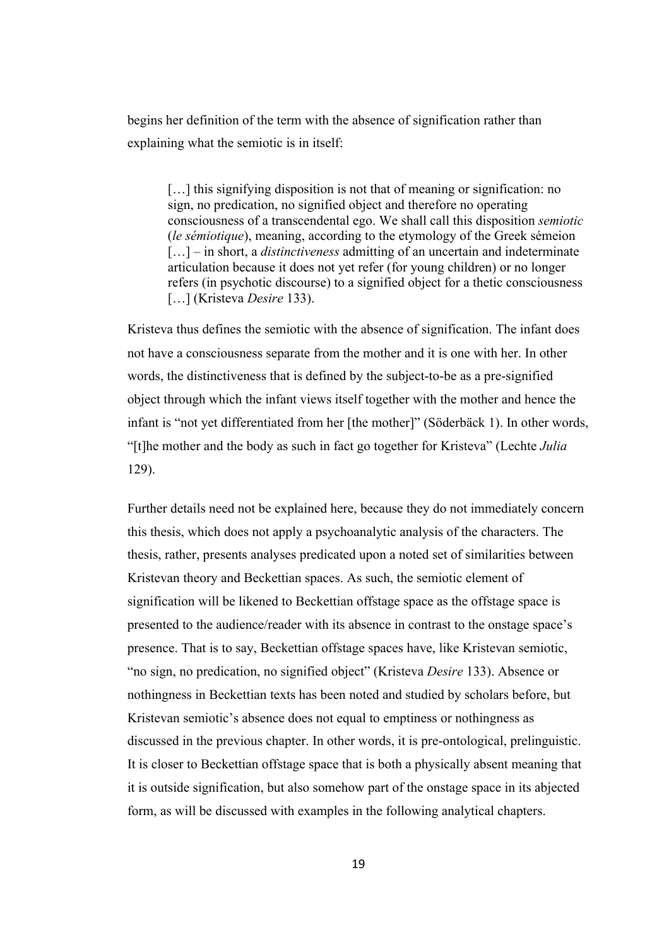begins her definition of the term with the absence of signification rather than explaining what the semiotic is in itself:

[...] this signifying disposition is not that of meaning or signification: no sign, no predication, no signified object and therefore no operating consciousness of a transcendental ego. We shall call this disposition *semiotic* (*le sémiotique*), meaning, according to the etymology of the Greek sémeion [...] – in short, a *distinctiveness* admitting of an uncertain and indeterminate articulation because it does not yet refer (for young children) or no longer refers (in psychotic discourse) to a signified object for a thetic consciousness […] (Kristeva *Desire* 133).

Kristeva thus defines the semiotic with the absence of signification. The infant does not have a consciousness separate from the mother and it is one with her. In other words, the distinctiveness that is defined by the subject-to-be as a pre-signified object through which the infant views itself together with the mother and hence the infant is "not yet differentiated from her [the mother]" (Söderbäck 1). In other words, "[t]he mother and the body as such in fact go together for Kristeva" (Lechte *Julia* 129).

Further details need not be explained here, because they do not immediately concern this thesis, which does not apply a psychoanalytic analysis of the characters. The thesis, rather, presents analyses predicated upon a noted set of similarities between Kristevan theory and Beckettian spaces. As such, the semiotic element of signification will be likened to Beckettian offstage space as the offstage space is presented to the audience/reader with its absence in contrast to the onstage space's presence. That is to say, Beckettian offstage spaces have, like Kristevan semiotic, "no sign, no predication, no signified object" (Kristeva *Desire* 133). Absence or nothingness in Beckettian texts has been noted and studied by scholars before, but Kristevan semiotic's absence does not equal to emptiness or nothingness as discussed in the previous chapter. In other words, it is pre-ontological, prelinguistic. It is closer to Beckettian offstage space that is both a physically absent meaning that it is outside signification, but also somehow part of the onstage space in its abjected form, as will be discussed with examples in the following analytical chapters.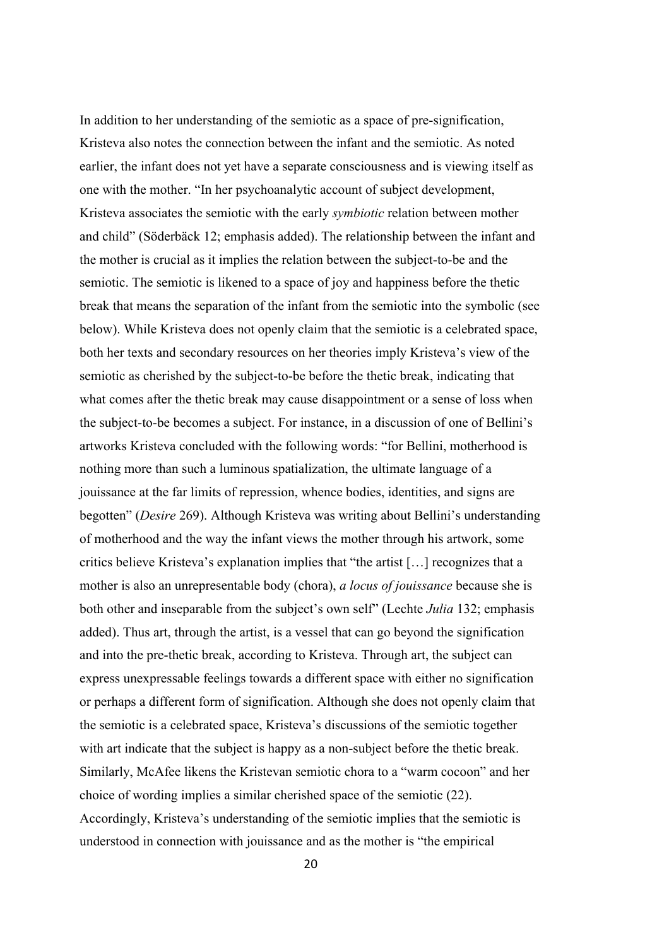In addition to her understanding of the semiotic as a space of pre-signification, Kristeva also notes the connection between the infant and the semiotic. As noted earlier, the infant does not yet have a separate consciousness and is viewing itself as one with the mother. "In her psychoanalytic account of subject development, Kristeva associates the semiotic with the early *symbiotic* relation between mother and child" (Söderbäck 12; emphasis added). The relationship between the infant and the mother is crucial as it implies the relation between the subject-to-be and the semiotic. The semiotic is likened to a space of joy and happiness before the thetic break that means the separation of the infant from the semiotic into the symbolic (see below). While Kristeva does not openly claim that the semiotic is a celebrated space, both her texts and secondary resources on her theories imply Kristeva's view of the semiotic as cherished by the subject-to-be before the thetic break, indicating that what comes after the thetic break may cause disappointment or a sense of loss when the subject-to-be becomes a subject. For instance, in a discussion of one of Bellini's artworks Kristeva concluded with the following words: "for Bellini, motherhood is nothing more than such a luminous spatialization, the ultimate language of a jouissance at the far limits of repression, whence bodies, identities, and signs are begotten" (*Desire* 269). Although Kristeva was writing about Bellini's understanding of motherhood and the way the infant views the mother through his artwork, some critics believe Kristeva's explanation implies that "the artist […] recognizes that a mother is also an unrepresentable body (chora), *a locus of jouissance* because she is both other and inseparable from the subject's own self" (Lechte *Julia* 132; emphasis added). Thus art, through the artist, is a vessel that can go beyond the signification and into the pre-thetic break, according to Kristeva. Through art, the subject can express unexpressable feelings towards a different space with either no signification or perhaps a different form of signification. Although she does not openly claim that the semiotic is a celebrated space, Kristeva's discussions of the semiotic together with art indicate that the subject is happy as a non-subject before the thetic break. Similarly, McAfee likens the Kristevan semiotic chora to a "warm cocoon" and her choice of wording implies a similar cherished space of the semiotic (22). Accordingly, Kristeva's understanding of the semiotic implies that the semiotic is understood in connection with jouissance and as the mother is "the empirical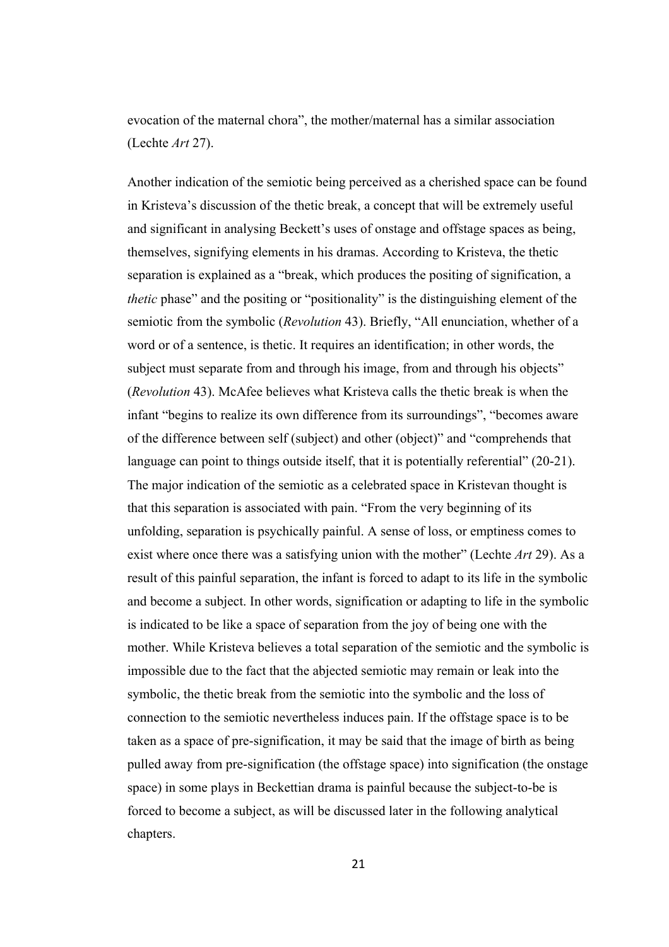evocation of the maternal chora", the mother/maternal has a similar association (Lechte *Art* 27).

Another indication of the semiotic being perceived as a cherished space can be found in Kristeva's discussion of the thetic break, a concept that will be extremely useful and significant in analysing Beckett's uses of onstage and offstage spaces as being, themselves, signifying elements in his dramas. According to Kristeva, the thetic separation is explained as a "break, which produces the positing of signification, a *thetic* phase" and the positing or "positionality" is the distinguishing element of the semiotic from the symbolic (*Revolution* 43). Briefly, "All enunciation, whether of a word or of a sentence, is thetic. It requires an identification; in other words, the subject must separate from and through his image, from and through his objects" (*Revolution* 43). McAfee believes what Kristeva calls the thetic break is when the infant "begins to realize its own difference from its surroundings", "becomes aware of the difference between self (subject) and other (object)" and "comprehends that language can point to things outside itself, that it is potentially referential" (20-21). The major indication of the semiotic as a celebrated space in Kristevan thought is that this separation is associated with pain. "From the very beginning of its unfolding, separation is psychically painful. A sense of loss, or emptiness comes to exist where once there was a satisfying union with the mother" (Lechte *Art* 29). As a result of this painful separation, the infant is forced to adapt to its life in the symbolic and become a subject. In other words, signification or adapting to life in the symbolic is indicated to be like a space of separation from the joy of being one with the mother. While Kristeva believes a total separation of the semiotic and the symbolic is impossible due to the fact that the abjected semiotic may remain or leak into the symbolic, the thetic break from the semiotic into the symbolic and the loss of connection to the semiotic nevertheless induces pain. If the offstage space is to be taken as a space of pre-signification, it may be said that the image of birth as being pulled away from pre-signification (the offstage space) into signification (the onstage space) in some plays in Beckettian drama is painful because the subject-to-be is forced to become a subject, as will be discussed later in the following analytical chapters.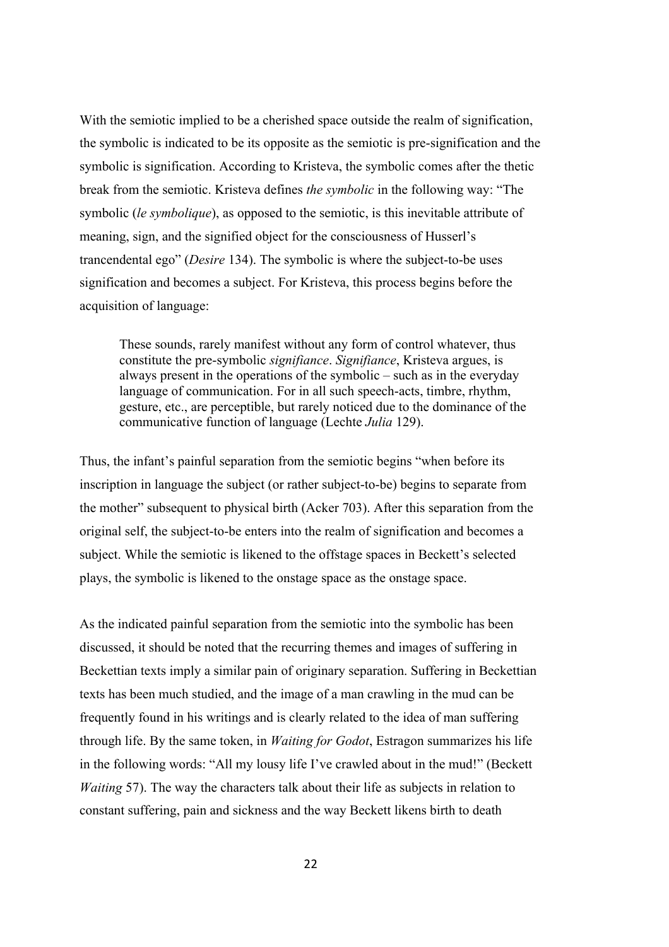With the semiotic implied to be a cherished space outside the realm of signification, the symbolic is indicated to be its opposite as the semiotic is pre-signification and the symbolic is signification. According to Kristeva, the symbolic comes after the thetic break from the semiotic. Kristeva defines *the symbolic* in the following way: "The symbolic (*le symbolique*), as opposed to the semiotic, is this inevitable attribute of meaning, sign, and the signified object for the consciousness of Husserl's trancendental ego" (*Desire* 134). The symbolic is where the subject-to-be uses signification and becomes a subject. For Kristeva, this process begins before the acquisition of language:

These sounds, rarely manifest without any form of control whatever, thus constitute the pre-symbolic *signifiance*. *Signifiance*, Kristeva argues, is always present in the operations of the symbolic – such as in the everyday language of communication. For in all such speech-acts, timbre, rhythm, gesture, etc., are perceptible, but rarely noticed due to the dominance of the communicative function of language (Lechte *Julia* 129).

Thus, the infant's painful separation from the semiotic begins "when before its inscription in language the subject (or rather subject-to-be) begins to separate from the mother" subsequent to physical birth (Acker 703). After this separation from the original self, the subject-to-be enters into the realm of signification and becomes a subject. While the semiotic is likened to the offstage spaces in Beckett's selected plays, the symbolic is likened to the onstage space as the onstage space.

As the indicated painful separation from the semiotic into the symbolic has been discussed, it should be noted that the recurring themes and images of suffering in Beckettian texts imply a similar pain of originary separation. Suffering in Beckettian texts has been much studied, and the image of a man crawling in the mud can be frequently found in his writings and is clearly related to the idea of man suffering through life. By the same token, in *Waiting for Godot*, Estragon summarizes his life in the following words: "All my lousy life I've crawled about in the mud!" (Beckett *Waiting* 57). The way the characters talk about their life as subjects in relation to constant suffering, pain and sickness and the way Beckett likens birth to death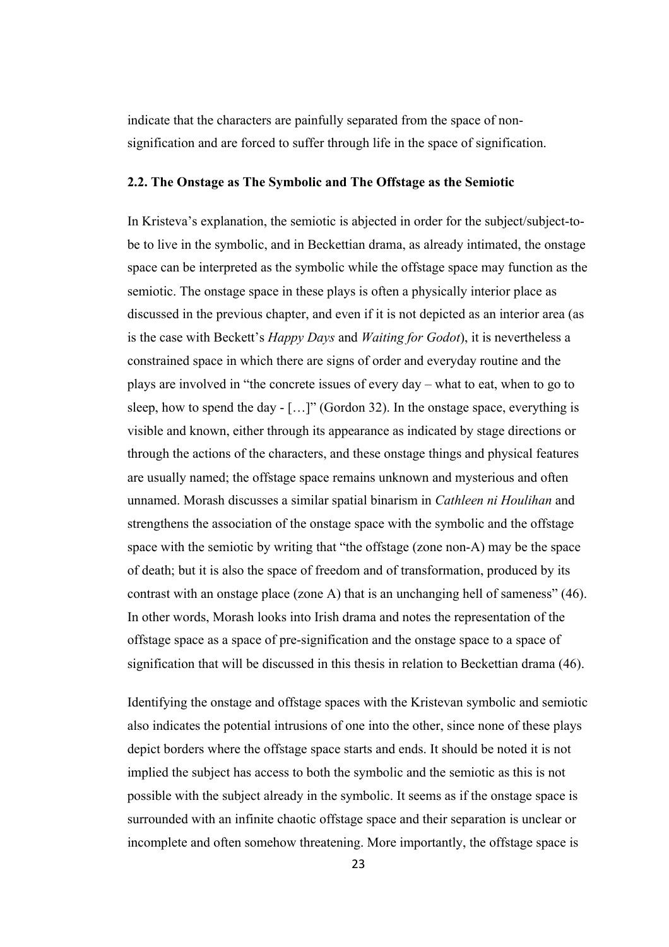indicate that the characters are painfully separated from the space of nonsignification and are forced to suffer through life in the space of signification.

## **2.2. The Onstage as The Symbolic and The Offstage as the Semiotic**

In Kristeva's explanation, the semiotic is abjected in order for the subject/subject-tobe to live in the symbolic, and in Beckettian drama, as already intimated, the onstage space can be interpreted as the symbolic while the offstage space may function as the semiotic. The onstage space in these plays is often a physically interior place as discussed in the previous chapter, and even if it is not depicted as an interior area (as is the case with Beckett's *Happy Days* and *Waiting for Godot*), it is nevertheless a constrained space in which there are signs of order and everyday routine and the plays are involved in "the concrete issues of every day – what to eat, when to go to sleep, how to spend the day - […]" (Gordon 32). In the onstage space, everything is visible and known, either through its appearance as indicated by stage directions or through the actions of the characters, and these onstage things and physical features are usually named; the offstage space remains unknown and mysterious and often unnamed. Morash discusses a similar spatial binarism in *Cathleen ni Houlihan* and strengthens the association of the onstage space with the symbolic and the offstage space with the semiotic by writing that "the offstage (zone non-A) may be the space of death; but it is also the space of freedom and of transformation, produced by its contrast with an onstage place (zone A) that is an unchanging hell of sameness" (46). In other words, Morash looks into Irish drama and notes the representation of the offstage space as a space of pre-signification and the onstage space to a space of signification that will be discussed in this thesis in relation to Beckettian drama (46).

Identifying the onstage and offstage spaces with the Kristevan symbolic and semiotic also indicates the potential intrusions of one into the other, since none of these plays depict borders where the offstage space starts and ends. It should be noted it is not implied the subject has access to both the symbolic and the semiotic as this is not possible with the subject already in the symbolic. It seems as if the onstage space is surrounded with an infinite chaotic offstage space and their separation is unclear or incomplete and often somehow threatening. More importantly, the offstage space is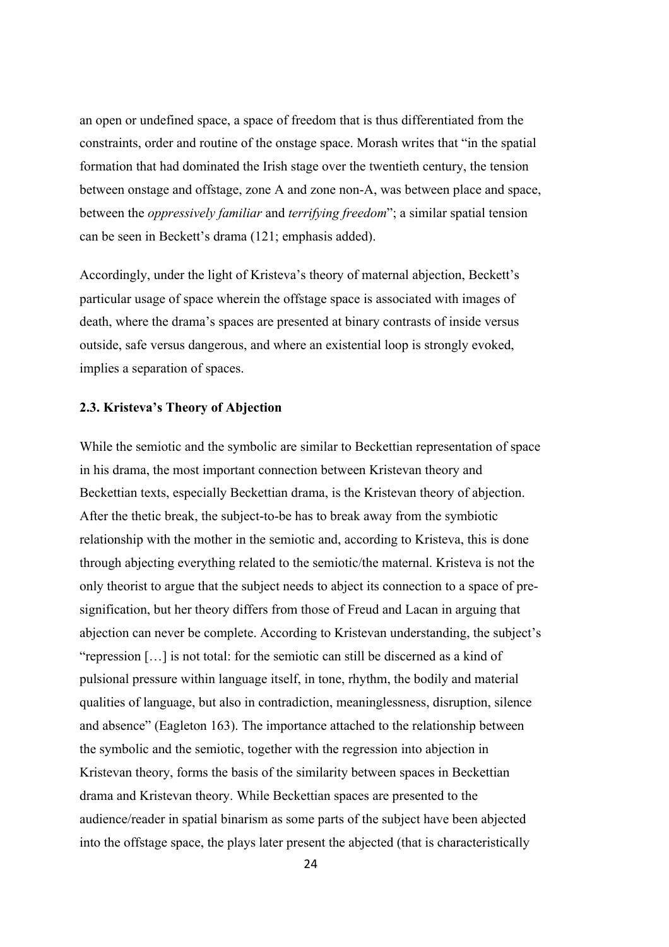an open or undefined space, a space of freedom that is thus differentiated from the constraints, order and routine of the onstage space. Morash writes that "in the spatial formation that had dominated the Irish stage over the twentieth century, the tension between onstage and offstage, zone A and zone non-A, was between place and space, between the *oppressively familiar* and *terrifying freedom*"; a similar spatial tension can be seen in Beckett's drama (121; emphasis added).

Accordingly, under the light of Kristeva's theory of maternal abjection, Beckett's particular usage of space wherein the offstage space is associated with images of death, where the drama's spaces are presented at binary contrasts of inside versus outside, safe versus dangerous, and where an existential loop is strongly evoked, implies a separation of spaces.

## **2.3. Kristeva's Theory of Abjection**

While the semiotic and the symbolic are similar to Beckettian representation of space in his drama, the most important connection between Kristevan theory and Beckettian texts, especially Beckettian drama, is the Kristevan theory of abjection. After the thetic break, the subject-to-be has to break away from the symbiotic relationship with the mother in the semiotic and, according to Kristeva, this is done through abjecting everything related to the semiotic/the maternal. Kristeva is not the only theorist to argue that the subject needs to abject its connection to a space of presignification, but her theory differs from those of Freud and Lacan in arguing that abjection can never be complete. According to Kristevan understanding, the subject's "repression […] is not total: for the semiotic can still be discerned as a kind of pulsional pressure within language itself, in tone, rhythm, the bodily and material qualities of language, but also in contradiction, meaninglessness, disruption, silence and absence" (Eagleton 163). The importance attached to the relationship between the symbolic and the semiotic, together with the regression into abjection in Kristevan theory, forms the basis of the similarity between spaces in Beckettian drama and Kristevan theory. While Beckettian spaces are presented to the audience/reader in spatial binarism as some parts of the subject have been abjected into the offstage space, the plays later present the abjected (that is characteristically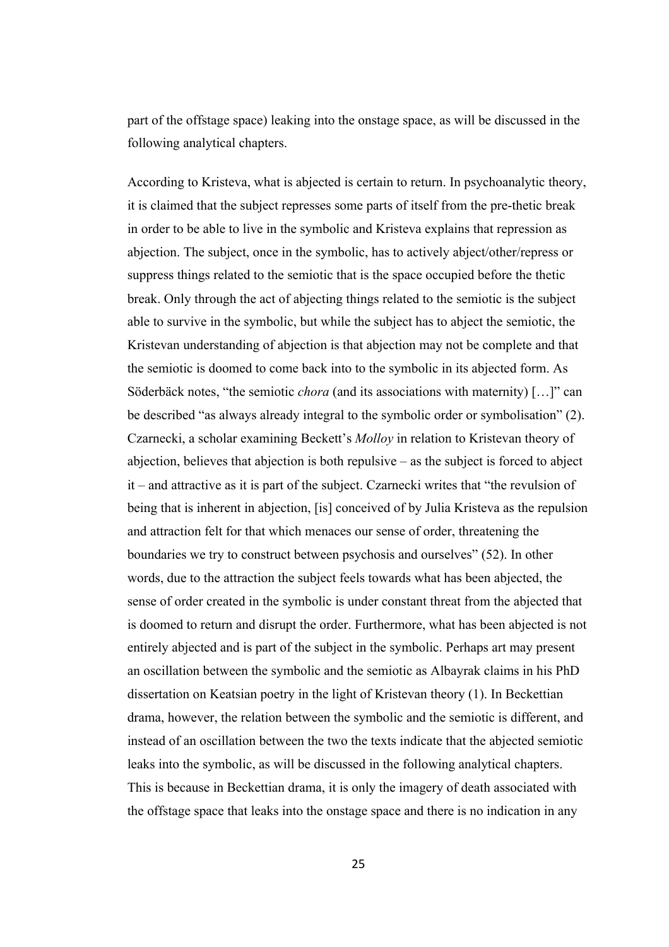part of the offstage space) leaking into the onstage space, as will be discussed in the following analytical chapters.

According to Kristeva, what is abjected is certain to return. In psychoanalytic theory, it is claimed that the subject represses some parts of itself from the pre-thetic break in order to be able to live in the symbolic and Kristeva explains that repression as abjection. The subject, once in the symbolic, has to actively abject/other/repress or suppress things related to the semiotic that is the space occupied before the thetic break. Only through the act of abjecting things related to the semiotic is the subject able to survive in the symbolic, but while the subject has to abject the semiotic, the Kristevan understanding of abjection is that abjection may not be complete and that the semiotic is doomed to come back into to the symbolic in its abjected form. As Söderbäck notes, "the semiotic *chora* (and its associations with maternity) […]" can be described "as always already integral to the symbolic order or symbolisation" (2). Czarnecki, a scholar examining Beckett's *Molloy* in relation to Kristevan theory of abjection, believes that abjection is both repulsive – as the subject is forced to abject it – and attractive as it is part of the subject. Czarnecki writes that "the revulsion of being that is inherent in abjection, [is] conceived of by Julia Kristeva as the repulsion and attraction felt for that which menaces our sense of order, threatening the boundaries we try to construct between psychosis and ourselves" (52). In other words, due to the attraction the subject feels towards what has been abjected, the sense of order created in the symbolic is under constant threat from the abjected that is doomed to return and disrupt the order. Furthermore, what has been abjected is not entirely abjected and is part of the subject in the symbolic. Perhaps art may present an oscillation between the symbolic and the semiotic as Albayrak claims in his PhD dissertation on Keatsian poetry in the light of Kristevan theory (1). In Beckettian drama, however, the relation between the symbolic and the semiotic is different, and instead of an oscillation between the two the texts indicate that the abjected semiotic leaks into the symbolic, as will be discussed in the following analytical chapters. This is because in Beckettian drama, it is only the imagery of death associated with the offstage space that leaks into the onstage space and there is no indication in any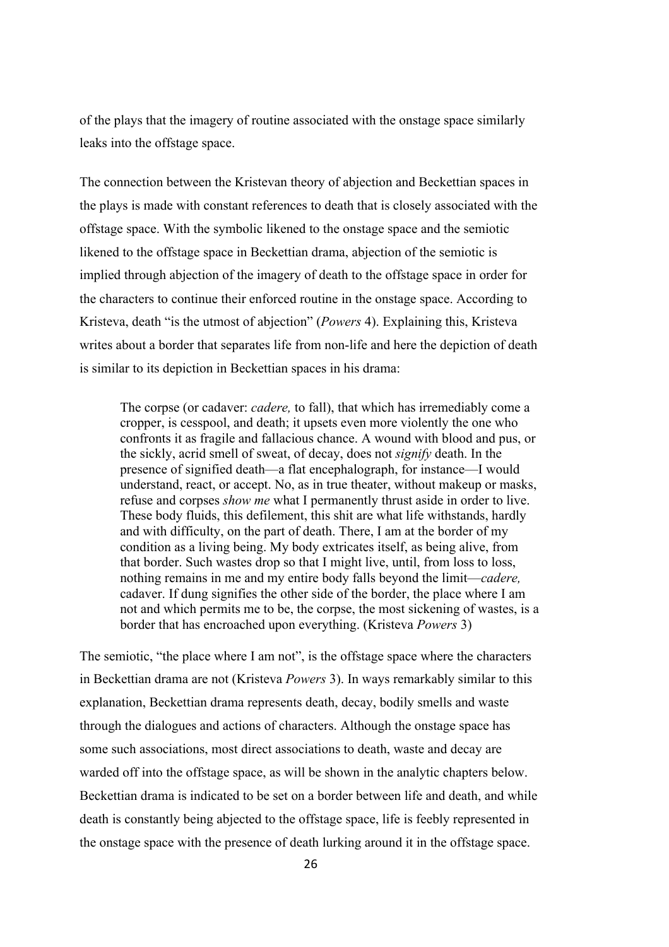of the plays that the imagery of routine associated with the onstage space similarly leaks into the offstage space.

The connection between the Kristevan theory of abjection and Beckettian spaces in the plays is made with constant references to death that is closely associated with the offstage space. With the symbolic likened to the onstage space and the semiotic likened to the offstage space in Beckettian drama, abjection of the semiotic is implied through abjection of the imagery of death to the offstage space in order for the characters to continue their enforced routine in the onstage space. According to Kristeva, death "is the utmost of abjection" (*Powers* 4). Explaining this, Kristeva writes about a border that separates life from non-life and here the depiction of death is similar to its depiction in Beckettian spaces in his drama:

The corpse (or cadaver: *cadere,* to fall), that which has irremediably come a cropper, is cesspool, and death; it upsets even more violently the one who confronts it as fragile and fallacious chance. A wound with blood and pus, or the sickly, acrid smell of sweat, of decay, does not *signify* death. In the presence of signified death—a flat encephalograph, for instance—I would understand, react, or accept. No, as in true theater, without makeup or masks, refuse and corpses *show me* what I permanently thrust aside in order to live. These body fluids, this defilement, this shit are what life withstands, hardly and with difficulty, on the part of death. There, I am at the border of my condition as a living being. My body extricates itself, as being alive, from that border. Such wastes drop so that I might live, until, from loss to loss, nothing remains in me and my entire body falls beyond the limit—*cadere,*  cadaver. If dung signifies the other side of the border, the place where I am not and which permits me to be, the corpse, the most sickening of wastes, is a border that has encroached upon everything. (Kristeva *Powers* 3)

The semiotic, "the place where I am not", is the offstage space where the characters in Beckettian drama are not (Kristeva *Powers* 3). In ways remarkably similar to this explanation, Beckettian drama represents death, decay, bodily smells and waste through the dialogues and actions of characters. Although the onstage space has some such associations, most direct associations to death, waste and decay are warded off into the offstage space, as will be shown in the analytic chapters below. Beckettian drama is indicated to be set on a border between life and death, and while death is constantly being abjected to the offstage space, life is feebly represented in the onstage space with the presence of death lurking around it in the offstage space.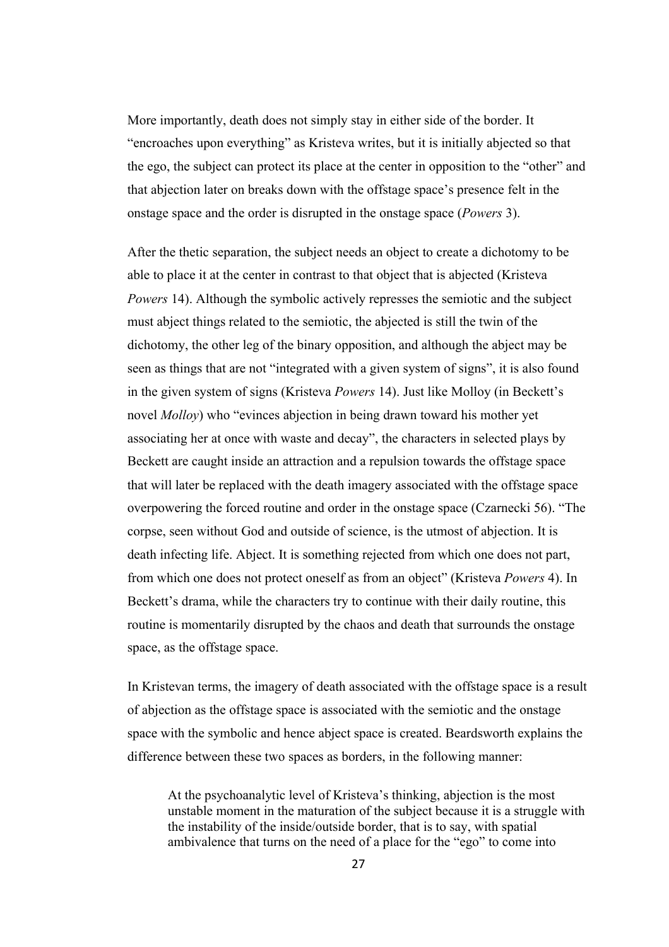More importantly, death does not simply stay in either side of the border. It "encroaches upon everything" as Kristeva writes, but it is initially abjected so that the ego, the subject can protect its place at the center in opposition to the "other" and that abjection later on breaks down with the offstage space's presence felt in the onstage space and the order is disrupted in the onstage space (*Powers* 3).

After the thetic separation, the subject needs an object to create a dichotomy to be able to place it at the center in contrast to that object that is abjected (Kristeva *Powers* 14). Although the symbolic actively represses the semiotic and the subject must abject things related to the semiotic, the abjected is still the twin of the dichotomy, the other leg of the binary opposition, and although the abject may be seen as things that are not "integrated with a given system of signs", it is also found in the given system of signs (Kristeva *Powers* 14). Just like Molloy (in Beckett's novel *Molloy*) who "evinces abjection in being drawn toward his mother yet associating her at once with waste and decay", the characters in selected plays by Beckett are caught inside an attraction and a repulsion towards the offstage space that will later be replaced with the death imagery associated with the offstage space overpowering the forced routine and order in the onstage space (Czarnecki 56). "The corpse, seen without God and outside of science, is the utmost of abjection. It is death infecting life. Abject. It is something rejected from which one does not part, from which one does not protect oneself as from an object" (Kristeva *Powers* 4). In Beckett's drama, while the characters try to continue with their daily routine, this routine is momentarily disrupted by the chaos and death that surrounds the onstage space, as the offstage space.

In Kristevan terms, the imagery of death associated with the offstage space is a result of abjection as the offstage space is associated with the semiotic and the onstage space with the symbolic and hence abject space is created. Beardsworth explains the difference between these two spaces as borders, in the following manner:

At the psychoanalytic level of Kristeva's thinking, abjection is the most unstable moment in the maturation of the subject because it is a struggle with the instability of the inside/outside border, that is to say, with spatial ambivalence that turns on the need of a place for the "ego" to come into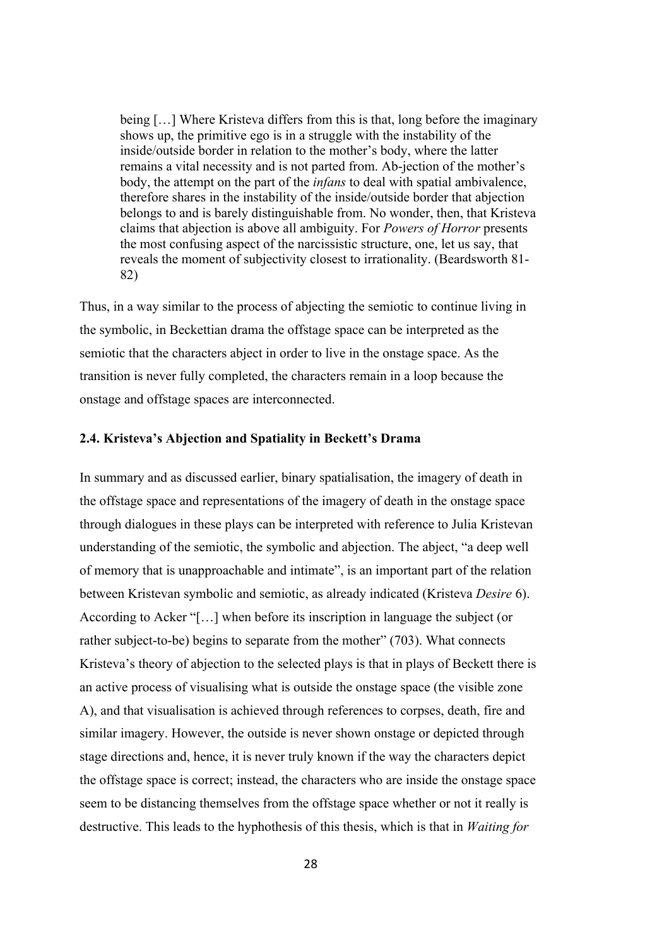being […] Where Kristeva differs from this is that, long before the imaginary shows up, the primitive ego is in a struggle with the instability of the inside/outside border in relation to the mother's body, where the latter remains a vital necessity and is not parted from. Ab-jection of the mother's body, the attempt on the part of the *infans* to deal with spatial ambivalence, therefore shares in the instability of the inside/outside border that abjection belongs to and is barely distinguishable from. No wonder, then, that Kristeva claims that abjection is above all ambiguity. For *Powers of Horror* presents the most confusing aspect of the narcissistic structure, one, let us say, that reveals the moment of subjectivity closest to irrationality. (Beardsworth 81- 82)

Thus, in a way similar to the process of abjecting the semiotic to continue living in the symbolic, in Beckettian drama the offstage space can be interpreted as the semiotic that the characters abject in order to live in the onstage space. As the transition is never fully completed, the characters remain in a loop because the onstage and offstage spaces are interconnected.

## **2.4. Kristeva's Abjection and Spatiality in Beckett's Drama**

In summary and as discussed earlier, binary spatialisation, the imagery of death in the offstage space and representations of the imagery of death in the onstage space through dialogues in these plays can be interpreted with reference to Julia Kristevan understanding of the semiotic, the symbolic and abjection. The abject, "a deep well of memory that is unapproachable and intimate", is an important part of the relation between Kristevan symbolic and semiotic, as already indicated (Kristeva *Desire* 6). According to Acker "[…] when before its inscription in language the subject (or rather subject-to-be) begins to separate from the mother" (703). What connects Kristeva's theory of abjection to the selected plays is that in plays of Beckett there is an active process of visualising what is outside the onstage space (the visible zone A), and that visualisation is achieved through references to corpses, death, fire and similar imagery. However, the outside is never shown onstage or depicted through stage directions and, hence, it is never truly known if the way the characters depict the offstage space is correct; instead, the characters who are inside the onstage space seem to be distancing themselves from the offstage space whether or not it really is destructive. This leads to the hyphothesis of this thesis, which is that in *Waiting for*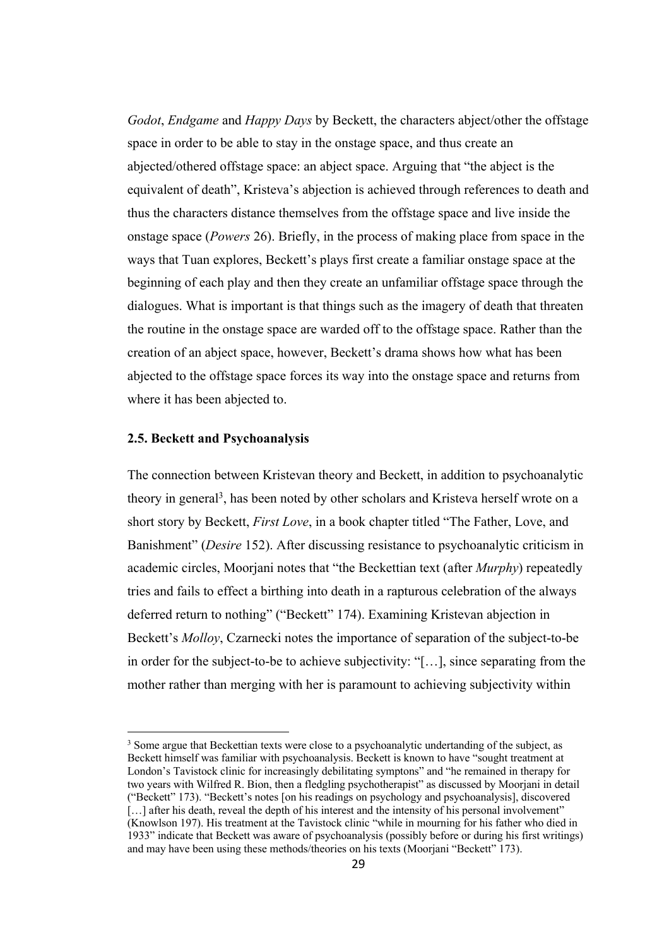*Godot*, *Endgame* and *Happy Days* by Beckett, the characters abject/other the offstage space in order to be able to stay in the onstage space, and thus create an abjected/othered offstage space: an abject space. Arguing that "the abject is the equivalent of death", Kristeva's abjection is achieved through references to death and thus the characters distance themselves from the offstage space and live inside the onstage space (*Powers* 26). Briefly, in the process of making place from space in the ways that Tuan explores, Beckett's plays first create a familiar onstage space at the beginning of each play and then they create an unfamiliar offstage space through the dialogues. What is important is that things such as the imagery of death that threaten the routine in the onstage space are warded off to the offstage space. Rather than the creation of an abject space, however, Beckett's drama shows how what has been abjected to the offstage space forces its way into the onstage space and returns from where it has been abjected to.

## **2.5. Beckett and Psychoanalysis**

The connection between Kristevan theory and Beckett, in addition to psychoanalytic theory in general<sup>3</sup>, has been noted by other scholars and Kristeva herself wrote on a short story by Beckett, *First Love*, in a book chapter titled "The Father, Love, and Banishment" (*Desire* 152). After discussing resistance to psychoanalytic criticism in academic circles, Moorjani notes that "the Beckettian text (after *Murphy*) repeatedly tries and fails to effect a birthing into death in a rapturous celebration of the always deferred return to nothing" ("Beckett" 174). Examining Kristevan abjection in Beckett's *Molloy*, Czarnecki notes the importance of separation of the subject-to-be in order for the subject-to-be to achieve subjectivity: "[…], since separating from the mother rather than merging with her is paramount to achieving subjectivity within

<sup>&</sup>lt;sup>3</sup> Some argue that Beckettian texts were close to a psychoanalytic undertanding of the subject, as Beckett himself was familiar with psychoanalysis. Beckett is known to have "sought treatment at London's Tavistock clinic for increasingly debilitating symptons" and "he remained in therapy for two years with Wilfred R. Bion, then a fledgling psychotherapist" as discussed by Moorjani in detail ("Beckett" 173). "Beckett's notes [on his readings on psychology and psychoanalysis], discovered [...] after his death, reveal the depth of his interest and the intensity of his personal involvement" (Knowlson 197). His treatment at the Tavistock clinic "while in mourning for his father who died in 1933" indicate that Beckett was aware of psychoanalysis (possibly before or during his first writings) and may have been using these methods/theories on his texts (Moorjani "Beckett" 173).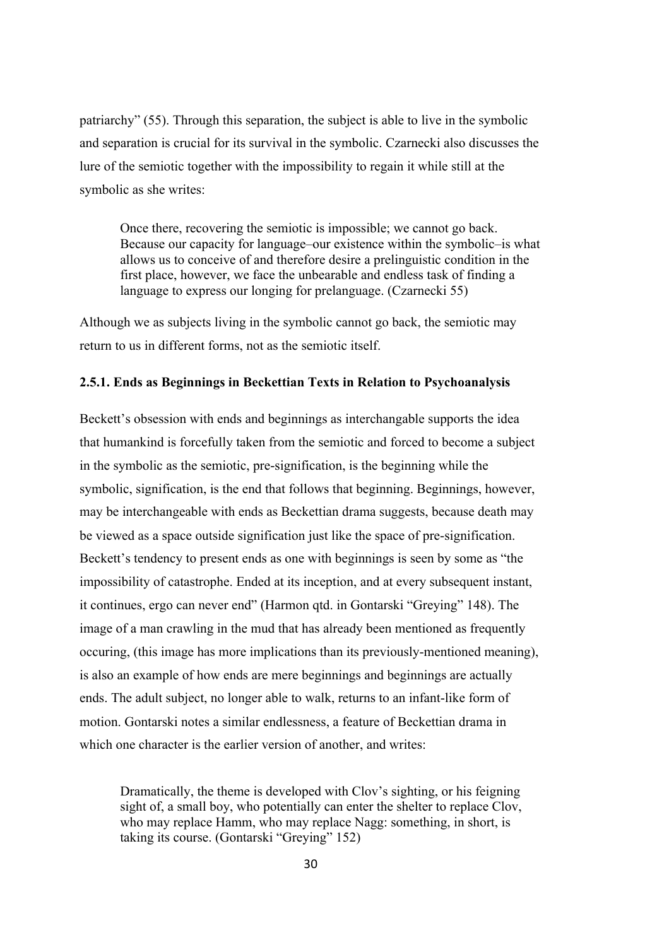patriarchy" (55). Through this separation, the subject is able to live in the symbolic and separation is crucial for its survival in the symbolic. Czarnecki also discusses the lure of the semiotic together with the impossibility to regain it while still at the symbolic as she writes:

Once there, recovering the semiotic is impossible; we cannot go back. Because our capacity for language–our existence within the symbolic–is what allows us to conceive of and therefore desire a prelinguistic condition in the first place, however, we face the unbearable and endless task of finding a language to express our longing for prelanguage. (Czarnecki 55)

Although we as subjects living in the symbolic cannot go back, the semiotic may return to us in different forms, not as the semiotic itself.

# **2.5.1. Ends as Beginnings in Beckettian Texts in Relation to Psychoanalysis**

Beckett's obsession with ends and beginnings as interchangable supports the idea that humankind is forcefully taken from the semiotic and forced to become a subject in the symbolic as the semiotic, pre-signification, is the beginning while the symbolic, signification, is the end that follows that beginning. Beginnings, however, may be interchangeable with ends as Beckettian drama suggests, because death may be viewed as a space outside signification just like the space of pre-signification. Beckett's tendency to present ends as one with beginnings is seen by some as "the impossibility of catastrophe. Ended at its inception, and at every subsequent instant, it continues, ergo can never end" (Harmon qtd. in Gontarski "Greying" 148). The image of a man crawling in the mud that has already been mentioned as frequently occuring, (this image has more implications than its previously-mentioned meaning), is also an example of how ends are mere beginnings and beginnings are actually ends. The adult subject, no longer able to walk, returns to an infant-like form of motion. Gontarski notes a similar endlessness, a feature of Beckettian drama in which one character is the earlier version of another, and writes:

Dramatically, the theme is developed with Clov's sighting, or his feigning sight of, a small boy, who potentially can enter the shelter to replace Clov, who may replace Hamm, who may replace Nagg: something, in short, is taking its course. (Gontarski "Greying" 152)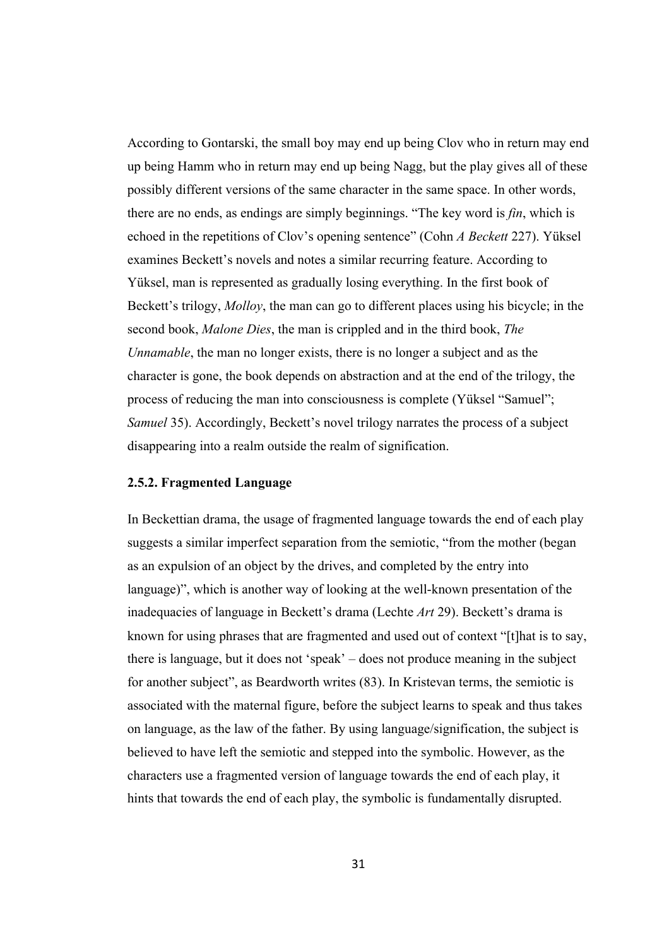According to Gontarski, the small boy may end up being Clov who in return may end up being Hamm who in return may end up being Nagg, but the play gives all of these possibly different versions of the same character in the same space. In other words, there are no ends, as endings are simply beginnings. "The key word is *fin*, which is echoed in the repetitions of Clov's opening sentence" (Cohn *A Beckett* 227). Yüksel examines Beckett's novels and notes a similar recurring feature. According to Yüksel, man is represented as gradually losing everything. In the first book of Beckett's trilogy, *Molloy*, the man can go to different places using his bicycle; in the second book, *Malone Dies*, the man is crippled and in the third book, *The Unnamable*, the man no longer exists, there is no longer a subject and as the character is gone, the book depends on abstraction and at the end of the trilogy, the process of reducing the man into consciousness is complete (Yüksel "Samuel"; *Samuel* 35). Accordingly, Beckett's novel trilogy narrates the process of a subject disappearing into a realm outside the realm of signification.

#### **2.5.2. Fragmented Language**

In Beckettian drama, the usage of fragmented language towards the end of each play suggests a similar imperfect separation from the semiotic, "from the mother (began as an expulsion of an object by the drives, and completed by the entry into language)", which is another way of looking at the well-known presentation of the inadequacies of language in Beckett's drama (Lechte *Art* 29). Beckett's drama is known for using phrases that are fragmented and used out of context "[t]hat is to say, there is language, but it does not 'speak' – does not produce meaning in the subject for another subject", as Beardworth writes (83). In Kristevan terms, the semiotic is associated with the maternal figure, before the subject learns to speak and thus takes on language, as the law of the father. By using language/signification, the subject is believed to have left the semiotic and stepped into the symbolic. However, as the characters use a fragmented version of language towards the end of each play, it hints that towards the end of each play, the symbolic is fundamentally disrupted.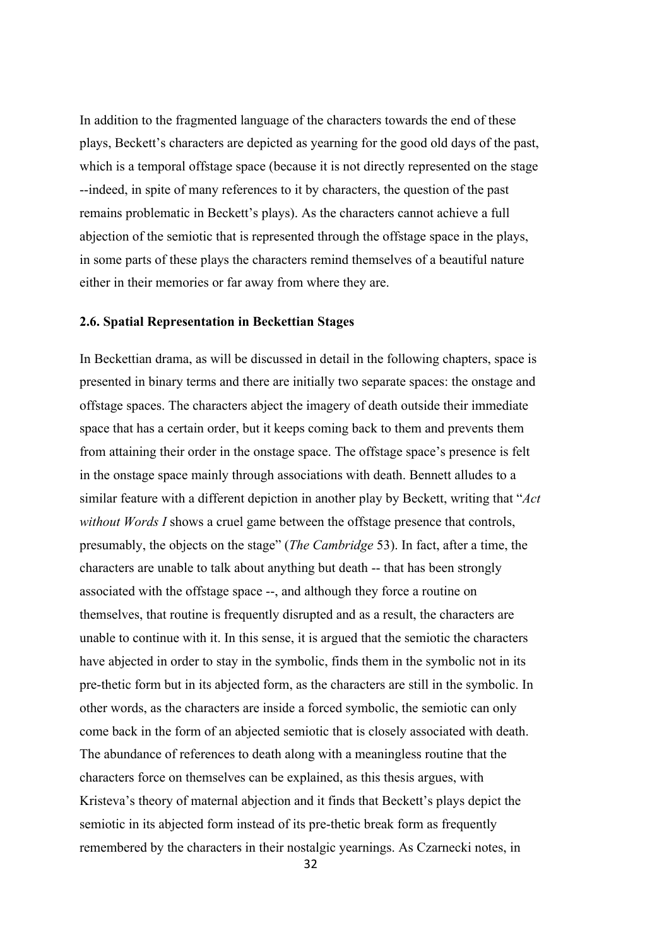In addition to the fragmented language of the characters towards the end of these plays, Beckett's characters are depicted as yearning for the good old days of the past, which is a temporal offstage space (because it is not directly represented on the stage --indeed, in spite of many references to it by characters, the question of the past remains problematic in Beckett's plays). As the characters cannot achieve a full abjection of the semiotic that is represented through the offstage space in the plays, in some parts of these plays the characters remind themselves of a beautiful nature either in their memories or far away from where they are.

#### **2.6. Spatial Representation in Beckettian Stages**

In Beckettian drama, as will be discussed in detail in the following chapters, space is presented in binary terms and there are initially two separate spaces: the onstage and offstage spaces. The characters abject the imagery of death outside their immediate space that has a certain order, but it keeps coming back to them and prevents them from attaining their order in the onstage space. The offstage space's presence is felt in the onstage space mainly through associations with death. Bennett alludes to a similar feature with a different depiction in another play by Beckett, writing that "*Act without Words I* shows a cruel game between the offstage presence that controls, presumably, the objects on the stage" (*The Cambridge* 53). In fact, after a time, the characters are unable to talk about anything but death -- that has been strongly associated with the offstage space --, and although they force a routine on themselves, that routine is frequently disrupted and as a result, the characters are unable to continue with it. In this sense, it is argued that the semiotic the characters have abjected in order to stay in the symbolic, finds them in the symbolic not in its pre-thetic form but in its abjected form, as the characters are still in the symbolic. In other words, as the characters are inside a forced symbolic, the semiotic can only come back in the form of an abjected semiotic that is closely associated with death. The abundance of references to death along with a meaningless routine that the characters force on themselves can be explained, as this thesis argues, with Kristeva's theory of maternal abjection and it finds that Beckett's plays depict the semiotic in its abjected form instead of its pre-thetic break form as frequently remembered by the characters in their nostalgic yearnings. As Czarnecki notes, in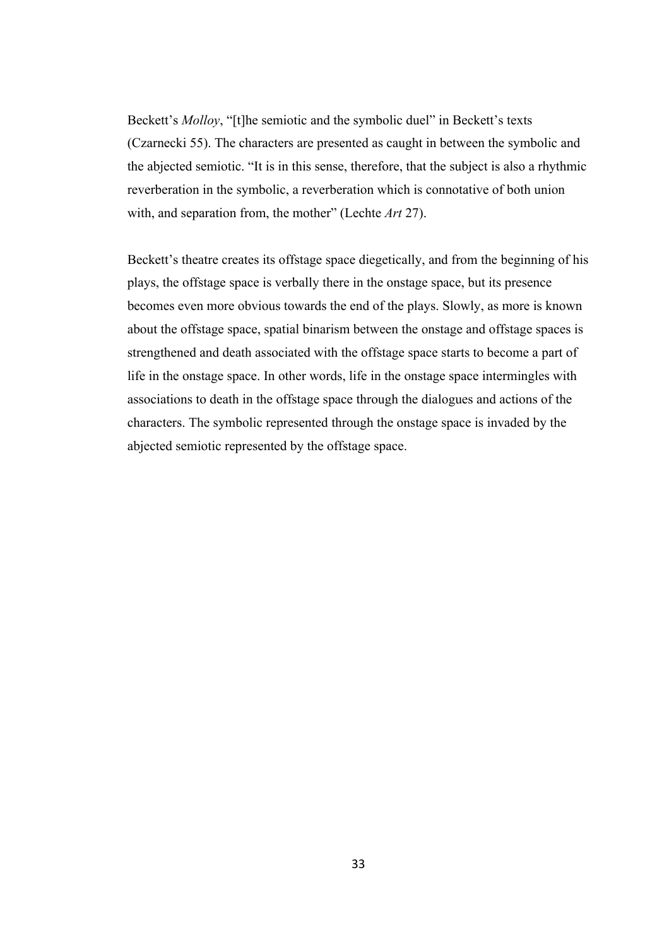Beckett's *Molloy*, "[t]he semiotic and the symbolic duel" in Beckett's texts (Czarnecki 55). The characters are presented as caught in between the symbolic and the abjected semiotic. "It is in this sense, therefore, that the subject is also a rhythmic reverberation in the symbolic, a reverberation which is connotative of both union with, and separation from, the mother" (Lechte *Art* 27).

Beckett's theatre creates its offstage space diegetically, and from the beginning of his plays, the offstage space is verbally there in the onstage space, but its presence becomes even more obvious towards the end of the plays. Slowly, as more is known about the offstage space, spatial binarism between the onstage and offstage spaces is strengthened and death associated with the offstage space starts to become a part of life in the onstage space. In other words, life in the onstage space intermingles with associations to death in the offstage space through the dialogues and actions of the characters. The symbolic represented through the onstage space is invaded by the abjected semiotic represented by the offstage space.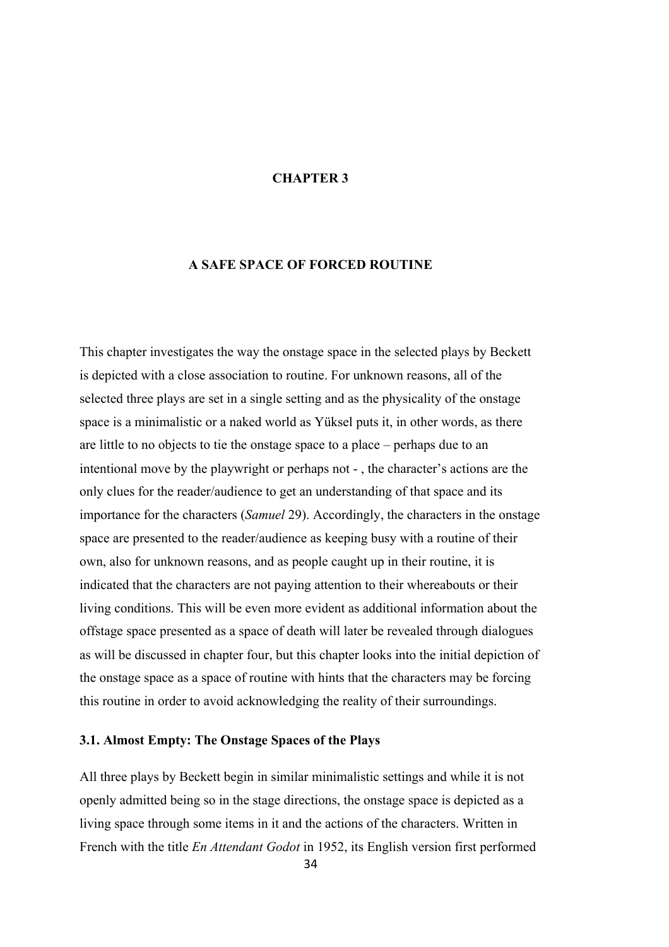## **CHAPTER 3**

# **A SAFE SPACE OF FORCED ROUTINE**

This chapter investigates the way the onstage space in the selected plays by Beckett is depicted with a close association to routine. For unknown reasons, all of the selected three plays are set in a single setting and as the physicality of the onstage space is a minimalistic or a naked world as Yüksel puts it, in other words, as there are little to no objects to tie the onstage space to a place – perhaps due to an intentional move by the playwright or perhaps not - , the character's actions are the only clues for the reader/audience to get an understanding of that space and its importance for the characters (*Samuel* 29). Accordingly, the characters in the onstage space are presented to the reader/audience as keeping busy with a routine of their own, also for unknown reasons, and as people caught up in their routine, it is indicated that the characters are not paying attention to their whereabouts or their living conditions. This will be even more evident as additional information about the offstage space presented as a space of death will later be revealed through dialogues as will be discussed in chapter four, but this chapter looks into the initial depiction of the onstage space as a space of routine with hints that the characters may be forcing this routine in order to avoid acknowledging the reality of their surroundings.

## **3.1. Almost Empty: The Onstage Spaces of the Plays**

All three plays by Beckett begin in similar minimalistic settings and while it is not openly admitted being so in the stage directions, the onstage space is depicted as a living space through some items in it and the actions of the characters. Written in French with the title *En Attendant Godot* in 1952, its English version first performed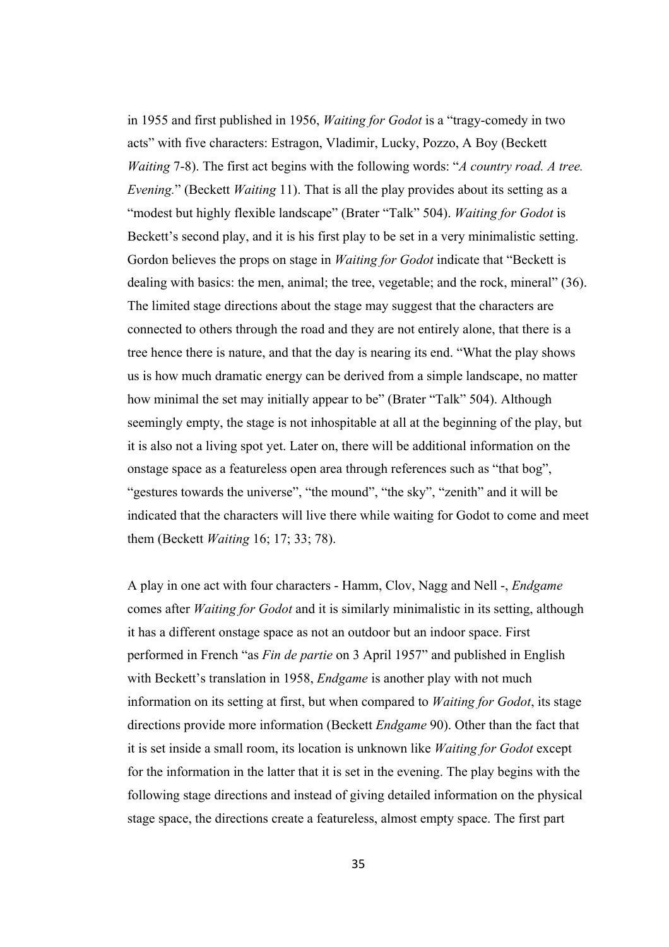in 1955 and first published in 1956, *Waiting for Godot* is a "tragy-comedy in two acts" with five characters: Estragon, Vladimir, Lucky, Pozzo, A Boy (Beckett *Waiting* 7-8). The first act begins with the following words: "*A country road. A tree. Evening.*" (Beckett *Waiting* 11). That is all the play provides about its setting as a "modest but highly flexible landscape" (Brater "Talk" 504). *Waiting for Godot* is Beckett's second play, and it is his first play to be set in a very minimalistic setting. Gordon believes the props on stage in *Waiting for Godot* indicate that "Beckett is dealing with basics: the men, animal; the tree, vegetable; and the rock, mineral" (36). The limited stage directions about the stage may suggest that the characters are connected to others through the road and they are not entirely alone, that there is a tree hence there is nature, and that the day is nearing its end. "What the play shows us is how much dramatic energy can be derived from a simple landscape, no matter how minimal the set may initially appear to be" (Brater "Talk" 504). Although seemingly empty, the stage is not inhospitable at all at the beginning of the play, but it is also not a living spot yet. Later on, there will be additional information on the onstage space as a featureless open area through references such as "that bog", "gestures towards the universe", "the mound", "the sky", "zenith" and it will be indicated that the characters will live there while waiting for Godot to come and meet them (Beckett *Waiting* 16; 17; 33; 78).

A play in one act with four characters - Hamm, Clov, Nagg and Nell -, *Endgame* comes after *Waiting for Godot* and it is similarly minimalistic in its setting, although it has a different onstage space as not an outdoor but an indoor space. First performed in French "as *Fin de partie* on 3 April 1957" and published in English with Beckett's translation in 1958, *Endgame* is another play with not much information on its setting at first, but when compared to *Waiting for Godot*, its stage directions provide more information (Beckett *Endgame* 90). Other than the fact that it is set inside a small room, its location is unknown like *Waiting for Godot* except for the information in the latter that it is set in the evening. The play begins with the following stage directions and instead of giving detailed information on the physical stage space, the directions create a featureless, almost empty space. The first part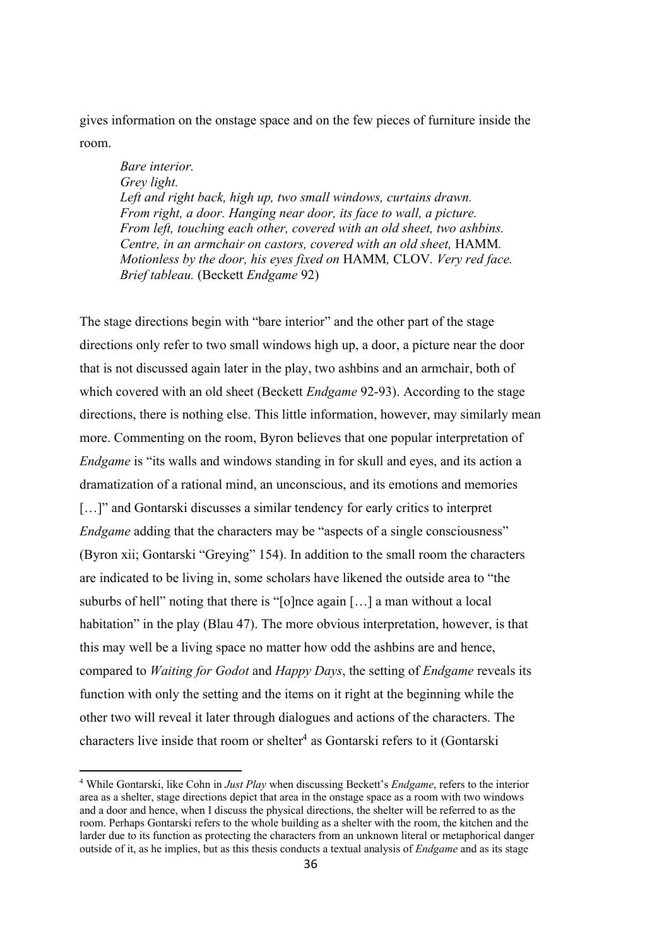gives information on the onstage space and on the few pieces of furniture inside the room.

*Bare interior. Grey light. Left and right back, high up, two small windows, curtains drawn. From right, a door. Hanging near door, its face to wall, a picture. From left, touching each other, covered with an old sheet, two ashbins. Centre, in an armchair on castors, covered with an old sheet,* HAMM*. Motionless by the door, his eyes fixed on* HAMM*,* CLOV*. Very red face. Brief tableau.* (Beckett *Endgame* 92)

The stage directions begin with "bare interior" and the other part of the stage directions only refer to two small windows high up, a door, a picture near the door that is not discussed again later in the play, two ashbins and an armchair, both of which covered with an old sheet (Beckett *Endgame* 92-93). According to the stage directions, there is nothing else. This little information, however, may similarly mean more. Commenting on the room, Byron believes that one popular interpretation of *Endgame* is "its walls and windows standing in for skull and eyes, and its action a dramatization of a rational mind, an unconscious, and its emotions and memories [...]" and Gontarski discusses a similar tendency for early critics to interpret *Endgame* adding that the characters may be "aspects of a single consciousness" (Byron xii; Gontarski "Greying" 154). In addition to the small room the characters are indicated to be living in, some scholars have likened the outside area to "the suburbs of hell" noting that there is "[o]nce again […] a man without a local habitation" in the play (Blau 47). The more obvious interpretation, however, is that this may well be a living space no matter how odd the ashbins are and hence, compared to *Waiting for Godot* and *Happy Days*, the setting of *Endgame* reveals its function with only the setting and the items on it right at the beginning while the other two will reveal it later through dialogues and actions of the characters. The characters live inside that room or shelter<sup>4</sup> as Gontarski refers to it (Gontarski

<sup>4</sup> While Gontarski, like Cohn in *Just Play* when discussing Beckett's *Endgame*, refers to the interior area as a shelter, stage directions depict that area in the onstage space as a room with two windows and a door and hence, when I discuss the physical directions, the shelter will be referred to as the room. Perhaps Gontarski refers to the whole building as a shelter with the room, the kitchen and the larder due to its function as protecting the characters from an unknown literal or metaphorical danger outside of it, as he implies, but as this thesis conducts a textual analysis of *Endgame* and as its stage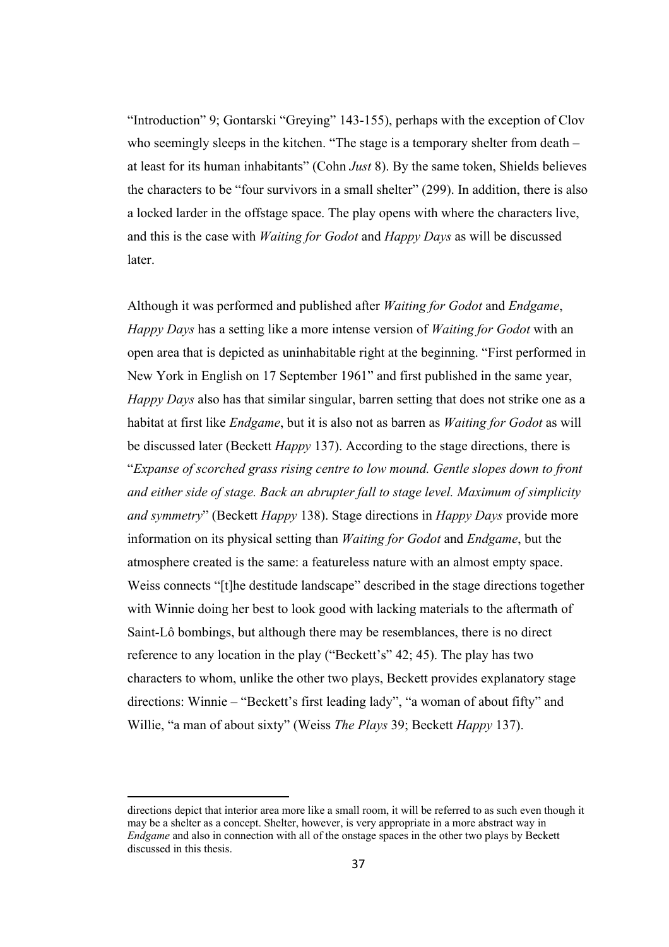"Introduction" 9; Gontarski "Greying" 143-155), perhaps with the exception of Clov who seemingly sleeps in the kitchen. "The stage is a temporary shelter from death – at least for its human inhabitants" (Cohn *Just* 8). By the same token, Shields believes the characters to be "four survivors in a small shelter" (299). In addition, there is also a locked larder in the offstage space. The play opens with where the characters live, and this is the case with *Waiting for Godot* and *Happy Days* as will be discussed later.

Although it was performed and published after *Waiting for Godot* and *Endgame*, *Happy Days* has a setting like a more intense version of *Waiting for Godot* with an open area that is depicted as uninhabitable right at the beginning. "First performed in New York in English on 17 September 1961" and first published in the same year, *Happy Days* also has that similar singular, barren setting that does not strike one as a habitat at first like *Endgame*, but it is also not as barren as *Waiting for Godot* as will be discussed later (Beckett *Happy* 137). According to the stage directions, there is "*Expanse of scorched grass rising centre to low mound. Gentle slopes down to front and either side of stage. Back an abrupter fall to stage level. Maximum of simplicity and symmetry*" (Beckett *Happy* 138). Stage directions in *Happy Days* provide more information on its physical setting than *Waiting for Godot* and *Endgame*, but the atmosphere created is the same: a featureless nature with an almost empty space. Weiss connects "[t]he destitude landscape" described in the stage directions together with Winnie doing her best to look good with lacking materials to the aftermath of Saint*-*Lô bombings, but although there may be resemblances, there is no direct reference to any location in the play ("Beckett's" 42; 45). The play has two characters to whom, unlike the other two plays, Beckett provides explanatory stage directions: Winnie – "Beckett's first leading lady", "a woman of about fifty" and Willie, "a man of about sixty" (Weiss *The Plays* 39; Beckett *Happy* 137).

directions depict that interior area more like a small room, it will be referred to as such even though it may be a shelter as a concept. Shelter, however, is very appropriate in a more abstract way in *Endgame* and also in connection with all of the onstage spaces in the other two plays by Beckett discussed in this thesis.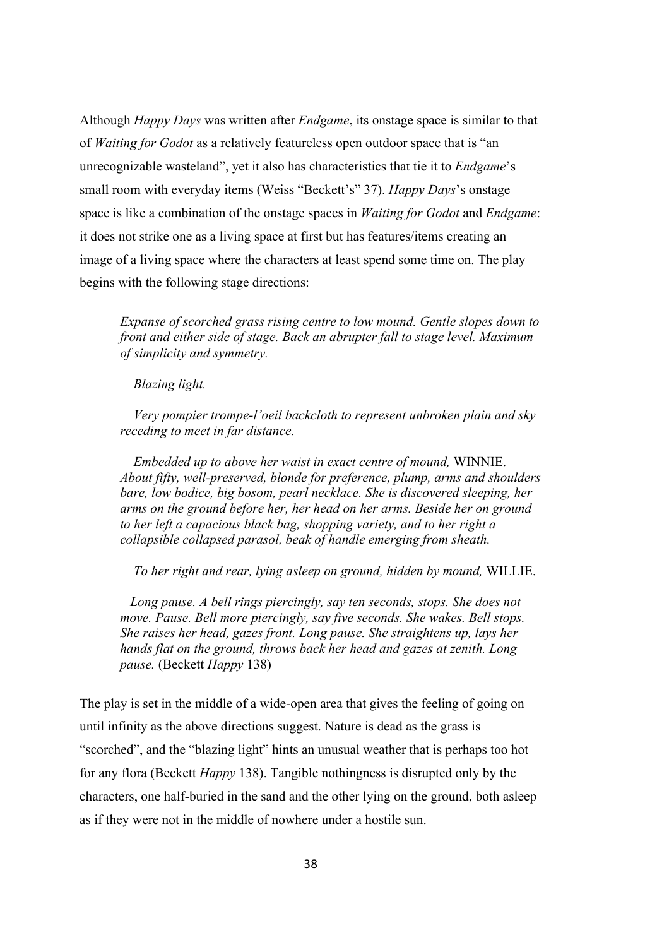Although *Happy Days* was written after *Endgame*, its onstage space is similar to that of *Waiting for Godot* as a relatively featureless open outdoor space that is "an unrecognizable wasteland", yet it also has characteristics that tie it to *Endgame*'s small room with everyday items (Weiss "Beckett's" 37). *Happy Days*'s onstage space is like a combination of the onstage spaces in *Waiting for Godot* and *Endgame*: it does not strike one as a living space at first but has features/items creating an image of a living space where the characters at least spend some time on. The play begins with the following stage directions:

*Expanse of scorched grass rising centre to low mound. Gentle slopes down to front and either side of stage. Back an abrupter fall to stage level. Maximum of simplicity and symmetry.*

*Blazing light.* 

*Very pompier trompe-l'oeil backcloth to represent unbroken plain and sky receding to meet in far distance.*

*Embedded up to above her waist in exact centre of mound,* WINNIE. *About fifty, well-preserved, blonde for preference, plump, arms and shoulders bare, low bodice, big bosom, pearl necklace. She is discovered sleeping, her arms on the ground before her, her head on her arms. Beside her on ground to her left a capacious black bag, shopping variety, and to her right a collapsible collapsed parasol, beak of handle emerging from sheath.* 

*To her right and rear, lying asleep on ground, hidden by mound,* WILLIE.

 *Long pause. A bell rings piercingly, say ten seconds, stops. She does not move. Pause. Bell more piercingly, say five seconds. She wakes. Bell stops. She raises her head, gazes front. Long pause. She straightens up, lays her hands flat on the ground, throws back her head and gazes at zenith. Long pause.* (Beckett *Happy* 138)

The play is set in the middle of a wide-open area that gives the feeling of going on until infinity as the above directions suggest. Nature is dead as the grass is "scorched", and the "blazing light" hints an unusual weather that is perhaps too hot for any flora (Beckett *Happy* 138). Tangible nothingness is disrupted only by the characters, one half-buried in the sand and the other lying on the ground, both asleep as if they were not in the middle of nowhere under a hostile sun.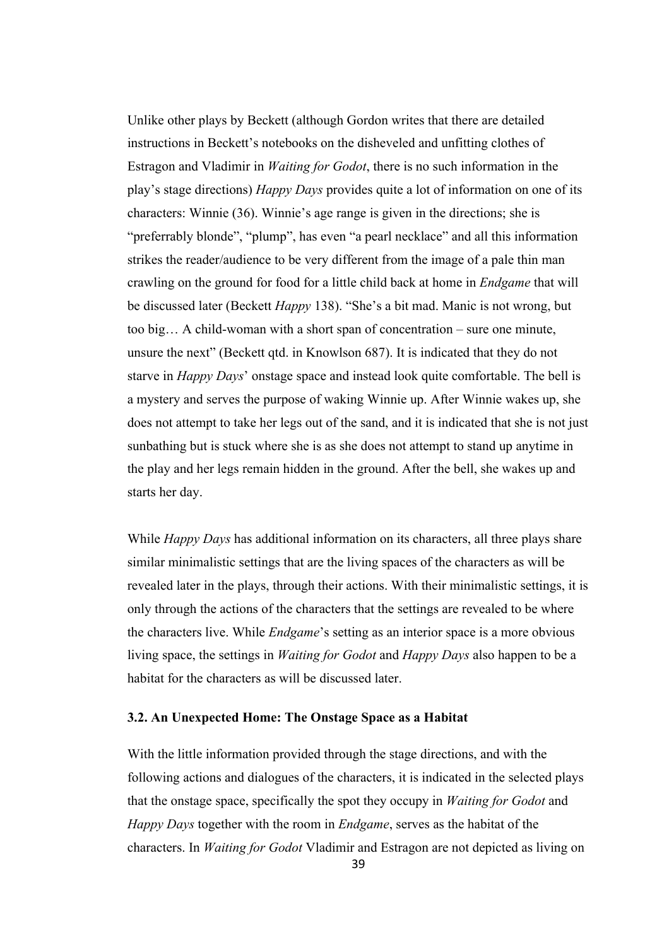Unlike other plays by Beckett (although Gordon writes that there are detailed instructions in Beckett's notebooks on the disheveled and unfitting clothes of Estragon and Vladimir in *Waiting for Godot*, there is no such information in the play's stage directions) *Happy Days* provides quite a lot of information on one of its characters: Winnie (36). Winnie's age range is given in the directions; she is "preferrably blonde", "plump", has even "a pearl necklace" and all this information strikes the reader/audience to be very different from the image of a pale thin man crawling on the ground for food for a little child back at home in *Endgame* that will be discussed later (Beckett *Happy* 138). "She's a bit mad. Manic is not wrong, but too big… A child-woman with a short span of concentration – sure one minute, unsure the next" (Beckett qtd. in Knowlson 687). It is indicated that they do not starve in *Happy Days*' onstage space and instead look quite comfortable. The bell is a mystery and serves the purpose of waking Winnie up. After Winnie wakes up, she does not attempt to take her legs out of the sand, and it is indicated that she is not just sunbathing but is stuck where she is as she does not attempt to stand up anytime in the play and her legs remain hidden in the ground. After the bell, she wakes up and starts her day.

While *Happy Days* has additional information on its characters, all three plays share similar minimalistic settings that are the living spaces of the characters as will be revealed later in the plays, through their actions. With their minimalistic settings, it is only through the actions of the characters that the settings are revealed to be where the characters live. While *Endgame*'s setting as an interior space is a more obvious living space, the settings in *Waiting for Godot* and *Happy Days* also happen to be a habitat for the characters as will be discussed later.

# **3.2. An Unexpected Home: The Onstage Space as a Habitat**

With the little information provided through the stage directions, and with the following actions and dialogues of the characters, it is indicated in the selected plays that the onstage space, specifically the spot they occupy in *Waiting for Godot* and *Happy Days* together with the room in *Endgame*, serves as the habitat of the characters. In *Waiting for Godot* Vladimir and Estragon are not depicted as living on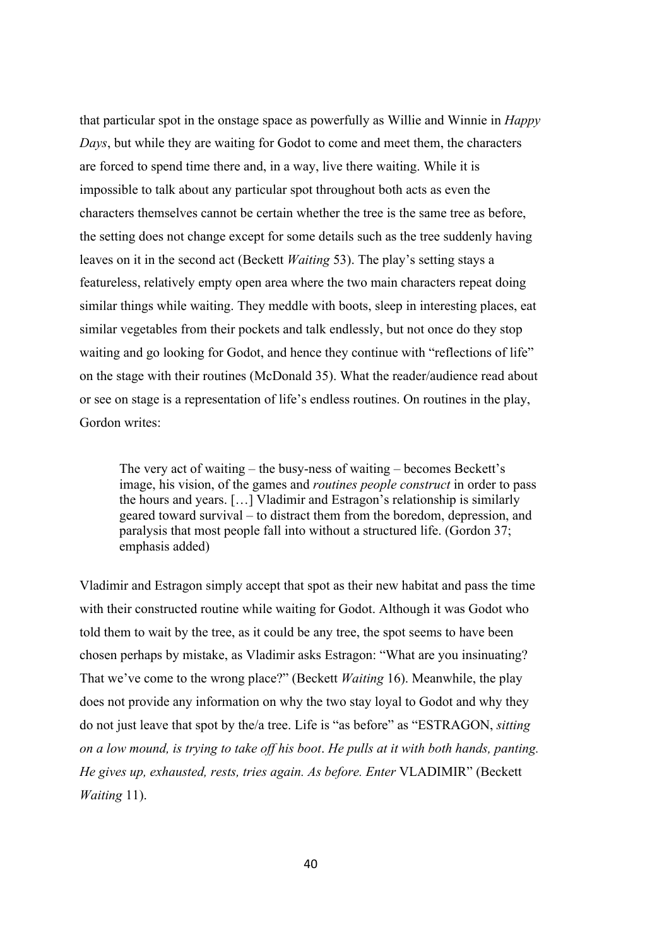that particular spot in the onstage space as powerfully as Willie and Winnie in *Happy Days*, but while they are waiting for Godot to come and meet them, the characters are forced to spend time there and, in a way, live there waiting. While it is impossible to talk about any particular spot throughout both acts as even the characters themselves cannot be certain whether the tree is the same tree as before, the setting does not change except for some details such as the tree suddenly having leaves on it in the second act (Beckett *Waiting* 53). The play's setting stays a featureless, relatively empty open area where the two main characters repeat doing similar things while waiting. They meddle with boots, sleep in interesting places, eat similar vegetables from their pockets and talk endlessly, but not once do they stop waiting and go looking for Godot, and hence they continue with "reflections of life" on the stage with their routines (McDonald 35). What the reader/audience read about or see on stage is a representation of life's endless routines. On routines in the play, Gordon writes:

The very act of waiting – the busy-ness of waiting – becomes Beckett's image, his vision, of the games and *routines people construct* in order to pass the hours and years. […] Vladimir and Estragon's relationship is similarly geared toward survival – to distract them from the boredom, depression, and paralysis that most people fall into without a structured life. (Gordon 37; emphasis added)

Vladimir and Estragon simply accept that spot as their new habitat and pass the time with their constructed routine while waiting for Godot. Although it was Godot who told them to wait by the tree, as it could be any tree, the spot seems to have been chosen perhaps by mistake, as Vladimir asks Estragon: "What are you insinuating? That we've come to the wrong place?" (Beckett *Waiting* 16). Meanwhile, the play does not provide any information on why the two stay loyal to Godot and why they do not just leave that spot by the/a tree. Life is "as before" as "ESTRAGON, *sitting on a low mound, is trying to take off his boot*. *He pulls at it with both hands, panting. He gives up, exhausted, rests, tries again. As before. Enter* VLADIMIR" (Beckett *Waiting* 11).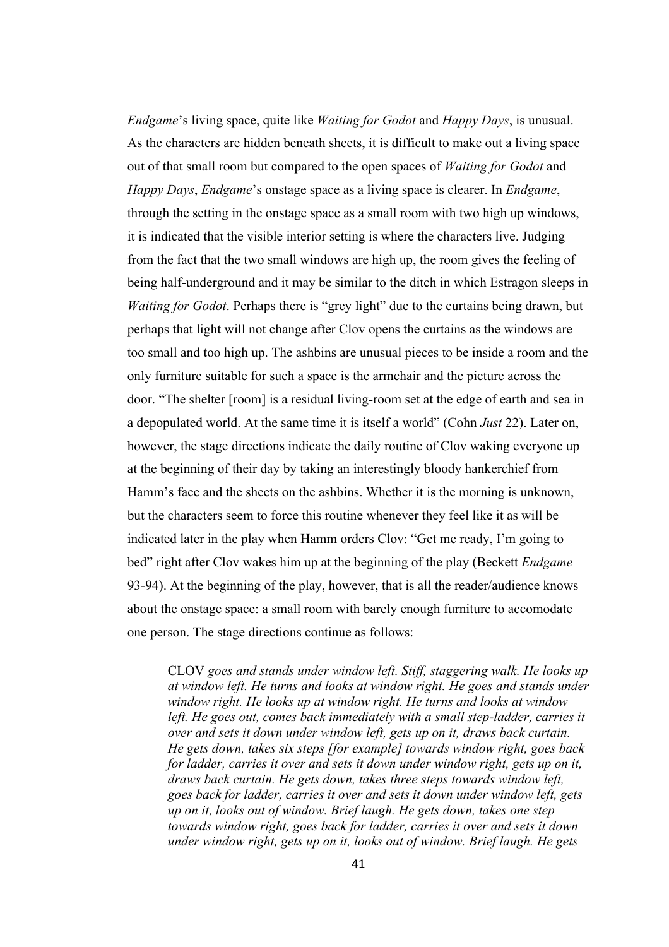*Endgame*'s living space, quite like *Waiting for Godot* and *Happy Days*, is unusual. As the characters are hidden beneath sheets, it is difficult to make out a living space out of that small room but compared to the open spaces of *Waiting for Godot* and *Happy Days*, *Endgame*'s onstage space as a living space is clearer. In *Endgame*, through the setting in the onstage space as a small room with two high up windows, it is indicated that the visible interior setting is where the characters live. Judging from the fact that the two small windows are high up, the room gives the feeling of being half-underground and it may be similar to the ditch in which Estragon sleeps in *Waiting for Godot*. Perhaps there is "grey light" due to the curtains being drawn, but perhaps that light will not change after Clov opens the curtains as the windows are too small and too high up. The ashbins are unusual pieces to be inside a room and the only furniture suitable for such a space is the armchair and the picture across the door. "The shelter [room] is a residual living-room set at the edge of earth and sea in a depopulated world. At the same time it is itself a world" (Cohn *Just* 22). Later on, however, the stage directions indicate the daily routine of Clov waking everyone up at the beginning of their day by taking an interestingly bloody hankerchief from Hamm's face and the sheets on the ashbins. Whether it is the morning is unknown, but the characters seem to force this routine whenever they feel like it as will be indicated later in the play when Hamm orders Clov: "Get me ready, I'm going to bed" right after Clov wakes him up at the beginning of the play (Beckett *Endgame* 93-94). At the beginning of the play, however, that is all the reader/audience knows about the onstage space: a small room with barely enough furniture to accomodate one person. The stage directions continue as follows:

CLOV *goes and stands under window left. Stiff, staggering walk. He looks up at window left. He turns and looks at window right. He goes and stands under window right. He looks up at window right. He turns and looks at window*  left. He goes out, comes back immediately with a small step-ladder, carries it *over and sets it down under window left, gets up on it, draws back curtain. He gets down, takes six steps [for example] towards window right, goes back for ladder, carries it over and sets it down under window right, gets up on it, draws back curtain. He gets down, takes three steps towards window left, goes back for ladder, carries it over and sets it down under window left, gets up on it, looks out of window. Brief laugh. He gets down, takes one step towards window right, goes back for ladder, carries it over and sets it down under window right, gets up on it, looks out of window. Brief laugh. He gets*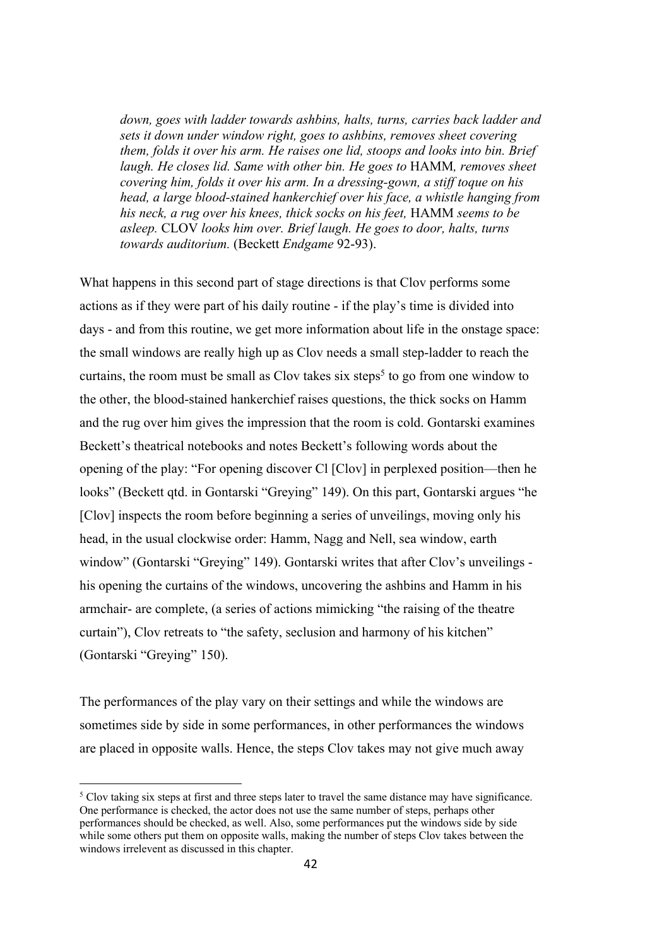*down, goes with ladder towards ashbins, halts, turns, carries back ladder and sets it down under window right, goes to ashbins, removes sheet covering them, folds it over his arm. He raises one lid, stoops and looks into bin. Brief laugh. He closes lid. Same with other bin. He goes to* HAMM*, removes sheet covering him, folds it over his arm. In a dressing-gown, a stiff toque on his head, a large blood-stained hankerchief over his face, a whistle hanging from his neck, a rug over his knees, thick socks on his feet,* HAMM *seems to be asleep.* CLOV *looks him over. Brief laugh. He goes to door, halts, turns towards auditorium.* (Beckett *Endgame* 92-93).

What happens in this second part of stage directions is that Clov performs some actions as if they were part of his daily routine - if the play's time is divided into days - and from this routine, we get more information about life in the onstage space: the small windows are really high up as Clov needs a small step-ladder to reach the curtains, the room must be small as Clov takes six steps<sup>5</sup> to go from one window to the other, the blood-stained hankerchief raises questions, the thick socks on Hamm and the rug over him gives the impression that the room is cold. Gontarski examines Beckett's theatrical notebooks and notes Beckett's following words about the opening of the play: "For opening discover Cl [Clov] in perplexed position—then he looks" (Beckett qtd. in Gontarski "Greying" 149). On this part, Gontarski argues "he [Clov] inspects the room before beginning a series of unveilings, moving only his head, in the usual clockwise order: Hamm, Nagg and Nell, sea window, earth window" (Gontarski "Greying" 149). Gontarski writes that after Clov's unveilings his opening the curtains of the windows, uncovering the ashbins and Hamm in his armchair- are complete, (a series of actions mimicking "the raising of the theatre curtain"), Clov retreats to "the safety, seclusion and harmony of his kitchen" (Gontarski "Greying" 150).

The performances of the play vary on their settings and while the windows are sometimes side by side in some performances, in other performances the windows are placed in opposite walls. Hence, the steps Clov takes may not give much away

<sup>&</sup>lt;sup>5</sup> Clov taking six steps at first and three steps later to travel the same distance may have significance. One performance is checked, the actor does not use the same number of steps, perhaps other performances should be checked, as well. Also, some performances put the windows side by side while some others put them on opposite walls, making the number of steps Clov takes between the windows irrelevent as discussed in this chapter.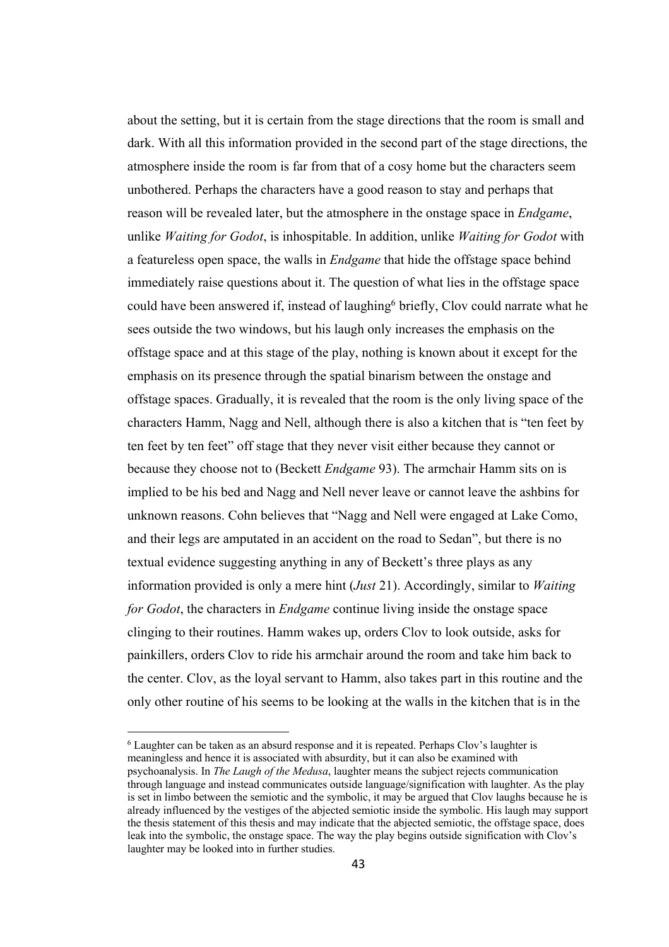about the setting, but it is certain from the stage directions that the room is small and dark. With all this information provided in the second part of the stage directions, the atmosphere inside the room is far from that of a cosy home but the characters seem unbothered. Perhaps the characters have a good reason to stay and perhaps that reason will be revealed later, but the atmosphere in the onstage space in *Endgame*, unlike *Waiting for Godot*, is inhospitable. In addition, unlike *Waiting for Godot* with a featureless open space, the walls in *Endgame* that hide the offstage space behind immediately raise questions about it. The question of what lies in the offstage space could have been answered if, instead of laughing<sup>6</sup> briefly, Clov could narrate what he sees outside the two windows, but his laugh only increases the emphasis on the offstage space and at this stage of the play, nothing is known about it except for the emphasis on its presence through the spatial binarism between the onstage and offstage spaces. Gradually, it is revealed that the room is the only living space of the characters Hamm, Nagg and Nell, although there is also a kitchen that is "ten feet by ten feet by ten feet" off stage that they never visit either because they cannot or because they choose not to (Beckett *Endgame* 93). The armchair Hamm sits on is implied to be his bed and Nagg and Nell never leave or cannot leave the ashbins for unknown reasons. Cohn believes that "Nagg and Nell were engaged at Lake Como, and their legs are amputated in an accident on the road to Sedan", but there is no textual evidence suggesting anything in any of Beckett's three plays as any information provided is only a mere hint (*Just* 21). Accordingly, similar to *Waiting for Godot*, the characters in *Endgame* continue living inside the onstage space clinging to their routines. Hamm wakes up, orders Clov to look outside, asks for painkillers, orders Clov to ride his armchair around the room and take him back to the center. Clov, as the loyal servant to Hamm, also takes part in this routine and the only other routine of his seems to be looking at the walls in the kitchen that is in the

 $6$  Laughter can be taken as an absurd response and it is repeated. Perhaps Clov's laughter is meaningless and hence it is associated with absurdity, but it can also be examined with psychoanalysis. In *The Laugh of the Medusa*, laughter means the subject rejects communication through language and instead communicates outside language/signification with laughter. As the play is set in limbo between the semiotic and the symbolic, it may be argued that Clov laughs because he is already influenced by the vestiges of the abjected semiotic inside the symbolic. His laugh may support the thesis statement of this thesis and may indicate that the abjected semiotic, the offstage space, does leak into the symbolic, the onstage space. The way the play begins outside signification with Clov's laughter may be looked into in further studies.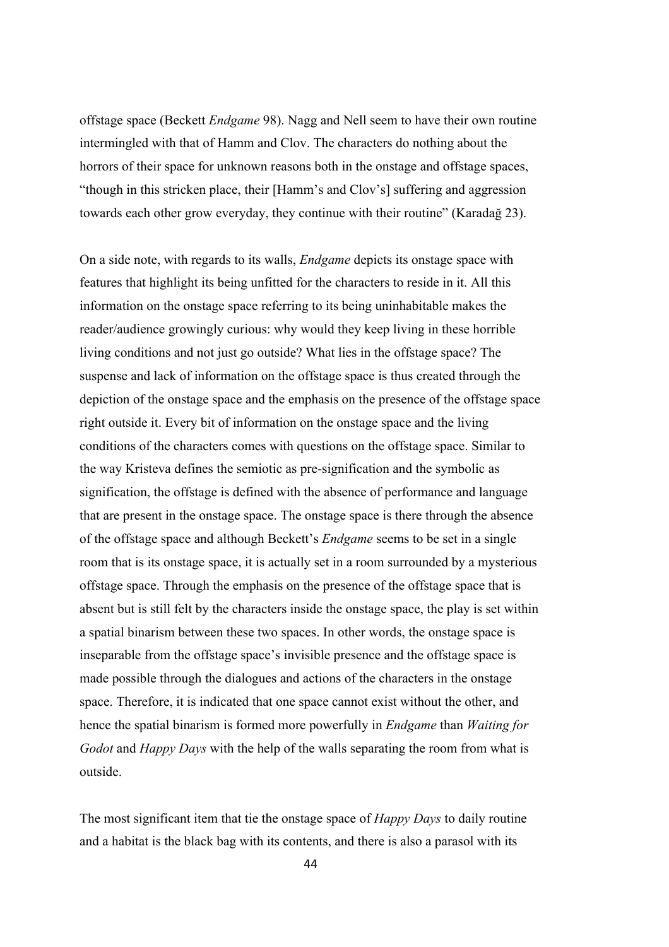offstage space (Beckett *Endgame* 98). Nagg and Nell seem to have their own routine intermingled with that of Hamm and Clov. The characters do nothing about the horrors of their space for unknown reasons both in the onstage and offstage spaces, "though in this stricken place, their [Hamm's and Clov's] suffering and aggression towards each other grow everyday, they continue with their routine" (Karadağ 23).

On a side note, with regards to its walls, *Endgame* depicts its onstage space with features that highlight its being unfitted for the characters to reside in it. All this information on the onstage space referring to its being uninhabitable makes the reader/audience growingly curious: why would they keep living in these horrible living conditions and not just go outside? What lies in the offstage space? The suspense and lack of information on the offstage space is thus created through the depiction of the onstage space and the emphasis on the presence of the offstage space right outside it. Every bit of information on the onstage space and the living conditions of the characters comes with questions on the offstage space. Similar to the way Kristeva defines the semiotic as pre-signification and the symbolic as signification, the offstage is defined with the absence of performance and language that are present in the onstage space. The onstage space is there through the absence of the offstage space and although Beckett's *Endgame* seems to be set in a single room that is its onstage space, it is actually set in a room surrounded by a mysterious offstage space. Through the emphasis on the presence of the offstage space that is absent but is still felt by the characters inside the onstage space, the play is set within a spatial binarism between these two spaces. In other words, the onstage space is inseparable from the offstage space's invisible presence and the offstage space is made possible through the dialogues and actions of the characters in the onstage space. Therefore, it is indicated that one space cannot exist without the other, and hence the spatial binarism is formed more powerfully in *Endgame* than *Waiting for Godot* and *Happy Days* with the help of the walls separating the room from what is outside.

The most significant item that tie the onstage space of *Happy Days* to daily routine and a habitat is the black bag with its contents, and there is also a parasol with its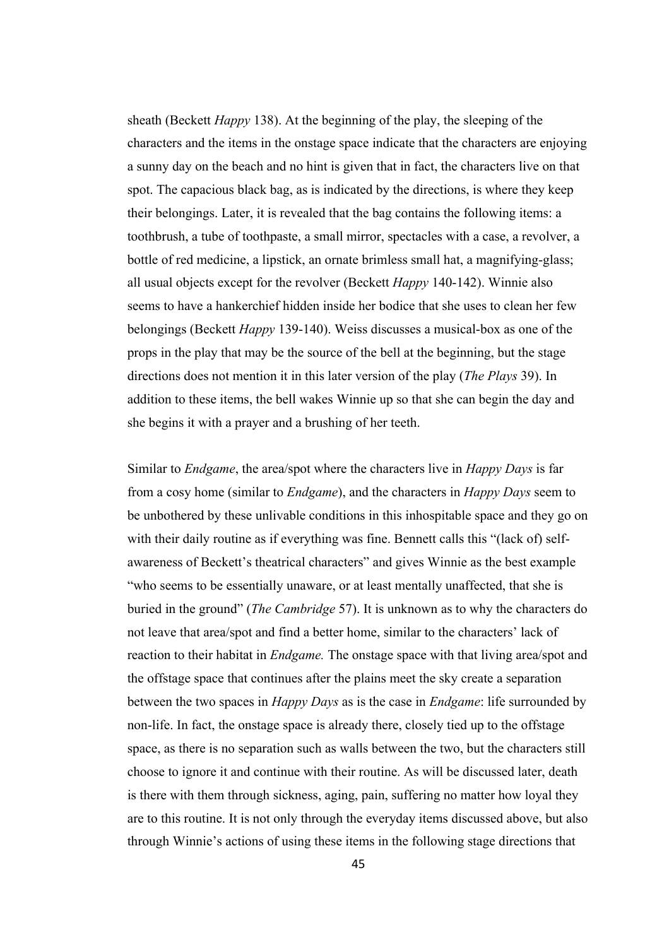sheath (Beckett *Happy* 138). At the beginning of the play, the sleeping of the characters and the items in the onstage space indicate that the characters are enjoying a sunny day on the beach and no hint is given that in fact, the characters live on that spot. The capacious black bag, as is indicated by the directions, is where they keep their belongings. Later, it is revealed that the bag contains the following items: a toothbrush, a tube of toothpaste, a small mirror, spectacles with a case, a revolver, a bottle of red medicine, a lipstick, an ornate brimless small hat, a magnifying-glass; all usual objects except for the revolver (Beckett *Happy* 140-142). Winnie also seems to have a hankerchief hidden inside her bodice that she uses to clean her few belongings (Beckett *Happy* 139-140). Weiss discusses a musical-box as one of the props in the play that may be the source of the bell at the beginning, but the stage directions does not mention it in this later version of the play (*The Plays* 39). In addition to these items, the bell wakes Winnie up so that she can begin the day and she begins it with a prayer and a brushing of her teeth.

Similar to *Endgame*, the area/spot where the characters live in *Happy Days* is far from a cosy home (similar to *Endgame*), and the characters in *Happy Days* seem to be unbothered by these unlivable conditions in this inhospitable space and they go on with their daily routine as if everything was fine. Bennett calls this "(lack of) selfawareness of Beckett's theatrical characters" and gives Winnie as the best example "who seems to be essentially unaware, or at least mentally unaffected, that she is buried in the ground" (*The Cambridge* 57). It is unknown as to why the characters do not leave that area/spot and find a better home, similar to the characters' lack of reaction to their habitat in *Endgame.* The onstage space with that living area/spot and the offstage space that continues after the plains meet the sky create a separation between the two spaces in *Happy Days* as is the case in *Endgame*: life surrounded by non-life. In fact, the onstage space is already there, closely tied up to the offstage space, as there is no separation such as walls between the two, but the characters still choose to ignore it and continue with their routine. As will be discussed later, death is there with them through sickness, aging, pain, suffering no matter how loyal they are to this routine. It is not only through the everyday items discussed above, but also through Winnie's actions of using these items in the following stage directions that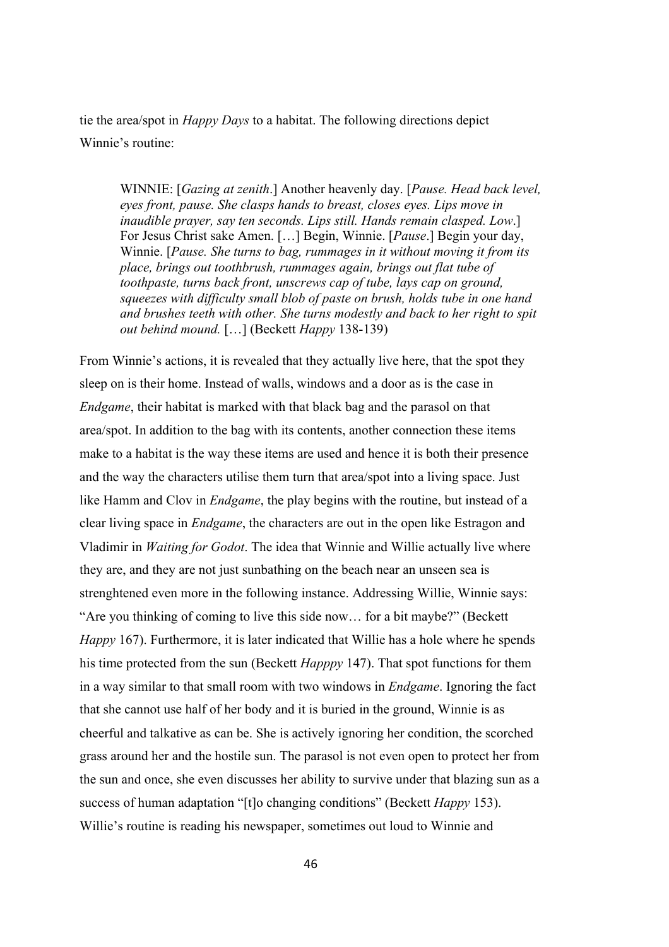tie the area/spot in *Happy Days* to a habitat. The following directions depict Winnie's routine:

WINNIE: [*Gazing at zenith*.] Another heavenly day. [*Pause. Head back level, eyes front, pause. She clasps hands to breast, closes eyes. Lips move in inaudible prayer, say ten seconds. Lips still. Hands remain clasped. Low*.] For Jesus Christ sake Amen. […] Begin, Winnie. [*Pause*.] Begin your day, Winnie. [*Pause. She turns to bag, rummages in it without moving it from its place, brings out toothbrush, rummages again, brings out flat tube of toothpaste, turns back front, unscrews cap of tube, lays cap on ground, squeezes with difficulty small blob of paste on brush, holds tube in one hand and brushes teeth with other. She turns modestly and back to her right to spit out behind mound.* […] (Beckett *Happy* 138-139)

From Winnie's actions, it is revealed that they actually live here, that the spot they sleep on is their home. Instead of walls, windows and a door as is the case in *Endgame*, their habitat is marked with that black bag and the parasol on that area/spot. In addition to the bag with its contents, another connection these items make to a habitat is the way these items are used and hence it is both their presence and the way the characters utilise them turn that area/spot into a living space. Just like Hamm and Clov in *Endgame*, the play begins with the routine, but instead of a clear living space in *Endgame*, the characters are out in the open like Estragon and Vladimir in *Waiting for Godot*. The idea that Winnie and Willie actually live where they are, and they are not just sunbathing on the beach near an unseen sea is strenghtened even more in the following instance. Addressing Willie, Winnie says: "Are you thinking of coming to live this side now… for a bit maybe?" (Beckett *Happy* 167). Furthermore, it is later indicated that Willie has a hole where he spends his time protected from the sun (Beckett *Happpy* 147). That spot functions for them in a way similar to that small room with two windows in *Endgame*. Ignoring the fact that she cannot use half of her body and it is buried in the ground, Winnie is as cheerful and talkative as can be. She is actively ignoring her condition, the scorched grass around her and the hostile sun. The parasol is not even open to protect her from the sun and once, she even discusses her ability to survive under that blazing sun as a success of human adaptation "[t]o changing conditions" (Beckett *Happy* 153). Willie's routine is reading his newspaper, sometimes out loud to Winnie and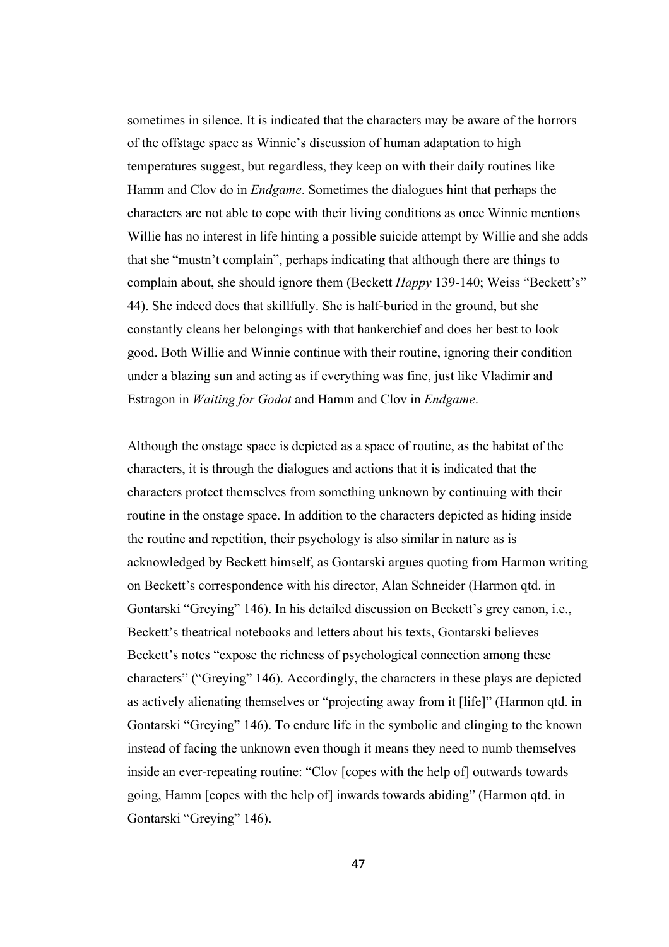sometimes in silence. It is indicated that the characters may be aware of the horrors of the offstage space as Winnie's discussion of human adaptation to high temperatures suggest, but regardless, they keep on with their daily routines like Hamm and Clov do in *Endgame*. Sometimes the dialogues hint that perhaps the characters are not able to cope with their living conditions as once Winnie mentions Willie has no interest in life hinting a possible suicide attempt by Willie and she adds that she "mustn't complain", perhaps indicating that although there are things to complain about, she should ignore them (Beckett *Happy* 139-140; Weiss "Beckett's" 44). She indeed does that skillfully. She is half-buried in the ground, but she constantly cleans her belongings with that hankerchief and does her best to look good. Both Willie and Winnie continue with their routine, ignoring their condition under a blazing sun and acting as if everything was fine, just like Vladimir and Estragon in *Waiting for Godot* and Hamm and Clov in *Endgame*.

Although the onstage space is depicted as a space of routine, as the habitat of the characters, it is through the dialogues and actions that it is indicated that the characters protect themselves from something unknown by continuing with their routine in the onstage space. In addition to the characters depicted as hiding inside the routine and repetition, their psychology is also similar in nature as is acknowledged by Beckett himself, as Gontarski argues quoting from Harmon writing on Beckett's correspondence with his director, Alan Schneider (Harmon qtd. in Gontarski "Greying" 146). In his detailed discussion on Beckett's grey canon, i.e., Beckett's theatrical notebooks and letters about his texts, Gontarski believes Beckett's notes "expose the richness of psychological connection among these characters" ("Greying" 146). Accordingly, the characters in these plays are depicted as actively alienating themselves or "projecting away from it [life]" (Harmon qtd. in Gontarski "Greying" 146). To endure life in the symbolic and clinging to the known instead of facing the unknown even though it means they need to numb themselves inside an ever-repeating routine: "Clov [copes with the help of] outwards towards going, Hamm [copes with the help of] inwards towards abiding" (Harmon qtd. in Gontarski "Greying" 146).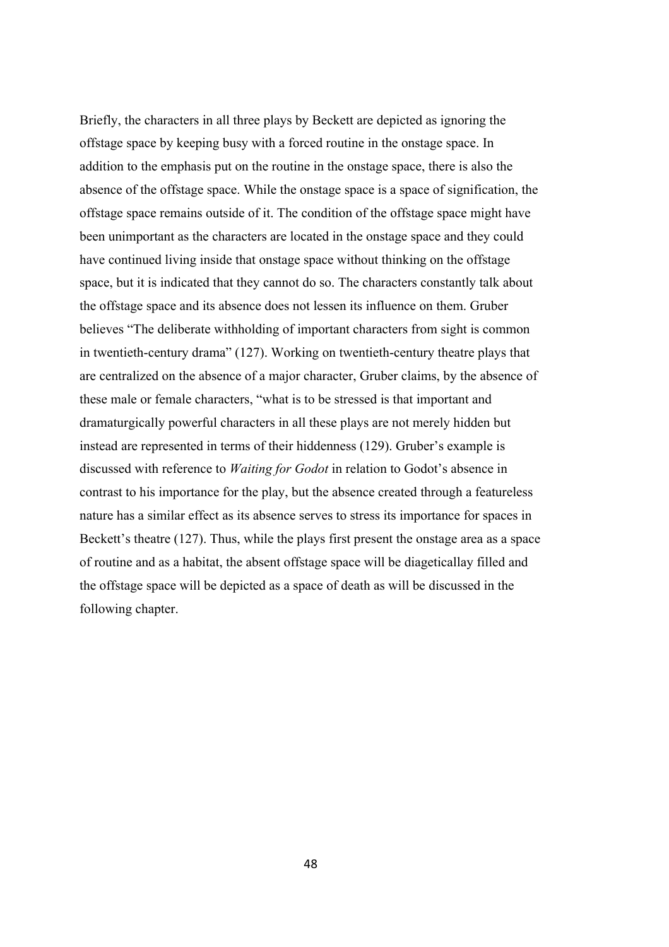Briefly, the characters in all three plays by Beckett are depicted as ignoring the offstage space by keeping busy with a forced routine in the onstage space. In addition to the emphasis put on the routine in the onstage space, there is also the absence of the offstage space. While the onstage space is a space of signification, the offstage space remains outside of it. The condition of the offstage space might have been unimportant as the characters are located in the onstage space and they could have continued living inside that onstage space without thinking on the offstage space, but it is indicated that they cannot do so. The characters constantly talk about the offstage space and its absence does not lessen its influence on them. Gruber believes "The deliberate withholding of important characters from sight is common in twentieth-century drama" (127). Working on twentieth-century theatre plays that are centralized on the absence of a major character, Gruber claims, by the absence of these male or female characters, "what is to be stressed is that important and dramaturgically powerful characters in all these plays are not merely hidden but instead are represented in terms of their hiddenness (129). Gruber's example is discussed with reference to *Waiting for Godot* in relation to Godot's absence in contrast to his importance for the play, but the absence created through a featureless nature has a similar effect as its absence serves to stress its importance for spaces in Beckett's theatre (127). Thus, while the plays first present the onstage area as a space of routine and as a habitat, the absent offstage space will be diageticallay filled and the offstage space will be depicted as a space of death as will be discussed in the following chapter.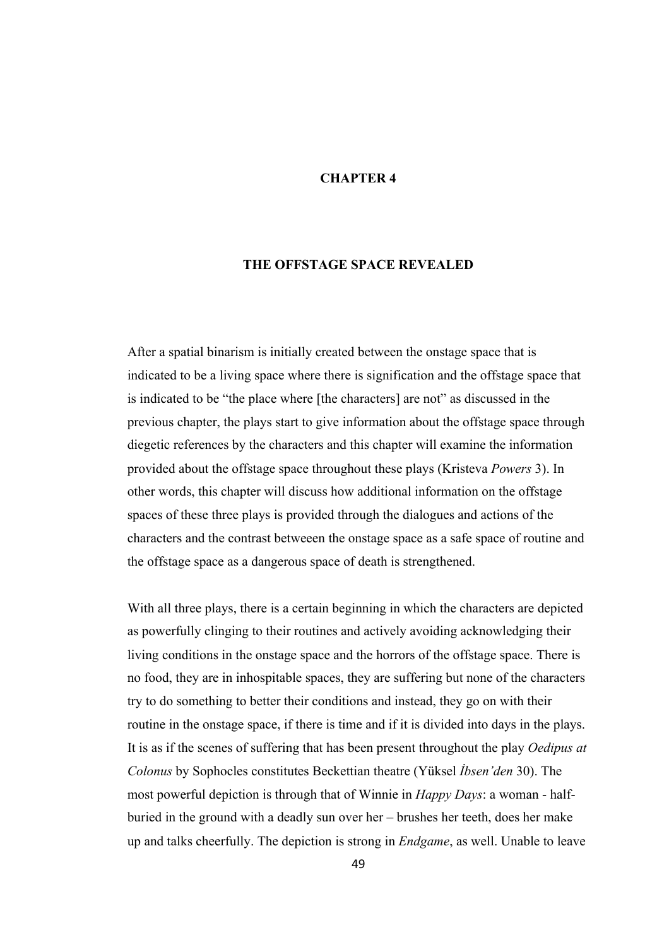# **CHAPTER 4**

# **THE OFFSTAGE SPACE REVEALED**

After a spatial binarism is initially created between the onstage space that is indicated to be a living space where there is signification and the offstage space that is indicated to be "the place where [the characters] are not" as discussed in the previous chapter, the plays start to give information about the offstage space through diegetic references by the characters and this chapter will examine the information provided about the offstage space throughout these plays (Kristeva *Powers* 3). In other words, this chapter will discuss how additional information on the offstage spaces of these three plays is provided through the dialogues and actions of the characters and the contrast betweeen the onstage space as a safe space of routine and the offstage space as a dangerous space of death is strengthened.

With all three plays, there is a certain beginning in which the characters are depicted as powerfully clinging to their routines and actively avoiding acknowledging their living conditions in the onstage space and the horrors of the offstage space. There is no food, they are in inhospitable spaces, they are suffering but none of the characters try to do something to better their conditions and instead, they go on with their routine in the onstage space, if there is time and if it is divided into days in the plays. It is as if the scenes of suffering that has been present throughout the play *Oedipus at Colonus* by Sophocles constitutes Beckettian theatre (Yüksel *İbsen'den* 30). The most powerful depiction is through that of Winnie in *Happy Days*: a woman - halfburied in the ground with a deadly sun over her – brushes her teeth, does her make up and talks cheerfully. The depiction is strong in *Endgame*, as well. Unable to leave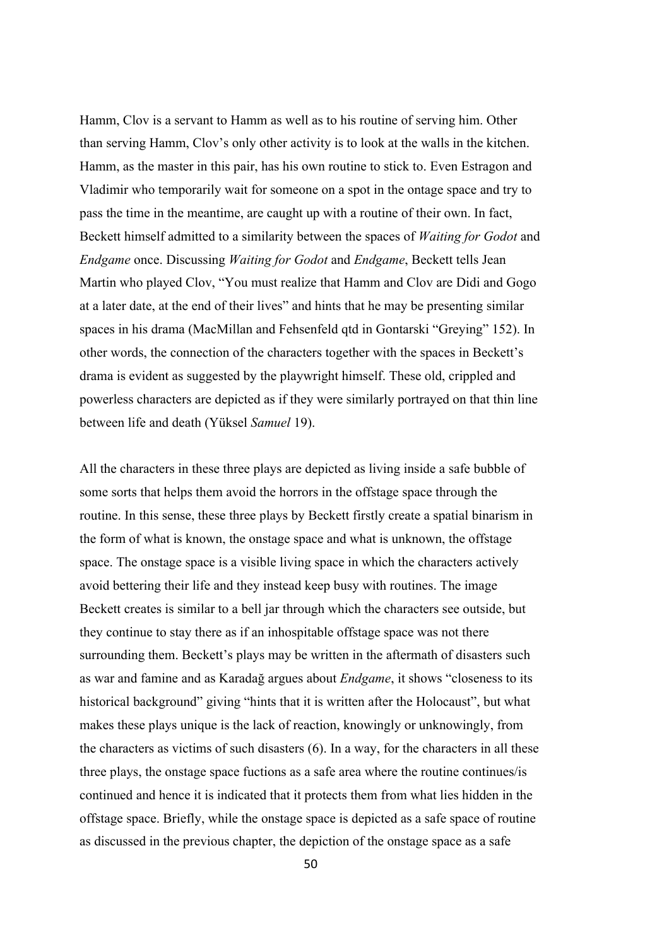Hamm, Clov is a servant to Hamm as well as to his routine of serving him. Other than serving Hamm, Clov's only other activity is to look at the walls in the kitchen. Hamm, as the master in this pair, has his own routine to stick to. Even Estragon and Vladimir who temporarily wait for someone on a spot in the ontage space and try to pass the time in the meantime, are caught up with a routine of their own. In fact, Beckett himself admitted to a similarity between the spaces of *Waiting for Godot* and *Endgame* once. Discussing *Waiting for Godot* and *Endgame*, Beckett tells Jean Martin who played Clov, "You must realize that Hamm and Clov are Didi and Gogo at a later date, at the end of their lives" and hints that he may be presenting similar spaces in his drama (MacMillan and Fehsenfeld qtd in Gontarski "Greying" 152). In other words, the connection of the characters together with the spaces in Beckett's drama is evident as suggested by the playwright himself. These old, crippled and powerless characters are depicted as if they were similarly portrayed on that thin line between life and death (Yüksel *Samuel* 19).

All the characters in these three plays are depicted as living inside a safe bubble of some sorts that helps them avoid the horrors in the offstage space through the routine. In this sense, these three plays by Beckett firstly create a spatial binarism in the form of what is known, the onstage space and what is unknown, the offstage space. The onstage space is a visible living space in which the characters actively avoid bettering their life and they instead keep busy with routines. The image Beckett creates is similar to a bell jar through which the characters see outside, but they continue to stay there as if an inhospitable offstage space was not there surrounding them. Beckett's plays may be written in the aftermath of disasters such as war and famine and as Karadağ argues about *Endgame*, it shows "closeness to its historical background" giving "hints that it is written after the Holocaust", but what makes these plays unique is the lack of reaction, knowingly or unknowingly, from the characters as victims of such disasters (6). In a way, for the characters in all these three plays, the onstage space fuctions as a safe area where the routine continues/is continued and hence it is indicated that it protects them from what lies hidden in the offstage space. Briefly, while the onstage space is depicted as a safe space of routine as discussed in the previous chapter, the depiction of the onstage space as a safe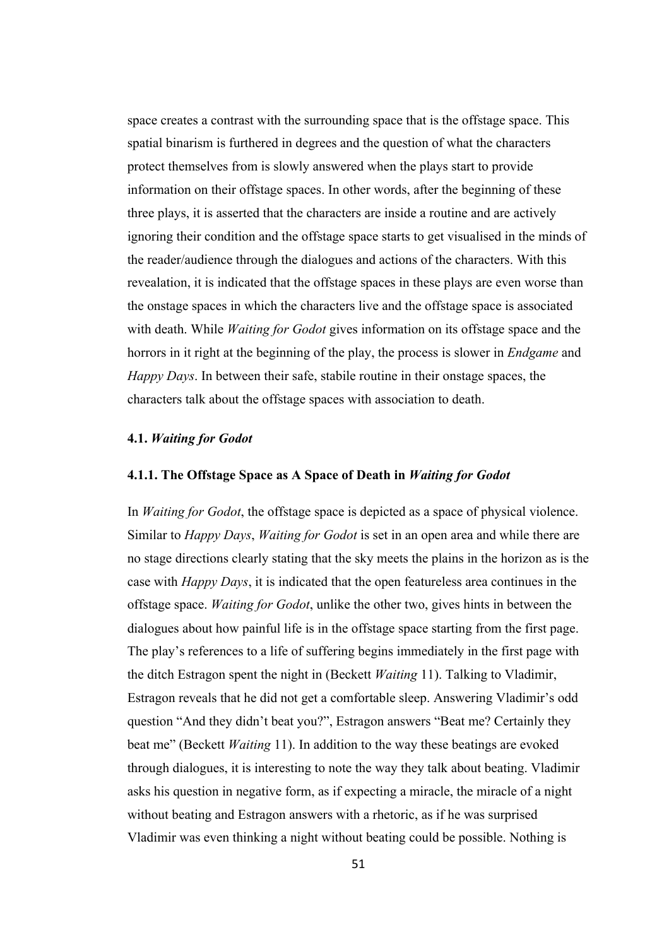space creates a contrast with the surrounding space that is the offstage space. This spatial binarism is furthered in degrees and the question of what the characters protect themselves from is slowly answered when the plays start to provide information on their offstage spaces. In other words, after the beginning of these three plays, it is asserted that the characters are inside a routine and are actively ignoring their condition and the offstage space starts to get visualised in the minds of the reader/audience through the dialogues and actions of the characters. With this revealation, it is indicated that the offstage spaces in these plays are even worse than the onstage spaces in which the characters live and the offstage space is associated with death. While *Waiting for Godot* gives information on its offstage space and the horrors in it right at the beginning of the play, the process is slower in *Endgame* and *Happy Days*. In between their safe, stabile routine in their onstage spaces, the characters talk about the offstage spaces with association to death.

## **4.1.** *Waiting for Godot*

# **4.1.1. The Offstage Space as A Space of Death in** *Waiting for Godot*

In *Waiting for Godot*, the offstage space is depicted as a space of physical violence. Similar to *Happy Days*, *Waiting for Godot* is set in an open area and while there are no stage directions clearly stating that the sky meets the plains in the horizon as is the case with *Happy Days*, it is indicated that the open featureless area continues in the offstage space. *Waiting for Godot*, unlike the other two, gives hints in between the dialogues about how painful life is in the offstage space starting from the first page. The play's references to a life of suffering begins immediately in the first page with the ditch Estragon spent the night in (Beckett *Waiting* 11). Talking to Vladimir, Estragon reveals that he did not get a comfortable sleep. Answering Vladimir's odd question "And they didn't beat you?", Estragon answers "Beat me? Certainly they beat me" (Beckett *Waiting* 11). In addition to the way these beatings are evoked through dialogues, it is interesting to note the way they talk about beating. Vladimir asks his question in negative form, as if expecting a miracle, the miracle of a night without beating and Estragon answers with a rhetoric, as if he was surprised Vladimir was even thinking a night without beating could be possible. Nothing is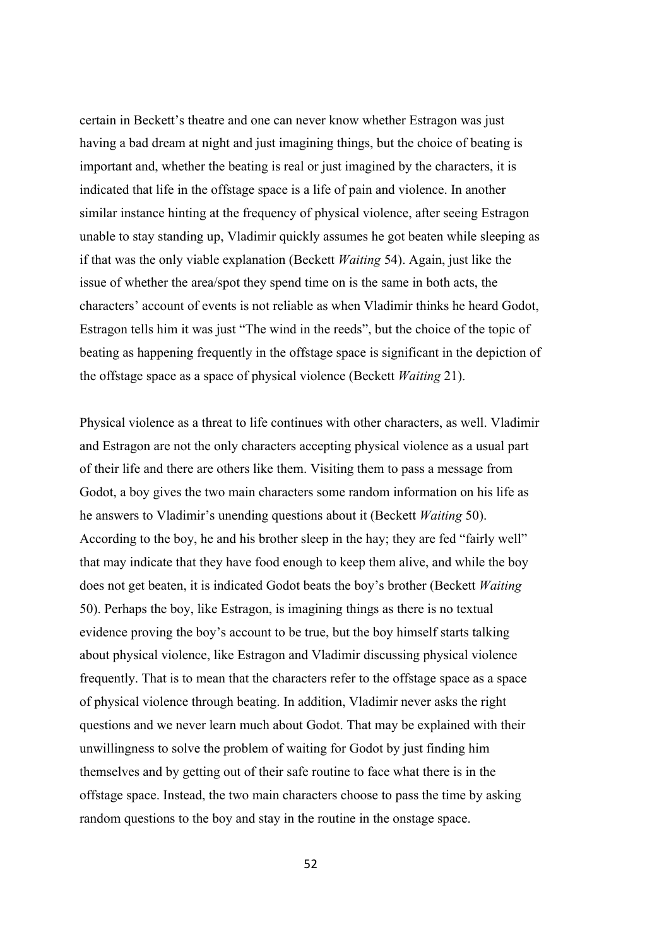certain in Beckett's theatre and one can never know whether Estragon was just having a bad dream at night and just imagining things, but the choice of beating is important and, whether the beating is real or just imagined by the characters, it is indicated that life in the offstage space is a life of pain and violence. In another similar instance hinting at the frequency of physical violence, after seeing Estragon unable to stay standing up, Vladimir quickly assumes he got beaten while sleeping as if that was the only viable explanation (Beckett *Waiting* 54). Again, just like the issue of whether the area/spot they spend time on is the same in both acts, the characters' account of events is not reliable as when Vladimir thinks he heard Godot, Estragon tells him it was just "The wind in the reeds", but the choice of the topic of beating as happening frequently in the offstage space is significant in the depiction of the offstage space as a space of physical violence (Beckett *Waiting* 21).

Physical violence as a threat to life continues with other characters, as well. Vladimir and Estragon are not the only characters accepting physical violence as a usual part of their life and there are others like them. Visiting them to pass a message from Godot, a boy gives the two main characters some random information on his life as he answers to Vladimir's unending questions about it (Beckett *Waiting* 50). According to the boy, he and his brother sleep in the hay; they are fed "fairly well" that may indicate that they have food enough to keep them alive, and while the boy does not get beaten, it is indicated Godot beats the boy's brother (Beckett *Waiting* 50). Perhaps the boy, like Estragon, is imagining things as there is no textual evidence proving the boy's account to be true, but the boy himself starts talking about physical violence, like Estragon and Vladimir discussing physical violence frequently. That is to mean that the characters refer to the offstage space as a space of physical violence through beating. In addition, Vladimir never asks the right questions and we never learn much about Godot. That may be explained with their unwillingness to solve the problem of waiting for Godot by just finding him themselves and by getting out of their safe routine to face what there is in the offstage space. Instead, the two main characters choose to pass the time by asking random questions to the boy and stay in the routine in the onstage space.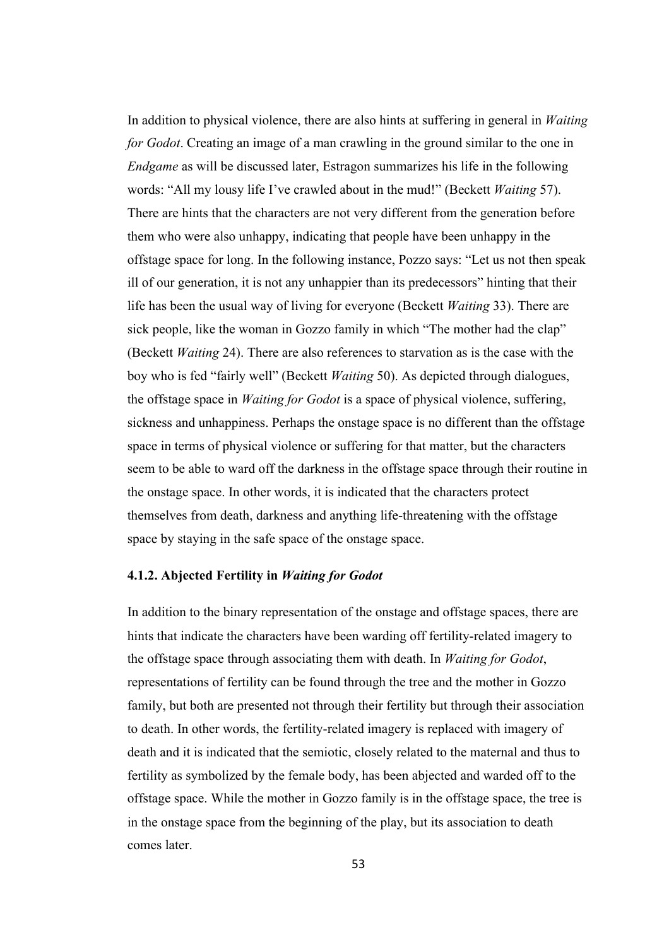In addition to physical violence, there are also hints at suffering in general in *Waiting for Godot*. Creating an image of a man crawling in the ground similar to the one in *Endgame* as will be discussed later, Estragon summarizes his life in the following words: "All my lousy life I've crawled about in the mud!" (Beckett *Waiting* 57). There are hints that the characters are not very different from the generation before them who were also unhappy, indicating that people have been unhappy in the offstage space for long. In the following instance, Pozzo says: "Let us not then speak ill of our generation, it is not any unhappier than its predecessors" hinting that their life has been the usual way of living for everyone (Beckett *Waiting* 33). There are sick people, like the woman in Gozzo family in which "The mother had the clap" (Beckett *Waiting* 24). There are also references to starvation as is the case with the boy who is fed "fairly well" (Beckett *Waiting* 50). As depicted through dialogues, the offstage space in *Waiting for Godot* is a space of physical violence, suffering, sickness and unhappiness. Perhaps the onstage space is no different than the offstage space in terms of physical violence or suffering for that matter, but the characters seem to be able to ward off the darkness in the offstage space through their routine in the onstage space. In other words, it is indicated that the characters protect themselves from death, darkness and anything life-threatening with the offstage space by staying in the safe space of the onstage space.

## **4.1.2. Abjected Fertility in** *Waiting for Godot*

In addition to the binary representation of the onstage and offstage spaces, there are hints that indicate the characters have been warding off fertility-related imagery to the offstage space through associating them with death. In *Waiting for Godot*, representations of fertility can be found through the tree and the mother in Gozzo family, but both are presented not through their fertility but through their association to death. In other words, the fertility-related imagery is replaced with imagery of death and it is indicated that the semiotic, closely related to the maternal and thus to fertility as symbolized by the female body, has been abjected and warded off to the offstage space. While the mother in Gozzo family is in the offstage space, the tree is in the onstage space from the beginning of the play, but its association to death comes later.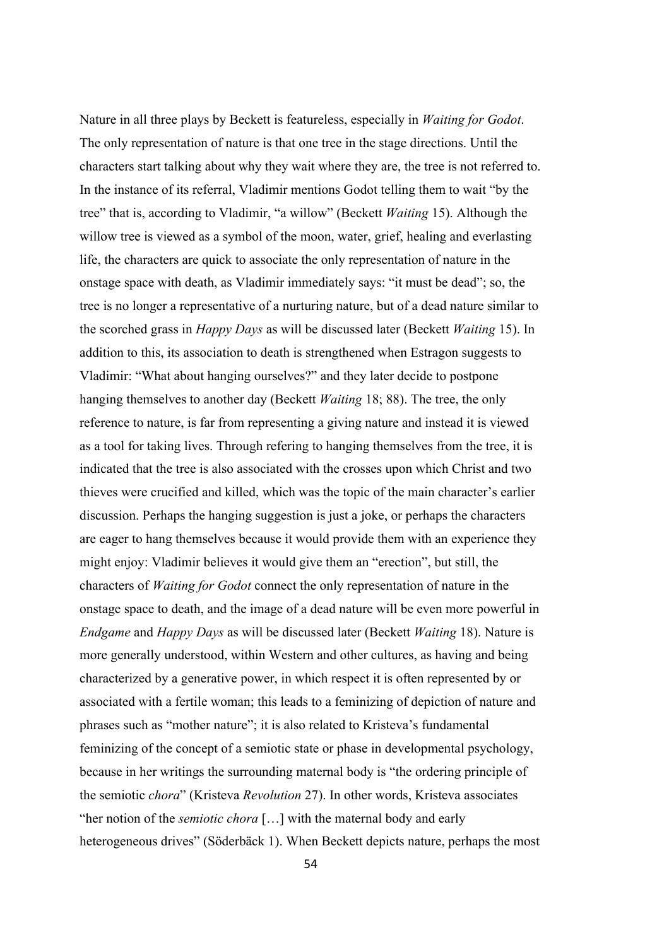Nature in all three plays by Beckett is featureless, especially in *Waiting for Godot*. The only representation of nature is that one tree in the stage directions. Until the characters start talking about why they wait where they are, the tree is not referred to. In the instance of its referral, Vladimir mentions Godot telling them to wait "by the tree" that is, according to Vladimir, "a willow" (Beckett *Waiting* 15). Although the willow tree is viewed as a symbol of the moon, water, grief, healing and everlasting life, the characters are quick to associate the only representation of nature in the onstage space with death, as Vladimir immediately says: "it must be dead"; so, the tree is no longer a representative of a nurturing nature, but of a dead nature similar to the scorched grass in *Happy Days* as will be discussed later (Beckett *Waiting* 15). In addition to this, its association to death is strengthened when Estragon suggests to Vladimir: "What about hanging ourselves?" and they later decide to postpone hanging themselves to another day (Beckett *Waiting* 18; 88). The tree, the only reference to nature, is far from representing a giving nature and instead it is viewed as a tool for taking lives. Through refering to hanging themselves from the tree, it is indicated that the tree is also associated with the crosses upon which Christ and two thieves were crucified and killed, which was the topic of the main character's earlier discussion. Perhaps the hanging suggestion is just a joke, or perhaps the characters are eager to hang themselves because it would provide them with an experience they might enjoy: Vladimir believes it would give them an "erection", but still, the characters of *Waiting for Godot* connect the only representation of nature in the onstage space to death, and the image of a dead nature will be even more powerful in *Endgame* and *Happy Days* as will be discussed later (Beckett *Waiting* 18). Nature is more generally understood, within Western and other cultures, as having and being characterized by a generative power, in which respect it is often represented by or associated with a fertile woman; this leads to a feminizing of depiction of nature and phrases such as "mother nature"; it is also related to Kristeva's fundamental feminizing of the concept of a semiotic state or phase in developmental psychology, because in her writings the surrounding maternal body is "the ordering principle of the semiotic *chora*" (Kristeva *Revolution* 27). In other words, Kristeva associates "her notion of the *semiotic chora* […] with the maternal body and early heterogeneous drives" (Söderbäck 1). When Beckett depicts nature, perhaps the most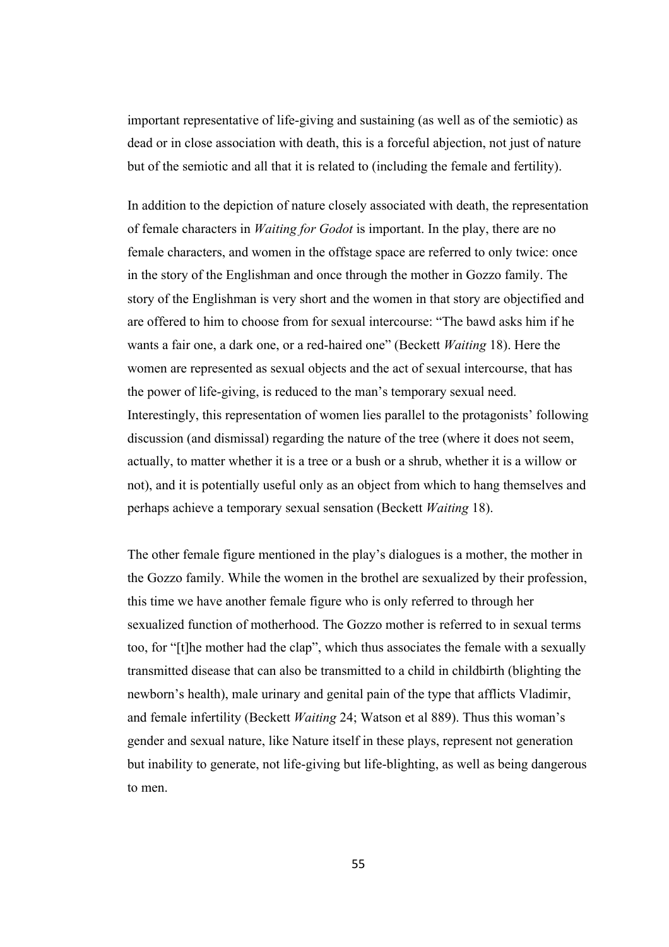important representative of life-giving and sustaining (as well as of the semiotic) as dead or in close association with death, this is a forceful abjection, not just of nature but of the semiotic and all that it is related to (including the female and fertility).

In addition to the depiction of nature closely associated with death, the representation of female characters in *Waiting for Godot* is important. In the play, there are no female characters, and women in the offstage space are referred to only twice: once in the story of the Englishman and once through the mother in Gozzo family. The story of the Englishman is very short and the women in that story are objectified and are offered to him to choose from for sexual intercourse: "The bawd asks him if he wants a fair one, a dark one, or a red-haired one" (Beckett *Waiting* 18). Here the women are represented as sexual objects and the act of sexual intercourse, that has the power of life-giving, is reduced to the man's temporary sexual need. Interestingly, this representation of women lies parallel to the protagonists' following discussion (and dismissal) regarding the nature of the tree (where it does not seem, actually, to matter whether it is a tree or a bush or a shrub, whether it is a willow or not), and it is potentially useful only as an object from which to hang themselves and perhaps achieve a temporary sexual sensation (Beckett *Waiting* 18).

The other female figure mentioned in the play's dialogues is a mother, the mother in the Gozzo family. While the women in the brothel are sexualized by their profession, this time we have another female figure who is only referred to through her sexualized function of motherhood. The Gozzo mother is referred to in sexual terms too, for "[t]he mother had the clap", which thus associates the female with a sexually transmitted disease that can also be transmitted to a child in childbirth (blighting the newborn's health), male urinary and genital pain of the type that afflicts Vladimir, and female infertility (Beckett *Waiting* 24; Watson et al 889). Thus this woman's gender and sexual nature, like Nature itself in these plays, represent not generation but inability to generate, not life-giving but life-blighting, as well as being dangerous to men.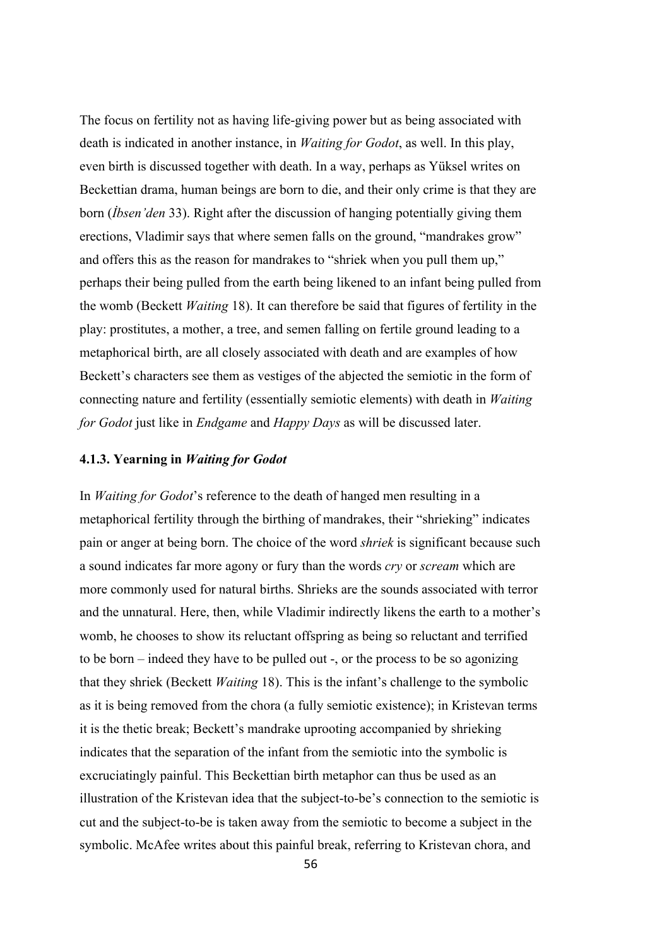The focus on fertility not as having life-giving power but as being associated with death is indicated in another instance, in *Waiting for Godot*, as well. In this play, even birth is discussed together with death. In a way, perhaps as Yüksel writes on Beckettian drama, human beings are born to die, and their only crime is that they are born (*İbsen'den* 33). Right after the discussion of hanging potentially giving them erections, Vladimir says that where semen falls on the ground, "mandrakes grow" and offers this as the reason for mandrakes to "shriek when you pull them up," perhaps their being pulled from the earth being likened to an infant being pulled from the womb (Beckett *Waiting* 18). It can therefore be said that figures of fertility in the play: prostitutes, a mother, a tree, and semen falling on fertile ground leading to a metaphorical birth, are all closely associated with death and are examples of how Beckett's characters see them as vestiges of the abjected the semiotic in the form of connecting nature and fertility (essentially semiotic elements) with death in *Waiting for Godot* just like in *Endgame* and *Happy Days* as will be discussed later.

## **4.1.3. Yearning in** *Waiting for Godot*

In *Waiting for Godot*'s reference to the death of hanged men resulting in a metaphorical fertility through the birthing of mandrakes, their "shrieking" indicates pain or anger at being born. The choice of the word *shriek* is significant because such a sound indicates far more agony or fury than the words *cry* or *scream* which are more commonly used for natural births. Shrieks are the sounds associated with terror and the unnatural. Here, then, while Vladimir indirectly likens the earth to a mother's womb, he chooses to show its reluctant offspring as being so reluctant and terrified to be born – indeed they have to be pulled out -, or the process to be so agonizing that they shriek (Beckett *Waiting* 18). This is the infant's challenge to the symbolic as it is being removed from the chora (a fully semiotic existence); in Kristevan terms it is the thetic break; Beckett's mandrake uprooting accompanied by shrieking indicates that the separation of the infant from the semiotic into the symbolic is excruciatingly painful. This Beckettian birth metaphor can thus be used as an illustration of the Kristevan idea that the subject-to-be's connection to the semiotic is cut and the subject-to-be is taken away from the semiotic to become a subject in the symbolic. McAfee writes about this painful break, referring to Kristevan chora, and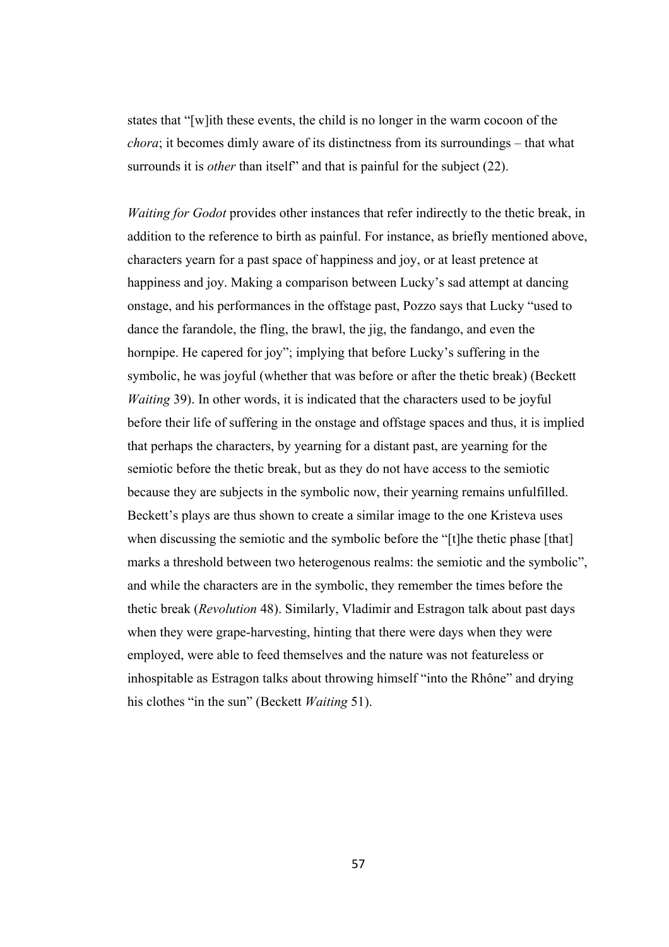states that "[w]ith these events, the child is no longer in the warm cocoon of the *chora*; it becomes dimly aware of its distinctness from its surroundings – that what surrounds it is *other* than itself" and that is painful for the subject (22).

*Waiting for Godot* provides other instances that refer indirectly to the thetic break, in addition to the reference to birth as painful. For instance, as briefly mentioned above, characters yearn for a past space of happiness and joy, or at least pretence at happiness and joy. Making a comparison between Lucky's sad attempt at dancing onstage, and his performances in the offstage past, Pozzo says that Lucky "used to dance the farandole, the fling, the brawl, the jig, the fandango, and even the hornpipe. He capered for joy"; implying that before Lucky's suffering in the symbolic, he was joyful (whether that was before or after the thetic break) (Beckett *Waiting* 39). In other words, it is indicated that the characters used to be joyful before their life of suffering in the onstage and offstage spaces and thus, it is implied that perhaps the characters, by yearning for a distant past, are yearning for the semiotic before the thetic break, but as they do not have access to the semiotic because they are subjects in the symbolic now, their yearning remains unfulfilled. Beckett's plays are thus shown to create a similar image to the one Kristeva uses when discussing the semiotic and the symbolic before the "[t]he thetic phase [that] marks a threshold between two heterogenous realms: the semiotic and the symbolic", and while the characters are in the symbolic, they remember the times before the thetic break (*Revolution* 48). Similarly, Vladimir and Estragon talk about past days when they were grape-harvesting, hinting that there were days when they were employed, were able to feed themselves and the nature was not featureless or inhospitable as Estragon talks about throwing himself "into the Rhône" and drying his clothes "in the sun" (Beckett *Waiting* 51).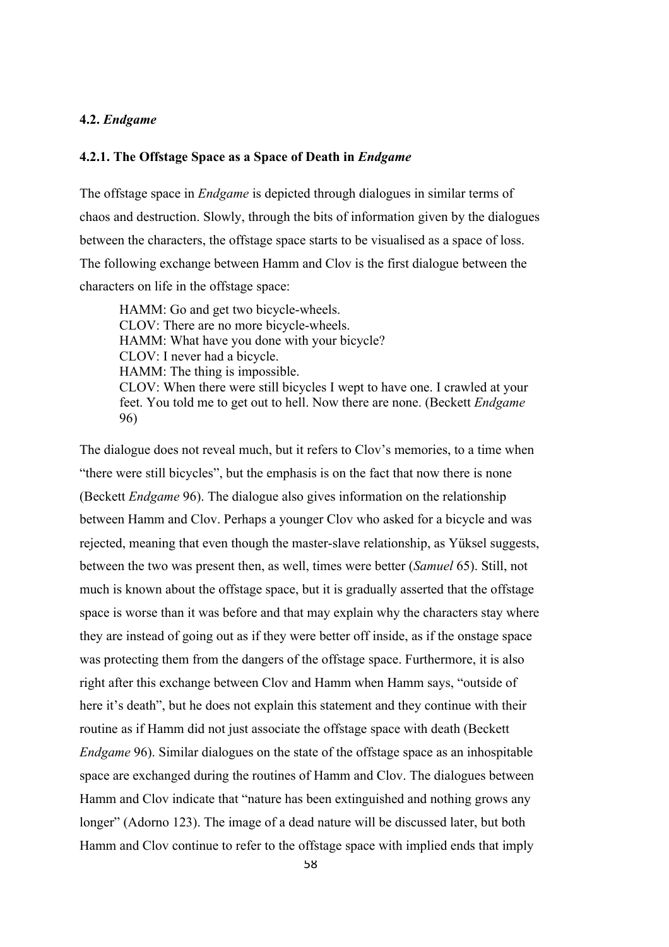# **4.2.** *Endgame*

# **4.2.1. The Offstage Space as a Space of Death in** *Endgame*

The offstage space in *Endgame* is depicted through dialogues in similar terms of chaos and destruction. Slowly, through the bits of information given by the dialogues between the characters, the offstage space starts to be visualised as a space of loss. The following exchange between Hamm and Clov is the first dialogue between the characters on life in the offstage space:

HAMM: Go and get two bicycle-wheels. CLOV: There are no more bicycle-wheels. HAMM: What have you done with your bicycle? CLOV: I never had a bicycle. HAMM: The thing is impossible. CLOV: When there were still bicycles I wept to have one. I crawled at your feet. You told me to get out to hell. Now there are none. (Beckett *Endgame* 96)

The dialogue does not reveal much, but it refers to Clov's memories, to a time when "there were still bicycles", but the emphasis is on the fact that now there is none (Beckett *Endgame* 96). The dialogue also gives information on the relationship between Hamm and Clov. Perhaps a younger Clov who asked for a bicycle and was rejected, meaning that even though the master-slave relationship, as Yüksel suggests, between the two was present then, as well, times were better (*Samuel* 65). Still, not much is known about the offstage space, but it is gradually asserted that the offstage space is worse than it was before and that may explain why the characters stay where they are instead of going out as if they were better off inside, as if the onstage space was protecting them from the dangers of the offstage space. Furthermore, it is also right after this exchange between Clov and Hamm when Hamm says, "outside of here it's death", but he does not explain this statement and they continue with their routine as if Hamm did not just associate the offstage space with death (Beckett *Endgame* 96). Similar dialogues on the state of the offstage space as an inhospitable space are exchanged during the routines of Hamm and Clov. The dialogues between Hamm and Clov indicate that "nature has been extinguished and nothing grows any longer" (Adorno 123). The image of a dead nature will be discussed later, but both Hamm and Clov continue to refer to the offstage space with implied ends that imply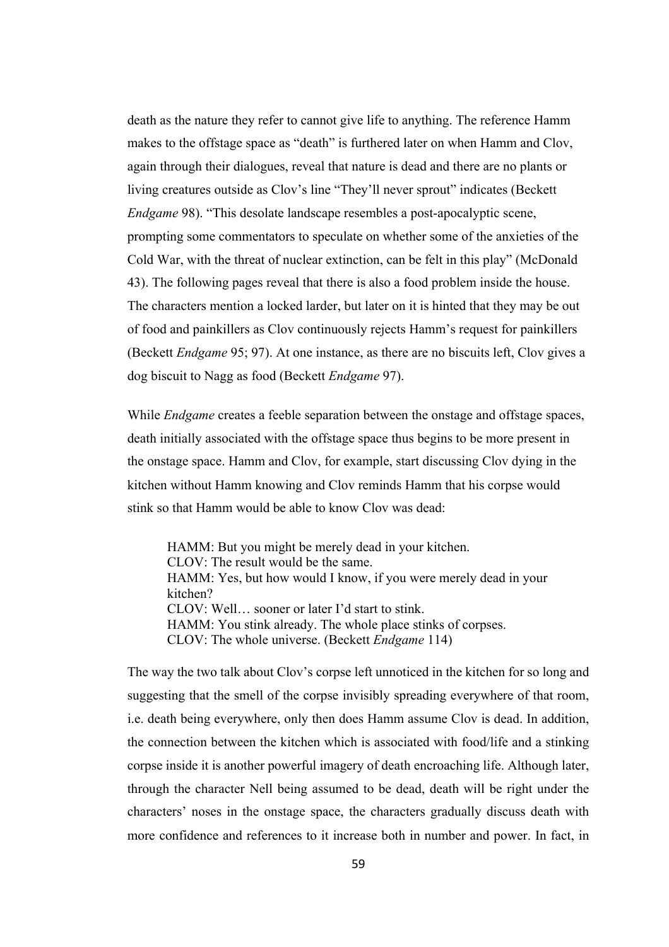death as the nature they refer to cannot give life to anything. The reference Hamm makes to the offstage space as "death" is furthered later on when Hamm and Clov, again through their dialogues, reveal that nature is dead and there are no plants or living creatures outside as Clov's line "They'll never sprout" indicates (Beckett *Endgame* 98). "This desolate landscape resembles a post-apocalyptic scene, prompting some commentators to speculate on whether some of the anxieties of the Cold War, with the threat of nuclear extinction, can be felt in this play" (McDonald 43). The following pages reveal that there is also a food problem inside the house. The characters mention a locked larder, but later on it is hinted that they may be out of food and painkillers as Clov continuously rejects Hamm's request for painkillers (Beckett *Endgame* 95; 97). At one instance, as there are no biscuits left, Clov gives a dog biscuit to Nagg as food (Beckett *Endgame* 97).

While *Endgame* creates a feeble separation between the onstage and offstage spaces, death initially associated with the offstage space thus begins to be more present in the onstage space. Hamm and Clov, for example, start discussing Clov dying in the kitchen without Hamm knowing and Clov reminds Hamm that his corpse would stink so that Hamm would be able to know Clov was dead:

HAMM: But you might be merely dead in your kitchen. CLOV: The result would be the same. HAMM: Yes, but how would I know, if you were merely dead in your kitchen? CLOV: Well… sooner or later I'd start to stink. HAMM: You stink already. The whole place stinks of corpses. CLOV: The whole universe. (Beckett *Endgame* 114)

The way the two talk about Clov's corpse left unnoticed in the kitchen for so long and suggesting that the smell of the corpse invisibly spreading everywhere of that room, i.e. death being everywhere, only then does Hamm assume Clov is dead. In addition, the connection between the kitchen which is associated with food/life and a stinking corpse inside it is another powerful imagery of death encroaching life. Although later, through the character Nell being assumed to be dead, death will be right under the characters' noses in the onstage space, the characters gradually discuss death with more confidence and references to it increase both in number and power. In fact, in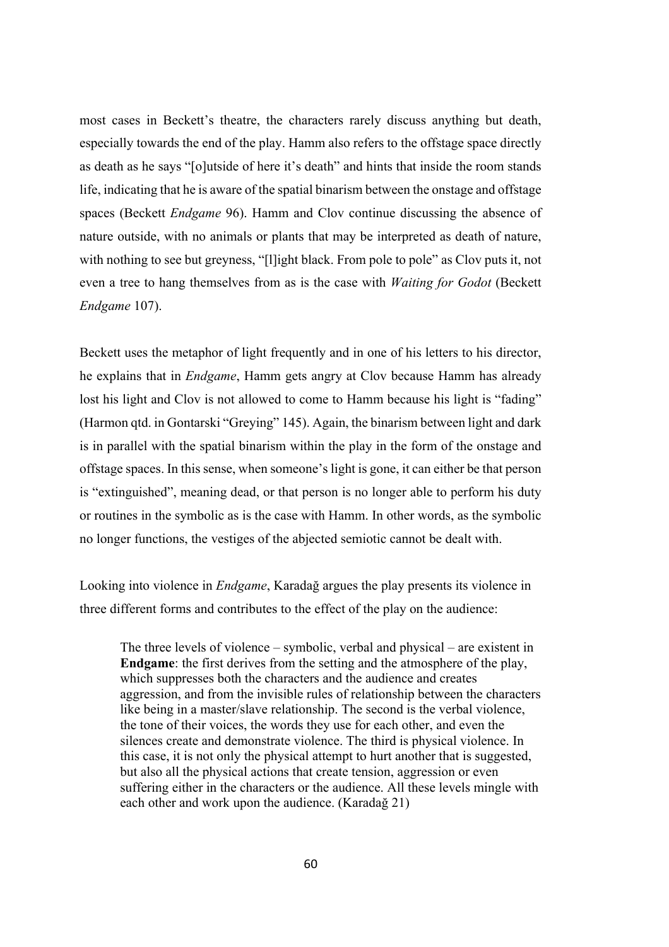most cases in Beckett's theatre, the characters rarely discuss anything but death, especially towards the end of the play. Hamm also refers to the offstage space directly as death as he says "[o]utside of here it's death" and hints that inside the room stands life, indicating that he is aware of the spatial binarism between the onstage and offstage spaces (Beckett *Endgame* 96). Hamm and Clov continue discussing the absence of nature outside, with no animals or plants that may be interpreted as death of nature, with nothing to see but greyness, "[l]ight black. From pole to pole" as Clov puts it, not even a tree to hang themselves from as is the case with *Waiting for Godot* (Beckett *Endgame* 107).

Beckett uses the metaphor of light frequently and in one of his letters to his director, he explains that in *Endgame*, Hamm gets angry at Clov because Hamm has already lost his light and Clov is not allowed to come to Hamm because his light is "fading" (Harmon qtd. in Gontarski "Greying" 145). Again, the binarism between light and dark is in parallel with the spatial binarism within the play in the form of the onstage and offstage spaces. In this sense, when someone's light is gone, it can either be that person is "extinguished", meaning dead, or that person is no longer able to perform his duty or routines in the symbolic as is the case with Hamm. In other words, as the symbolic no longer functions, the vestiges of the abjected semiotic cannot be dealt with.

Looking into violence in *Endgame*, Karadağ argues the play presents its violence in three different forms and contributes to the effect of the play on the audience:

The three levels of violence – symbolic, verbal and physical – are existent in **Endgame**: the first derives from the setting and the atmosphere of the play, which suppresses both the characters and the audience and creates aggression, and from the invisible rules of relationship between the characters like being in a master/slave relationship. The second is the verbal violence, the tone of their voices, the words they use for each other, and even the silences create and demonstrate violence. The third is physical violence. In this case, it is not only the physical attempt to hurt another that is suggested, but also all the physical actions that create tension, aggression or even suffering either in the characters or the audience. All these levels mingle with each other and work upon the audience. (Karadağ 21)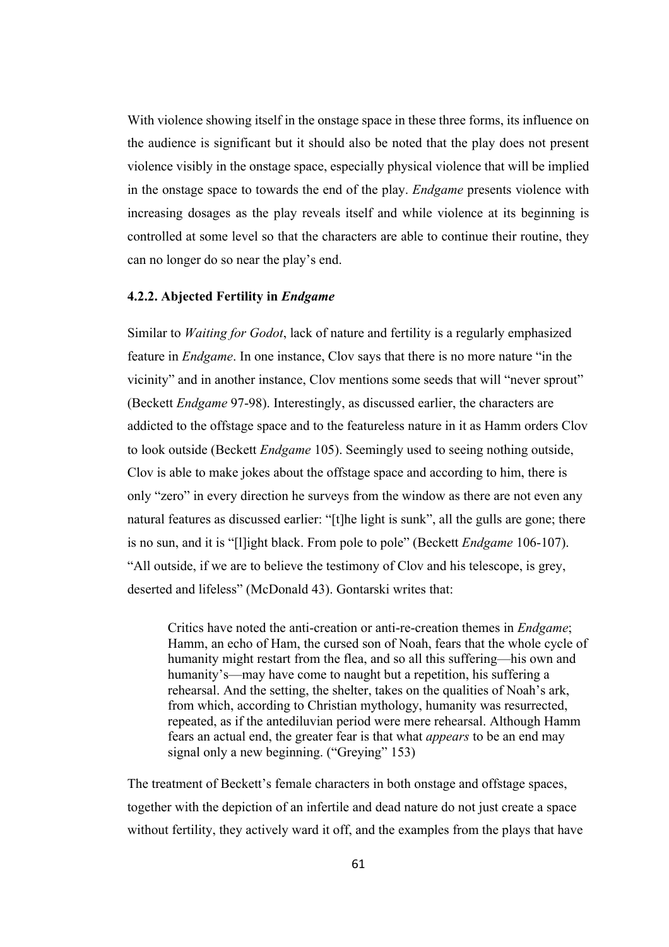With violence showing itself in the onstage space in these three forms, its influence on the audience is significant but it should also be noted that the play does not present violence visibly in the onstage space, especially physical violence that will be implied in the onstage space to towards the end of the play. *Endgame* presents violence with increasing dosages as the play reveals itself and while violence at its beginning is controlled at some level so that the characters are able to continue their routine, they can no longer do so near the play's end.

### **4.2.2. Abjected Fertility in** *Endgame*

Similar to *Waiting for Godot*, lack of nature and fertility is a regularly emphasized feature in *Endgame*. In one instance, Clov says that there is no more nature "in the vicinity" and in another instance, Clov mentions some seeds that will "never sprout" (Beckett *Endgame* 97-98). Interestingly, as discussed earlier, the characters are addicted to the offstage space and to the featureless nature in it as Hamm orders Clov to look outside (Beckett *Endgame* 105). Seemingly used to seeing nothing outside, Clov is able to make jokes about the offstage space and according to him, there is only "zero" in every direction he surveys from the window as there are not even any natural features as discussed earlier: "[t]he light is sunk", all the gulls are gone; there is no sun, and it is "[l]ight black. From pole to pole" (Beckett *Endgame* 106-107). "All outside, if we are to believe the testimony of Clov and his telescope, is grey, deserted and lifeless" (McDonald 43). Gontarski writes that:

Critics have noted the anti-creation or anti-re-creation themes in *Endgame*; Hamm, an echo of Ham, the cursed son of Noah, fears that the whole cycle of humanity might restart from the flea, and so all this suffering—his own and humanity's—may have come to naught but a repetition, his suffering a rehearsal. And the setting, the shelter, takes on the qualities of Noah's ark, from which, according to Christian mythology, humanity was resurrected, repeated, as if the antediluvian period were mere rehearsal. Although Hamm fears an actual end, the greater fear is that what *appears* to be an end may signal only a new beginning. ("Greying" 153)

The treatment of Beckett's female characters in both onstage and offstage spaces, together with the depiction of an infertile and dead nature do not just create a space without fertility, they actively ward it off, and the examples from the plays that have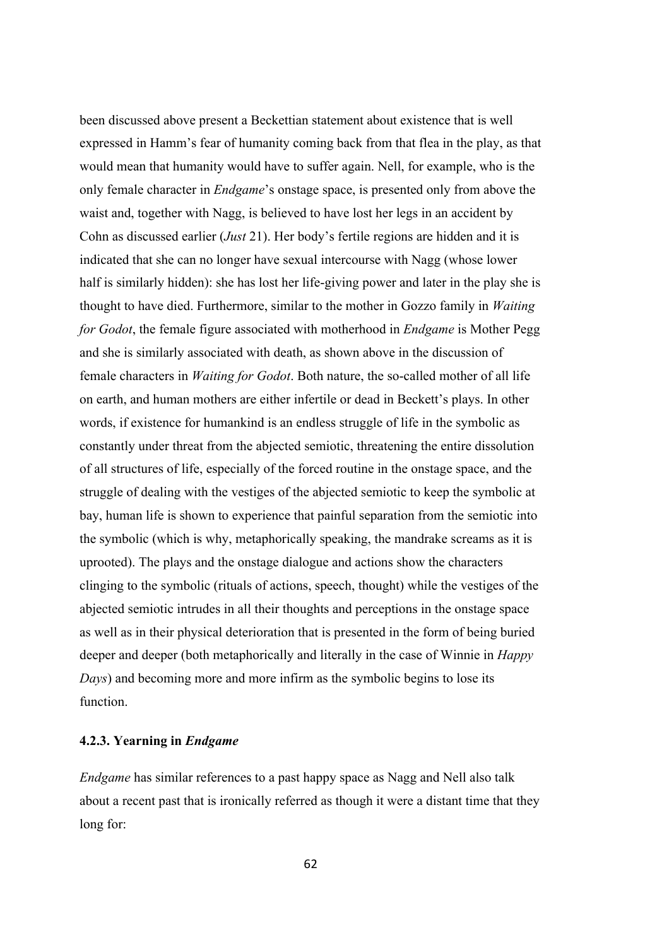been discussed above present a Beckettian statement about existence that is well expressed in Hamm's fear of humanity coming back from that flea in the play, as that would mean that humanity would have to suffer again. Nell, for example, who is the only female character in *Endgame*'s onstage space, is presented only from above the waist and, together with Nagg, is believed to have lost her legs in an accident by Cohn as discussed earlier (*Just* 21). Her body's fertile regions are hidden and it is indicated that she can no longer have sexual intercourse with Nagg (whose lower half is similarly hidden): she has lost her life-giving power and later in the play she is thought to have died. Furthermore, similar to the mother in Gozzo family in *Waiting for Godot*, the female figure associated with motherhood in *Endgame* is Mother Pegg and she is similarly associated with death, as shown above in the discussion of female characters in *Waiting for Godot*. Both nature, the so-called mother of all life on earth, and human mothers are either infertile or dead in Beckett's plays. In other words, if existence for humankind is an endless struggle of life in the symbolic as constantly under threat from the abjected semiotic, threatening the entire dissolution of all structures of life, especially of the forced routine in the onstage space, and the struggle of dealing with the vestiges of the abjected semiotic to keep the symbolic at bay, human life is shown to experience that painful separation from the semiotic into the symbolic (which is why, metaphorically speaking, the mandrake screams as it is uprooted). The plays and the onstage dialogue and actions show the characters clinging to the symbolic (rituals of actions, speech, thought) while the vestiges of the abjected semiotic intrudes in all their thoughts and perceptions in the onstage space as well as in their physical deterioration that is presented in the form of being buried deeper and deeper (both metaphorically and literally in the case of Winnie in *Happy Days*) and becoming more and more infirm as the symbolic begins to lose its function.

### **4.2.3. Yearning in** *Endgame*

*Endgame* has similar references to a past happy space as Nagg and Nell also talk about a recent past that is ironically referred as though it were a distant time that they long for: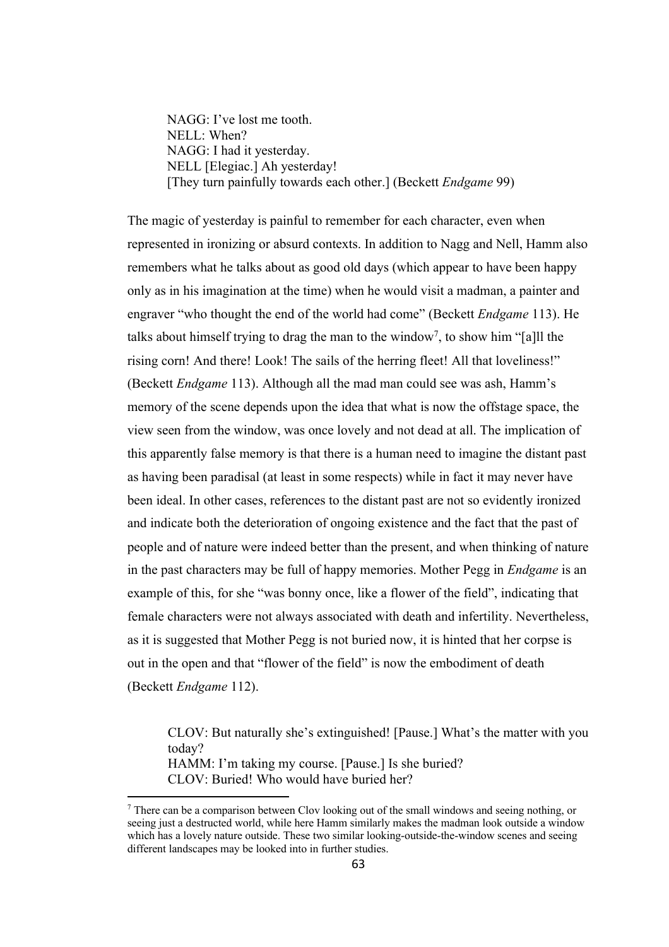NAGG: I've lost me tooth. NELL: When? NAGG: I had it yesterday. NELL [Elegiac.] Ah yesterday! [They turn painfully towards each other.] (Beckett *Endgame* 99)

The magic of yesterday is painful to remember for each character, even when represented in ironizing or absurd contexts. In addition to Nagg and Nell, Hamm also remembers what he talks about as good old days (which appear to have been happy only as in his imagination at the time) when he would visit a madman, a painter and engraver "who thought the end of the world had come" (Beckett *Endgame* 113). He talks about himself trying to drag the man to the window<sup>7</sup>, to show him "[a]ll the rising corn! And there! Look! The sails of the herring fleet! All that loveliness!" (Beckett *Endgame* 113). Although all the mad man could see was ash, Hamm's memory of the scene depends upon the idea that what is now the offstage space, the view seen from the window, was once lovely and not dead at all. The implication of this apparently false memory is that there is a human need to imagine the distant past as having been paradisal (at least in some respects) while in fact it may never have been ideal. In other cases, references to the distant past are not so evidently ironized and indicate both the deterioration of ongoing existence and the fact that the past of people and of nature were indeed better than the present, and when thinking of nature in the past characters may be full of happy memories. Mother Pegg in *Endgame* is an example of this, for she "was bonny once, like a flower of the field", indicating that female characters were not always associated with death and infertility. Nevertheless, as it is suggested that Mother Pegg is not buried now, it is hinted that her corpse is out in the open and that "flower of the field" is now the embodiment of death (Beckett *Endgame* 112).

CLOV: But naturally she's extinguished! [Pause.] What's the matter with you today?

HAMM: I'm taking my course. [Pause.] Is she buried? CLOV: Buried! Who would have buried her?

<sup>7</sup> There can be a comparison between Clov looking out of the small windows and seeing nothing, or seeing just a destructed world, while here Hamm similarly makes the madman look outside a window which has a lovely nature outside. These two similar looking-outside-the-window scenes and seeing different landscapes may be looked into in further studies.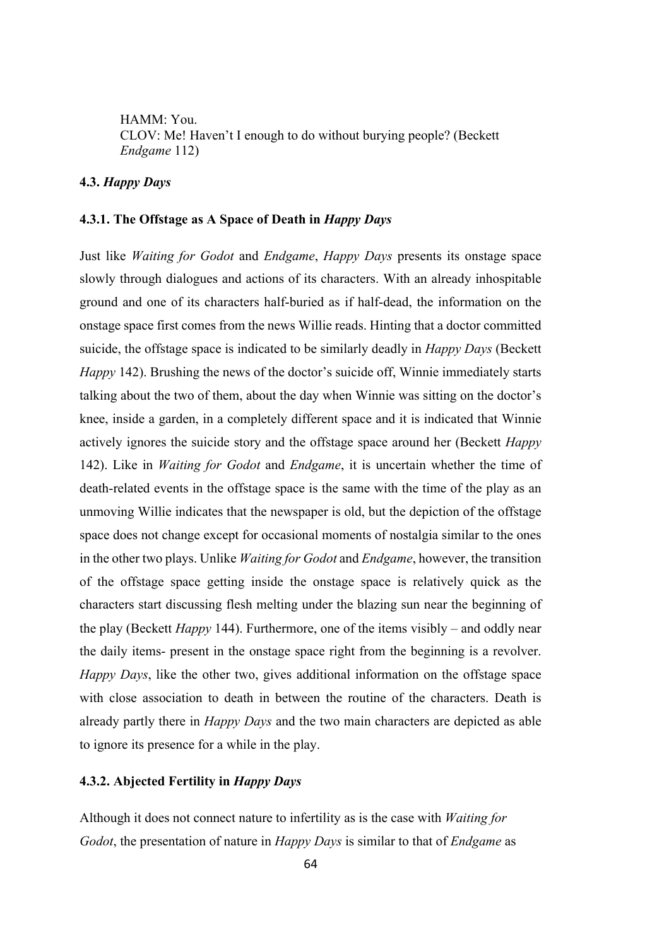HAMM: You. CLOV: Me! Haven't I enough to do without burying people? (Beckett *Endgame* 112)

# **4.3.** *Happy Days*

### **4.3.1. The Offstage as A Space of Death in** *Happy Days*

Just like *Waiting for Godot* and *Endgame*, *Happy Days* presents its onstage space slowly through dialogues and actions of its characters. With an already inhospitable ground and one of its characters half-buried as if half-dead, the information on the onstage space first comes from the news Willie reads. Hinting that a doctor committed suicide, the offstage space is indicated to be similarly deadly in *Happy Days* (Beckett *Happy* 142). Brushing the news of the doctor's suicide off, Winnie immediately starts talking about the two of them, about the day when Winnie was sitting on the doctor's knee, inside a garden, in a completely different space and it is indicated that Winnie actively ignores the suicide story and the offstage space around her (Beckett *Happy* 142). Like in *Waiting for Godot* and *Endgame*, it is uncertain whether the time of death-related events in the offstage space is the same with the time of the play as an unmoving Willie indicates that the newspaper is old, but the depiction of the offstage space does not change except for occasional moments of nostalgia similar to the ones in the other two plays. Unlike *Waiting for Godot* and *Endgame*, however, the transition of the offstage space getting inside the onstage space is relatively quick as the characters start discussing flesh melting under the blazing sun near the beginning of the play (Beckett *Happy* 144). Furthermore, one of the items visibly – and oddly near the daily items- present in the onstage space right from the beginning is a revolver. *Happy Days*, like the other two, gives additional information on the offstage space with close association to death in between the routine of the characters. Death is already partly there in *Happy Days* and the two main characters are depicted as able to ignore its presence for a while in the play.

# **4.3.2. Abjected Fertility in** *Happy Days*

Although it does not connect nature to infertility as is the case with *Waiting for Godot*, the presentation of nature in *Happy Days* is similar to that of *Endgame* as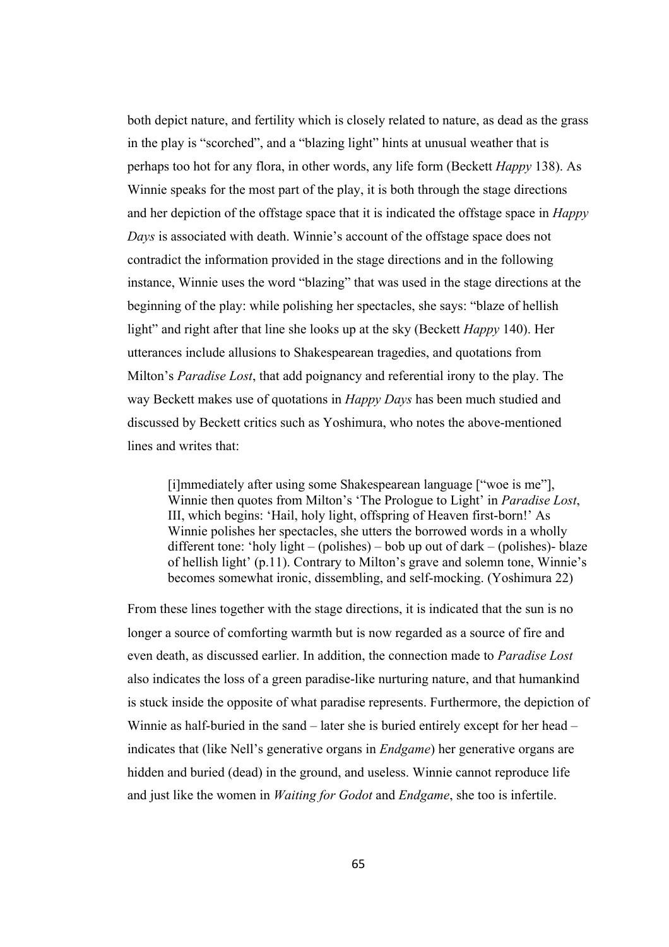both depict nature, and fertility which is closely related to nature, as dead as the grass in the play is "scorched", and a "blazing light" hints at unusual weather that is perhaps too hot for any flora, in other words, any life form (Beckett *Happy* 138). As Winnie speaks for the most part of the play, it is both through the stage directions and her depiction of the offstage space that it is indicated the offstage space in *Happy Days* is associated with death. Winnie's account of the offstage space does not contradict the information provided in the stage directions and in the following instance, Winnie uses the word "blazing" that was used in the stage directions at the beginning of the play: while polishing her spectacles, she says: "blaze of hellish light" and right after that line she looks up at the sky (Beckett *Happy* 140). Her utterances include allusions to Shakespearean tragedies, and quotations from Milton's *Paradise Lost*, that add poignancy and referential irony to the play. The way Beckett makes use of quotations in *Happy Days* has been much studied and discussed by Beckett critics such as Yoshimura, who notes the above-mentioned lines and writes that:

[i]mmediately after using some Shakespearean language ["woe is me"], Winnie then quotes from Milton's 'The Prologue to Light' in *Paradise Lost*, III, which begins: 'Hail, holy light, offspring of Heaven first-born!' As Winnie polishes her spectacles, she utters the borrowed words in a wholly different tone: 'holy light – (polishes) – bob up out of dark – (polishes)- blaze of hellish light' (p.11). Contrary to Milton's grave and solemn tone, Winnie's becomes somewhat ironic, dissembling, and self-mocking. (Yoshimura 22)

From these lines together with the stage directions, it is indicated that the sun is no longer a source of comforting warmth but is now regarded as a source of fire and even death, as discussed earlier. In addition, the connection made to *Paradise Lost* also indicates the loss of a green paradise-like nurturing nature, and that humankind is stuck inside the opposite of what paradise represents. Furthermore, the depiction of Winnie as half-buried in the sand – later she is buried entirely except for her head – indicates that (like Nell's generative organs in *Endgame*) her generative organs are hidden and buried (dead) in the ground, and useless. Winnie cannot reproduce life and just like the women in *Waiting for Godot* and *Endgame*, she too is infertile.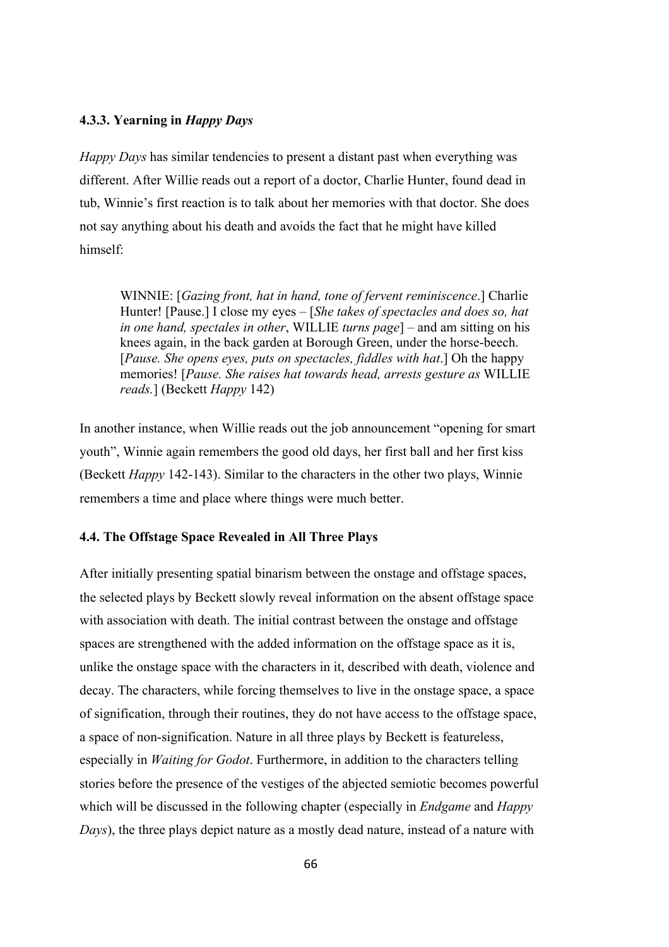### **4.3.3. Yearning in** *Happy Days*

*Happy Days* has similar tendencies to present a distant past when everything was different. After Willie reads out a report of a doctor, Charlie Hunter, found dead in tub, Winnie's first reaction is to talk about her memories with that doctor. She does not say anything about his death and avoids the fact that he might have killed himself:

WINNIE: [*Gazing front, hat in hand, tone of fervent reminiscence*.] Charlie Hunter! [Pause.] I close my eyes – [*She takes of spectacles and does so, hat in one hand, spectales in other*, WILLIE *turns page*] – and am sitting on his knees again, in the back garden at Borough Green, under the horse-beech. [*Pause. She opens eyes, puts on spectacles, fiddles with hat*.] Oh the happy memories! [*Pause. She raises hat towards head, arrests gesture as* WILLIE *reads.*] (Beckett *Happy* 142)

In another instance, when Willie reads out the job announcement "opening for smart youth", Winnie again remembers the good old days, her first ball and her first kiss (Beckett *Happy* 142-143). Similar to the characters in the other two plays, Winnie remembers a time and place where things were much better.

### **4.4. The Offstage Space Revealed in All Three Plays**

After initially presenting spatial binarism between the onstage and offstage spaces, the selected plays by Beckett slowly reveal information on the absent offstage space with association with death. The initial contrast between the onstage and offstage spaces are strengthened with the added information on the offstage space as it is, unlike the onstage space with the characters in it, described with death, violence and decay. The characters, while forcing themselves to live in the onstage space, a space of signification, through their routines, they do not have access to the offstage space, a space of non-signification. Nature in all three plays by Beckett is featureless, especially in *Waiting for Godot*. Furthermore, in addition to the characters telling stories before the presence of the vestiges of the abjected semiotic becomes powerful which will be discussed in the following chapter (especially in *Endgame* and *Happy Days*), the three plays depict nature as a mostly dead nature, instead of a nature with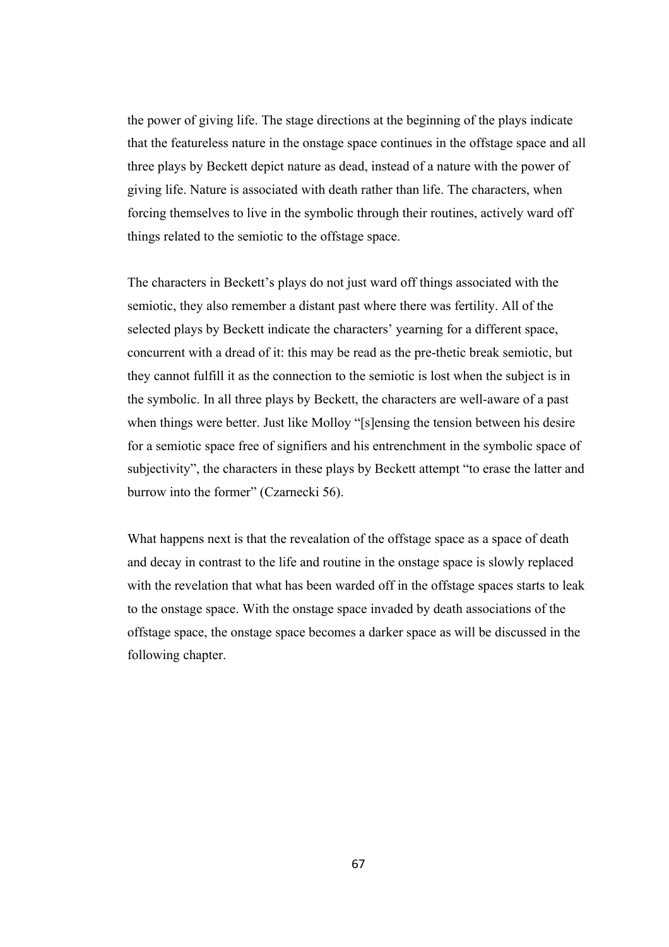the power of giving life. The stage directions at the beginning of the plays indicate that the featureless nature in the onstage space continues in the offstage space and all three plays by Beckett depict nature as dead, instead of a nature with the power of giving life. Nature is associated with death rather than life. The characters, when forcing themselves to live in the symbolic through their routines, actively ward off things related to the semiotic to the offstage space.

The characters in Beckett's plays do not just ward off things associated with the semiotic, they also remember a distant past where there was fertility. All of the selected plays by Beckett indicate the characters' yearning for a different space, concurrent with a dread of it: this may be read as the pre-thetic break semiotic, but they cannot fulfill it as the connection to the semiotic is lost when the subject is in the symbolic. In all three plays by Beckett, the characters are well-aware of a past when things were better. Just like Molloy "[s]ensing the tension between his desire for a semiotic space free of signifiers and his entrenchment in the symbolic space of subjectivity", the characters in these plays by Beckett attempt "to erase the latter and burrow into the former" (Czarnecki 56).

What happens next is that the revealation of the offstage space as a space of death and decay in contrast to the life and routine in the onstage space is slowly replaced with the revelation that what has been warded off in the offstage spaces starts to leak to the onstage space. With the onstage space invaded by death associations of the offstage space, the onstage space becomes a darker space as will be discussed in the following chapter.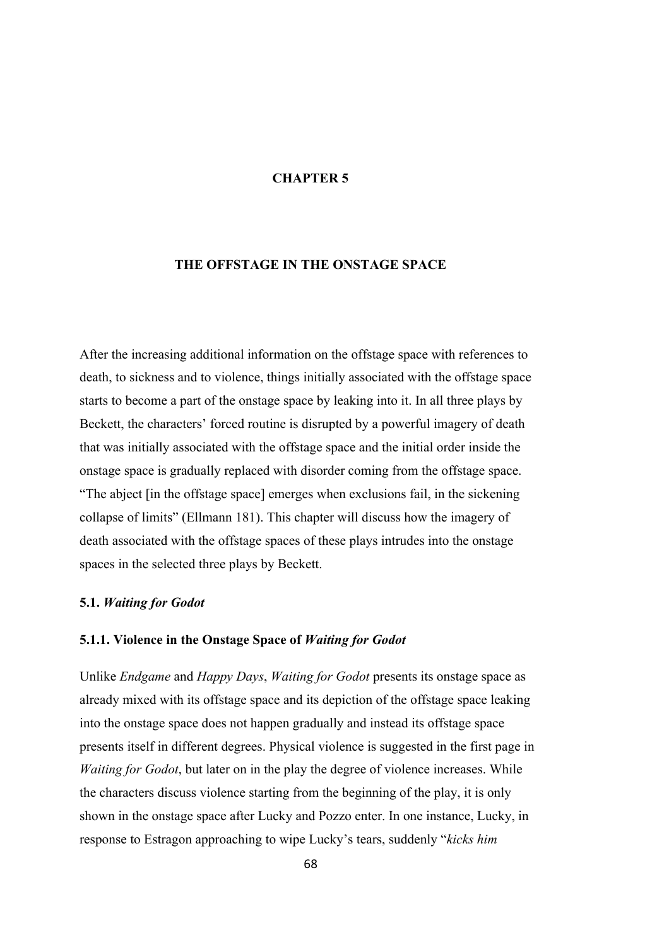### **CHAPTER 5**

# **THE OFFSTAGE IN THE ONSTAGE SPACE**

After the increasing additional information on the offstage space with references to death, to sickness and to violence, things initially associated with the offstage space starts to become a part of the onstage space by leaking into it. In all three plays by Beckett, the characters' forced routine is disrupted by a powerful imagery of death that was initially associated with the offstage space and the initial order inside the onstage space is gradually replaced with disorder coming from the offstage space. "The abject [in the offstage space] emerges when exclusions fail, in the sickening collapse of limits" (Ellmann 181). This chapter will discuss how the imagery of death associated with the offstage spaces of these plays intrudes into the onstage spaces in the selected three plays by Beckett.

### **5.1.** *Waiting for Godot*

# **5.1.1. Violence in the Onstage Space of** *Waiting for Godot*

Unlike *Endgame* and *Happy Days*, *Waiting for Godot* presents its onstage space as already mixed with its offstage space and its depiction of the offstage space leaking into the onstage space does not happen gradually and instead its offstage space presents itself in different degrees. Physical violence is suggested in the first page in *Waiting for Godot*, but later on in the play the degree of violence increases. While the characters discuss violence starting from the beginning of the play, it is only shown in the onstage space after Lucky and Pozzo enter. In one instance, Lucky, in response to Estragon approaching to wipe Lucky's tears, suddenly "*kicks him*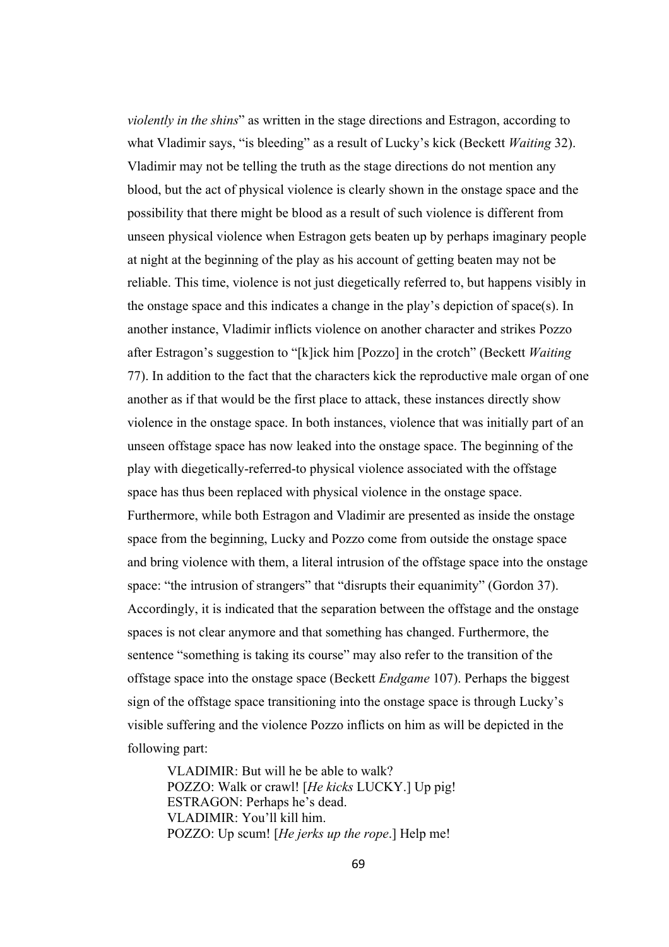*violently in the shins*" as written in the stage directions and Estragon, according to what Vladimir says, "is bleeding" as a result of Lucky's kick (Beckett *Waiting* 32). Vladimir may not be telling the truth as the stage directions do not mention any blood, but the act of physical violence is clearly shown in the onstage space and the possibility that there might be blood as a result of such violence is different from unseen physical violence when Estragon gets beaten up by perhaps imaginary people at night at the beginning of the play as his account of getting beaten may not be reliable. This time, violence is not just diegetically referred to, but happens visibly in the onstage space and this indicates a change in the play's depiction of space(s). In another instance, Vladimir inflicts violence on another character and strikes Pozzo after Estragon's suggestion to "[k]ick him [Pozzo] in the crotch" (Beckett *Waiting*  77). In addition to the fact that the characters kick the reproductive male organ of one another as if that would be the first place to attack, these instances directly show violence in the onstage space. In both instances, violence that was initially part of an unseen offstage space has now leaked into the onstage space. The beginning of the play with diegetically-referred-to physical violence associated with the offstage space has thus been replaced with physical violence in the onstage space. Furthermore, while both Estragon and Vladimir are presented as inside the onstage space from the beginning, Lucky and Pozzo come from outside the onstage space and bring violence with them, a literal intrusion of the offstage space into the onstage space: "the intrusion of strangers" that "disrupts their equanimity" (Gordon 37). Accordingly, it is indicated that the separation between the offstage and the onstage spaces is not clear anymore and that something has changed. Furthermore, the sentence "something is taking its course" may also refer to the transition of the offstage space into the onstage space (Beckett *Endgame* 107). Perhaps the biggest sign of the offstage space transitioning into the onstage space is through Lucky's visible suffering and the violence Pozzo inflicts on him as will be depicted in the following part:

VLADIMIR: But will he be able to walk? POZZO: Walk or crawl! [*He kicks* LUCKY.] Up pig! ESTRAGON: Perhaps he's dead. VLADIMIR: You'll kill him. POZZO: Up scum! [*He jerks up the rope*.] Help me!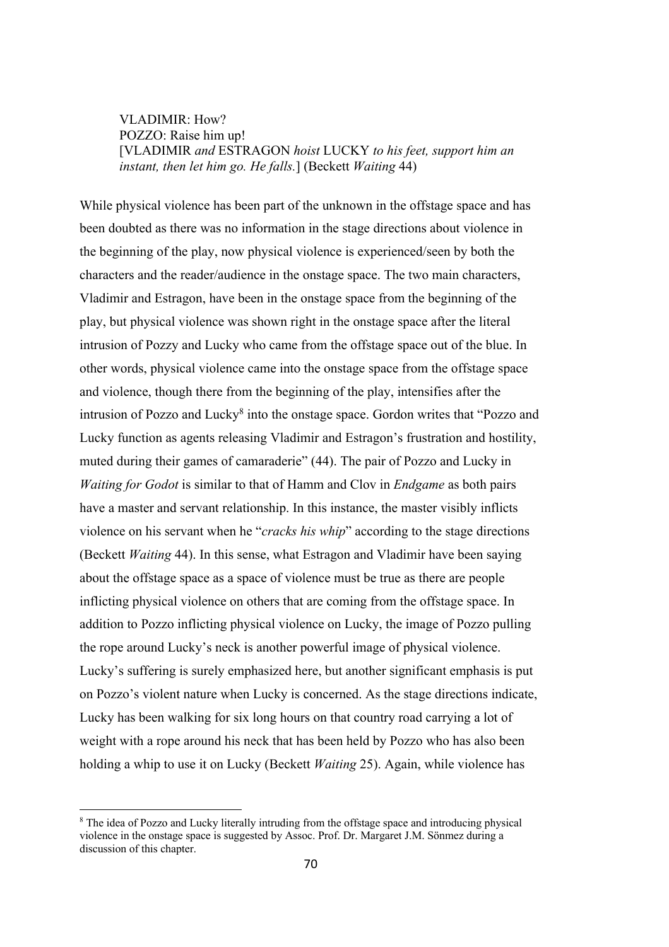VLADIMIR: How? POZZO: Raise him up! [VLADIMIR *and* ESTRAGON *hoist* LUCKY *to his feet, support him an instant, then let him go. He falls.*] (Beckett *Waiting* 44)

While physical violence has been part of the unknown in the offstage space and has been doubted as there was no information in the stage directions about violence in the beginning of the play, now physical violence is experienced/seen by both the characters and the reader/audience in the onstage space. The two main characters, Vladimir and Estragon, have been in the onstage space from the beginning of the play, but physical violence was shown right in the onstage space after the literal intrusion of Pozzy and Lucky who came from the offstage space out of the blue. In other words, physical violence came into the onstage space from the offstage space and violence, though there from the beginning of the play, intensifies after the intrusion of Pozzo and Lucky<sup>8</sup> into the onstage space. Gordon writes that "Pozzo and Lucky function as agents releasing Vladimir and Estragon's frustration and hostility, muted during their games of camaraderie" (44). The pair of Pozzo and Lucky in *Waiting for Godot* is similar to that of Hamm and Clov in *Endgame* as both pairs have a master and servant relationship. In this instance, the master visibly inflicts violence on his servant when he "*cracks his whip*" according to the stage directions (Beckett *Waiting* 44). In this sense, what Estragon and Vladimir have been saying about the offstage space as a space of violence must be true as there are people inflicting physical violence on others that are coming from the offstage space. In addition to Pozzo inflicting physical violence on Lucky, the image of Pozzo pulling the rope around Lucky's neck is another powerful image of physical violence. Lucky's suffering is surely emphasized here, but another significant emphasis is put on Pozzo's violent nature when Lucky is concerned. As the stage directions indicate, Lucky has been walking for six long hours on that country road carrying a lot of weight with a rope around his neck that has been held by Pozzo who has also been holding a whip to use it on Lucky (Beckett *Waiting* 25). Again, while violence has

<sup>&</sup>lt;sup>8</sup> The idea of Pozzo and Lucky literally intruding from the offstage space and introducing physical violence in the onstage space is suggested by Assoc. Prof. Dr. Margaret J.M. Sönmez during a discussion of this chapter.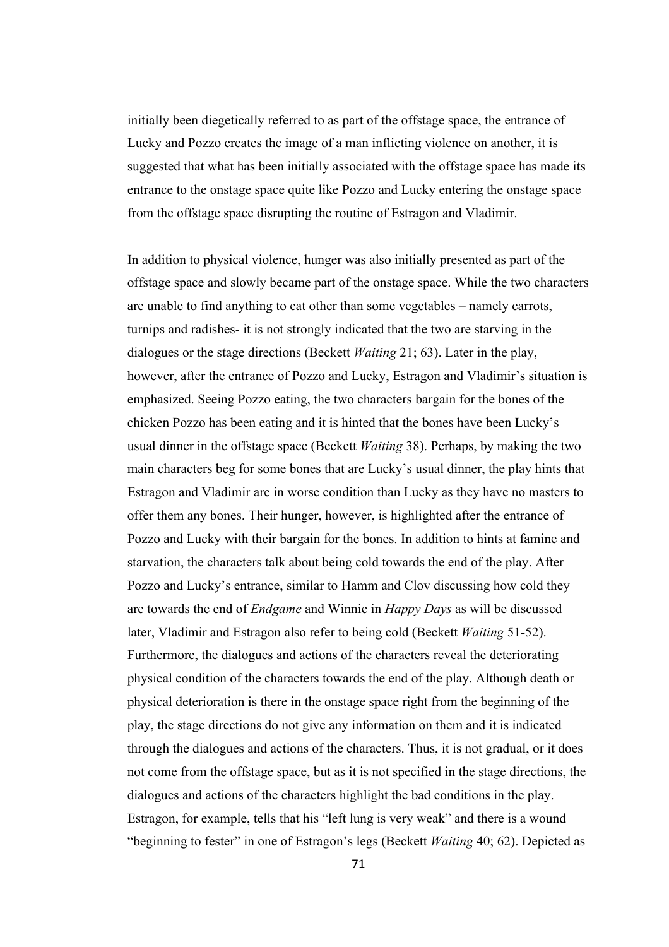initially been diegetically referred to as part of the offstage space, the entrance of Lucky and Pozzo creates the image of a man inflicting violence on another, it is suggested that what has been initially associated with the offstage space has made its entrance to the onstage space quite like Pozzo and Lucky entering the onstage space from the offstage space disrupting the routine of Estragon and Vladimir.

In addition to physical violence, hunger was also initially presented as part of the offstage space and slowly became part of the onstage space. While the two characters are unable to find anything to eat other than some vegetables – namely carrots, turnips and radishes- it is not strongly indicated that the two are starving in the dialogues or the stage directions (Beckett *Waiting* 21; 63). Later in the play, however, after the entrance of Pozzo and Lucky, Estragon and Vladimir's situation is emphasized. Seeing Pozzo eating, the two characters bargain for the bones of the chicken Pozzo has been eating and it is hinted that the bones have been Lucky's usual dinner in the offstage space (Beckett *Waiting* 38). Perhaps, by making the two main characters beg for some bones that are Lucky's usual dinner, the play hints that Estragon and Vladimir are in worse condition than Lucky as they have no masters to offer them any bones. Their hunger, however, is highlighted after the entrance of Pozzo and Lucky with their bargain for the bones. In addition to hints at famine and starvation, the characters talk about being cold towards the end of the play. After Pozzo and Lucky's entrance, similar to Hamm and Clov discussing how cold they are towards the end of *Endgame* and Winnie in *Happy Days* as will be discussed later, Vladimir and Estragon also refer to being cold (Beckett *Waiting* 51-52). Furthermore, the dialogues and actions of the characters reveal the deteriorating physical condition of the characters towards the end of the play. Although death or physical deterioration is there in the onstage space right from the beginning of the play, the stage directions do not give any information on them and it is indicated through the dialogues and actions of the characters. Thus, it is not gradual, or it does not come from the offstage space, but as it is not specified in the stage directions, the dialogues and actions of the characters highlight the bad conditions in the play. Estragon, for example, tells that his "left lung is very weak" and there is a wound "beginning to fester" in one of Estragon's legs (Beckett *Waiting* 40; 62). Depicted as

71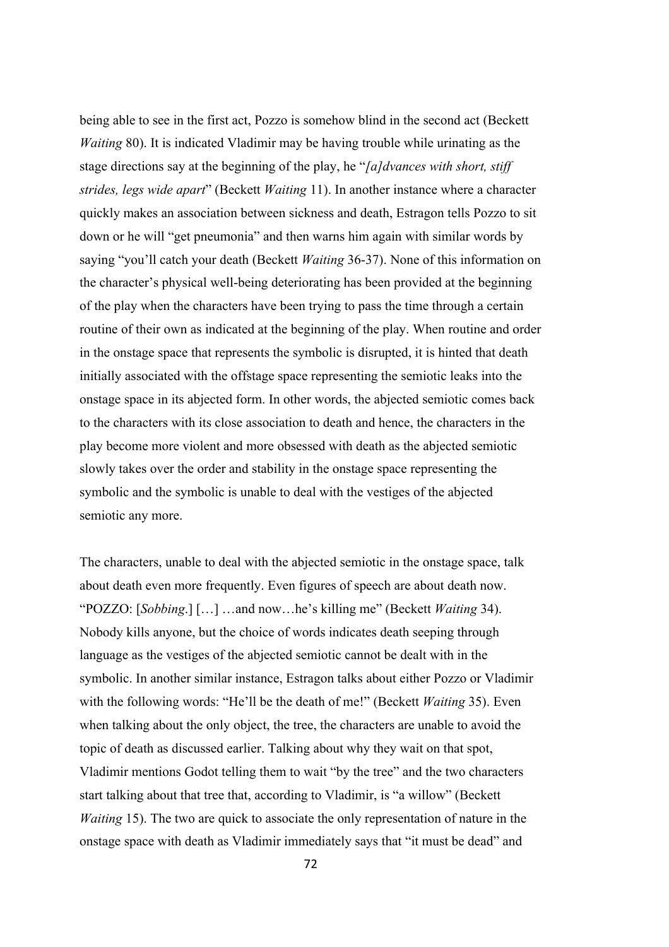being able to see in the first act, Pozzo is somehow blind in the second act (Beckett *Waiting* 80). It is indicated Vladimir may be having trouble while urinating as the stage directions say at the beginning of the play, he "*[a]dvances with short, stiff strides, legs wide apart*" (Beckett *Waiting* 11). In another instance where a character quickly makes an association between sickness and death, Estragon tells Pozzo to sit down or he will "get pneumonia" and then warns him again with similar words by saying "you'll catch your death (Beckett *Waiting* 36-37). None of this information on the character's physical well-being deteriorating has been provided at the beginning of the play when the characters have been trying to pass the time through a certain routine of their own as indicated at the beginning of the play. When routine and order in the onstage space that represents the symbolic is disrupted, it is hinted that death initially associated with the offstage space representing the semiotic leaks into the onstage space in its abjected form. In other words, the abjected semiotic comes back to the characters with its close association to death and hence, the characters in the play become more violent and more obsessed with death as the abjected semiotic slowly takes over the order and stability in the onstage space representing the symbolic and the symbolic is unable to deal with the vestiges of the abjected semiotic any more.

The characters, unable to deal with the abjected semiotic in the onstage space, talk about death even more frequently. Even figures of speech are about death now. "POZZO: [*Sobbing*.] […] …and now…he's killing me" (Beckett *Waiting* 34). Nobody kills anyone, but the choice of words indicates death seeping through language as the vestiges of the abjected semiotic cannot be dealt with in the symbolic. In another similar instance, Estragon talks about either Pozzo or Vladimir with the following words: "He'll be the death of me!" (Beckett *Waiting* 35). Even when talking about the only object, the tree, the characters are unable to avoid the topic of death as discussed earlier. Talking about why they wait on that spot, Vladimir mentions Godot telling them to wait "by the tree" and the two characters start talking about that tree that, according to Vladimir, is "a willow" (Beckett *Waiting* 15). The two are quick to associate the only representation of nature in the onstage space with death as Vladimir immediately says that "it must be dead" and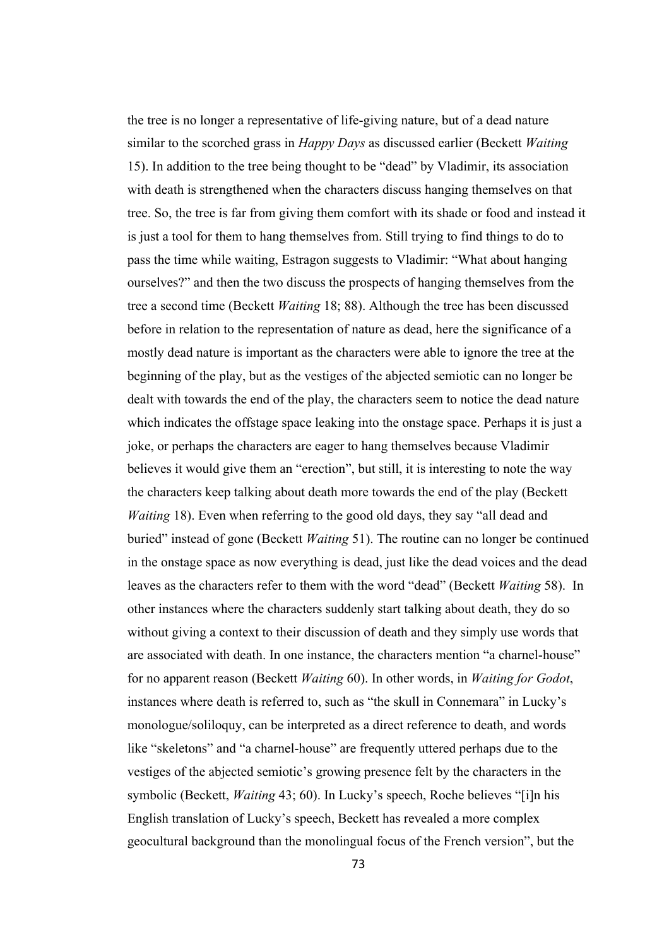the tree is no longer a representative of life-giving nature, but of a dead nature similar to the scorched grass in *Happy Days* as discussed earlier (Beckett *Waiting* 15). In addition to the tree being thought to be "dead" by Vladimir, its association with death is strengthened when the characters discuss hanging themselves on that tree. So, the tree is far from giving them comfort with its shade or food and instead it is just a tool for them to hang themselves from. Still trying to find things to do to pass the time while waiting, Estragon suggests to Vladimir: "What about hanging ourselves?" and then the two discuss the prospects of hanging themselves from the tree a second time (Beckett *Waiting* 18; 88). Although the tree has been discussed before in relation to the representation of nature as dead, here the significance of a mostly dead nature is important as the characters were able to ignore the tree at the beginning of the play, but as the vestiges of the abjected semiotic can no longer be dealt with towards the end of the play, the characters seem to notice the dead nature which indicates the offstage space leaking into the onstage space. Perhaps it is just a joke, or perhaps the characters are eager to hang themselves because Vladimir believes it would give them an "erection", but still, it is interesting to note the way the characters keep talking about death more towards the end of the play (Beckett *Waiting* 18). Even when referring to the good old days, they say "all dead and buried" instead of gone (Beckett *Waiting* 51). The routine can no longer be continued in the onstage space as now everything is dead, just like the dead voices and the dead leaves as the characters refer to them with the word "dead" (Beckett *Waiting* 58). In other instances where the characters suddenly start talking about death, they do so without giving a context to their discussion of death and they simply use words that are associated with death. In one instance, the characters mention "a charnel-house" for no apparent reason (Beckett *Waiting* 60). In other words, in *Waiting for Godot*, instances where death is referred to, such as "the skull in Connemara" in Lucky's monologue/soliloquy, can be interpreted as a direct reference to death, and words like "skeletons" and "a charnel-house" are frequently uttered perhaps due to the vestiges of the abjected semiotic's growing presence felt by the characters in the symbolic (Beckett, *Waiting* 43; 60). In Lucky's speech, Roche believes "[i]n his English translation of Lucky's speech, Beckett has revealed a more complex geocultural background than the monolingual focus of the French version", but the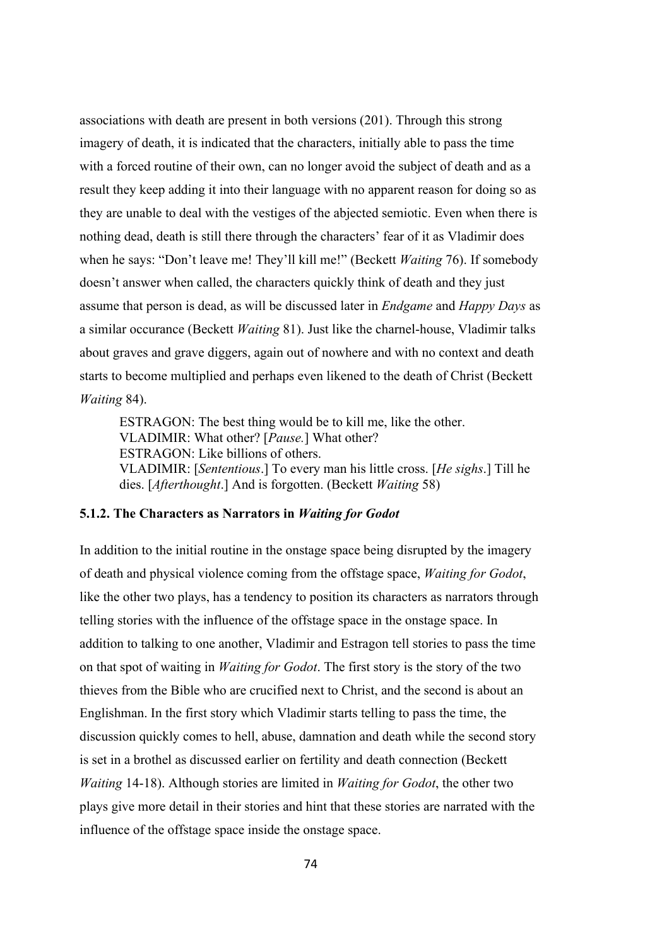associations with death are present in both versions (201). Through this strong imagery of death, it is indicated that the characters, initially able to pass the time with a forced routine of their own, can no longer avoid the subject of death and as a result they keep adding it into their language with no apparent reason for doing so as they are unable to deal with the vestiges of the abjected semiotic. Even when there is nothing dead, death is still there through the characters' fear of it as Vladimir does when he says: "Don't leave me! They'll kill me!" (Beckett *Waiting* 76). If somebody doesn't answer when called, the characters quickly think of death and they just assume that person is dead, as will be discussed later in *Endgame* and *Happy Days* as a similar occurance (Beckett *Waiting* 81). Just like the charnel-house, Vladimir talks about graves and grave diggers, again out of nowhere and with no context and death starts to become multiplied and perhaps even likened to the death of Christ (Beckett *Waiting* 84).

ESTRAGON: The best thing would be to kill me, like the other. VLADIMIR: What other? [*Pause.*] What other? ESTRAGON: Like billions of others. VLADIMIR: [*Sententious*.] To every man his little cross. [*He sighs*.] Till he dies. [*Afterthought*.] And is forgotten. (Beckett *Waiting* 58)

# **5.1.2. The Characters as Narrators in** *Waiting for Godot*

In addition to the initial routine in the onstage space being disrupted by the imagery of death and physical violence coming from the offstage space, *Waiting for Godot*, like the other two plays, has a tendency to position its characters as narrators through telling stories with the influence of the offstage space in the onstage space. In addition to talking to one another, Vladimir and Estragon tell stories to pass the time on that spot of waiting in *Waiting for Godot*. The first story is the story of the two thieves from the Bible who are crucified next to Christ, and the second is about an Englishman. In the first story which Vladimir starts telling to pass the time, the discussion quickly comes to hell, abuse, damnation and death while the second story is set in a brothel as discussed earlier on fertility and death connection (Beckett *Waiting* 14-18). Although stories are limited in *Waiting for Godot*, the other two plays give more detail in their stories and hint that these stories are narrated with the influence of the offstage space inside the onstage space.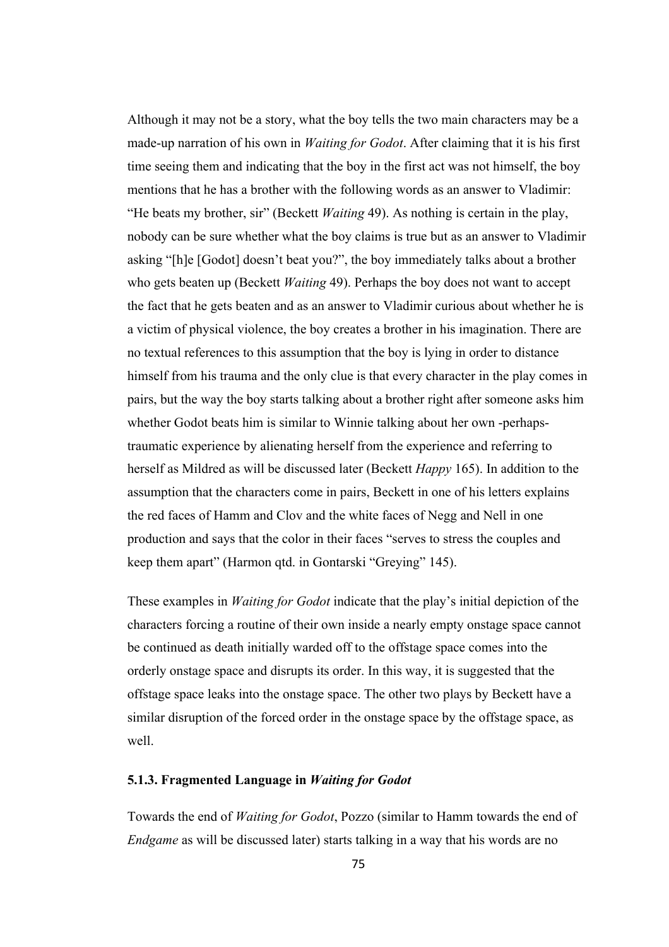Although it may not be a story, what the boy tells the two main characters may be a made-up narration of his own in *Waiting for Godot*. After claiming that it is his first time seeing them and indicating that the boy in the first act was not himself, the boy mentions that he has a brother with the following words as an answer to Vladimir: "He beats my brother, sir" (Beckett *Waiting* 49). As nothing is certain in the play, nobody can be sure whether what the boy claims is true but as an answer to Vladimir asking "[h]e [Godot] doesn't beat you?", the boy immediately talks about a brother who gets beaten up (Beckett *Waiting* 49). Perhaps the boy does not want to accept the fact that he gets beaten and as an answer to Vladimir curious about whether he is a victim of physical violence, the boy creates a brother in his imagination. There are no textual references to this assumption that the boy is lying in order to distance himself from his trauma and the only clue is that every character in the play comes in pairs, but the way the boy starts talking about a brother right after someone asks him whether Godot beats him is similar to Winnie talking about her own -perhapstraumatic experience by alienating herself from the experience and referring to herself as Mildred as will be discussed later (Beckett *Happy* 165). In addition to the assumption that the characters come in pairs, Beckett in one of his letters explains the red faces of Hamm and Clov and the white faces of Negg and Nell in one production and says that the color in their faces "serves to stress the couples and keep them apart" (Harmon qtd. in Gontarski "Greying" 145).

These examples in *Waiting for Godot* indicate that the play's initial depiction of the characters forcing a routine of their own inside a nearly empty onstage space cannot be continued as death initially warded off to the offstage space comes into the orderly onstage space and disrupts its order. In this way, it is suggested that the offstage space leaks into the onstage space. The other two plays by Beckett have a similar disruption of the forced order in the onstage space by the offstage space, as well.

# **5.1.3. Fragmented Language in** *Waiting for Godot*

Towards the end of *Waiting for Godot*, Pozzo (similar to Hamm towards the end of *Endgame* as will be discussed later) starts talking in a way that his words are no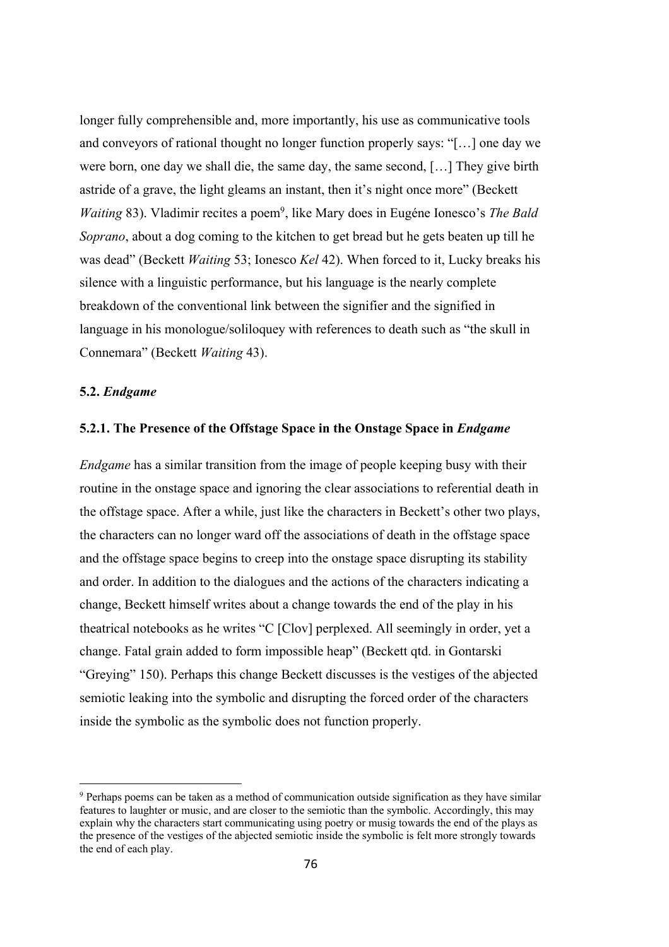longer fully comprehensible and, more importantly, his use as communicative tools and conveyors of rational thought no longer function properly says: "[…] one day we were born, one day we shall die, the same day, the same second, […] They give birth astride of a grave, the light gleams an instant, then it's night once more" (Beckett *Waiting* 83). Vladimir recites a poem<sup>9</sup>, like Mary does in Eugéne Ionesco's *The Bald Soprano*, about a dog coming to the kitchen to get bread but he gets beaten up till he was dead" (Beckett *Waiting* 53; Ionesco *Kel* 42). When forced to it, Lucky breaks his silence with a linguistic performance, but his language is the nearly complete breakdown of the conventional link between the signifier and the signified in language in his monologue/soliloquey with references to death such as "the skull in Connemara" (Beckett *Waiting* 43).

### **5.2.** *Endgame*

### **5.2.1. The Presence of the Offstage Space in the Onstage Space in** *Endgame*

*Endgame* has a similar transition from the image of people keeping busy with their routine in the onstage space and ignoring the clear associations to referential death in the offstage space. After a while, just like the characters in Beckett's other two plays, the characters can no longer ward off the associations of death in the offstage space and the offstage space begins to creep into the onstage space disrupting its stability and order. In addition to the dialogues and the actions of the characters indicating a change, Beckett himself writes about a change towards the end of the play in his theatrical notebooks as he writes "C [Clov] perplexed. All seemingly in order, yet a change. Fatal grain added to form impossible heap" (Beckett qtd. in Gontarski "Greying" 150). Perhaps this change Beckett discusses is the vestiges of the abjected semiotic leaking into the symbolic and disrupting the forced order of the characters inside the symbolic as the symbolic does not function properly.

<sup>9</sup> Perhaps poems can be taken as a method of communication outside signification as they have similar features to laughter or music, and are closer to the semiotic than the symbolic. Accordingly, this may explain why the characters start communicating using poetry or musig towards the end of the plays as the presence of the vestiges of the abjected semiotic inside the symbolic is felt more strongly towards the end of each play.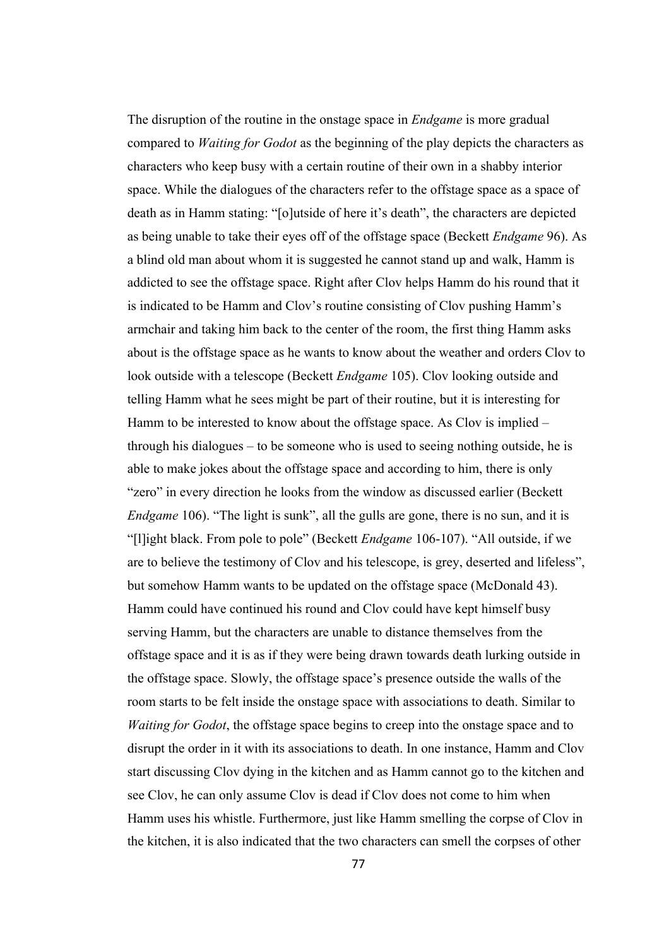The disruption of the routine in the onstage space in *Endgame* is more gradual compared to *Waiting for Godot* as the beginning of the play depicts the characters as characters who keep busy with a certain routine of their own in a shabby interior space. While the dialogues of the characters refer to the offstage space as a space of death as in Hamm stating: "[o]utside of here it's death", the characters are depicted as being unable to take their eyes off of the offstage space (Beckett *Endgame* 96). As a blind old man about whom it is suggested he cannot stand up and walk, Hamm is addicted to see the offstage space. Right after Clov helps Hamm do his round that it is indicated to be Hamm and Clov's routine consisting of Clov pushing Hamm's armchair and taking him back to the center of the room, the first thing Hamm asks about is the offstage space as he wants to know about the weather and orders Clov to look outside with a telescope (Beckett *Endgame* 105). Clov looking outside and telling Hamm what he sees might be part of their routine, but it is interesting for Hamm to be interested to know about the offstage space. As Clov is implied – through his dialogues – to be someone who is used to seeing nothing outside, he is able to make jokes about the offstage space and according to him, there is only "zero" in every direction he looks from the window as discussed earlier (Beckett *Endgame* 106). "The light is sunk", all the gulls are gone, there is no sun, and it is "[l]ight black. From pole to pole" (Beckett *Endgame* 106-107). "All outside, if we are to believe the testimony of Clov and his telescope, is grey, deserted and lifeless", but somehow Hamm wants to be updated on the offstage space (McDonald 43). Hamm could have continued his round and Clov could have kept himself busy serving Hamm, but the characters are unable to distance themselves from the offstage space and it is as if they were being drawn towards death lurking outside in the offstage space. Slowly, the offstage space's presence outside the walls of the room starts to be felt inside the onstage space with associations to death. Similar to *Waiting for Godot*, the offstage space begins to creep into the onstage space and to disrupt the order in it with its associations to death. In one instance, Hamm and Clov start discussing Clov dying in the kitchen and as Hamm cannot go to the kitchen and see Clov, he can only assume Clov is dead if Clov does not come to him when Hamm uses his whistle. Furthermore, just like Hamm smelling the corpse of Clov in the kitchen, it is also indicated that the two characters can smell the corpses of other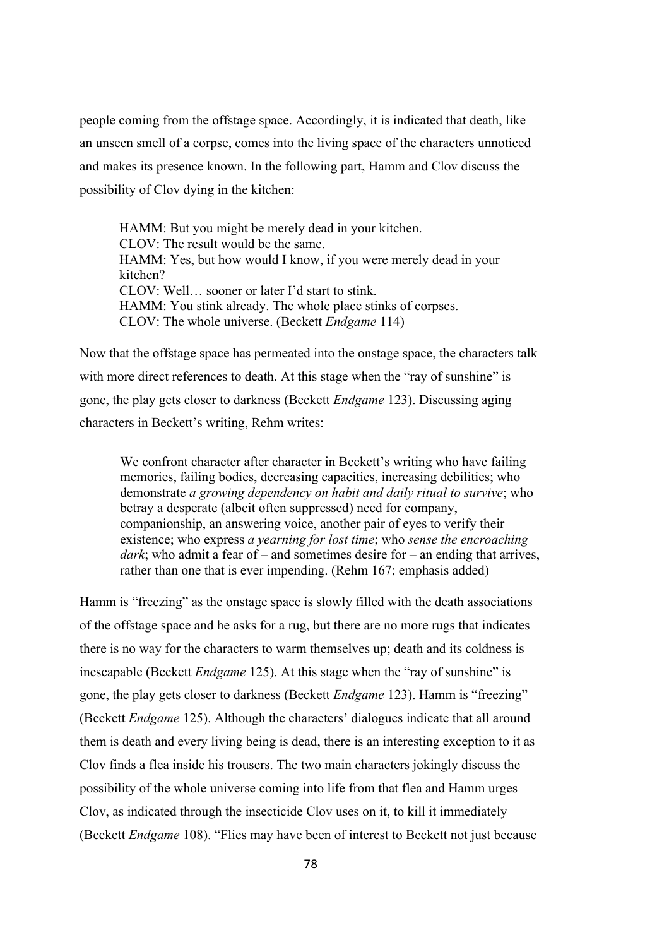people coming from the offstage space. Accordingly, it is indicated that death, like an unseen smell of a corpse, comes into the living space of the characters unnoticed and makes its presence known. In the following part, Hamm and Clov discuss the possibility of Clov dying in the kitchen:

HAMM: But you might be merely dead in your kitchen. CLOV: The result would be the same. HAMM: Yes, but how would I know, if you were merely dead in your kitchen? CLOV: Well… sooner or later I'd start to stink. HAMM: You stink already. The whole place stinks of corpses. CLOV: The whole universe. (Beckett *Endgame* 114)

Now that the offstage space has permeated into the onstage space, the characters talk with more direct references to death. At this stage when the "ray of sunshine" is gone, the play gets closer to darkness (Beckett *Endgame* 123). Discussing aging characters in Beckett's writing, Rehm writes:

We confront character after character in Beckett's writing who have failing memories, failing bodies, decreasing capacities, increasing debilities; who demonstrate *a growing dependency on habit and daily ritual to survive*; who betray a desperate (albeit often suppressed) need for company, companionship, an answering voice, another pair of eyes to verify their existence; who express *a yearning for lost time*; who *sense the encroaching dark*; who admit a fear of – and sometimes desire for – an ending that arrives, rather than one that is ever impending. (Rehm 167; emphasis added)

Hamm is "freezing" as the onstage space is slowly filled with the death associations of the offstage space and he asks for a rug, but there are no more rugs that indicates there is no way for the characters to warm themselves up; death and its coldness is inescapable (Beckett *Endgame* 125). At this stage when the "ray of sunshine" is gone, the play gets closer to darkness (Beckett *Endgame* 123). Hamm is "freezing" (Beckett *Endgame* 125). Although the characters' dialogues indicate that all around them is death and every living being is dead, there is an interesting exception to it as Clov finds a flea inside his trousers. The two main characters jokingly discuss the possibility of the whole universe coming into life from that flea and Hamm urges Clov, as indicated through the insecticide Clov uses on it, to kill it immediately (Beckett *Endgame* 108). "Flies may have been of interest to Beckett not just because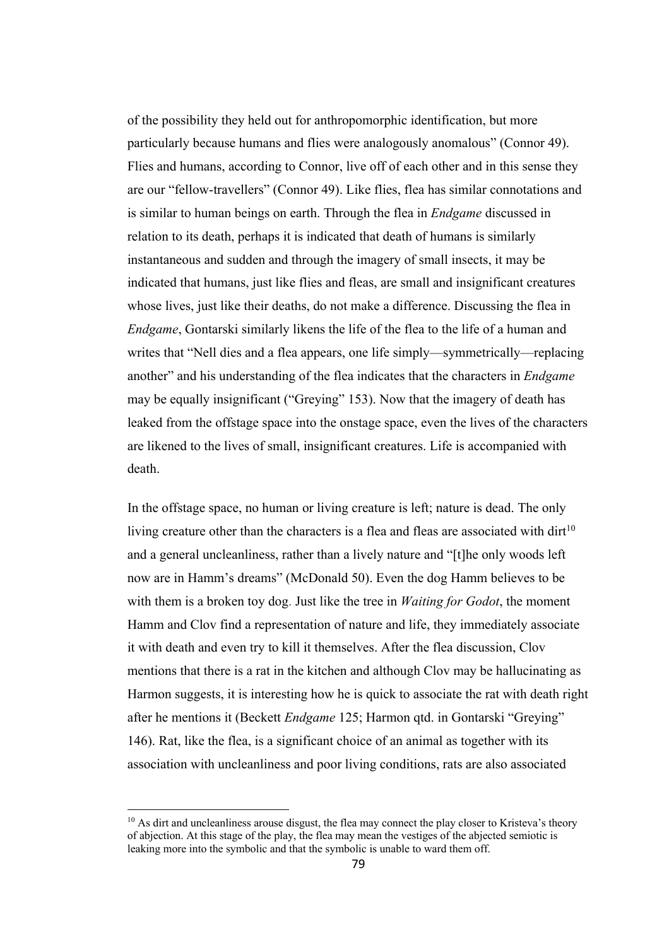of the possibility they held out for anthropomorphic identification, but more particularly because humans and flies were analogously anomalous" (Connor 49). Flies and humans, according to Connor, live off of each other and in this sense they are our "fellow-travellers" (Connor 49). Like flies, flea has similar connotations and is similar to human beings on earth. Through the flea in *Endgame* discussed in relation to its death, perhaps it is indicated that death of humans is similarly instantaneous and sudden and through the imagery of small insects, it may be indicated that humans, just like flies and fleas, are small and insignificant creatures whose lives, just like their deaths, do not make a difference. Discussing the flea in *Endgame*, Gontarski similarly likens the life of the flea to the life of a human and writes that "Nell dies and a flea appears, one life simply—symmetrically—replacing another" and his understanding of the flea indicates that the characters in *Endgame* may be equally insignificant ("Greying" 153). Now that the imagery of death has leaked from the offstage space into the onstage space, even the lives of the characters are likened to the lives of small, insignificant creatures. Life is accompanied with death.

In the offstage space, no human or living creature is left; nature is dead. The only living creature other than the characters is a flea and fleas are associated with dirt<sup>10</sup> and a general uncleanliness, rather than a lively nature and "[t]he only woods left now are in Hamm's dreams" (McDonald 50). Even the dog Hamm believes to be with them is a broken toy dog. Just like the tree in *Waiting for Godot*, the moment Hamm and Clov find a representation of nature and life, they immediately associate it with death and even try to kill it themselves. After the flea discussion, Clov mentions that there is a rat in the kitchen and although Clov may be hallucinating as Harmon suggests, it is interesting how he is quick to associate the rat with death right after he mentions it (Beckett *Endgame* 125; Harmon qtd. in Gontarski "Greying" 146). Rat, like the flea, is a significant choice of an animal as together with its association with uncleanliness and poor living conditions, rats are also associated

<sup>&</sup>lt;sup>10</sup> As dirt and uncleanliness arouse disgust, the flea may connect the play closer to Kristeva's theory of abjection. At this stage of the play, the flea may mean the vestiges of the abjected semiotic is leaking more into the symbolic and that the symbolic is unable to ward them off.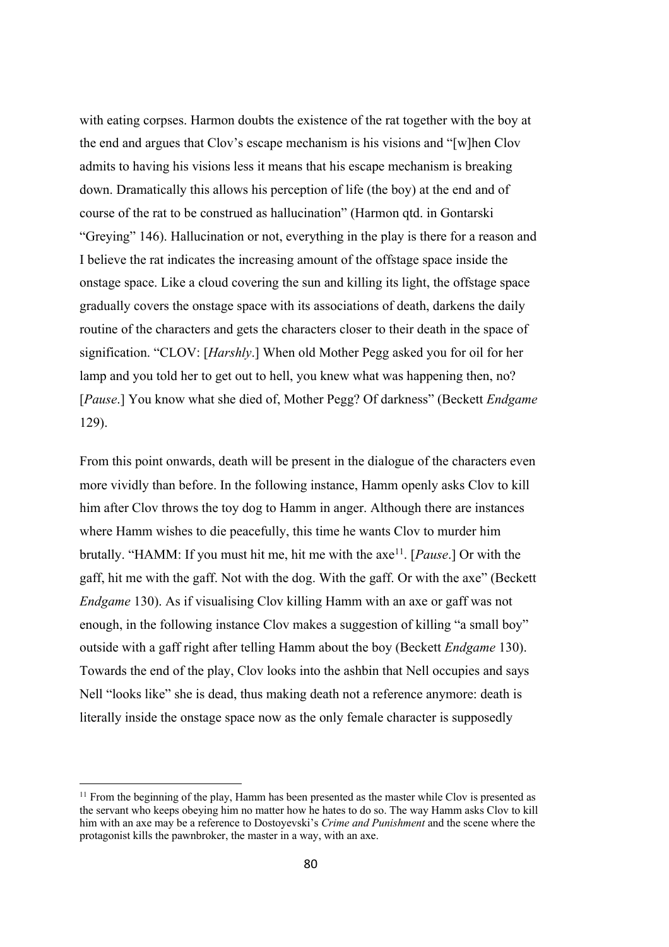with eating corpses. Harmon doubts the existence of the rat together with the boy at the end and argues that Clov's escape mechanism is his visions and "[w]hen Clov admits to having his visions less it means that his escape mechanism is breaking down. Dramatically this allows his perception of life (the boy) at the end and of course of the rat to be construed as hallucination" (Harmon qtd. in Gontarski "Greying" 146). Hallucination or not, everything in the play is there for a reason and I believe the rat indicates the increasing amount of the offstage space inside the onstage space. Like a cloud covering the sun and killing its light, the offstage space gradually covers the onstage space with its associations of death, darkens the daily routine of the characters and gets the characters closer to their death in the space of signification. "CLOV: [*Harshly*.] When old Mother Pegg asked you for oil for her lamp and you told her to get out to hell, you knew what was happening then, no? [*Pause*.] You know what she died of, Mother Pegg? Of darkness" (Beckett *Endgame* 129).

From this point onwards, death will be present in the dialogue of the characters even more vividly than before. In the following instance, Hamm openly asks Clov to kill him after Clov throws the toy dog to Hamm in anger. Although there are instances where Hamm wishes to die peacefully, this time he wants Clov to murder him brutally. "HAMM: If you must hit me, hit me with the axe11. [*Pause*.] Or with the gaff, hit me with the gaff. Not with the dog. With the gaff. Or with the axe" (Beckett *Endgame* 130). As if visualising Clov killing Hamm with an axe or gaff was not enough, in the following instance Clov makes a suggestion of killing "a small boy" outside with a gaff right after telling Hamm about the boy (Beckett *Endgame* 130). Towards the end of the play, Clov looks into the ashbin that Nell occupies and says Nell "looks like" she is dead, thus making death not a reference anymore: death is literally inside the onstage space now as the only female character is supposedly

<sup>&</sup>lt;sup>11</sup> From the beginning of the play, Hamm has been presented as the master while Clov is presented as the servant who keeps obeying him no matter how he hates to do so. The way Hamm asks Clov to kill him with an axe may be a reference to Dostoyevski's *Crime and Punishment* and the scene where the protagonist kills the pawnbroker, the master in a way, with an axe.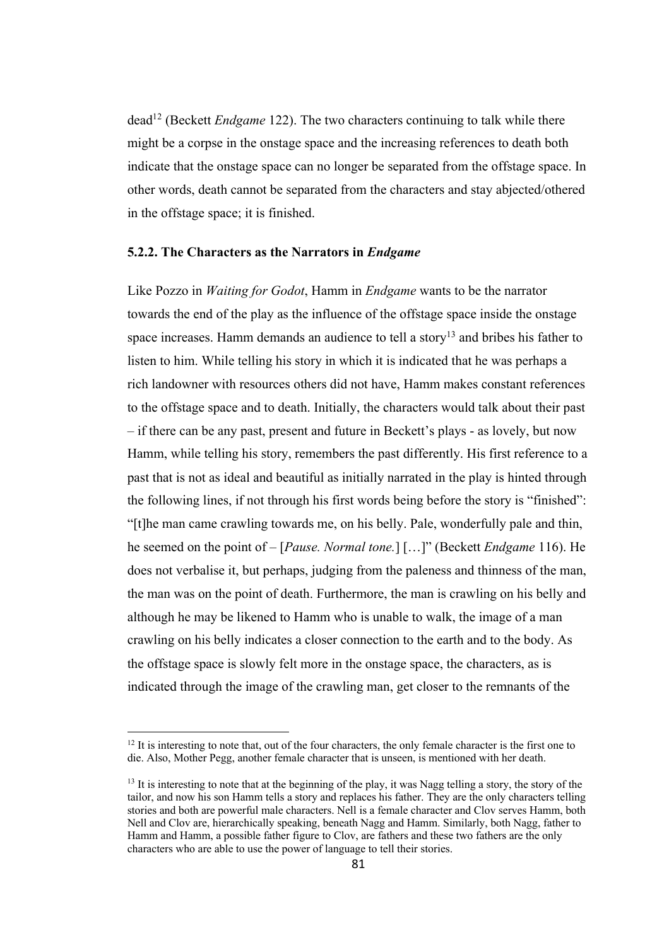dead12 (Beckett *Endgame* 122). The two characters continuing to talk while there might be a corpse in the onstage space and the increasing references to death both indicate that the onstage space can no longer be separated from the offstage space. In other words, death cannot be separated from the characters and stay abjected/othered in the offstage space; it is finished.

#### **5.2.2. The Characters as the Narrators in** *Endgame*

Like Pozzo in *Waiting for Godot*, Hamm in *Endgame* wants to be the narrator towards the end of the play as the influence of the offstage space inside the onstage space increases. Hamm demands an audience to tell a story<sup>13</sup> and bribes his father to listen to him. While telling his story in which it is indicated that he was perhaps a rich landowner with resources others did not have, Hamm makes constant references to the offstage space and to death. Initially, the characters would talk about their past – if there can be any past, present and future in Beckett's plays - as lovely, but now Hamm, while telling his story, remembers the past differently. His first reference to a past that is not as ideal and beautiful as initially narrated in the play is hinted through the following lines, if not through his first words being before the story is "finished": "[t]he man came crawling towards me, on his belly. Pale, wonderfully pale and thin, he seemed on the point of – [*Pause. Normal tone.*] […]" (Beckett *Endgame* 116). He does not verbalise it, but perhaps, judging from the paleness and thinness of the man, the man was on the point of death. Furthermore, the man is crawling on his belly and although he may be likened to Hamm who is unable to walk, the image of a man crawling on his belly indicates a closer connection to the earth and to the body. As the offstage space is slowly felt more in the onstage space, the characters, as is indicated through the image of the crawling man, get closer to the remnants of the

 $12$  It is interesting to note that, out of the four characters, the only female character is the first one to die. Also, Mother Pegg, another female character that is unseen, is mentioned with her death.

<sup>&</sup>lt;sup>13</sup> It is interesting to note that at the beginning of the play, it was Nagg telling a story, the story of the tailor, and now his son Hamm tells a story and replaces his father. They are the only characters telling stories and both are powerful male characters. Nell is a female character and Clov serves Hamm, both Nell and Clov are, hierarchically speaking, beneath Nagg and Hamm. Similarly, both Nagg, father to Hamm and Hamm, a possible father figure to Clov, are fathers and these two fathers are the only characters who are able to use the power of language to tell their stories.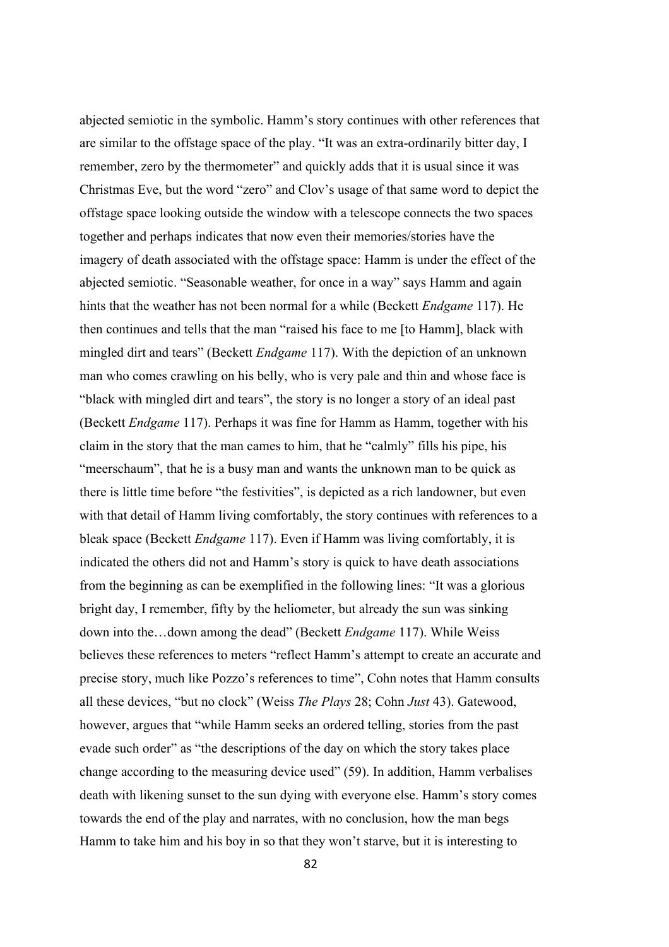abjected semiotic in the symbolic. Hamm's story continues with other references that are similar to the offstage space of the play. "It was an extra-ordinarily bitter day, I remember, zero by the thermometer" and quickly adds that it is usual since it was Christmas Eve, but the word "zero" and Clov's usage of that same word to depict the offstage space looking outside the window with a telescope connects the two spaces together and perhaps indicates that now even their memories/stories have the imagery of death associated with the offstage space: Hamm is under the effect of the abjected semiotic. "Seasonable weather, for once in a way" says Hamm and again hints that the weather has not been normal for a while (Beckett *Endgame* 117). He then continues and tells that the man "raised his face to me [to Hamm], black with mingled dirt and tears" (Beckett *Endgame* 117). With the depiction of an unknown man who comes crawling on his belly, who is very pale and thin and whose face is "black with mingled dirt and tears", the story is no longer a story of an ideal past (Beckett *Endgame* 117). Perhaps it was fine for Hamm as Hamm, together with his claim in the story that the man cames to him, that he "calmly" fills his pipe, his "meerschaum", that he is a busy man and wants the unknown man to be quick as there is little time before "the festivities", is depicted as a rich landowner, but even with that detail of Hamm living comfortably, the story continues with references to a bleak space (Beckett *Endgame* 117). Even if Hamm was living comfortably, it is indicated the others did not and Hamm's story is quick to have death associations from the beginning as can be exemplified in the following lines: "It was a glorious bright day, I remember, fifty by the heliometer, but already the sun was sinking down into the…down among the dead" (Beckett *Endgame* 117). While Weiss believes these references to meters "reflect Hamm's attempt to create an accurate and precise story, much like Pozzo's references to time", Cohn notes that Hamm consults all these devices, "but no clock" (Weiss *The Plays* 28; Cohn *Just* 43). Gatewood, however, argues that "while Hamm seeks an ordered telling, stories from the past evade such order" as "the descriptions of the day on which the story takes place change according to the measuring device used" (59). In addition, Hamm verbalises death with likening sunset to the sun dying with everyone else. Hamm's story comes towards the end of the play and narrates, with no conclusion, how the man begs Hamm to take him and his boy in so that they won't starve, but it is interesting to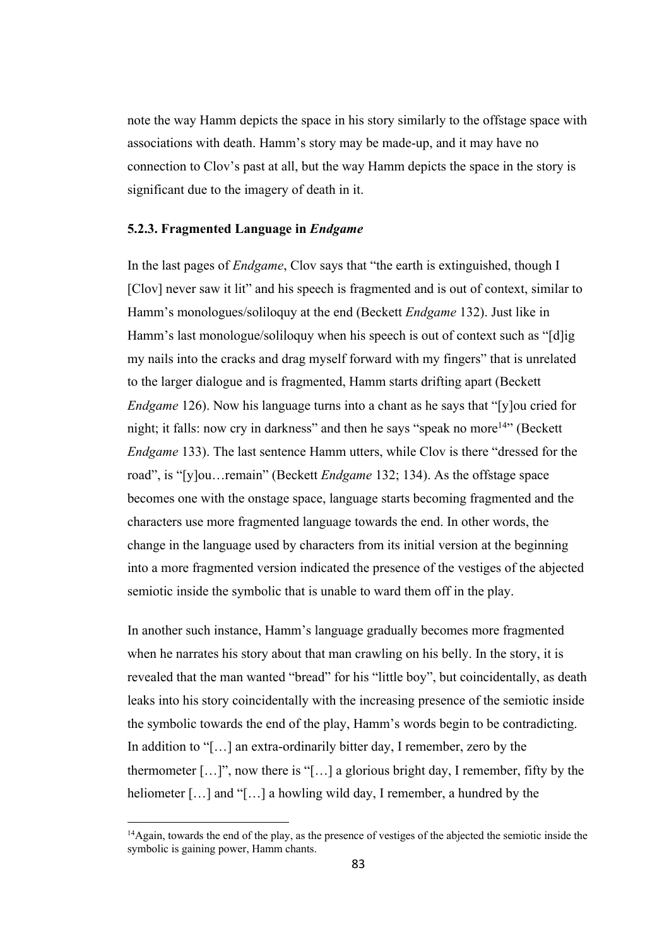note the way Hamm depicts the space in his story similarly to the offstage space with associations with death. Hamm's story may be made-up, and it may have no connection to Clov's past at all, but the way Hamm depicts the space in the story is significant due to the imagery of death in it.

# **5.2.3. Fragmented Language in** *Endgame*

In the last pages of *Endgame*, Clov says that "the earth is extinguished, though I [Clov] never saw it lit" and his speech is fragmented and is out of context, similar to Hamm's monologues/soliloquy at the end (Beckett *Endgame* 132). Just like in Hamm's last monologue/soliloquy when his speech is out of context such as "[d]ig my nails into the cracks and drag myself forward with my fingers" that is unrelated to the larger dialogue and is fragmented, Hamm starts drifting apart (Beckett *Endgame* 126). Now his language turns into a chant as he says that "[y]ou cried for night; it falls: now cry in darkness" and then he says "speak no more<sup>14</sup>" (Beckett *Endgame* 133). The last sentence Hamm utters, while Clov is there "dressed for the road", is "[y]ou…remain" (Beckett *Endgame* 132; 134). As the offstage space becomes one with the onstage space, language starts becoming fragmented and the characters use more fragmented language towards the end. In other words, the change in the language used by characters from its initial version at the beginning into a more fragmented version indicated the presence of the vestiges of the abjected semiotic inside the symbolic that is unable to ward them off in the play.

In another such instance, Hamm's language gradually becomes more fragmented when he narrates his story about that man crawling on his belly. In the story, it is revealed that the man wanted "bread" for his "little boy", but coincidentally, as death leaks into his story coincidentally with the increasing presence of the semiotic inside the symbolic towards the end of the play, Hamm's words begin to be contradicting. In addition to "[…] an extra-ordinarily bitter day, I remember, zero by the thermometer […]", now there is "[…] a glorious bright day, I remember, fifty by the heliometer [...] and "[...] a howling wild day, I remember, a hundred by the

<sup>&</sup>lt;sup>14</sup>Again, towards the end of the play, as the presence of vestiges of the abjected the semiotic inside the symbolic is gaining power, Hamm chants.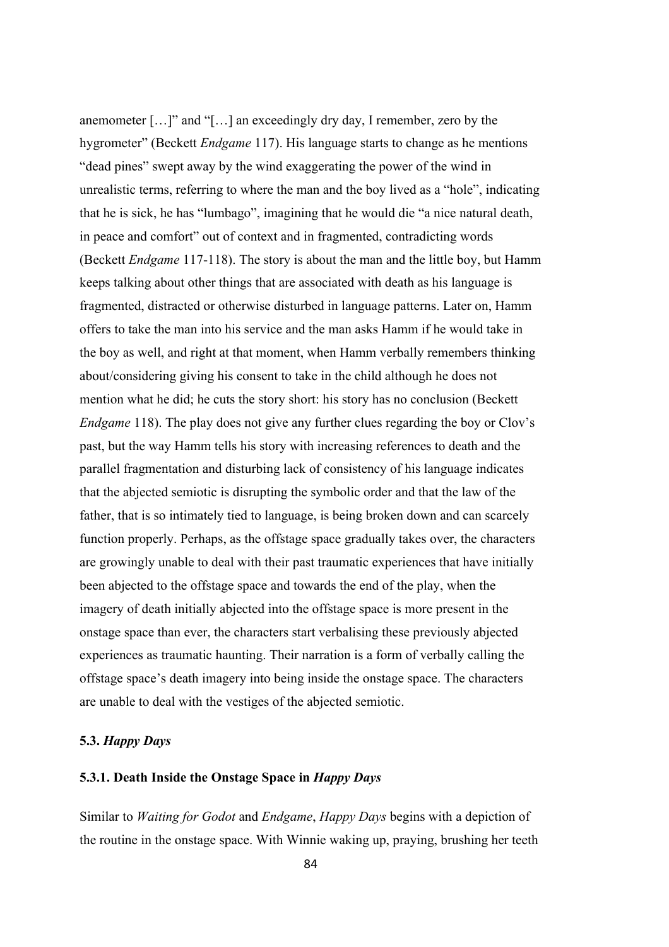anemometer […]" and "[…] an exceedingly dry day, I remember, zero by the hygrometer" (Beckett *Endgame* 117). His language starts to change as he mentions "dead pines" swept away by the wind exaggerating the power of the wind in unrealistic terms, referring to where the man and the boy lived as a "hole", indicating that he is sick, he has "lumbago", imagining that he would die "a nice natural death, in peace and comfort" out of context and in fragmented, contradicting words (Beckett *Endgame* 117-118). The story is about the man and the little boy, but Hamm keeps talking about other things that are associated with death as his language is fragmented, distracted or otherwise disturbed in language patterns. Later on, Hamm offers to take the man into his service and the man asks Hamm if he would take in the boy as well, and right at that moment, when Hamm verbally remembers thinking about/considering giving his consent to take in the child although he does not mention what he did; he cuts the story short: his story has no conclusion (Beckett *Endgame* 118). The play does not give any further clues regarding the boy or Clov's past, but the way Hamm tells his story with increasing references to death and the parallel fragmentation and disturbing lack of consistency of his language indicates that the abjected semiotic is disrupting the symbolic order and that the law of the father, that is so intimately tied to language, is being broken down and can scarcely function properly. Perhaps, as the offstage space gradually takes over, the characters are growingly unable to deal with their past traumatic experiences that have initially been abjected to the offstage space and towards the end of the play, when the imagery of death initially abjected into the offstage space is more present in the onstage space than ever, the characters start verbalising these previously abjected experiences as traumatic haunting. Their narration is a form of verbally calling the offstage space's death imagery into being inside the onstage space. The characters are unable to deal with the vestiges of the abjected semiotic.

# **5.3.** *Happy Days*

# **5.3.1. Death Inside the Onstage Space in** *Happy Days*

Similar to *Waiting for Godot* and *Endgame*, *Happy Days* begins with a depiction of the routine in the onstage space. With Winnie waking up, praying, brushing her teeth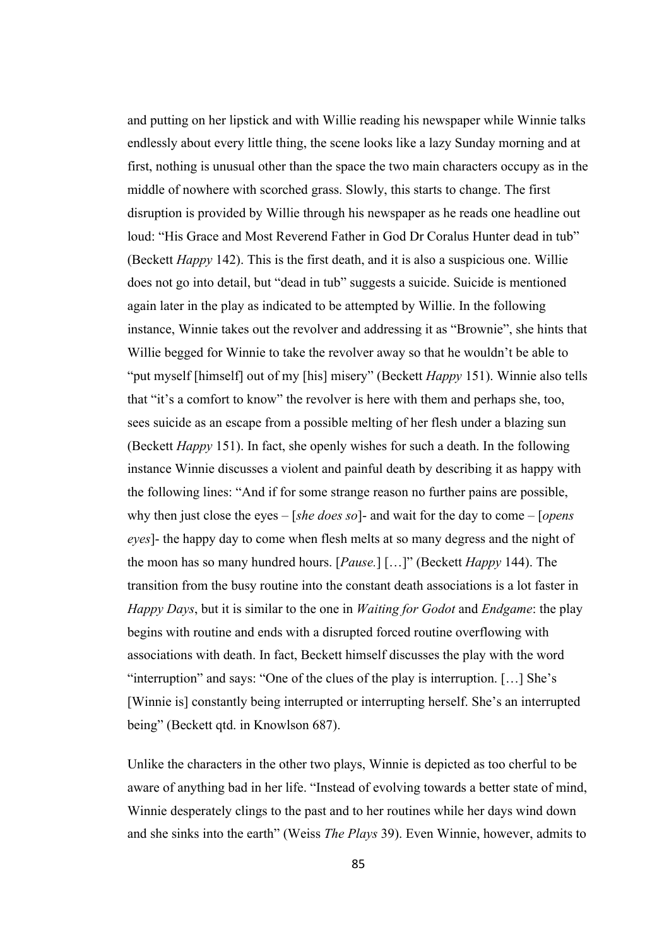and putting on her lipstick and with Willie reading his newspaper while Winnie talks endlessly about every little thing, the scene looks like a lazy Sunday morning and at first, nothing is unusual other than the space the two main characters occupy as in the middle of nowhere with scorched grass. Slowly, this starts to change. The first disruption is provided by Willie through his newspaper as he reads one headline out loud: "His Grace and Most Reverend Father in God Dr Coralus Hunter dead in tub" (Beckett *Happy* 142). This is the first death, and it is also a suspicious one. Willie does not go into detail, but "dead in tub" suggests a suicide. Suicide is mentioned again later in the play as indicated to be attempted by Willie. In the following instance, Winnie takes out the revolver and addressing it as "Brownie", she hints that Willie begged for Winnie to take the revolver away so that he wouldn't be able to "put myself [himself] out of my [his] misery" (Beckett *Happy* 151). Winnie also tells that "it's a comfort to know" the revolver is here with them and perhaps she, too, sees suicide as an escape from a possible melting of her flesh under a blazing sun (Beckett *Happy* 151). In fact, she openly wishes for such a death. In the following instance Winnie discusses a violent and painful death by describing it as happy with the following lines: "And if for some strange reason no further pains are possible, why then just close the eyes – [*she does so*]- and wait for the day to come – [*opens eyes*]- the happy day to come when flesh melts at so many degress and the night of the moon has so many hundred hours. [*Pause.*] […]" (Beckett *Happy* 144). The transition from the busy routine into the constant death associations is a lot faster in *Happy Days*, but it is similar to the one in *Waiting for Godot* and *Endgame*: the play begins with routine and ends with a disrupted forced routine overflowing with associations with death. In fact, Beckett himself discusses the play with the word "interruption" and says: "One of the clues of the play is interruption. […] She's [Winnie is] constantly being interrupted or interrupting herself. She's an interrupted being" (Beckett qtd. in Knowlson 687).

Unlike the characters in the other two plays, Winnie is depicted as too cherful to be aware of anything bad in her life. "Instead of evolving towards a better state of mind, Winnie desperately clings to the past and to her routines while her days wind down and she sinks into the earth" (Weiss *The Plays* 39). Even Winnie, however, admits to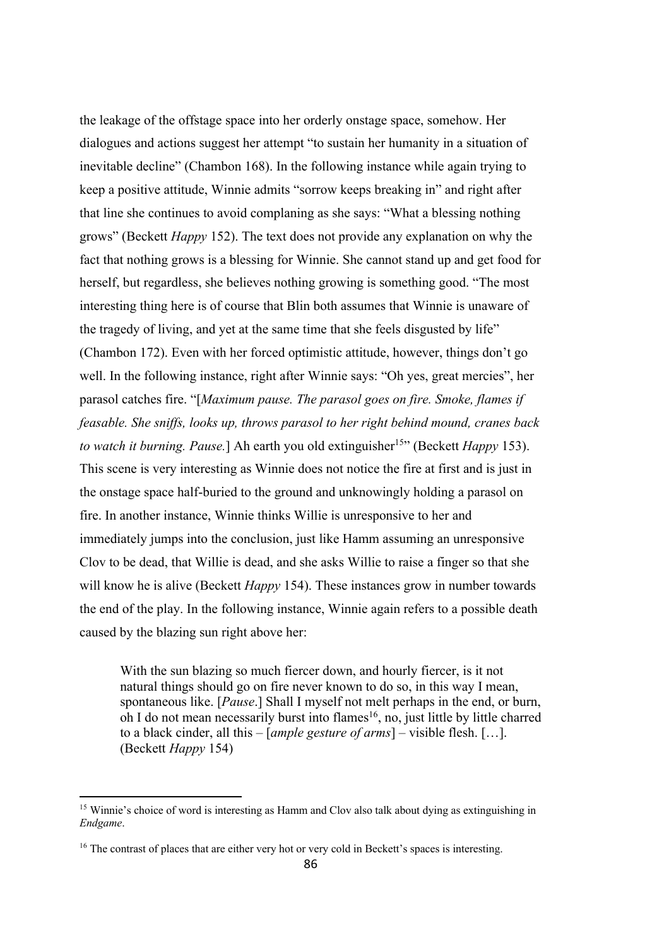the leakage of the offstage space into her orderly onstage space, somehow. Her dialogues and actions suggest her attempt "to sustain her humanity in a situation of inevitable decline" (Chambon 168). In the following instance while again trying to keep a positive attitude, Winnie admits "sorrow keeps breaking in" and right after that line she continues to avoid complaning as she says: "What a blessing nothing grows" (Beckett *Happy* 152). The text does not provide any explanation on why the fact that nothing grows is a blessing for Winnie. She cannot stand up and get food for herself, but regardless, she believes nothing growing is something good. "The most interesting thing here is of course that Blin both assumes that Winnie is unaware of the tragedy of living, and yet at the same time that she feels disgusted by life" (Chambon 172). Even with her forced optimistic attitude, however, things don't go well. In the following instance, right after Winnie says: "Oh yes, great mercies", her parasol catches fire. "[*Maximum pause. The parasol goes on fire. Smoke, flames if feasable. She sniffs, looks up, throws parasol to her right behind mound, cranes back to watch it burning. Pause.*] Ah earth you old extinguisher<sup>15</sup>" (Beckett *Happy* 153). This scene is very interesting as Winnie does not notice the fire at first and is just in the onstage space half-buried to the ground and unknowingly holding a parasol on fire. In another instance, Winnie thinks Willie is unresponsive to her and immediately jumps into the conclusion, just like Hamm assuming an unresponsive Clov to be dead, that Willie is dead, and she asks Willie to raise a finger so that she will know he is alive (Beckett *Happy* 154). These instances grow in number towards the end of the play. In the following instance, Winnie again refers to a possible death caused by the blazing sun right above her:

With the sun blazing so much fiercer down, and hourly fiercer, is it not natural things should go on fire never known to do so, in this way I mean, spontaneous like. [*Pause*.] Shall I myself not melt perhaps in the end, or burn, oh I do not mean necessarily burst into flames<sup>16</sup>, no, just little by little charred to a black cinder, all this – [*ample gesture of arms*] – visible flesh. […]. (Beckett *Happy* 154)

<sup>15</sup> Winnie's choice of word is interesting as Hamm and Clov also talk about dying as extinguishing in *Endgame*.

<sup>&</sup>lt;sup>16</sup> The contrast of places that are either very hot or very cold in Beckett's spaces is interesting.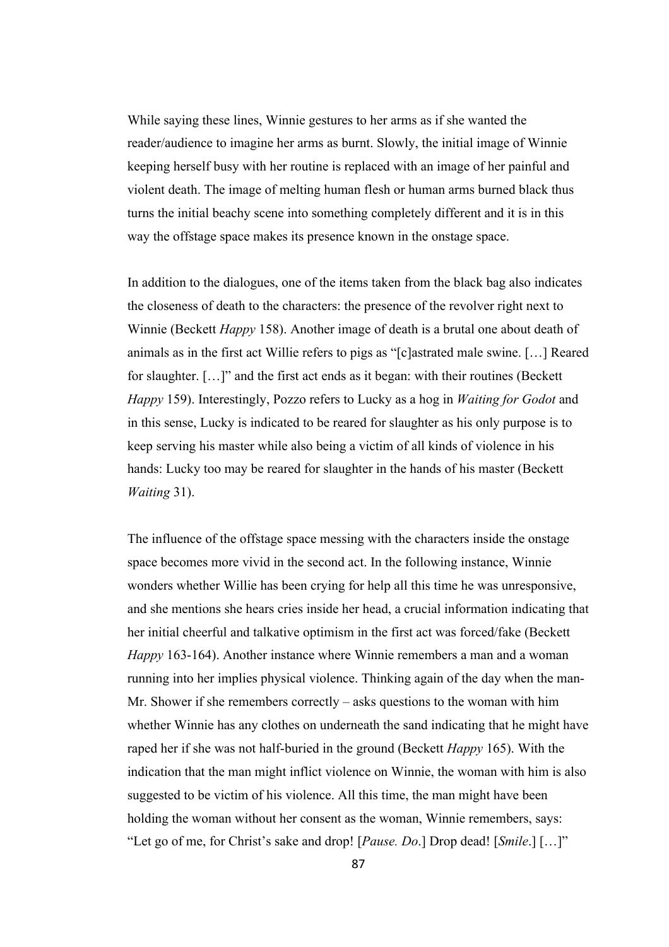While saying these lines, Winnie gestures to her arms as if she wanted the reader/audience to imagine her arms as burnt. Slowly, the initial image of Winnie keeping herself busy with her routine is replaced with an image of her painful and violent death. The image of melting human flesh or human arms burned black thus turns the initial beachy scene into something completely different and it is in this way the offstage space makes its presence known in the onstage space.

In addition to the dialogues, one of the items taken from the black bag also indicates the closeness of death to the characters: the presence of the revolver right next to Winnie (Beckett *Happy* 158). Another image of death is a brutal one about death of animals as in the first act Willie refers to pigs as "[c]astrated male swine. […] Reared for slaughter. […]" and the first act ends as it began: with their routines (Beckett *Happy* 159). Interestingly, Pozzo refers to Lucky as a hog in *Waiting for Godot* and in this sense, Lucky is indicated to be reared for slaughter as his only purpose is to keep serving his master while also being a victim of all kinds of violence in his hands: Lucky too may be reared for slaughter in the hands of his master (Beckett *Waiting* 31).

The influence of the offstage space messing with the characters inside the onstage space becomes more vivid in the second act. In the following instance, Winnie wonders whether Willie has been crying for help all this time he was unresponsive, and she mentions she hears cries inside her head, a crucial information indicating that her initial cheerful and talkative optimism in the first act was forced/fake (Beckett *Happy* 163-164). Another instance where Winnie remembers a man and a woman running into her implies physical violence. Thinking again of the day when the man-Mr. Shower if she remembers correctly – asks questions to the woman with him whether Winnie has any clothes on underneath the sand indicating that he might have raped her if she was not half-buried in the ground (Beckett *Happy* 165). With the indication that the man might inflict violence on Winnie, the woman with him is also suggested to be victim of his violence. All this time, the man might have been holding the woman without her consent as the woman, Winnie remembers, says: "Let go of me, for Christ's sake and drop! [*Pause. Do*.] Drop dead! [*Smile*.] […]"

87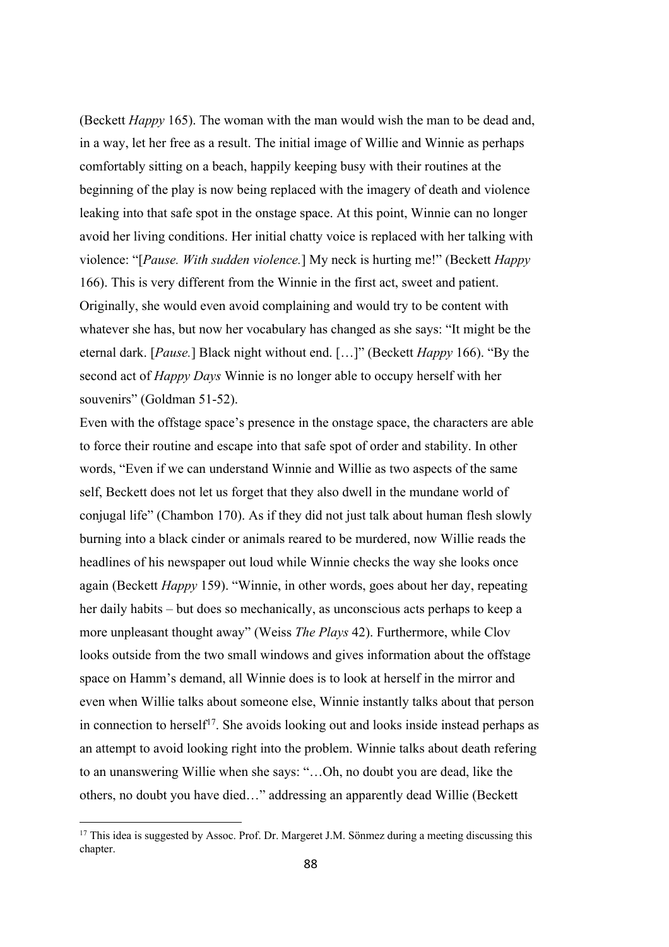(Beckett *Happy* 165). The woman with the man would wish the man to be dead and, in a way, let her free as a result. The initial image of Willie and Winnie as perhaps comfortably sitting on a beach, happily keeping busy with their routines at the beginning of the play is now being replaced with the imagery of death and violence leaking into that safe spot in the onstage space. At this point, Winnie can no longer avoid her living conditions. Her initial chatty voice is replaced with her talking with violence: "[*Pause. With sudden violence.*] My neck is hurting me!" (Beckett *Happy*  166). This is very different from the Winnie in the first act, sweet and patient. Originally, she would even avoid complaining and would try to be content with whatever she has, but now her vocabulary has changed as she says: "It might be the eternal dark. [*Pause.*] Black night without end. […]" (Beckett *Happy* 166). "By the second act of *Happy Days* Winnie is no longer able to occupy herself with her souvenirs" (Goldman 51-52).

Even with the offstage space's presence in the onstage space, the characters are able to force their routine and escape into that safe spot of order and stability. In other words, "Even if we can understand Winnie and Willie as two aspects of the same self, Beckett does not let us forget that they also dwell in the mundane world of conjugal life" (Chambon 170). As if they did not just talk about human flesh slowly burning into a black cinder or animals reared to be murdered, now Willie reads the headlines of his newspaper out loud while Winnie checks the way she looks once again (Beckett *Happy* 159). "Winnie, in other words, goes about her day, repeating her daily habits – but does so mechanically, as unconscious acts perhaps to keep a more unpleasant thought away" (Weiss *The Plays* 42). Furthermore, while Clov looks outside from the two small windows and gives information about the offstage space on Hamm's demand, all Winnie does is to look at herself in the mirror and even when Willie talks about someone else, Winnie instantly talks about that person in connection to herself<sup>17</sup>. She avoids looking out and looks inside instead perhaps as an attempt to avoid looking right into the problem. Winnie talks about death refering to an unanswering Willie when she says: "…Oh, no doubt you are dead, like the others, no doubt you have died…" addressing an apparently dead Willie (Beckett

<sup>&</sup>lt;sup>17</sup> This idea is suggested by Assoc. Prof. Dr. Margeret J.M. Sönmez during a meeting discussing this chapter.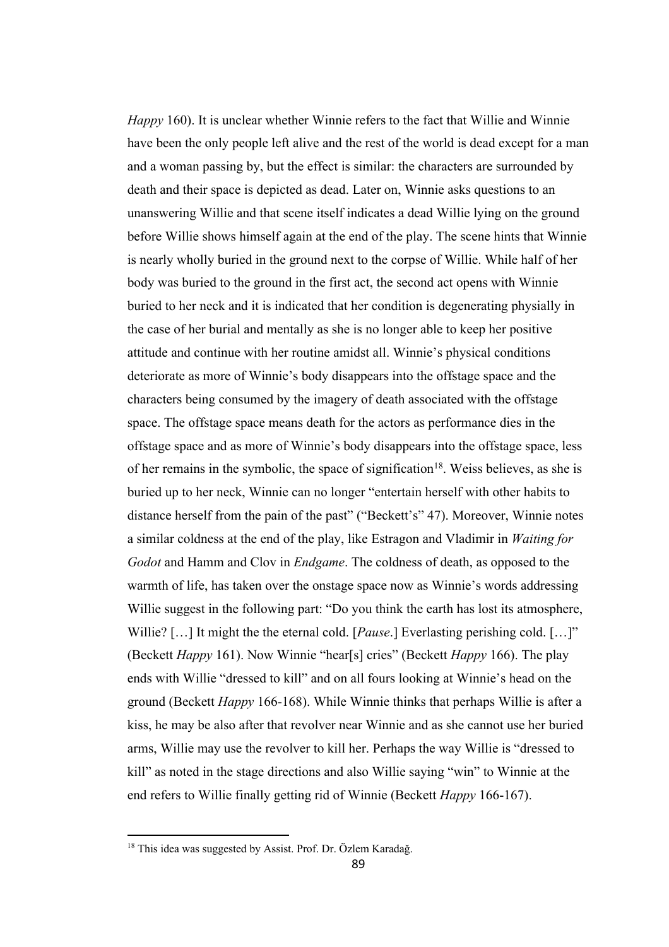*Happy* 160). It is unclear whether Winnie refers to the fact that Willie and Winnie have been the only people left alive and the rest of the world is dead except for a man and a woman passing by, but the effect is similar: the characters are surrounded by death and their space is depicted as dead. Later on, Winnie asks questions to an unanswering Willie and that scene itself indicates a dead Willie lying on the ground before Willie shows himself again at the end of the play. The scene hints that Winnie is nearly wholly buried in the ground next to the corpse of Willie. While half of her body was buried to the ground in the first act, the second act opens with Winnie buried to her neck and it is indicated that her condition is degenerating physially in the case of her burial and mentally as she is no longer able to keep her positive attitude and continue with her routine amidst all. Winnie's physical conditions deteriorate as more of Winnie's body disappears into the offstage space and the characters being consumed by the imagery of death associated with the offstage space. The offstage space means death for the actors as performance dies in the offstage space and as more of Winnie's body disappears into the offstage space, less of her remains in the symbolic, the space of signification<sup>18</sup>. Weiss believes, as she is buried up to her neck, Winnie can no longer "entertain herself with other habits to distance herself from the pain of the past" ("Beckett's" 47). Moreover, Winnie notes a similar coldness at the end of the play, like Estragon and Vladimir in *Waiting for Godot* and Hamm and Clov in *Endgame*. The coldness of death, as opposed to the warmth of life, has taken over the onstage space now as Winnie's words addressing Willie suggest in the following part: "Do you think the earth has lost its atmosphere, Willie? […] It might the the eternal cold. [*Pause*.] Everlasting perishing cold. […]" (Beckett *Happy* 161). Now Winnie "hear[s] cries" (Beckett *Happy* 166). The play ends with Willie "dressed to kill" and on all fours looking at Winnie's head on the ground (Beckett *Happy* 166-168). While Winnie thinks that perhaps Willie is after a kiss, he may be also after that revolver near Winnie and as she cannot use her buried arms, Willie may use the revolver to kill her. Perhaps the way Willie is "dressed to kill" as noted in the stage directions and also Willie saying "win" to Winnie at the end refers to Willie finally getting rid of Winnie (Beckett *Happy* 166-167).

<sup>18</sup> This idea was suggested by Assist. Prof. Dr. Özlem Karadağ.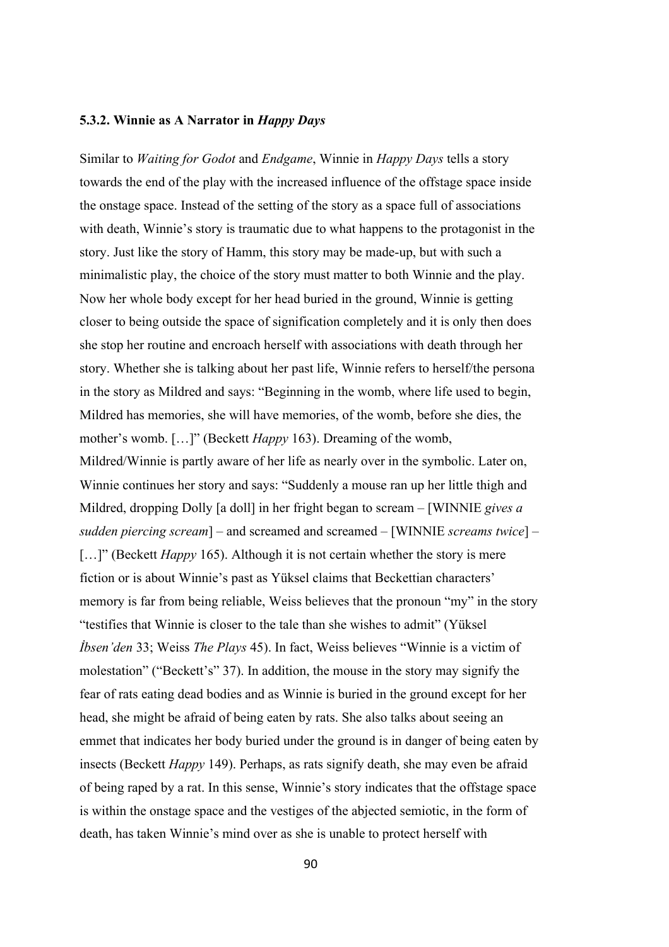### **5.3.2. Winnie as A Narrator in** *Happy Days*

Similar to *Waiting for Godot* and *Endgame*, Winnie in *Happy Days* tells a story towards the end of the play with the increased influence of the offstage space inside the onstage space. Instead of the setting of the story as a space full of associations with death, Winnie's story is traumatic due to what happens to the protagonist in the story. Just like the story of Hamm, this story may be made-up, but with such a minimalistic play, the choice of the story must matter to both Winnie and the play. Now her whole body except for her head buried in the ground, Winnie is getting closer to being outside the space of signification completely and it is only then does she stop her routine and encroach herself with associations with death through her story. Whether she is talking about her past life, Winnie refers to herself/the persona in the story as Mildred and says: "Beginning in the womb, where life used to begin, Mildred has memories, she will have memories, of the womb, before she dies, the mother's womb. […]" (Beckett *Happy* 163). Dreaming of the womb, Mildred/Winnie is partly aware of her life as nearly over in the symbolic. Later on, Winnie continues her story and says: "Suddenly a mouse ran up her little thigh and Mildred, dropping Dolly [a doll] in her fright began to scream – [WINNIE *gives a sudden piercing scream*] – and screamed and screamed – [WINNIE *screams twice*] – […]" (Beckett *Happy* 165). Although it is not certain whether the story is mere fiction or is about Winnie's past as Yüksel claims that Beckettian characters' memory is far from being reliable, Weiss believes that the pronoun "my" in the story "testifies that Winnie is closer to the tale than she wishes to admit" (Yüksel *İbsen'den* 33; Weiss *The Plays* 45). In fact, Weiss believes "Winnie is a victim of molestation" ("Beckett's" 37). In addition, the mouse in the story may signify the fear of rats eating dead bodies and as Winnie is buried in the ground except for her head, she might be afraid of being eaten by rats. She also talks about seeing an emmet that indicates her body buried under the ground is in danger of being eaten by insects (Beckett *Happy* 149). Perhaps, as rats signify death, she may even be afraid of being raped by a rat. In this sense, Winnie's story indicates that the offstage space is within the onstage space and the vestiges of the abjected semiotic, in the form of death, has taken Winnie's mind over as she is unable to protect herself with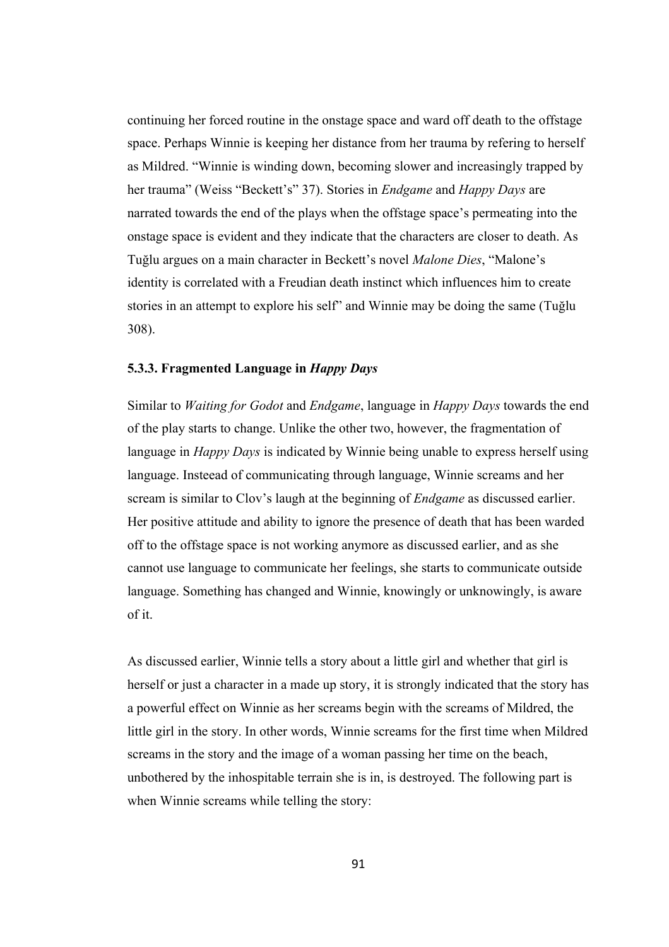continuing her forced routine in the onstage space and ward off death to the offstage space. Perhaps Winnie is keeping her distance from her trauma by refering to herself as Mildred. "Winnie is winding down, becoming slower and increasingly trapped by her trauma" (Weiss "Beckett's" 37). Stories in *Endgame* and *Happy Days* are narrated towards the end of the plays when the offstage space's permeating into the onstage space is evident and they indicate that the characters are closer to death. As Tuğlu argues on a main character in Beckett's novel *Malone Dies*, "Malone's identity is correlated with a Freudian death instinct which influences him to create stories in an attempt to explore his self" and Winnie may be doing the same (Tuğlu 308).

# **5.3.3. Fragmented Language in** *Happy Days*

Similar to *Waiting for Godot* and *Endgame*, language in *Happy Days* towards the end of the play starts to change. Unlike the other two, however, the fragmentation of language in *Happy Days* is indicated by Winnie being unable to express herself using language. Insteead of communicating through language, Winnie screams and her scream is similar to Clov's laugh at the beginning of *Endgame* as discussed earlier. Her positive attitude and ability to ignore the presence of death that has been warded off to the offstage space is not working anymore as discussed earlier, and as she cannot use language to communicate her feelings, she starts to communicate outside language. Something has changed and Winnie, knowingly or unknowingly, is aware of it.

As discussed earlier, Winnie tells a story about a little girl and whether that girl is herself or just a character in a made up story, it is strongly indicated that the story has a powerful effect on Winnie as her screams begin with the screams of Mildred, the little girl in the story. In other words, Winnie screams for the first time when Mildred screams in the story and the image of a woman passing her time on the beach, unbothered by the inhospitable terrain she is in, is destroyed. The following part is when Winnie screams while telling the story: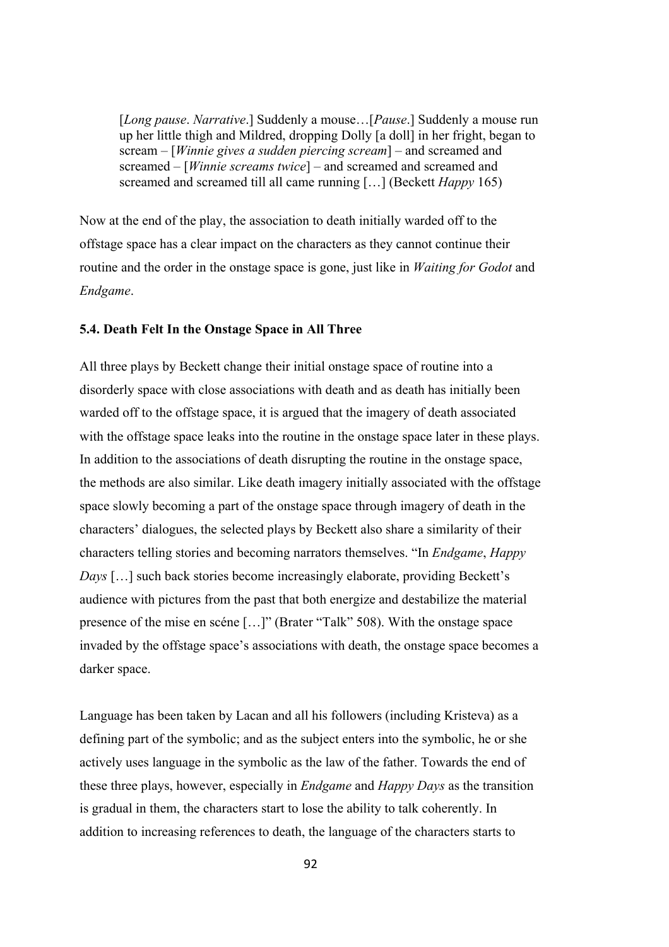[*Long pause*. *Narrative*.] Suddenly a mouse…[*Pause*.] Suddenly a mouse run up her little thigh and Mildred, dropping Dolly [a doll] in her fright, began to scream – [*Winnie gives a sudden piercing scream*] – and screamed and screamed – [*Winnie screams twice*] – and screamed and screamed and screamed and screamed till all came running […] (Beckett *Happy* 165)

Now at the end of the play, the association to death initially warded off to the offstage space has a clear impact on the characters as they cannot continue their routine and the order in the onstage space is gone, just like in *Waiting for Godot* and *Endgame*.

### **5.4. Death Felt In the Onstage Space in All Three**

All three plays by Beckett change their initial onstage space of routine into a disorderly space with close associations with death and as death has initially been warded off to the offstage space, it is argued that the imagery of death associated with the offstage space leaks into the routine in the onstage space later in these plays. In addition to the associations of death disrupting the routine in the onstage space, the methods are also similar. Like death imagery initially associated with the offstage space slowly becoming a part of the onstage space through imagery of death in the characters' dialogues, the selected plays by Beckett also share a similarity of their characters telling stories and becoming narrators themselves. "In *Endgame*, *Happy Days* [...] such back stories become increasingly elaborate, providing Beckett's audience with pictures from the past that both energize and destabilize the material presence of the mise en scéne […]" (Brater "Talk" 508). With the onstage space invaded by the offstage space's associations with death, the onstage space becomes a darker space.

Language has been taken by Lacan and all his followers (including Kristeva) as a defining part of the symbolic; and as the subject enters into the symbolic, he or she actively uses language in the symbolic as the law of the father. Towards the end of these three plays, however, especially in *Endgame* and *Happy Days* as the transition is gradual in them, the characters start to lose the ability to talk coherently. In addition to increasing references to death, the language of the characters starts to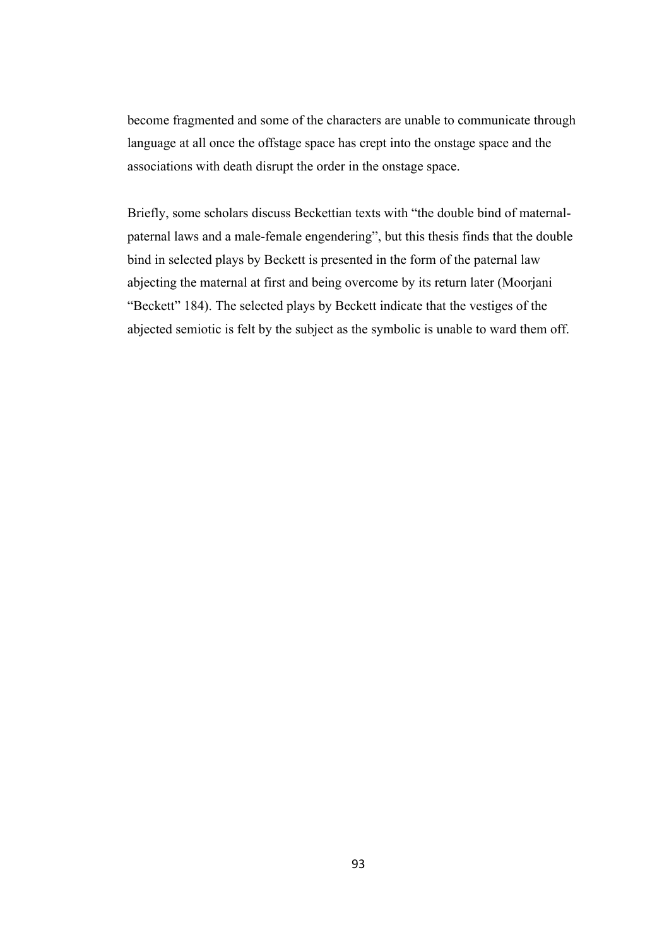become fragmented and some of the characters are unable to communicate through language at all once the offstage space has crept into the onstage space and the associations with death disrupt the order in the onstage space.

Briefly, some scholars discuss Beckettian texts with "the double bind of maternalpaternal laws and a male-female engendering", but this thesis finds that the double bind in selected plays by Beckett is presented in the form of the paternal law abjecting the maternal at first and being overcome by its return later (Moorjani "Beckett" 184). The selected plays by Beckett indicate that the vestiges of the abjected semiotic is felt by the subject as the symbolic is unable to ward them off.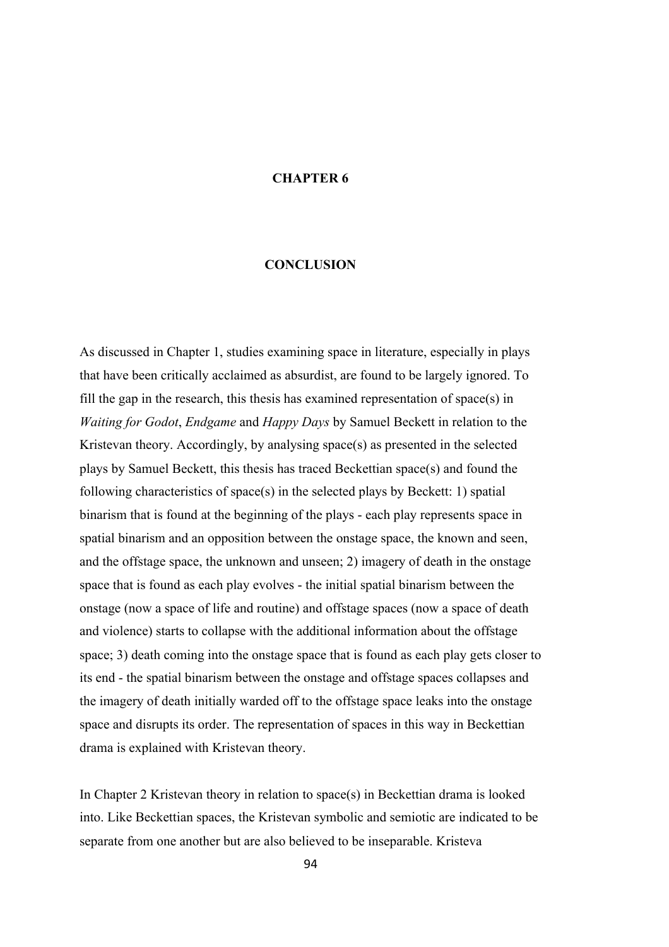### **CHAPTER 6**

# **CONCLUSION**

As discussed in Chapter 1, studies examining space in literature, especially in plays that have been critically acclaimed as absurdist, are found to be largely ignored. To fill the gap in the research, this thesis has examined representation of space(s) in *Waiting for Godot*, *Endgame* and *Happy Days* by Samuel Beckett in relation to the Kristevan theory. Accordingly, by analysing space(s) as presented in the selected plays by Samuel Beckett, this thesis has traced Beckettian space(s) and found the following characteristics of space(s) in the selected plays by Beckett: 1) spatial binarism that is found at the beginning of the plays - each play represents space in spatial binarism and an opposition between the onstage space, the known and seen, and the offstage space, the unknown and unseen; 2) imagery of death in the onstage space that is found as each play evolves - the initial spatial binarism between the onstage (now a space of life and routine) and offstage spaces (now a space of death and violence) starts to collapse with the additional information about the offstage space; 3) death coming into the onstage space that is found as each play gets closer to its end - the spatial binarism between the onstage and offstage spaces collapses and the imagery of death initially warded off to the offstage space leaks into the onstage space and disrupts its order. The representation of spaces in this way in Beckettian drama is explained with Kristevan theory.

In Chapter 2 Kristevan theory in relation to space(s) in Beckettian drama is looked into. Like Beckettian spaces, the Kristevan symbolic and semiotic are indicated to be separate from one another but are also believed to be inseparable. Kristeva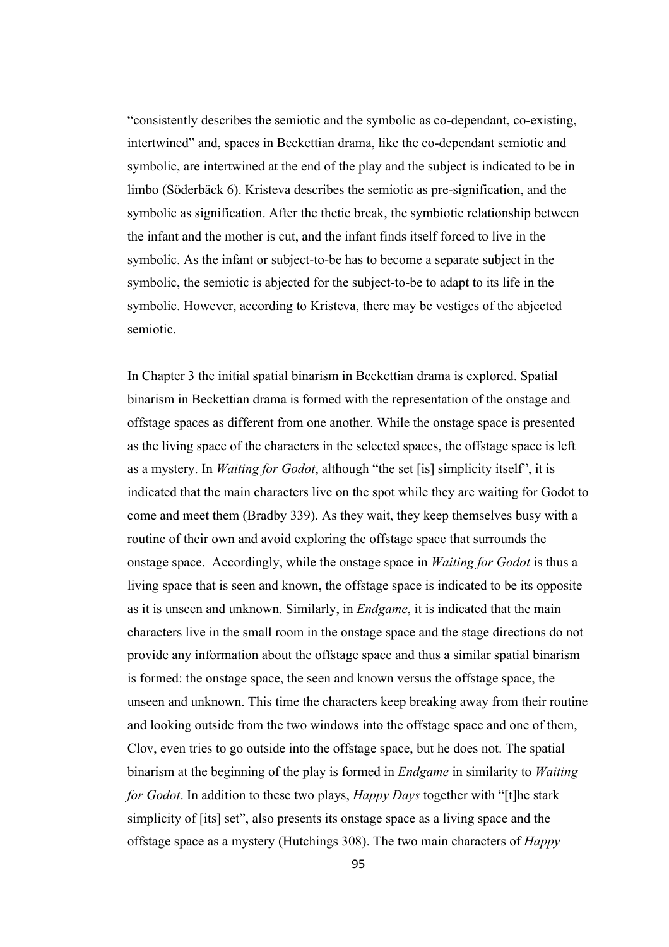"consistently describes the semiotic and the symbolic as co-dependant, co-existing, intertwined" and, spaces in Beckettian drama, like the co-dependant semiotic and symbolic, are intertwined at the end of the play and the subject is indicated to be in limbo (Söderbäck 6). Kristeva describes the semiotic as pre-signification, and the symbolic as signification. After the thetic break, the symbiotic relationship between the infant and the mother is cut, and the infant finds itself forced to live in the symbolic. As the infant or subject-to-be has to become a separate subject in the symbolic, the semiotic is abjected for the subject-to-be to adapt to its life in the symbolic. However, according to Kristeva, there may be vestiges of the abjected semiotic.

In Chapter 3 the initial spatial binarism in Beckettian drama is explored. Spatial binarism in Beckettian drama is formed with the representation of the onstage and offstage spaces as different from one another. While the onstage space is presented as the living space of the characters in the selected spaces, the offstage space is left as a mystery. In *Waiting for Godot*, although "the set [is] simplicity itself", it is indicated that the main characters live on the spot while they are waiting for Godot to come and meet them (Bradby 339). As they wait, they keep themselves busy with a routine of their own and avoid exploring the offstage space that surrounds the onstage space. Accordingly, while the onstage space in *Waiting for Godot* is thus a living space that is seen and known, the offstage space is indicated to be its opposite as it is unseen and unknown. Similarly, in *Endgame*, it is indicated that the main characters live in the small room in the onstage space and the stage directions do not provide any information about the offstage space and thus a similar spatial binarism is formed: the onstage space, the seen and known versus the offstage space, the unseen and unknown. This time the characters keep breaking away from their routine and looking outside from the two windows into the offstage space and one of them, Clov, even tries to go outside into the offstage space, but he does not. The spatial binarism at the beginning of the play is formed in *Endgame* in similarity to *Waiting for Godot*. In addition to these two plays, *Happy Days* together with "[t]he stark simplicity of [its] set", also presents its onstage space as a living space and the offstage space as a mystery (Hutchings 308). The two main characters of *Happy*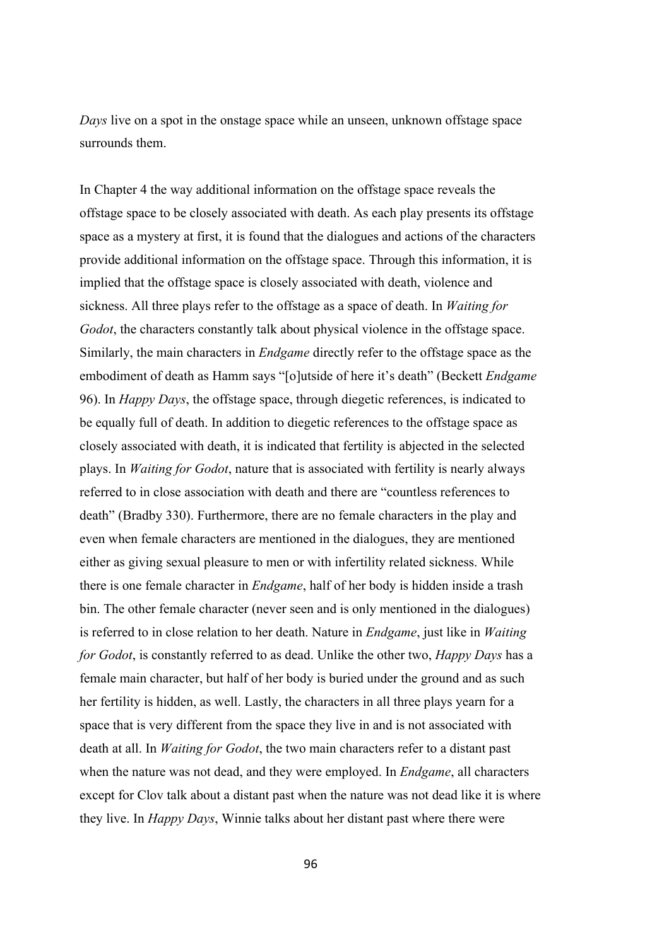*Days* live on a spot in the onstage space while an unseen, unknown offstage space surrounds them.

In Chapter 4 the way additional information on the offstage space reveals the offstage space to be closely associated with death. As each play presents its offstage space as a mystery at first, it is found that the dialogues and actions of the characters provide additional information on the offstage space. Through this information, it is implied that the offstage space is closely associated with death, violence and sickness. All three plays refer to the offstage as a space of death. In *Waiting for Godot*, the characters constantly talk about physical violence in the offstage space. Similarly, the main characters in *Endgame* directly refer to the offstage space as the embodiment of death as Hamm says "[o]utside of here it's death" (Beckett *Endgame* 96). In *Happy Days*, the offstage space, through diegetic references, is indicated to be equally full of death. In addition to diegetic references to the offstage space as closely associated with death, it is indicated that fertility is abjected in the selected plays. In *Waiting for Godot*, nature that is associated with fertility is nearly always referred to in close association with death and there are "countless references to death" (Bradby 330). Furthermore, there are no female characters in the play and even when female characters are mentioned in the dialogues, they are mentioned either as giving sexual pleasure to men or with infertility related sickness. While there is one female character in *Endgame*, half of her body is hidden inside a trash bin. The other female character (never seen and is only mentioned in the dialogues) is referred to in close relation to her death. Nature in *Endgame*, just like in *Waiting for Godot*, is constantly referred to as dead. Unlike the other two, *Happy Days* has a female main character, but half of her body is buried under the ground and as such her fertility is hidden, as well. Lastly, the characters in all three plays yearn for a space that is very different from the space they live in and is not associated with death at all. In *Waiting for Godot*, the two main characters refer to a distant past when the nature was not dead, and they were employed. In *Endgame*, all characters except for Clov talk about a distant past when the nature was not dead like it is where they live. In *Happy Days*, Winnie talks about her distant past where there were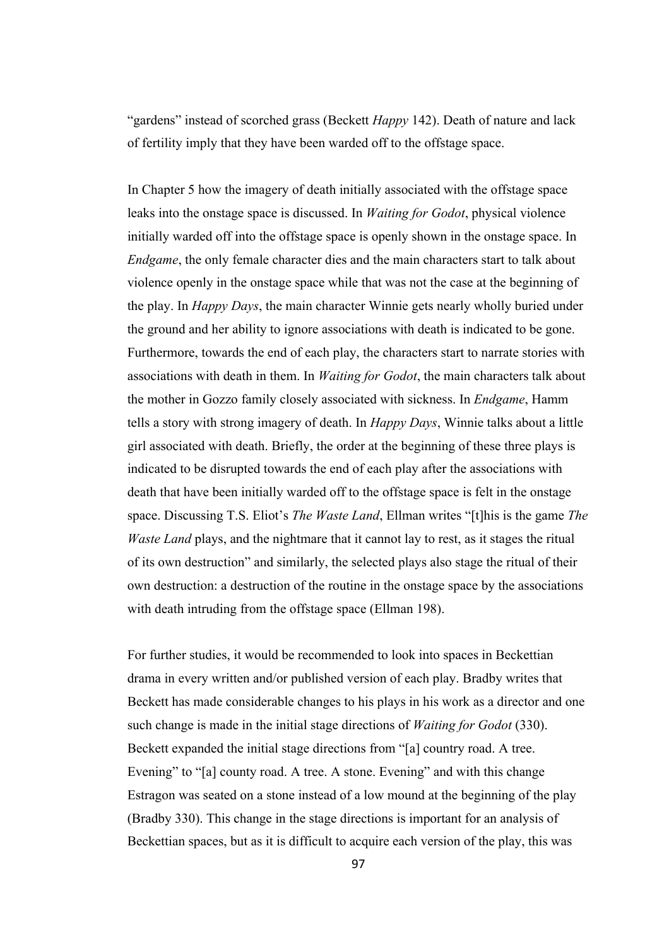"gardens" instead of scorched grass (Beckett *Happy* 142). Death of nature and lack of fertility imply that they have been warded off to the offstage space.

In Chapter 5 how the imagery of death initially associated with the offstage space leaks into the onstage space is discussed. In *Waiting for Godot*, physical violence initially warded off into the offstage space is openly shown in the onstage space. In *Endgame*, the only female character dies and the main characters start to talk about violence openly in the onstage space while that was not the case at the beginning of the play. In *Happy Days*, the main character Winnie gets nearly wholly buried under the ground and her ability to ignore associations with death is indicated to be gone. Furthermore, towards the end of each play, the characters start to narrate stories with associations with death in them. In *Waiting for Godot*, the main characters talk about the mother in Gozzo family closely associated with sickness. In *Endgame*, Hamm tells a story with strong imagery of death. In *Happy Days*, Winnie talks about a little girl associated with death. Briefly, the order at the beginning of these three plays is indicated to be disrupted towards the end of each play after the associations with death that have been initially warded off to the offstage space is felt in the onstage space. Discussing T.S. Eliot's *The Waste Land*, Ellman writes "[t]his is the game *The Waste Land* plays, and the nightmare that it cannot lay to rest, as it stages the ritual of its own destruction" and similarly, the selected plays also stage the ritual of their own destruction: a destruction of the routine in the onstage space by the associations with death intruding from the offstage space (Ellman 198).

For further studies, it would be recommended to look into spaces in Beckettian drama in every written and/or published version of each play. Bradby writes that Beckett has made considerable changes to his plays in his work as a director and one such change is made in the initial stage directions of *Waiting for Godot* (330). Beckett expanded the initial stage directions from "[a] country road. A tree. Evening" to "[a] county road. A tree. A stone. Evening" and with this change Estragon was seated on a stone instead of a low mound at the beginning of the play (Bradby 330). This change in the stage directions is important for an analysis of Beckettian spaces, but as it is difficult to acquire each version of the play, this was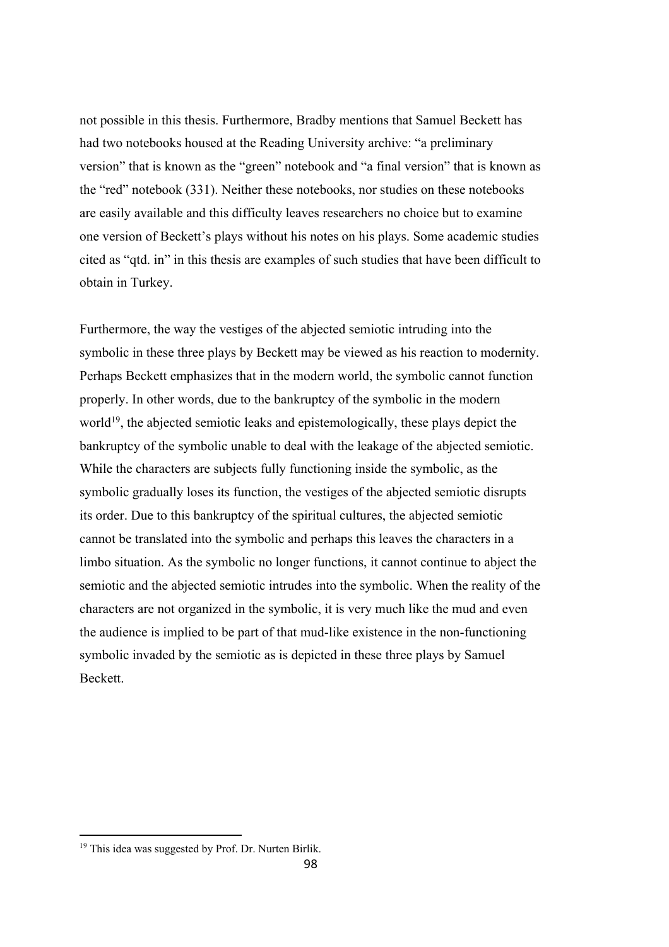not possible in this thesis. Furthermore, Bradby mentions that Samuel Beckett has had two notebooks housed at the Reading University archive: "a preliminary version" that is known as the "green" notebook and "a final version" that is known as the "red" notebook (331). Neither these notebooks, nor studies on these notebooks are easily available and this difficulty leaves researchers no choice but to examine one version of Beckett's plays without his notes on his plays. Some academic studies cited as "qtd. in" in this thesis are examples of such studies that have been difficult to obtain in Turkey.

Furthermore, the way the vestiges of the abjected semiotic intruding into the symbolic in these three plays by Beckett may be viewed as his reaction to modernity. Perhaps Beckett emphasizes that in the modern world, the symbolic cannot function properly. In other words, due to the bankruptcy of the symbolic in the modern world<sup>19</sup>, the abjected semiotic leaks and epistemologically, these plays depict the bankruptcy of the symbolic unable to deal with the leakage of the abjected semiotic. While the characters are subjects fully functioning inside the symbolic, as the symbolic gradually loses its function, the vestiges of the abjected semiotic disrupts its order. Due to this bankruptcy of the spiritual cultures, the abjected semiotic cannot be translated into the symbolic and perhaps this leaves the characters in a limbo situation. As the symbolic no longer functions, it cannot continue to abject the semiotic and the abjected semiotic intrudes into the symbolic. When the reality of the characters are not organized in the symbolic, it is very much like the mud and even the audience is implied to be part of that mud-like existence in the non-functioning symbolic invaded by the semiotic as is depicted in these three plays by Samuel Beckett.

<sup>&</sup>lt;sup>19</sup> This idea was suggested by Prof. Dr. Nurten Birlik.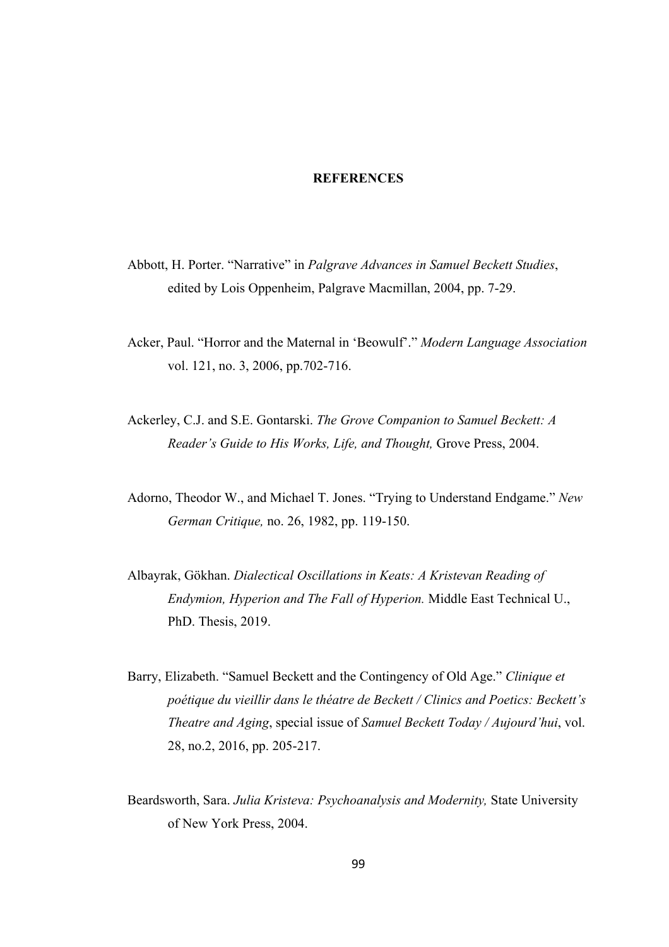### **REFERENCES**

- Abbott, H. Porter. "Narrative" in *Palgrave Advances in Samuel Beckett Studies*, edited by Lois Oppenheim, Palgrave Macmillan, 2004, pp. 7-29.
- Acker, Paul. "Horror and the Maternal in 'Beowulf'." *Modern Language Association*  vol. 121, no. 3, 2006, pp.702-716.
- Ackerley, C.J. and S.E. Gontarski. *The Grove Companion to Samuel Beckett: A Reader's Guide to His Works, Life, and Thought,* Grove Press, 2004.
- Adorno, Theodor W., and Michael T. Jones. "Trying to Understand Endgame." *New German Critique,* no. 26, 1982, pp. 119-150.
- Albayrak, Gökhan. *Dialectical Oscillations in Keats: A Kristevan Reading of Endymion, Hyperion and The Fall of Hyperion.* Middle East Technical U., PhD. Thesis, 2019.
- Barry, Elizabeth. "Samuel Beckett and the Contingency of Old Age." *Clinique et poétique du vieillir dans le théatre de Beckett / Clinics and Poetics: Beckett's Theatre and Aging*, special issue of *Samuel Beckett Today / Aujourd'hui*, vol. 28, no.2, 2016, pp. 205-217.
- Beardsworth, Sara. *Julia Kristeva: Psychoanalysis and Modernity,* State University of New York Press, 2004.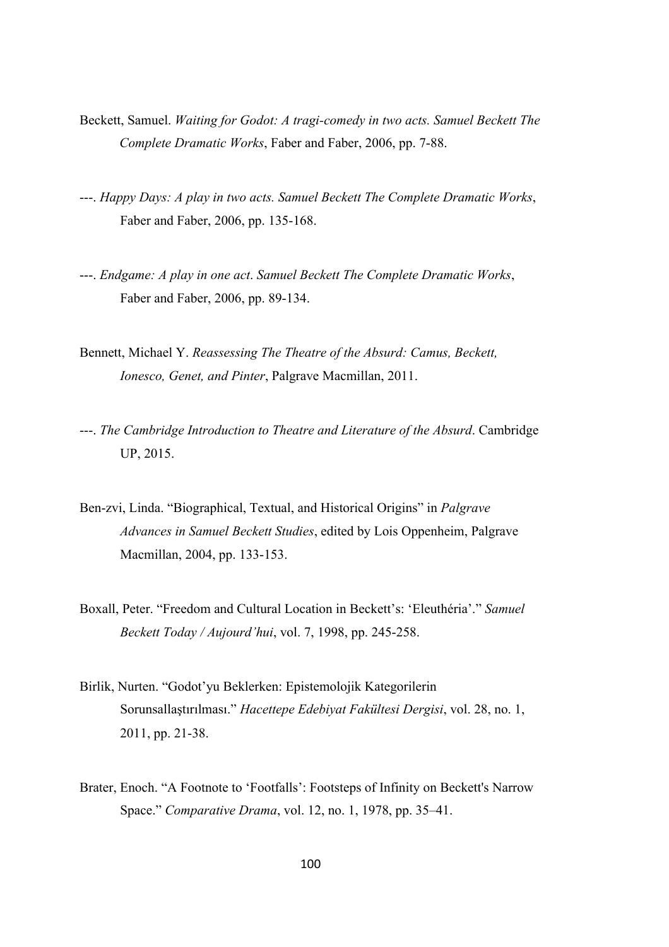- Beckett, Samuel. *Waiting for Godot: A tragi-comedy in two acts. Samuel Beckett The Complete Dramatic Works*, Faber and Faber, 2006, pp. 7-88.
- ---. *Happy Days: A play in two acts. Samuel Beckett The Complete Dramatic Works*, Faber and Faber, 2006, pp. 135-168.
- ---. *Endgame: A play in one act*. *Samuel Beckett The Complete Dramatic Works*, Faber and Faber, 2006, pp. 89-134.
- Bennett, Michael Y. *Reassessing The Theatre of the Absurd: Camus, Beckett, Ionesco, Genet, and Pinter*, Palgrave Macmillan, 2011.
- ---. *The Cambridge Introduction to Theatre and Literature of the Absurd*. Cambridge UP, 2015.
- Ben-zvi, Linda. "Biographical, Textual, and Historical Origins" in *Palgrave Advances in Samuel Beckett Studies*, edited by Lois Oppenheim, Palgrave Macmillan, 2004, pp. 133-153.
- Boxall, Peter. "Freedom and Cultural Location in Beckett's: 'Eleuthéria'." *Samuel Beckett Today / Aujourd'hui*, vol. 7, 1998, pp. 245-258.
- Birlik, Nurten. "Godot'yu Beklerken: Epistemolojik Kategorilerin Sorunsallaştırılması." *Hacettepe Edebiyat Fakültesi Dergisi*, vol. 28, no. 1, 2011, pp. 21-38.
- Brater, Enoch. "A Footnote to 'Footfalls': Footsteps of Infinity on Beckett's Narrow Space." *Comparative Drama*, vol. 12, no. 1, 1978, pp. 35–41.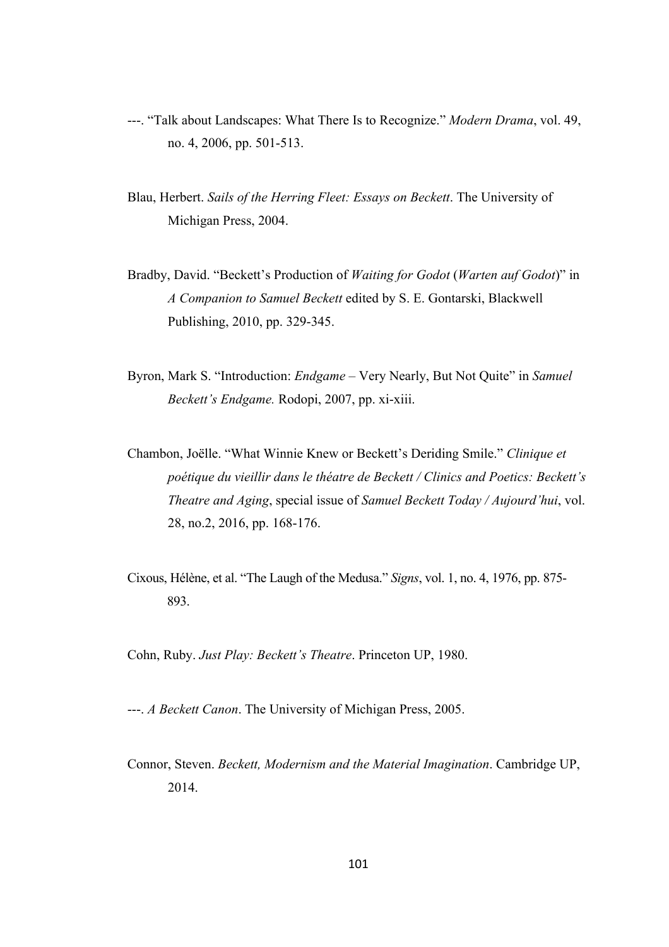- ---. "Talk about Landscapes: What There Is to Recognize." *Modern Drama*, vol. 49, no. 4, 2006, pp. 501-513.
- Blau, Herbert. *Sails of the Herring Fleet: Essays on Beckett*. The University of Michigan Press, 2004.
- Bradby, David. "Beckett's Production of *Waiting for Godot* (*Warten auf Godot*)" in *A Companion to Samuel Beckett* edited by S. E. Gontarski, Blackwell Publishing, 2010, pp. 329-345.
- Byron, Mark S. "Introduction: *Endgame* Very Nearly, But Not Quite" in *Samuel Beckett's Endgame.* Rodopi, 2007, pp. xi-xiii.
- Chambon, Joëlle. "What Winnie Knew or Beckett's Deriding Smile." *Clinique et poétique du vieillir dans le théatre de Beckett / Clinics and Poetics: Beckett's Theatre and Aging*, special issue of *Samuel Beckett Today / Aujourd'hui*, vol. 28, no.2, 2016, pp. 168-176.
- Cixous, Hélène, et al. "The Laugh of the Medusa." *Signs*, vol. 1, no. 4, 1976, pp. 875- 893.

Cohn, Ruby. *Just Play: Beckett's Theatre*. Princeton UP, 1980.

---. *A Beckett Canon*. The University of Michigan Press, 2005.

Connor, Steven. *Beckett, Modernism and the Material Imagination*. Cambridge UP, 2014.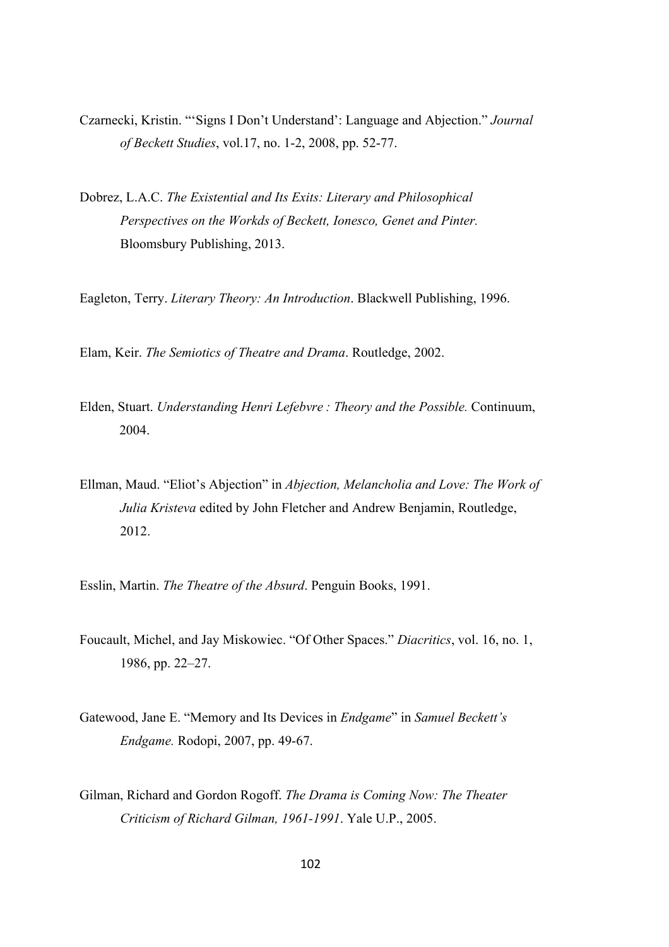- Czarnecki, Kristin. "'Signs I Don't Understand': Language and Abjection." *Journal of Beckett Studies*, vol.17, no. 1-2, 2008, pp. 52-77.
- Dobrez, L.A.C. *The Existential and Its Exits: Literary and Philosophical Perspectives on the Workds of Beckett, Ionesco, Genet and Pinter.* Bloomsbury Publishing, 2013.

Eagleton, Terry. *Literary Theory: An Introduction*. Blackwell Publishing, 1996.

Elam, Keir. *The Semiotics of Theatre and Drama*. Routledge, 2002.

- Elden, Stuart. *Understanding Henri Lefebvre : Theory and the Possible.* Continuum, 2004.
- Ellman, Maud. "Eliot's Abjection" in *Abjection, Melancholia and Love: The Work of Julia Kristeva* edited by John Fletcher and Andrew Benjamin, Routledge, 2012.
- Esslin, Martin. *The Theatre of the Absurd*. Penguin Books, 1991.
- Foucault, Michel, and Jay Miskowiec. "Of Other Spaces." *Diacritics*, vol. 16, no. 1, 1986, pp. 22–27.
- Gatewood, Jane E. "Memory and Its Devices in *Endgame*" in *Samuel Beckett's Endgame.* Rodopi, 2007, pp. 49-67.
- Gilman, Richard and Gordon Rogoff. *The Drama is Coming Now: The Theater Criticism of Richard Gilman, 1961-1991*. Yale U.P., 2005.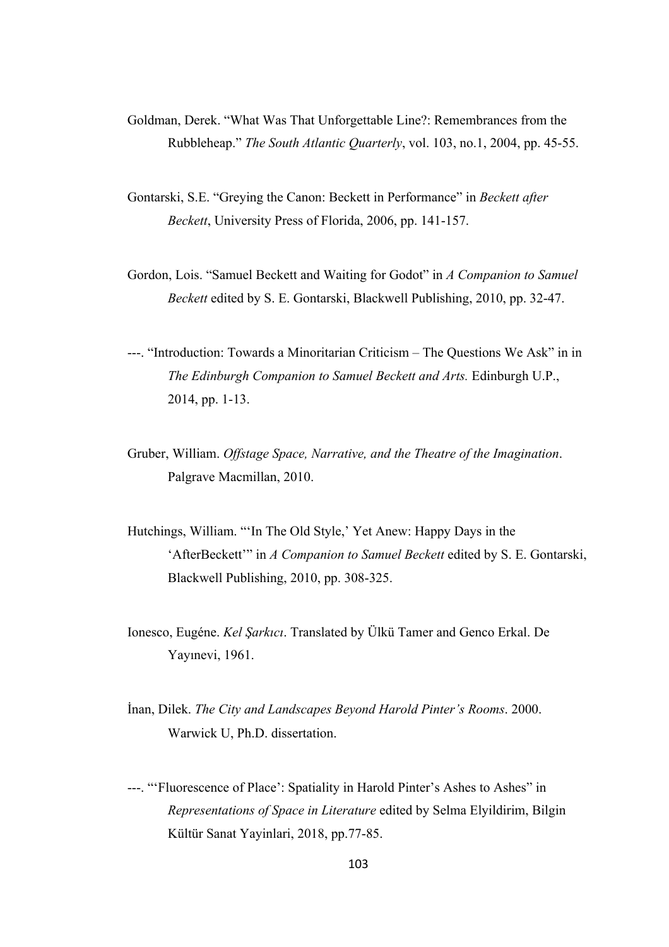- Goldman, Derek. "What Was That Unforgettable Line?: Remembrances from the Rubbleheap." *The South Atlantic Quarterly*, vol. 103, no.1, 2004, pp. 45-55.
- Gontarski, S.E. "Greying the Canon: Beckett in Performance" in *Beckett after Beckett*, University Press of Florida, 2006, pp. 141-157.
- Gordon, Lois. "Samuel Beckett and Waiting for Godot" in *A Companion to Samuel Beckett* edited by S. E. Gontarski, Blackwell Publishing, 2010, pp. 32-47.
- ---. "Introduction: Towards a Minoritarian Criticism The Questions We Ask" in in *The Edinburgh Companion to Samuel Beckett and Arts.* Edinburgh U.P., 2014, pp. 1-13.
- Gruber, William. *Offstage Space, Narrative, and the Theatre of the Imagination*. Palgrave Macmillan, 2010.
- Hutchings, William. "'In The Old Style,' Yet Anew: Happy Days in the 'AfterBeckett'" in *A Companion to Samuel Beckett* edited by S. E. Gontarski, Blackwell Publishing, 2010, pp. 308-325.
- Ionesco, Eugéne. *Kel Şarkıcı*. Translated by Ülkü Tamer and Genco Erkal. De Yayınevi, 1961.
- İnan, Dilek. *The City and Landscapes Beyond Harold Pinter's Rooms*. 2000. Warwick U, Ph.D. dissertation.
- ---. "'Fluorescence of Place': Spatiality in Harold Pinter's Ashes to Ashes" in *Representations of Space in Literature* edited by Selma Elyildirim, Bilgin Kültür Sanat Yayinlari, 2018, pp.77-85.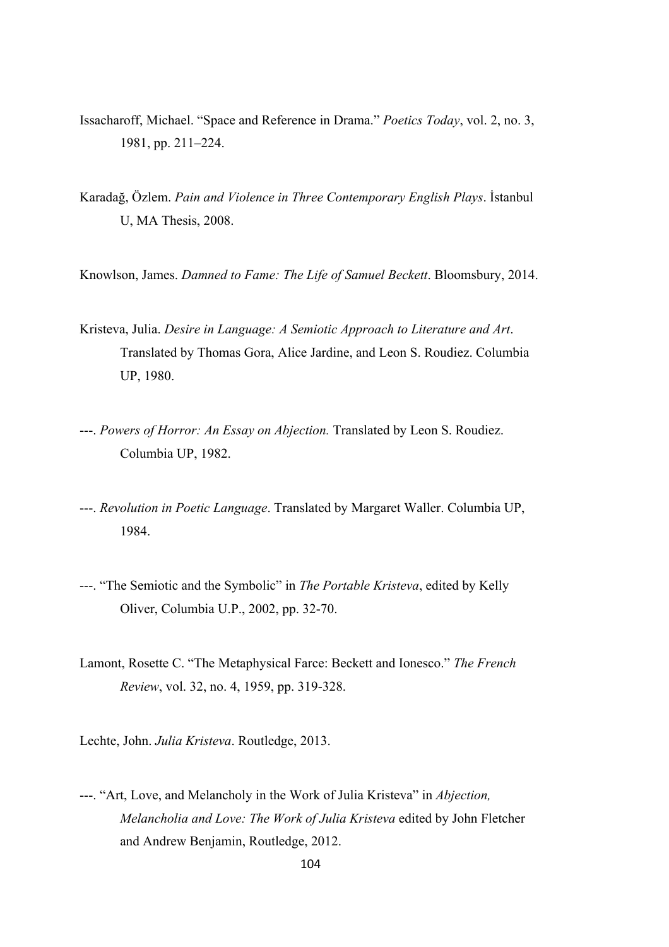- Issacharoff, Michael. "Space and Reference in Drama." *Poetics Today*, vol. 2, no. 3, 1981, pp. 211–224.
- Karadağ, Özlem. *Pain and Violence in Three Contemporary English Plays*. İstanbul U, MA Thesis, 2008.
- Knowlson, James. *Damned to Fame: The Life of Samuel Beckett*. Bloomsbury, 2014.
- Kristeva, Julia. *Desire in Language: A Semiotic Approach to Literature and Art*. Translated by Thomas Gora, Alice Jardine, and Leon S. Roudiez. Columbia UP, 1980.
- ---. *Powers of Horror: An Essay on Abjection.* Translated by Leon S. Roudiez. Columbia UP, 1982.
- ---. *Revolution in Poetic Language*. Translated by Margaret Waller. Columbia UP, 1984.
- ---. "The Semiotic and the Symbolic" in *The Portable Kristeva*, edited by Kelly Oliver, Columbia U.P., 2002, pp. 32-70.
- Lamont, Rosette C. "The Metaphysical Farce: Beckett and Ionesco." *The French Review*, vol. 32, no. 4, 1959, pp. 319-328.
- Lechte, John. *Julia Kristeva*. Routledge, 2013.
- ---. "Art, Love, and Melancholy in the Work of Julia Kristeva" in *Abjection, Melancholia and Love: The Work of Julia Kristeva* edited by John Fletcher and Andrew Benjamin, Routledge, 2012.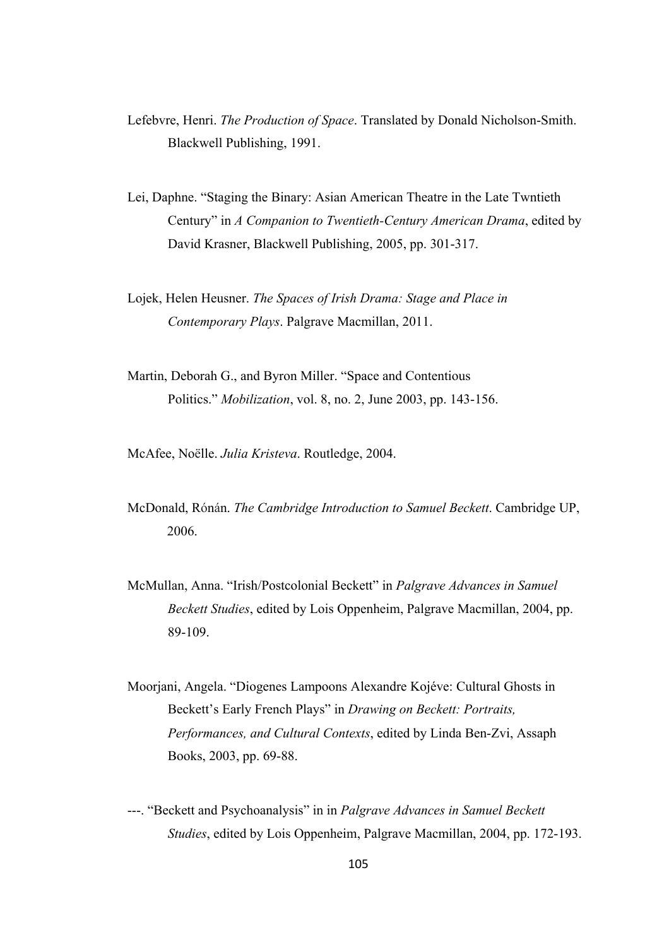- Lefebvre, Henri. *The Production of Space*. Translated by Donald Nicholson-Smith. Blackwell Publishing, 1991.
- Lei, Daphne. "Staging the Binary: Asian American Theatre in the Late Twntieth Century" in *A Companion to Twentieth-Century American Drama*, edited by David Krasner, Blackwell Publishing, 2005, pp. 301-317.
- Lojek, Helen Heusner. *The Spaces of Irish Drama: Stage and Place in Contemporary Plays*. Palgrave Macmillan, 2011.
- Martin, Deborah G., and Byron Miller. "Space and Contentious Politics." *Mobilization*, vol. 8, no. 2, June 2003, pp. 143-156.

McAfee, Noëlle. *Julia Kristeva*. Routledge, 2004.

- McDonald, Rónán. *The Cambridge Introduction to Samuel Beckett*. Cambridge UP, 2006.
- McMullan, Anna. "Irish/Postcolonial Beckett" in *Palgrave Advances in Samuel Beckett Studies*, edited by Lois Oppenheim, Palgrave Macmillan, 2004, pp. 89-109.
- Moorjani, Angela. "Diogenes Lampoons Alexandre Kojéve: Cultural Ghosts in Beckett's Early French Plays" in *Drawing on Beckett: Portraits, Performances, and Cultural Contexts*, edited by Linda Ben-Zvi, Assaph Books, 2003, pp. 69-88.
- ---. "Beckett and Psychoanalysis" in in *Palgrave Advances in Samuel Beckett Studies*, edited by Lois Oppenheim, Palgrave Macmillan, 2004, pp. 172-193.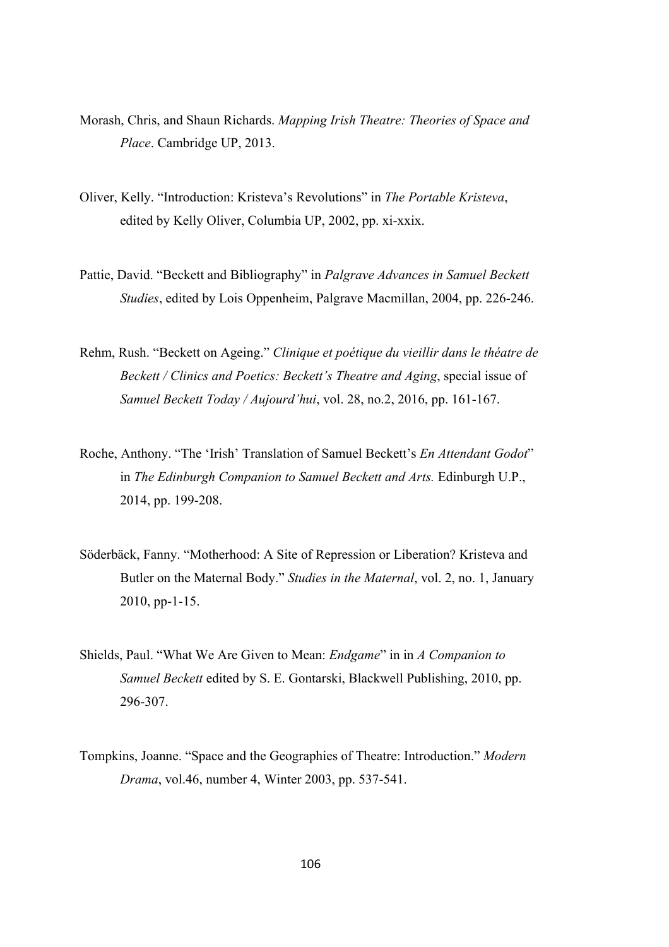- Morash, Chris, and Shaun Richards. *Mapping Irish Theatre: Theories of Space and Place*. Cambridge UP, 2013.
- Oliver, Kelly. "Introduction: Kristeva's Revolutions" in *The Portable Kristeva*, edited by Kelly Oliver, Columbia UP, 2002, pp. xi-xxix.
- Pattie, David. "Beckett and Bibliography" in *Palgrave Advances in Samuel Beckett Studies*, edited by Lois Oppenheim, Palgrave Macmillan, 2004, pp. 226-246.
- Rehm, Rush. "Beckett on Ageing." *Clinique et poétique du vieillir dans le théatre de Beckett / Clinics and Poetics: Beckett's Theatre and Aging*, special issue of *Samuel Beckett Today / Aujourd'hui*, vol. 28, no.2, 2016, pp. 161-167.
- Roche, Anthony. "The 'Irish' Translation of Samuel Beckett's *En Attendant Godot*" in *The Edinburgh Companion to Samuel Beckett and Arts.* Edinburgh U.P., 2014, pp. 199-208.
- Söderbäck, Fanny. "Motherhood: A Site of Repression or Liberation? Kristeva and Butler on the Maternal Body." *Studies in the Maternal*, vol. 2, no. 1, January 2010, pp-1-15.
- Shields, Paul. "What We Are Given to Mean: *Endgame*" in in *A Companion to Samuel Beckett* edited by S. E. Gontarski, Blackwell Publishing, 2010, pp. 296-307.
- Tompkins, Joanne. "Space and the Geographies of Theatre: Introduction." *Modern Drama*, vol.46, number 4, Winter 2003, pp. 537-541.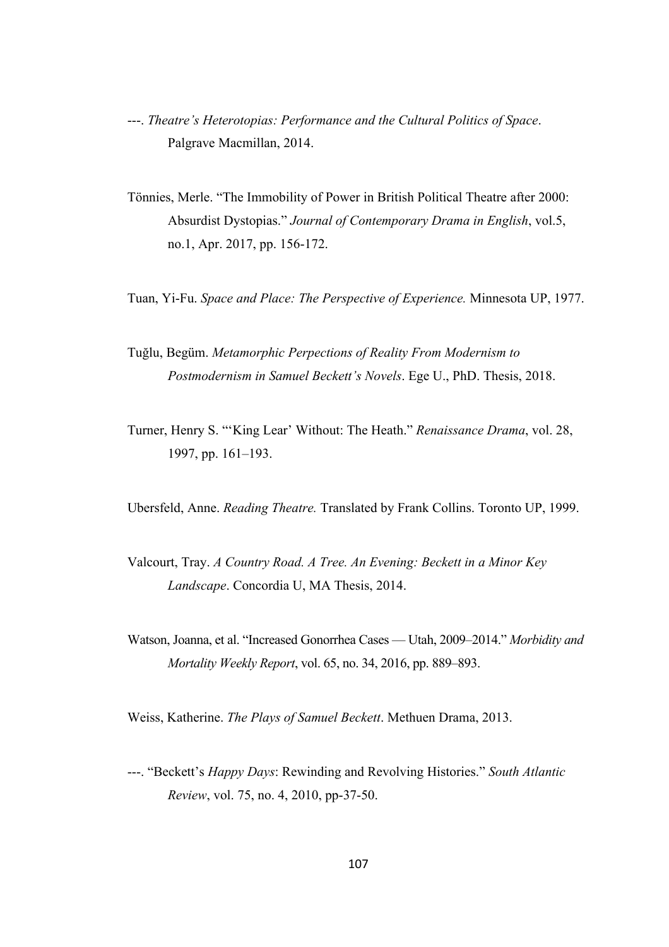- ---. *Theatre's Heterotopias: Performance and the Cultural Politics of Space*. Palgrave Macmillan, 2014.
- Tönnies, Merle. "The Immobility of Power in British Political Theatre after 2000: Absurdist Dystopias." *Journal of Contemporary Drama in English*, vol.5, no.1, Apr. 2017, pp. 156-172.
- Tuan, Yi-Fu. *Space and Place: The Perspective of Experience.* Minnesota UP, 1977.
- Tuğlu, Begüm. *Metamorphic Perpections of Reality From Modernism to Postmodernism in Samuel Beckett's Novels*. Ege U., PhD. Thesis, 2018.
- Turner, Henry S. "'King Lear' Without: The Heath." *Renaissance Drama*, vol. 28, 1997, pp. 161–193.
- Ubersfeld, Anne. *Reading Theatre.* Translated by Frank Collins. Toronto UP, 1999.
- Valcourt, Tray. *A Country Road. A Tree. An Evening: Beckett in a Minor Key Landscape*. Concordia U, MA Thesis, 2014.
- Watson, Joanna, et al. "Increased Gonorrhea Cases Utah, 2009–2014." *Morbidity and Mortality Weekly Report*, vol. 65, no. 34, 2016, pp. 889–893.

Weiss, Katherine. *The Plays of Samuel Beckett*. Methuen Drama, 2013.

---. "Beckett's *Happy Days*: Rewinding and Revolving Histories." *South Atlantic Review*, vol. 75, no. 4, 2010, pp-37-50.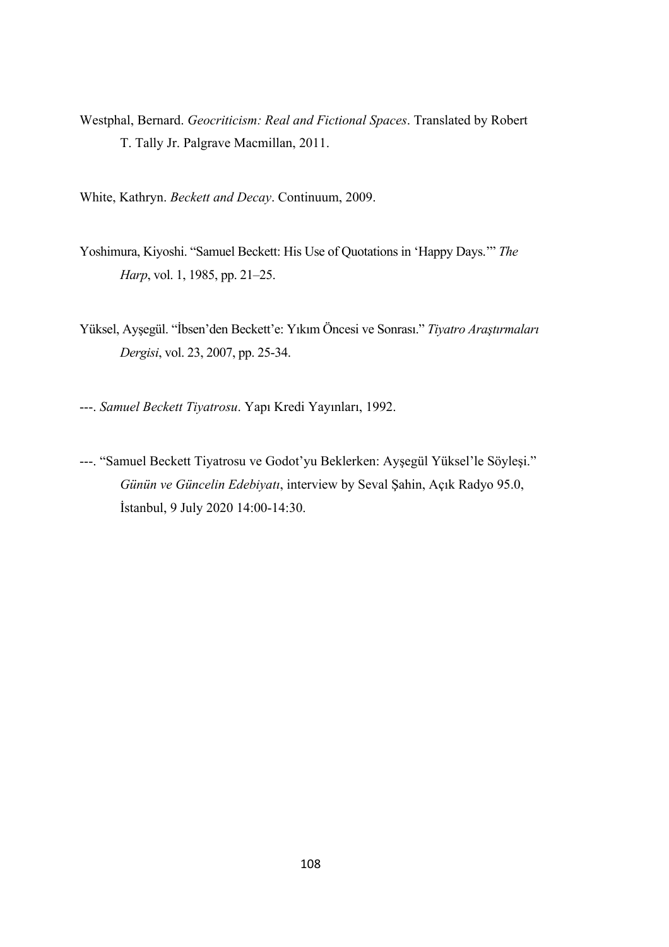- Westphal, Bernard. *Geocriticism: Real and Fictional Spaces*. Translated by Robert T. Tally Jr. Palgrave Macmillan, 2011.
- White, Kathryn. *Beckett and Decay*. Continuum, 2009.
- Yoshimura, Kiyoshi. "Samuel Beckett: His Use of Quotations in 'Happy Days.'" *The Harp*, vol. 1, 1985, pp. 21–25.
- Yüksel, Ayşegül. "İbsen'den Beckett'e: Yıkım Öncesi ve Sonrası." *Tiyatro Araştırmaları Dergisi*, vol. 23, 2007, pp. 25-34.
- ---. *Samuel Beckett Tiyatrosu*. Yapı Kredi Yayınları, 1992.
- ---. "Samuel Beckett Tiyatrosu ve Godot'yu Beklerken: Ayşegül Yüksel'le Söyleşi." *Günün ve Güncelin Edebiyatı*, interview by Seval Şahin, Açık Radyo 95.0, İstanbul, 9 July 2020 14:00-14:30.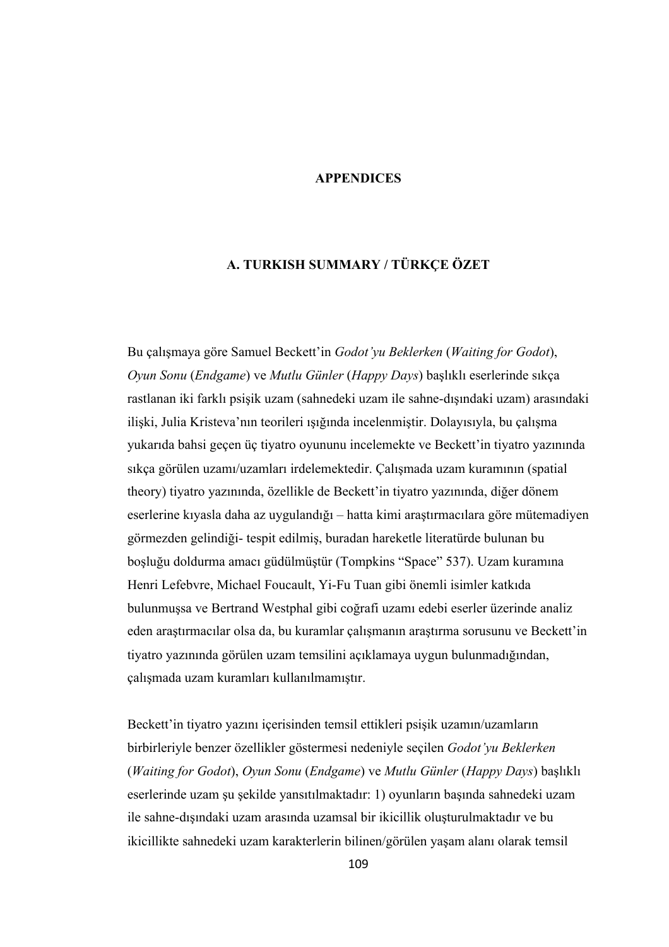### **APPENDICES**

# **A. TURKISH SUMMARY / TÜRKÇE ÖZET**

Bu çalışmaya göre Samuel Beckett'in *Godot'yu Beklerken* (*Waiting for Godot*), *Oyun Sonu* (*Endgame*) ve *Mutlu Günler* (*Happy Days*) başlıklı eserlerinde sıkça rastlanan iki farklı psişik uzam (sahnedeki uzam ile sahne-dışındaki uzam) arasındaki ilişki, Julia Kristeva'nın teorileri ışığında incelenmiştir. Dolayısıyla, bu çalışma yukarıda bahsi geçen üç tiyatro oyununu incelemekte ve Beckett'in tiyatro yazınında sıkça görülen uzamı/uzamları irdelemektedir. Çalışmada uzam kuramının (spatial theory) tiyatro yazınında, özellikle de Beckett'in tiyatro yazınında, diğer dönem eserlerine kıyasla daha az uygulandığı – hatta kimi araştırmacılara göre mütemadiyen görmezden gelindiği- tespit edilmiş, buradan hareketle literatürde bulunan bu boşluğu doldurma amacı güdülmüştür (Tompkins "Space" 537). Uzam kuramına Henri Lefebvre, Michael Foucault, Yi-Fu Tuan gibi önemli isimler katkıda bulunmuşsa ve Bertrand Westphal gibi coğrafi uzamı edebi eserler üzerinde analiz eden araştırmacılar olsa da, bu kuramlar çalışmanın araştırma sorusunu ve Beckett'in tiyatro yazınında görülen uzam temsilini açıklamaya uygun bulunmadığından, çalışmada uzam kuramları kullanılmamıştır.

Beckett'in tiyatro yazını içerisinden temsil ettikleri psişik uzamın/uzamların birbirleriyle benzer özellikler göstermesi nedeniyle seçilen *Godot'yu Beklerken* (*Waiting for Godot*), *Oyun Sonu* (*Endgame*) ve *Mutlu Günler* (*Happy Days*) başlıklı eserlerinde uzam şu şekilde yansıtılmaktadır: 1) oyunların başında sahnedeki uzam ile sahne-dışındaki uzam arasında uzamsal bir ikicillik oluşturulmaktadır ve bu ikicillikte sahnedeki uzam karakterlerin bilinen/görülen yaşam alanı olarak temsil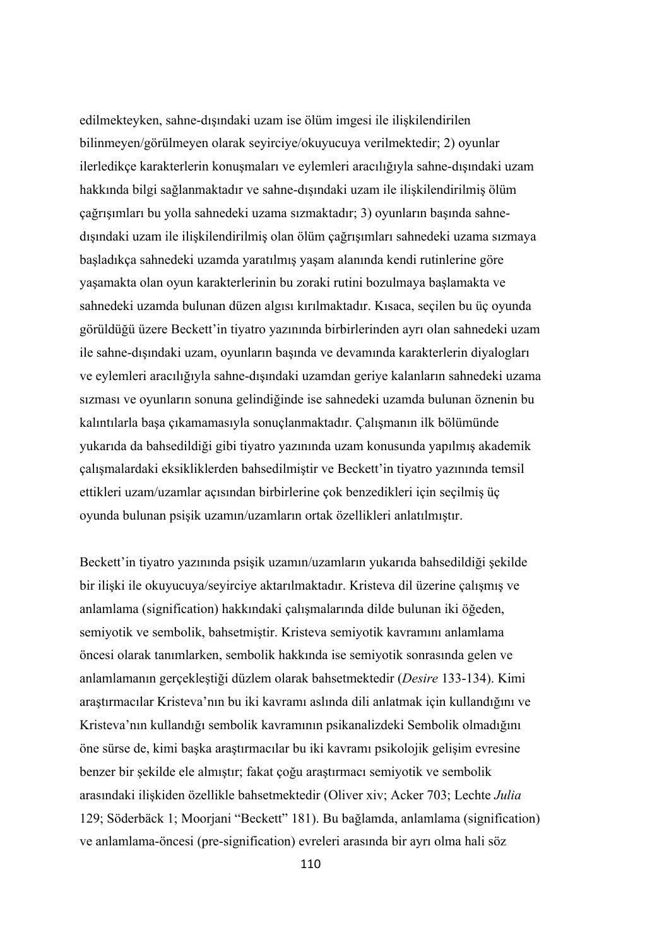edilmekteyken, sahne-dışındaki uzam ise ölüm imgesi ile ilişkilendirilen bilinmeyen/görülmeyen olarak seyirciye/okuyucuya verilmektedir; 2) oyunlar ilerledikçe karakterlerin konuşmaları ve eylemleri aracılığıyla sahne-dışındaki uzam hakkında bilgi sağlanmaktadır ve sahne-dışındaki uzam ile ilişkilendirilmiş ölüm çağrışımları bu yolla sahnedeki uzama sızmaktadır; 3) oyunların başında sahnedışındaki uzam ile ilişkilendirilmiş olan ölüm çağrışımları sahnedeki uzama sızmaya başladıkça sahnedeki uzamda yaratılmış yaşam alanında kendi rutinlerine göre yaşamakta olan oyun karakterlerinin bu zoraki rutini bozulmaya başlamakta ve sahnedeki uzamda bulunan düzen algısı kırılmaktadır. Kısaca, seçilen bu üç oyunda görüldüğü üzere Beckett'in tiyatro yazınında birbirlerinden ayrı olan sahnedeki uzam ile sahne-dışındaki uzam, oyunların başında ve devamında karakterlerin diyalogları ve eylemleri aracılığıyla sahne-dışındaki uzamdan geriye kalanların sahnedeki uzama sızması ve oyunların sonuna gelindiğinde ise sahnedeki uzamda bulunan öznenin bu kalıntılarla başa çıkamamasıyla sonuçlanmaktadır. Çalışmanın ilk bölümünde yukarıda da bahsedildiği gibi tiyatro yazınında uzam konusunda yapılmış akademik çalışmalardaki eksikliklerden bahsedilmiştir ve Beckett'in tiyatro yazınında temsil ettikleri uzam/uzamlar açısından birbirlerine çok benzedikleri için seçilmiş üç oyunda bulunan psişik uzamın/uzamların ortak özellikleri anlatılmıştır.

Beckett'in tiyatro yazınında psişik uzamın/uzamların yukarıda bahsedildiği şekilde bir ilişki ile okuyucuya/seyirciye aktarılmaktadır. Kristeva dil üzerine çalışmış ve anlamlama (signification) hakkındaki çalışmalarında dilde bulunan iki öğeden, semiyotik ve sembolik, bahsetmiştir. Kristeva semiyotik kavramını anlamlama öncesi olarak tanımlarken, sembolik hakkında ise semiyotik sonrasında gelen ve anlamlamanın gerçekleştiği düzlem olarak bahsetmektedir (*Desire* 133-134). Kimi araştırmacılar Kristeva'nın bu iki kavramı aslında dili anlatmak için kullandığını ve Kristeva'nın kullandığı sembolik kavramının psikanalizdeki Sembolik olmadığını öne sürse de, kimi başka araştırmacılar bu iki kavramı psikolojik gelişim evresine benzer bir şekilde ele almıştır; fakat çoğu araştırmacı semiyotik ve sembolik arasındaki ilişkiden özellikle bahsetmektedir (Oliver xiv; Acker 703; Lechte *Julia* 129; Söderbäck 1; Moorjani "Beckett" 181). Bu bağlamda, anlamlama (signification) ve anlamlama-öncesi (pre-signification) evreleri arasında bir ayrı olma hali söz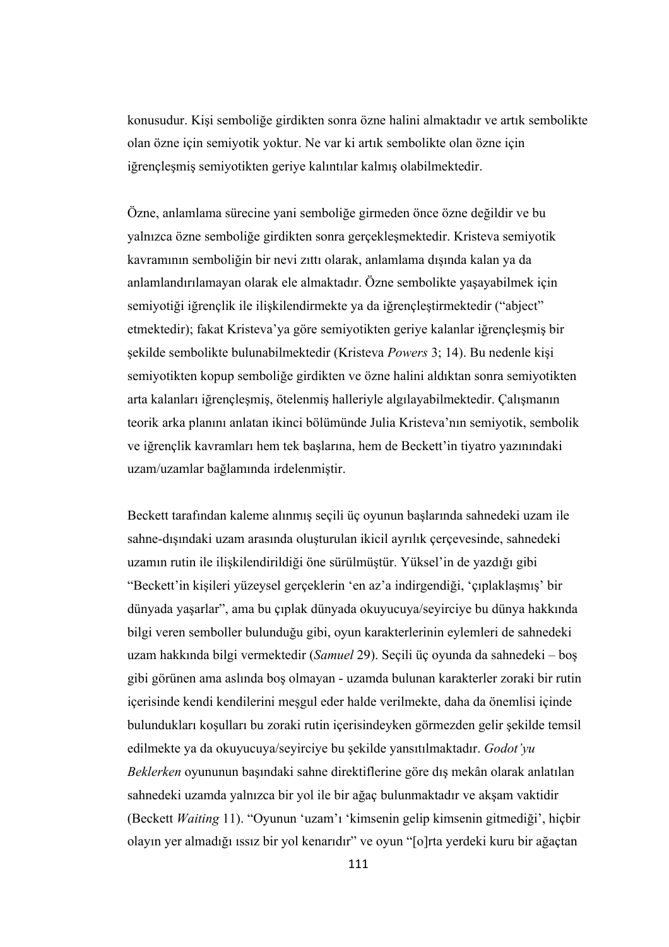konusudur. Kişi semboliğe girdikten sonra özne halini almaktadır ve artık sembolikte olan özne için semiyotik yoktur. Ne var ki artık sembolikte olan özne için iğrençleşmiş semiyotikten geriye kalıntılar kalmış olabilmektedir.

Özne, anlamlama sürecine yani semboliğe girmeden önce özne değildir ve bu yalnızca özne semboliğe girdikten sonra gerçekleşmektedir. Kristeva semiyotik kavramının semboliğin bir nevi zıttı olarak, anlamlama dışında kalan ya da anlamlandırılamayan olarak ele almaktadır. Özne sembolikte yaşayabilmek için semiyotiği iğrençlik ile ilişkilendirmekte ya da iğrençleştirmektedir ("abject" etmektedir); fakat Kristeva'ya göre semiyotikten geriye kalanlar iğrençleşmiş bir şekilde sembolikte bulunabilmektedir (Kristeva *Powers* 3; 14). Bu nedenle kişi semiyotikten kopup semboliğe girdikten ve özne halini aldıktan sonra semiyotikten arta kalanları iğrençleşmiş, ötelenmiş halleriyle algılayabilmektedir. Çalışmanın teorik arka planını anlatan ikinci bölümünde Julia Kristeva'nın semiyotik, sembolik ve iğrençlik kavramları hem tek başlarına, hem de Beckett'in tiyatro yazınındaki uzam/uzamlar bağlamında irdelenmiştir.

Beckett tarafından kaleme alınmış seçili üç oyunun başlarında sahnedeki uzam ile sahne-dışındaki uzam arasında oluşturulan ikicil ayrılık çerçevesinde, sahnedeki uzamın rutin ile ilişkilendirildiği öne sürülmüştür. Yüksel'in de yazdığı gibi "Beckett'in kişileri yüzeysel gerçeklerin 'en az'a indirgendiği, 'çıplaklaşmış' bir dünyada yaşarlar", ama bu çıplak dünyada okuyucuya/seyirciye bu dünya hakkında bilgi veren semboller bulunduğu gibi, oyun karakterlerinin eylemleri de sahnedeki uzam hakkında bilgi vermektedir (*Samuel* 29). Seçili üç oyunda da sahnedeki – boş gibi görünen ama aslında boş olmayan - uzamda bulunan karakterler zoraki bir rutin içerisinde kendi kendilerini meşgul eder halde verilmekte, daha da önemlisi içinde bulundukları koşulları bu zoraki rutin içerisindeyken görmezden gelir şekilde temsil edilmekte ya da okuyucuya/seyirciye bu şekilde yansıtılmaktadır. *Godot'yu Beklerken* oyununun başındaki sahne direktiflerine göre dış mekân olarak anlatılan sahnedeki uzamda yalnızca bir yol ile bir ağaç bulunmaktadır ve akşam vaktidir (Beckett *Waiting* 11). "Oyunun 'uzam'ı 'kimsenin gelip kimsenin gitmediği', hiçbir olayın yer almadığı ıssız bir yol kenarıdır" ve oyun "[o]rta yerdeki kuru bir ağaçtan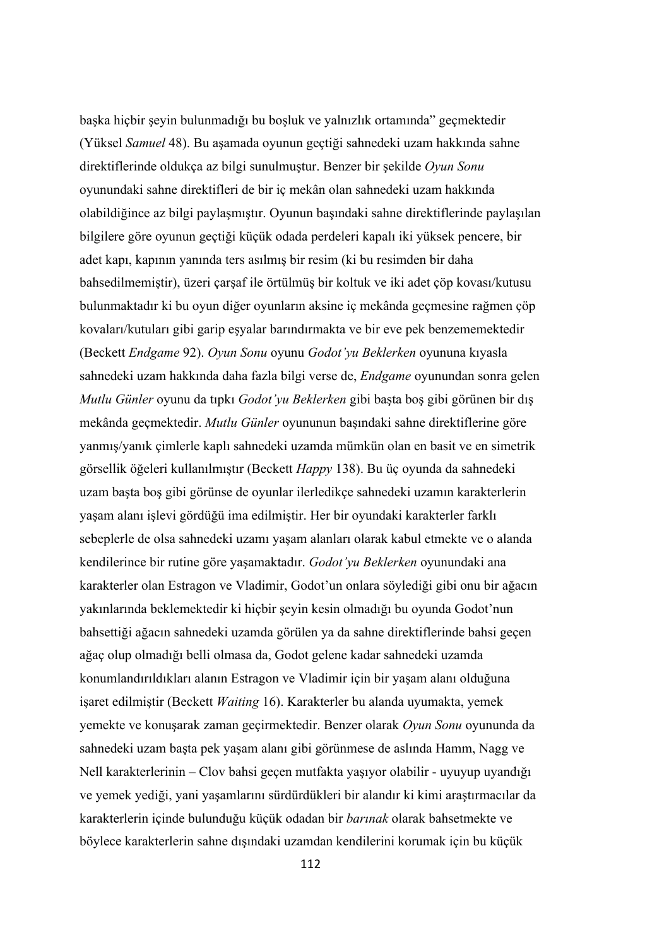başka hiçbir şeyin bulunmadığı bu boşluk ve yalnızlık ortamında" geçmektedir (Yüksel *Samuel* 48). Bu aşamada oyunun geçtiği sahnedeki uzam hakkında sahne direktiflerinde oldukça az bilgi sunulmuştur. Benzer bir şekilde *Oyun Sonu* oyunundaki sahne direktifleri de bir iç mekân olan sahnedeki uzam hakkında olabildiğince az bilgi paylaşmıştır. Oyunun başındaki sahne direktiflerinde paylaşılan bilgilere göre oyunun geçtiği küçük odada perdeleri kapalı iki yüksek pencere, bir adet kapı, kapının yanında ters asılmış bir resim (ki bu resimden bir daha bahsedilmemiştir), üzeri çarşaf ile örtülmüş bir koltuk ve iki adet çöp kovası/kutusu bulunmaktadır ki bu oyun diğer oyunların aksine iç mekânda geçmesine rağmen çöp kovaları/kutuları gibi garip eşyalar barındırmakta ve bir eve pek benzememektedir (Beckett *Endgame* 92). *Oyun Sonu* oyunu *Godot'yu Beklerken* oyununa kıyasla sahnedeki uzam hakkında daha fazla bilgi verse de, *Endgame* oyunundan sonra gelen *Mutlu Günler* oyunu da tıpkı *Godot'yu Beklerken* gibi başta boş gibi görünen bir dış mekânda geçmektedir. *Mutlu Günler* oyununun başındaki sahne direktiflerine göre yanmış/yanık çimlerle kaplı sahnedeki uzamda mümkün olan en basit ve en simetrik görsellik öğeleri kullanılmıştır (Beckett *Happy* 138). Bu üç oyunda da sahnedeki uzam başta boş gibi görünse de oyunlar ilerledikçe sahnedeki uzamın karakterlerin yaşam alanı işlevi gördüğü ima edilmiştir. Her bir oyundaki karakterler farklı sebeplerle de olsa sahnedeki uzamı yaşam alanları olarak kabul etmekte ve o alanda kendilerince bir rutine göre yaşamaktadır. *Godot'yu Beklerken* oyunundaki ana karakterler olan Estragon ve Vladimir, Godot'un onlara söylediği gibi onu bir ağacın yakınlarında beklemektedir ki hiçbir şeyin kesin olmadığı bu oyunda Godot'nun bahsettiği ağacın sahnedeki uzamda görülen ya da sahne direktiflerinde bahsi geçen ağaç olup olmadığı belli olmasa da, Godot gelene kadar sahnedeki uzamda konumlandırıldıkları alanın Estragon ve Vladimir için bir yaşam alanı olduğuna işaret edilmiştir (Beckett *Waiting* 16). Karakterler bu alanda uyumakta, yemek yemekte ve konuşarak zaman geçirmektedir. Benzer olarak *Oyun Sonu* oyununda da sahnedeki uzam başta pek yaşam alanı gibi görünmese de aslında Hamm, Nagg ve Nell karakterlerinin – Clov bahsi geçen mutfakta yaşıyor olabilir - uyuyup uyandığı ve yemek yediği, yani yaşamlarını sürdürdükleri bir alandır ki kimi araştırmacılar da karakterlerin içinde bulunduğu küçük odadan bir *barınak* olarak bahsetmekte ve böylece karakterlerin sahne dışındaki uzamdan kendilerini korumak için bu küçük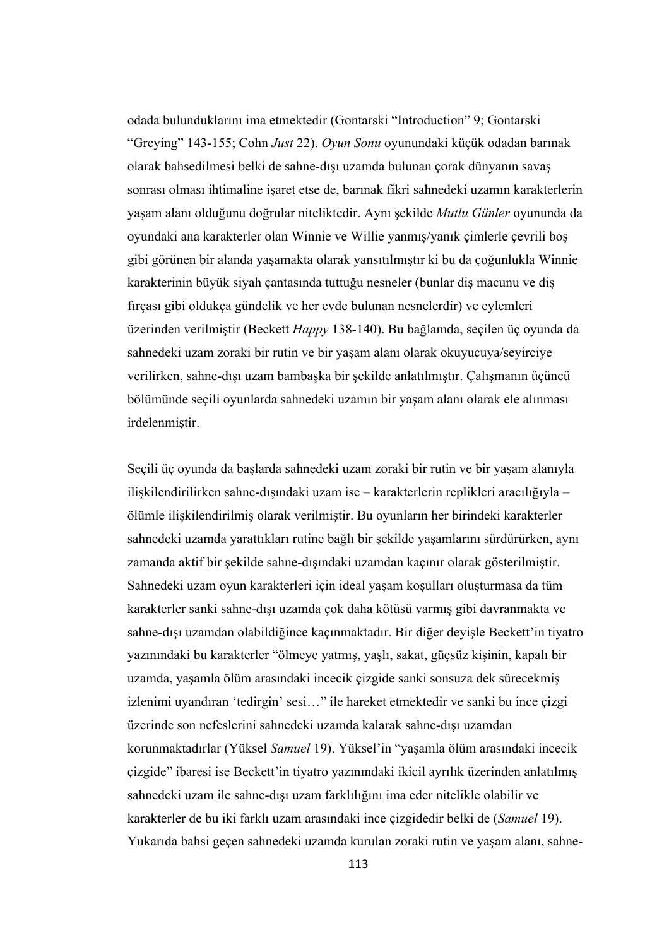odada bulunduklarını ima etmektedir (Gontarski "Introduction" 9; Gontarski "Greying" 143-155; Cohn *Just* 22). *Oyun Sonu* oyunundaki küçük odadan barınak olarak bahsedilmesi belki de sahne-dışı uzamda bulunan çorak dünyanın savaş sonrası olması ihtimaline işaret etse de, barınak fikri sahnedeki uzamın karakterlerin yaşam alanı olduğunu doğrular niteliktedir. Aynı şekilde *Mutlu Günler* oyununda da oyundaki ana karakterler olan Winnie ve Willie yanmış/yanık çimlerle çevrili boş gibi görünen bir alanda yaşamakta olarak yansıtılmıştır ki bu da çoğunlukla Winnie karakterinin büyük siyah çantasında tuttuğu nesneler (bunlar diş macunu ve diş fırçası gibi oldukça gündelik ve her evde bulunan nesnelerdir) ve eylemleri üzerinden verilmiştir (Beckett *Happy* 138-140). Bu bağlamda, seçilen üç oyunda da sahnedeki uzam zoraki bir rutin ve bir yaşam alanı olarak okuyucuya/seyirciye verilirken, sahne-dışı uzam bambaşka bir şekilde anlatılmıştır. Çalışmanın üçüncü bölümünde seçili oyunlarda sahnedeki uzamın bir yaşam alanı olarak ele alınması irdelenmiştir.

Seçili üç oyunda da başlarda sahnedeki uzam zoraki bir rutin ve bir yaşam alanıyla ilişkilendirilirken sahne-dışındaki uzam ise – karakterlerin replikleri aracılığıyla – ölümle ilişkilendirilmiş olarak verilmiştir. Bu oyunların her birindeki karakterler sahnedeki uzamda yarattıkları rutine bağlı bir şekilde yaşamlarını sürdürürken, aynı zamanda aktif bir şekilde sahne-dışındaki uzamdan kaçınır olarak gösterilmiştir. Sahnedeki uzam oyun karakterleri için ideal yaşam koşulları oluşturmasa da tüm karakterler sanki sahne-dışı uzamda çok daha kötüsü varmış gibi davranmakta ve sahne-dışı uzamdan olabildiğince kaçınmaktadır. Bir diğer deyişle Beckett'in tiyatro yazınındaki bu karakterler "ölmeye yatmış, yaşlı, sakat, güçsüz kişinin, kapalı bir uzamda, yaşamla ölüm arasındaki incecik çizgide sanki sonsuza dek sürecekmiş izlenimi uyandıran 'tedirgin' sesi…" ile hareket etmektedir ve sanki bu ince çizgi üzerinde son nefeslerini sahnedeki uzamda kalarak sahne-dışı uzamdan korunmaktadırlar (Yüksel *Samuel* 19). Yüksel'in "yaşamla ölüm arasındaki incecik çizgide" ibaresi ise Beckett'in tiyatro yazınındaki ikicil ayrılık üzerinden anlatılmış sahnedeki uzam ile sahne-dışı uzam farklılığını ima eder nitelikle olabilir ve karakterler de bu iki farklı uzam arasındaki ince çizgidedir belki de (*Samuel* 19). Yukarıda bahsi geçen sahnedeki uzamda kurulan zoraki rutin ve yaşam alanı, sahne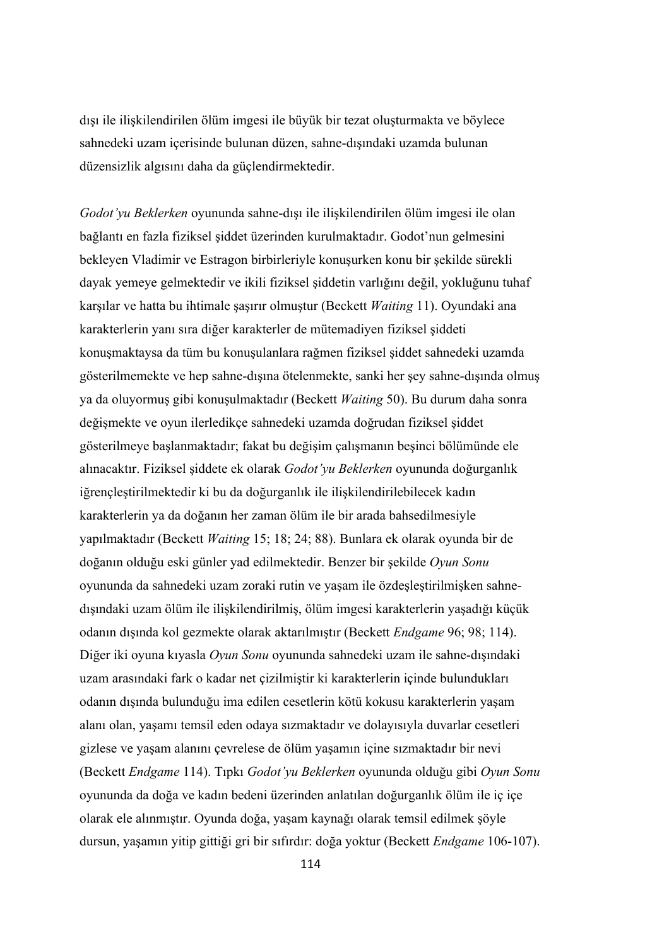dışı ile ilişkilendirilen ölüm imgesi ile büyük bir tezat oluşturmakta ve böylece sahnedeki uzam içerisinde bulunan düzen, sahne-dışındaki uzamda bulunan düzensizlik algısını daha da güçlendirmektedir.

*Godot'yu Beklerken* oyununda sahne-dışı ile ilişkilendirilen ölüm imgesi ile olan bağlantı en fazla fiziksel şiddet üzerinden kurulmaktadır. Godot'nun gelmesini bekleyen Vladimir ve Estragon birbirleriyle konuşurken konu bir şekilde sürekli dayak yemeye gelmektedir ve ikili fiziksel şiddetin varlığını değil, yokluğunu tuhaf karşılar ve hatta bu ihtimale şaşırır olmuştur (Beckett *Waiting* 11). Oyundaki ana karakterlerin yanı sıra diğer karakterler de mütemadiyen fiziksel şiddeti konuşmaktaysa da tüm bu konuşulanlara rağmen fiziksel şiddet sahnedeki uzamda gösterilmemekte ve hep sahne-dışına ötelenmekte, sanki her şey sahne-dışında olmuş ya da oluyormuş gibi konuşulmaktadır (Beckett *Waiting* 50). Bu durum daha sonra değişmekte ve oyun ilerledikçe sahnedeki uzamda doğrudan fiziksel şiddet gösterilmeye başlanmaktadır; fakat bu değişim çalışmanın beşinci bölümünde ele alınacaktır. Fiziksel şiddete ek olarak *Godot'yu Beklerken* oyununda doğurganlık iğrençleştirilmektedir ki bu da doğurganlık ile ilişkilendirilebilecek kadın karakterlerin ya da doğanın her zaman ölüm ile bir arada bahsedilmesiyle yapılmaktadır (Beckett *Waiting* 15; 18; 24; 88). Bunlara ek olarak oyunda bir de doğanın olduğu eski günler yad edilmektedir. Benzer bir şekilde *Oyun Sonu* oyununda da sahnedeki uzam zoraki rutin ve yaşam ile özdeşleştirilmişken sahnedışındaki uzam ölüm ile ilişkilendirilmiş, ölüm imgesi karakterlerin yaşadığı küçük odanın dışında kol gezmekte olarak aktarılmıştır (Beckett *Endgame* 96; 98; 114). Diğer iki oyuna kıyasla *Oyun Sonu* oyununda sahnedeki uzam ile sahne-dışındaki uzam arasındaki fark o kadar net çizilmiştir ki karakterlerin içinde bulundukları odanın dışında bulunduğu ima edilen cesetlerin kötü kokusu karakterlerin yaşam alanı olan, yaşamı temsil eden odaya sızmaktadır ve dolayısıyla duvarlar cesetleri gizlese ve yaşam alanını çevrelese de ölüm yaşamın içine sızmaktadır bir nevi (Beckett *Endgame* 114). Tıpkı *Godot'yu Beklerken* oyununda olduğu gibi *Oyun Sonu*  oyununda da doğa ve kadın bedeni üzerinden anlatılan doğurganlık ölüm ile iç içe olarak ele alınmıştır. Oyunda doğa, yaşam kaynağı olarak temsil edilmek şöyle dursun, yaşamın yitip gittiği gri bir sıfırdır: doğa yoktur (Beckett *Endgame* 106-107).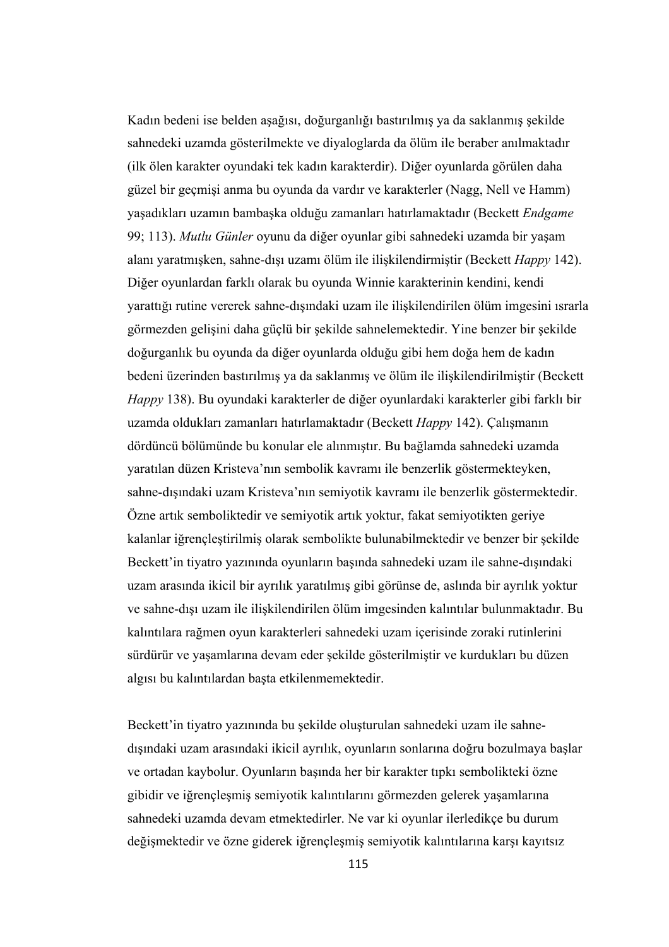Kadın bedeni ise belden aşağısı, doğurganlığı bastırılmış ya da saklanmış şekilde sahnedeki uzamda gösterilmekte ve diyaloglarda da ölüm ile beraber anılmaktadır (ilk ölen karakter oyundaki tek kadın karakterdir). Diğer oyunlarda görülen daha güzel bir geçmişi anma bu oyunda da vardır ve karakterler (Nagg, Nell ve Hamm) yaşadıkları uzamın bambaşka olduğu zamanları hatırlamaktadır (Beckett *Endgame*  99; 113). *Mutlu Günler* oyunu da diğer oyunlar gibi sahnedeki uzamda bir yaşam alanı yaratmışken, sahne-dışı uzamı ölüm ile ilişkilendirmiştir (Beckett *Happy* 142). Diğer oyunlardan farklı olarak bu oyunda Winnie karakterinin kendini, kendi yarattığı rutine vererek sahne-dışındaki uzam ile ilişkilendirilen ölüm imgesini ısrarla görmezden gelişini daha güçlü bir şekilde sahnelemektedir. Yine benzer bir şekilde doğurganlık bu oyunda da diğer oyunlarda olduğu gibi hem doğa hem de kadın bedeni üzerinden bastırılmış ya da saklanmış ve ölüm ile ilişkilendirilmiştir (Beckett *Happy* 138). Bu oyundaki karakterler de diğer oyunlardaki karakterler gibi farklı bir uzamda oldukları zamanları hatırlamaktadır (Beckett *Happy* 142). Çalışmanın dördüncü bölümünde bu konular ele alınmıştır. Bu bağlamda sahnedeki uzamda yaratılan düzen Kristeva'nın sembolik kavramı ile benzerlik göstermekteyken, sahne-dışındaki uzam Kristeva'nın semiyotik kavramı ile benzerlik göstermektedir. Özne artık semboliktedir ve semiyotik artık yoktur, fakat semiyotikten geriye kalanlar iğrençleştirilmiş olarak sembolikte bulunabilmektedir ve benzer bir şekilde Beckett'in tiyatro yazınında oyunların başında sahnedeki uzam ile sahne-dışındaki uzam arasında ikicil bir ayrılık yaratılmış gibi görünse de, aslında bir ayrılık yoktur ve sahne-dışı uzam ile ilişkilendirilen ölüm imgesinden kalıntılar bulunmaktadır. Bu kalıntılara rağmen oyun karakterleri sahnedeki uzam içerisinde zoraki rutinlerini sürdürür ve yaşamlarına devam eder şekilde gösterilmiştir ve kurdukları bu düzen algısı bu kalıntılardan başta etkilenmemektedir.

Beckett'in tiyatro yazınında bu şekilde oluşturulan sahnedeki uzam ile sahnedışındaki uzam arasındaki ikicil ayrılık, oyunların sonlarına doğru bozulmaya başlar ve ortadan kaybolur. Oyunların başında her bir karakter tıpkı sembolikteki özne gibidir ve iğrençleşmiş semiyotik kalıntılarını görmezden gelerek yaşamlarına sahnedeki uzamda devam etmektedirler. Ne var ki oyunlar ilerledikçe bu durum değişmektedir ve özne giderek iğrençleşmiş semiyotik kalıntılarına karşı kayıtsız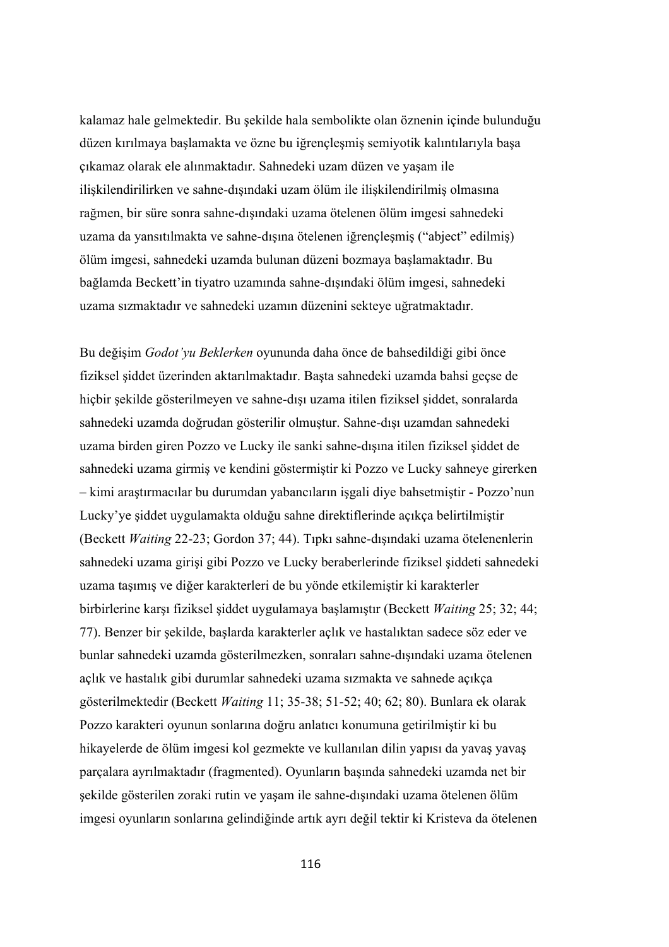kalamaz hale gelmektedir. Bu şekilde hala sembolikte olan öznenin içinde bulunduğu düzen kırılmaya başlamakta ve özne bu iğrençleşmiş semiyotik kalıntılarıyla başa çıkamaz olarak ele alınmaktadır. Sahnedeki uzam düzen ve yaşam ile ilişkilendirilirken ve sahne-dışındaki uzam ölüm ile ilişkilendirilmiş olmasına rağmen, bir süre sonra sahne-dışındaki uzama ötelenen ölüm imgesi sahnedeki uzama da yansıtılmakta ve sahne-dışına ötelenen iğrençleşmiş ("abject" edilmiş) ölüm imgesi, sahnedeki uzamda bulunan düzeni bozmaya başlamaktadır. Bu bağlamda Beckett'in tiyatro uzamında sahne-dışındaki ölüm imgesi, sahnedeki uzama sızmaktadır ve sahnedeki uzamın düzenini sekteye uğratmaktadır.

Bu değişim *Godot'yu Beklerken* oyununda daha önce de bahsedildiği gibi önce fiziksel şiddet üzerinden aktarılmaktadır. Başta sahnedeki uzamda bahsi geçse de hiçbir şekilde gösterilmeyen ve sahne-dışı uzama itilen fiziksel şiddet, sonralarda sahnedeki uzamda doğrudan gösterilir olmuştur. Sahne-dışı uzamdan sahnedeki uzama birden giren Pozzo ve Lucky ile sanki sahne-dışına itilen fiziksel şiddet de sahnedeki uzama girmiş ve kendini göstermiştir ki Pozzo ve Lucky sahneye girerken – kimi araştırmacılar bu durumdan yabancıların işgali diye bahsetmiştir - Pozzo'nun Lucky'ye şiddet uygulamakta olduğu sahne direktiflerinde açıkça belirtilmiştir (Beckett *Waiting* 22-23; Gordon 37; 44). Tıpkı sahne-dışındaki uzama ötelenenlerin sahnedeki uzama girişi gibi Pozzo ve Lucky beraberlerinde fiziksel şiddeti sahnedeki uzama taşımış ve diğer karakterleri de bu yönde etkilemiştir ki karakterler birbirlerine karşı fiziksel şiddet uygulamaya başlamıştır (Beckett *Waiting* 25; 32; 44; 77). Benzer bir şekilde, başlarda karakterler açlık ve hastalıktan sadece söz eder ve bunlar sahnedeki uzamda gösterilmezken, sonraları sahne-dışındaki uzama ötelenen açlık ve hastalık gibi durumlar sahnedeki uzama sızmakta ve sahnede açıkça gösterilmektedir (Beckett *Waiting* 11; 35-38; 51-52; 40; 62; 80). Bunlara ek olarak Pozzo karakteri oyunun sonlarına doğru anlatıcı konumuna getirilmiştir ki bu hikayelerde de ölüm imgesi kol gezmekte ve kullanılan dilin yapısı da yavaş yavaş parçalara ayrılmaktadır (fragmented). Oyunların başında sahnedeki uzamda net bir şekilde gösterilen zoraki rutin ve yaşam ile sahne-dışındaki uzama ötelenen ölüm imgesi oyunların sonlarına gelindiğinde artık ayrı değil tektir ki Kristeva da ötelenen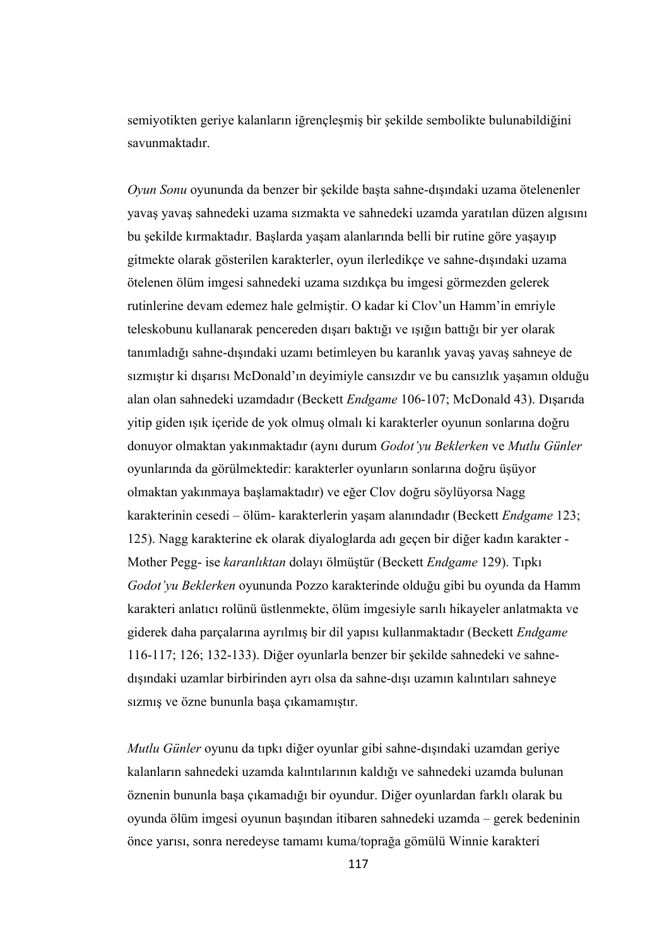semiyotikten geriye kalanların iğrençleşmiş bir şekilde sembolikte bulunabildiğini savunmaktadır.

*Oyun Sonu* oyununda da benzer bir şekilde başta sahne-dışındaki uzama ötelenenler yavaş yavaş sahnedeki uzama sızmakta ve sahnedeki uzamda yaratılan düzen algısını bu şekilde kırmaktadır. Başlarda yaşam alanlarında belli bir rutine göre yaşayıp gitmekte olarak gösterilen karakterler, oyun ilerledikçe ve sahne-dışındaki uzama ötelenen ölüm imgesi sahnedeki uzama sızdıkça bu imgesi görmezden gelerek rutinlerine devam edemez hale gelmiştir. O kadar ki Clov'un Hamm'in emriyle teleskobunu kullanarak pencereden dışarı baktığı ve ışığın battığı bir yer olarak tanımladığı sahne-dışındaki uzamı betimleyen bu karanlık yavaş yavaş sahneye de sızmıştır ki dışarısı McDonald'ın deyimiyle cansızdır ve bu cansızlık yaşamın olduğu alan olan sahnedeki uzamdadır (Beckett *Endgame* 106-107; McDonald 43). Dışarıda yitip giden ışık içeride de yok olmuş olmalı ki karakterler oyunun sonlarına doğru donuyor olmaktan yakınmaktadır (aynı durum *Godot'yu Beklerken* ve *Mutlu Günler*  oyunlarında da görülmektedir: karakterler oyunların sonlarına doğru üşüyor olmaktan yakınmaya başlamaktadır) ve eğer Clov doğru söylüyorsa Nagg karakterinin cesedi – ölüm- karakterlerin yaşam alanındadır (Beckett *Endgame* 123; 125). Nagg karakterine ek olarak diyaloglarda adı geçen bir diğer kadın karakter - Mother Pegg- ise *karanlıktan* dolayı ölmüştür (Beckett *Endgame* 129). Tıpkı *Godot'yu Beklerken* oyununda Pozzo karakterinde olduğu gibi bu oyunda da Hamm karakteri anlatıcı rolünü üstlenmekte, ölüm imgesiyle sarılı hikayeler anlatmakta ve giderek daha parçalarına ayrılmış bir dil yapısı kullanmaktadır (Beckett *Endgame* 116-117; 126; 132-133). Diğer oyunlarla benzer bir şekilde sahnedeki ve sahnedışındaki uzamlar birbirinden ayrı olsa da sahne-dışı uzamın kalıntıları sahneye sızmış ve özne bununla başa çıkamamıştır.

*Mutlu Günler* oyunu da tıpkı diğer oyunlar gibi sahne-dışındaki uzamdan geriye kalanların sahnedeki uzamda kalıntılarının kaldığı ve sahnedeki uzamda bulunan öznenin bununla başa çıkamadığı bir oyundur. Diğer oyunlardan farklı olarak bu oyunda ölüm imgesi oyunun başından itibaren sahnedeki uzamda – gerek bedeninin önce yarısı, sonra neredeyse tamamı kuma/toprağa gömülü Winnie karakteri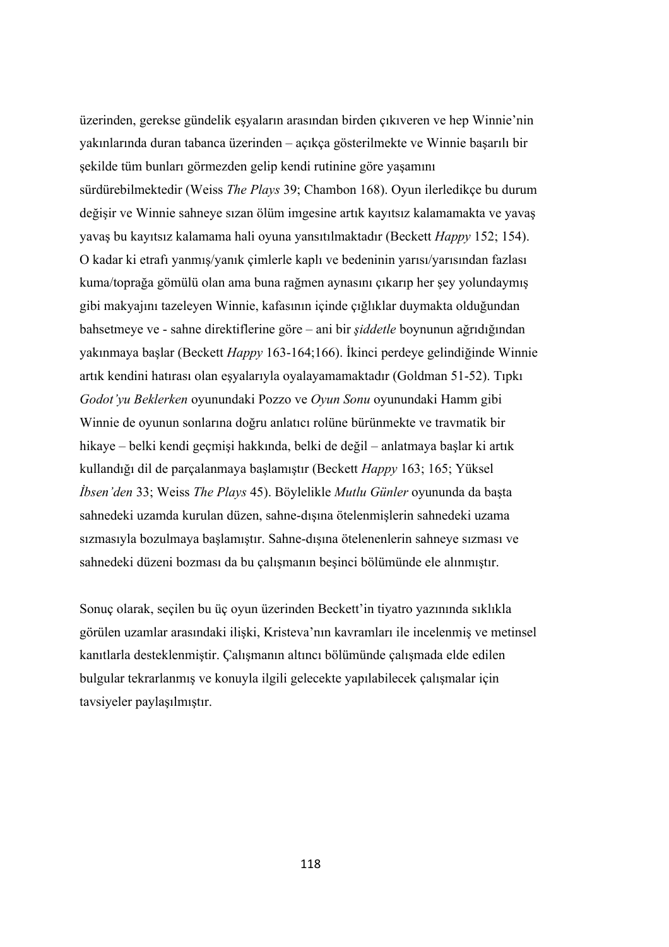üzerinden, gerekse gündelik eşyaların arasından birden çıkıveren ve hep Winnie'nin yakınlarında duran tabanca üzerinden – açıkça gösterilmekte ve Winnie başarılı bir şekilde tüm bunları görmezden gelip kendi rutinine göre yaşamını sürdürebilmektedir (Weiss *The Plays* 39; Chambon 168). Oyun ilerledikçe bu durum değişir ve Winnie sahneye sızan ölüm imgesine artık kayıtsız kalamamakta ve yavaş yavaş bu kayıtsız kalamama hali oyuna yansıtılmaktadır (Beckett *Happy* 152; 154). O kadar ki etrafı yanmış/yanık çimlerle kaplı ve bedeninin yarısı/yarısından fazlası kuma/toprağa gömülü olan ama buna rağmen aynasını çıkarıp her şey yolundaymış gibi makyajını tazeleyen Winnie, kafasının içinde çığlıklar duymakta olduğundan bahsetmeye ve - sahne direktiflerine göre – ani bir *şiddetle* boynunun ağrıdığından yakınmaya başlar (Beckett *Happy* 163-164;166). İkinci perdeye gelindiğinde Winnie artık kendini hatırası olan eşyalarıyla oyalayamamaktadır (Goldman 51-52). Tıpkı *Godot'yu Beklerken* oyunundaki Pozzo ve *Oyun Sonu* oyunundaki Hamm gibi Winnie de oyunun sonlarına doğru anlatıcı rolüne bürünmekte ve travmatik bir hikaye – belki kendi geçmişi hakkında, belki de değil – anlatmaya başlar ki artık kullandığı dil de parçalanmaya başlamıştır (Beckett *Happy* 163; 165; Yüksel *İbsen'den* 33; Weiss *The Plays* 45). Böylelikle *Mutlu Günler* oyununda da başta sahnedeki uzamda kurulan düzen, sahne-dışına ötelenmişlerin sahnedeki uzama sızmasıyla bozulmaya başlamıştır. Sahne-dışına ötelenenlerin sahneye sızması ve sahnedeki düzeni bozması da bu çalışmanın beşinci bölümünde ele alınmıştır.

Sonuç olarak, seçilen bu üç oyun üzerinden Beckett'in tiyatro yazınında sıklıkla görülen uzamlar arasındaki ilişki, Kristeva'nın kavramları ile incelenmiş ve metinsel kanıtlarla desteklenmiştir. Çalışmanın altıncı bölümünde çalışmada elde edilen bulgular tekrarlanmış ve konuyla ilgili gelecekte yapılabilecek çalışmalar için tavsiyeler paylaşılmıştır.